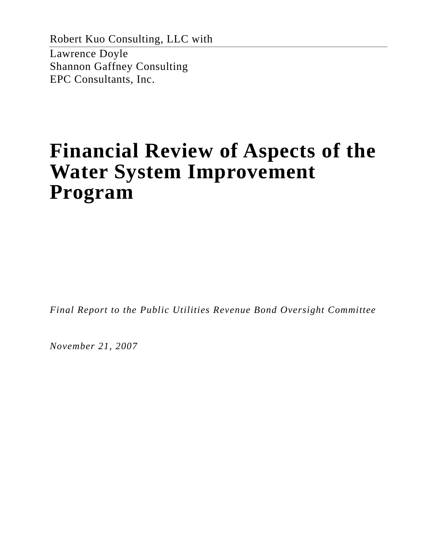Robert Kuo Consulting, LLC with Lawrence Doyle Shannon Gaffney Consulting EPC Consultants, Inc.

# **Financial Review of Aspects of the Water System Improvement Program**

*Final Report to the Public Utilities Revenue Bond Oversight Committee* 

*November 21, 2007*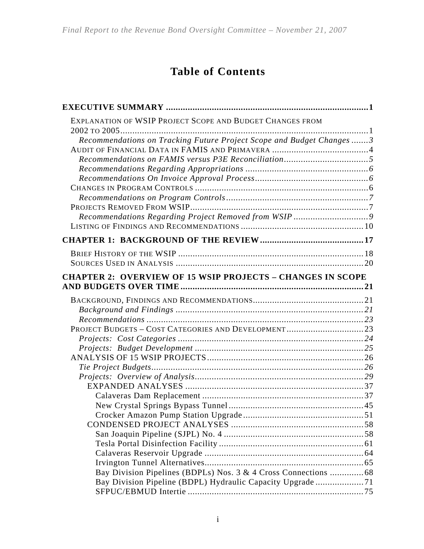# **Table of Contents**

| EXPLANATION OF WSIP PROJECT SCOPE AND BUDGET CHANGES FROM            |  |
|----------------------------------------------------------------------|--|
|                                                                      |  |
| Recommendations on Tracking Future Project Scope and Budget Changes3 |  |
|                                                                      |  |
|                                                                      |  |
|                                                                      |  |
|                                                                      |  |
|                                                                      |  |
|                                                                      |  |
|                                                                      |  |
|                                                                      |  |
|                                                                      |  |
|                                                                      |  |
|                                                                      |  |
|                                                                      |  |
|                                                                      |  |
| <b>CHAPTER 2: OVERVIEW OF 15 WSIP PROJECTS - CHANGES IN SCOPE</b>    |  |
|                                                                      |  |
|                                                                      |  |
|                                                                      |  |
|                                                                      |  |
| PROJECT BUDGETS - COST CATEGORIES AND DEVELOPMENT23                  |  |
|                                                                      |  |
|                                                                      |  |
|                                                                      |  |
|                                                                      |  |
|                                                                      |  |
|                                                                      |  |
|                                                                      |  |
|                                                                      |  |
|                                                                      |  |
|                                                                      |  |
|                                                                      |  |
|                                                                      |  |
|                                                                      |  |
|                                                                      |  |
|                                                                      |  |
|                                                                      |  |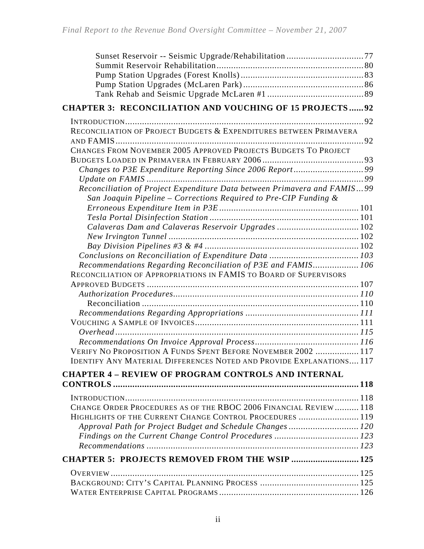| <b>CHAPTER 3: RECONCILIATION AND VOUCHING OF 15 PROJECTS92</b>                                                                                   |  |
|--------------------------------------------------------------------------------------------------------------------------------------------------|--|
|                                                                                                                                                  |  |
| RECONCILIATION OF PROJECT BUDGETS & EXPENDITURES BETWEEN PRIMAVERA                                                                               |  |
|                                                                                                                                                  |  |
| CHANGES FROM NOVEMBER 2005 APPROVED PROJECTS BUDGETS TO PROJECT                                                                                  |  |
|                                                                                                                                                  |  |
| Changes to P3E Expenditure Reporting Since 2006 Report99                                                                                         |  |
|                                                                                                                                                  |  |
| Reconciliation of Project Expenditure Data between Primavera and FAMIS 99<br>San Joaquin Pipeline – Corrections Required to Pre-CIP Funding $\&$ |  |
|                                                                                                                                                  |  |
|                                                                                                                                                  |  |
| Calaveras Dam and Calaveras Reservoir Upgrades  102                                                                                              |  |
|                                                                                                                                                  |  |
|                                                                                                                                                  |  |
|                                                                                                                                                  |  |
| Recommendations Regarding Reconciliation of P3E and FAMIS 106                                                                                    |  |
| RECONCILIATION OF APPROPRIATIONS IN FAMIS TO BOARD OF SUPERVISORS                                                                                |  |
|                                                                                                                                                  |  |
|                                                                                                                                                  |  |
|                                                                                                                                                  |  |
|                                                                                                                                                  |  |
|                                                                                                                                                  |  |
|                                                                                                                                                  |  |
|                                                                                                                                                  |  |
| VERIFY NO PROPOSITION A FUNDS SPENT BEFORE NOVEMBER 2002  117                                                                                    |  |
| <b>IDENTIFY ANY MATERIAL DIFFERENCES NOTED AND PROVIDE EXPLANATIONS 117</b>                                                                      |  |
| <b>CHAPTER 4 - REVIEW OF PROGRAM CONTROLS AND INTERNAL</b>                                                                                       |  |
|                                                                                                                                                  |  |
|                                                                                                                                                  |  |
| CHANGE ORDER PROCEDURES AS OF THE RBOC 2006 FINANCIAL REVIEW  118                                                                                |  |
| HIGHLIGHTS OF THE CURRENT CHANGE CONTROL PROCEDURES  119                                                                                         |  |
| Approval Path for Project Budget and Schedule Changes  120                                                                                       |  |
|                                                                                                                                                  |  |
|                                                                                                                                                  |  |
| <b>CHAPTER 5: PROJECTS REMOVED FROM THE WSIP  125</b>                                                                                            |  |
|                                                                                                                                                  |  |
|                                                                                                                                                  |  |
|                                                                                                                                                  |  |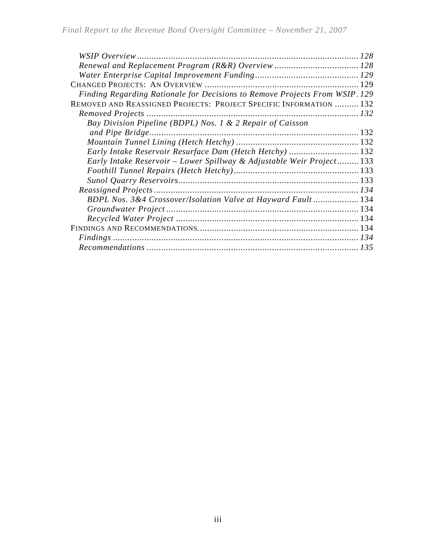| Finding Regarding Rationale for Decisions to Remove Projects From WSIP. 129 |  |
|-----------------------------------------------------------------------------|--|
| REMOVED AND REASSIGNED PROJECTS: PROJECT SPECIFIC INFORMATION  132          |  |
|                                                                             |  |
| Bay Division Pipeline (BDPL) Nos. 1 & 2 Repair of Caisson                   |  |
|                                                                             |  |
|                                                                             |  |
| Early Intake Reservoir Resurface Dam (Hetch Hetchy)  132                    |  |
| Early Intake Reservoir - Lower Spillway & Adjustable Weir Project 133       |  |
|                                                                             |  |
|                                                                             |  |
|                                                                             |  |
| BDPL Nos. 3&4 Crossover/Isolation Valve at Hayward Fault 134                |  |
|                                                                             |  |
|                                                                             |  |
|                                                                             |  |
|                                                                             |  |
|                                                                             |  |
|                                                                             |  |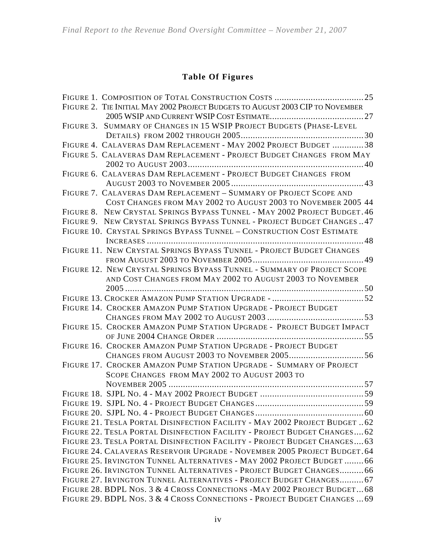### **Table Of Figures**

| FIGURE 2. TIE INITIAL MAY 2002 PROJECT BUDGETS TO AUGUST 2003 CIP TO NOVEMBER |  |
|-------------------------------------------------------------------------------|--|
|                                                                               |  |
| FIGURE 3. SUMMARY OF CHANGES IN 15 WSIP PROJECT BUDGETS (PHASE-LEVEL          |  |
|                                                                               |  |
| FIGURE 4. CALAVERAS DAM REPLACEMENT - MAY 2002 PROJECT BUDGET 38              |  |
| FIGURE 5. CALAVERAS DAM REPLACEMENT - PROJECT BUDGET CHANGES FROM MAY         |  |
|                                                                               |  |
| FIGURE 6. CALAVERAS DAM REPLACEMENT - PROJECT BUDGET CHANGES FROM             |  |
|                                                                               |  |
| FIGURE 7. CALAVERAS DAM REPLACEMENT - SUMMARY OF PROJECT SCOPE AND            |  |
| COST CHANGES FROM MAY 2002 TO AUGUST 2003 TO NOVEMBER 2005 44                 |  |
| FIGURE 8. NEW CRYSTAL SPRINGS BYPASS TUNNEL - MAY 2002 PROJECT BUDGET. 46     |  |
| FIGURE 9. NEW CRYSTAL SPRINGS BYPASS TUNNEL - PROJECT BUDGET CHANGES  47      |  |
| FIGURE 10. CRYSTAL SPRINGS BYPASS TUNNEL - CONSTRUCTION COST ESTIMATE         |  |
|                                                                               |  |
| FIGURE 11. NEW CRYSTAL SPRINGS BYPASS TUNNEL - PROJECT BUDGET CHANGES         |  |
|                                                                               |  |
| FIGURE 12. NEW CRYSTAL SPRINGS BYPASS TUNNEL - SUMMARY OF PROJECT SCOPE       |  |
| AND COST CHANGES FROM MAY 2002 TO AUGUST 2003 TO NOVEMBER                     |  |
|                                                                               |  |
|                                                                               |  |
| FIGURE 14. CROCKER AMAZON PUMP STATION UPGRADE - PROJECT BUDGET               |  |
|                                                                               |  |
| FIGURE 15. CROCKER AMAZON PUMP STATION UPGRADE - PROJECT BUDGET IMPACT        |  |
|                                                                               |  |
| FIGURE 16. CROCKER AMAZON PUMP STATION UPGRADE - PROJECT BUDGET               |  |
|                                                                               |  |
| FIGURE 17. CROCKER AMAZON PUMP STATION UPGRADE - SUMMARY OF PROJECT           |  |
| SCOPE CHANGES FROM MAY 2002 TO AUGUST 2003 TO                                 |  |
|                                                                               |  |
|                                                                               |  |
|                                                                               |  |
| FIGURE 21. TESLA PORTAL DISINFECTION FACILITY - MAY 2002 PROJECT BUDGET  62   |  |
| FIGURE 22. TESLA PORTAL DISINFECTION FACILITY - PROJECT BUDGET CHANGES 62     |  |
| FIGURE 23. TESLA PORTAL DISINFECTION FACILITY - PROJECT BUDGET CHANGES 63     |  |
| FIGURE 24. CALAVERAS RESERVOIR UPGRADE - NOVEMBER 2005 PROJECT BUDGET. 64     |  |
| FIGURE 25. IRVINGTON TUNNEL ALTERNATIVES - MAY 2002 PROJECT BUDGET  66        |  |
| FIGURE 26. IRVINGTON TUNNEL ALTERNATIVES - PROJECT BUDGET CHANGES66           |  |
| FIGURE 27. IRVINGTON TUNNEL ALTERNATIVES - PROJECT BUDGET CHANGES 67          |  |
| FIGURE 28. BDPL Nos. 3 & 4 CROSS CONNECTIONS - MAY 2002 PROJECT BUDGET 68     |  |
| FIGURE 29. BDPL Nos. 3 & 4 CROSS CONNECTIONS - PROJECT BUDGET CHANGES  69     |  |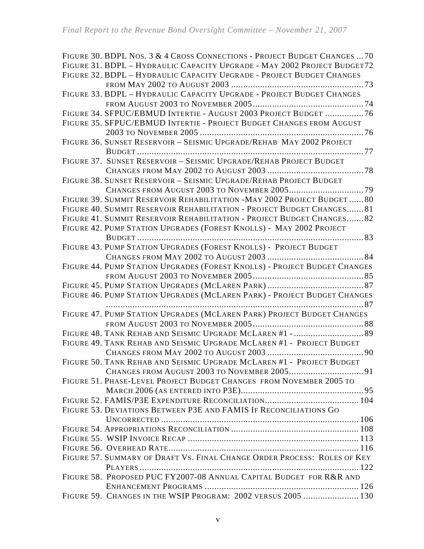| FIGURE 30. BDPL NOS. 3 & 4 CROSS CONNECTIONS - PROJECT BUDGET CHANGES  70 |
|---------------------------------------------------------------------------|
| FIGURE 31. BDPL - HYDRAULIC CAPACITY UPGRADE - MAY 2002 PROJECT BUDGET72  |
| FIGURE 32. BDPL - HYDRAULIC CAPACITY UPGRADE - PROJECT BUDGET CHANGES     |
|                                                                           |
| FIGURE 33. BDPL - HYDRAULIC CAPACITY UPGRADE - PROJECT BUDGET CHANGES     |
|                                                                           |
| FIGURE 34. SFPUC/EBMUD INTERTIE - AUGUST 2003 PROJECT BUDGET 76           |
| FIGURE 35. SFPUC/EBMUD INTERTIE - PROJECT BUDGET CHANGES FROM AUGUST      |
|                                                                           |
| FIGURE 36. SUNSET RESERVOIR - SEISMIC UPGRADE/REHAB MAY 2002 PROJECT      |
|                                                                           |
| FIGURE 37. SUNSET RESERVOIR - SEISMIC UPGRADE/REHAB PROJECT BUDGET        |
|                                                                           |
| FIGURE 38. SUNSET RESERVOIR - SEISMIC UPGRADE/REHAB PROJECT BUDGET        |
|                                                                           |
| FIGURE 39. SUMMIT RESERVOIR REHABILITATION - MAY 2002 PROJECT BUDGET  80  |
| FIGURE 40. SUMMIT RESERVOIR REHABILITATION - PROJECT BUDGET CHANGES 81    |
| FIGURE 41. SUMMIT RESERVOIR REHABILITATION - PROJECT BUDGET CHANGES 82    |
| FIGURE 42. PUMP STATION UPGRADES (FOREST KNOLLS) - MAY 2002 PROJECT       |
|                                                                           |
| FIGURE 43. PUMP STATION UPGRADES (FOREST KNOLLS) - PROJECT BUDGET         |
|                                                                           |
| FIGURE 44. PUMP STATION UPGRADES (FOREST KNOLLS) - PROJECT BUDGET CHANGES |
|                                                                           |
|                                                                           |
| FIGURE 46. PUMP STATION UPGRADES (MCLAREN PARK) - PROJECT BUDGET CHANGES  |
|                                                                           |
| FIGURE 47. PUMP STATION UPGRADES (MCLAREN PARK) PROJECT BUDGET CHANGES    |
|                                                                           |
|                                                                           |
| FIGURE 49. TANK REHAB AND SEISMIC UPGRADE MCLAREN #1 - PROJECT BUDGET     |
|                                                                           |
| FIGURE 50. TANK REHAB AND SEISMIC UPGRADE MCLAREN #1 - PROJECT BUDGET     |
|                                                                           |
| FIGURE 51. PHASE-LEVEL PROJECT BUDGET CHANGES FROM NOVEMBER 2005 TO       |
|                                                                           |
|                                                                           |
| FIGURE 53. DEVIATIONS BETWEEN P3E AND FAMIS IF RECONCILIATIONS GO         |
|                                                                           |
|                                                                           |
|                                                                           |
|                                                                           |
| FIGURE 57. SUMMARY OF DRAFT VS. FINAL CHANGE ORDER PROCESS: ROLES OF KEY  |
|                                                                           |
| FIGURE 58. PROPOSED PUC FY2007-08 ANNUAL CAPITAL BUDGET FOR R&R AND       |
| FIGURE 59. CHANGES IN THE WSIP PROGRAM: 2002 VERSUS 2005  130             |
|                                                                           |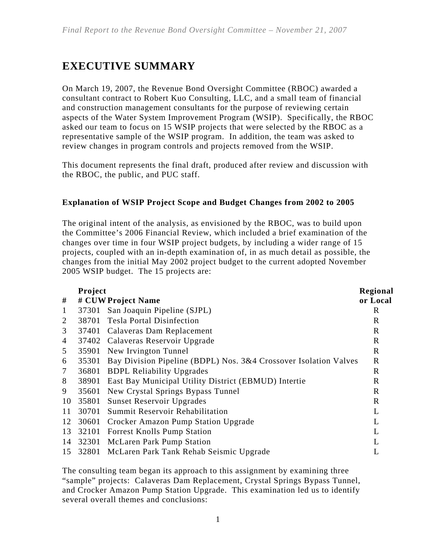# **EXECUTIVE SUMMARY**

On March 19, 2007, the Revenue Bond Oversight Committee (RBOC) awarded a consultant contract to Robert Kuo Consulting, LLC, and a small team of financial and construction management consultants for the purpose of reviewing certain aspects of the Water System Improvement Program (WSIP). Specifically, the RBOC asked our team to focus on 15 WSIP projects that were selected by the RBOC as a representative sample of the WSIP program. In addition, the team was asked to review changes in program controls and projects removed from the WSIP.

This document represents the final draft, produced after review and discussion with the RBOC, the public, and PUC staff.

### **Explanation of WSIP Project Scope and Budget Changes from 2002 to 2005**

The original intent of the analysis, as envisioned by the RBOC, was to build upon the Committee's 2006 Financial Review, which included a brief examination of the changes over time in four WSIP project budgets, by including a wider range of 15 projects, coupled with an in-depth examination of, in as much detail as possible, the changes from the initial May 2002 project budget to the current adopted November 2005 WSIP budget. The 15 projects are:

|                | Project |                                                                  | Regional    |
|----------------|---------|------------------------------------------------------------------|-------------|
| #              |         | # CUW Project Name                                               | or Local    |
| $\mathbf{1}$   |         | 37301 San Joaquin Pipeline (SJPL)                                | R           |
| 2              | 38701   | <b>Tesla Portal Disinfection</b>                                 | $\mathbf R$ |
| 3              |         | 37401 Calaveras Dam Replacement                                  | $\mathbf R$ |
| $\overline{4}$ |         | 37402 Calaveras Reservoir Upgrade                                | $\mathbf R$ |
| 5              | 35901   | New Irvington Tunnel                                             | $\mathbf R$ |
| 6              | 35301   | Bay Division Pipeline (BDPL) Nos. 3&4 Crossover Isolation Valves | $\mathbf R$ |
| $\tau$         | 36801   | <b>BDPL Reliability Upgrades</b>                                 | $\mathbf R$ |
| 8              | 38901   | <b>East Bay Municipal Utility District (EBMUD) Intertie</b>      | $\mathbf R$ |
| 9              | 35601   | New Crystal Springs Bypass Tunnel                                | $\mathbf R$ |
| 10             | 35801   | <b>Sunset Reservoir Upgrades</b>                                 | $\mathbf R$ |
| 11             | 30701   | Summit Reservoir Rehabilitation                                  | L           |
| 12             | 30601   | Crocker Amazon Pump Station Upgrade                              | L           |
| 13             | 32101   | <b>Forrest Knolls Pump Station</b>                               | L           |
| 14             | 32301   | <b>McLaren Park Pump Station</b>                                 | L           |
| 15             |         | 32801 McLaren Park Tank Rehab Seismic Upgrade                    |             |

The consulting team began its approach to this assignment by examining three "sample" projects: Calaveras Dam Replacement, Crystal Springs Bypass Tunnel, and Crocker Amazon Pump Station Upgrade. This examination led us to identify several overall themes and conclusions: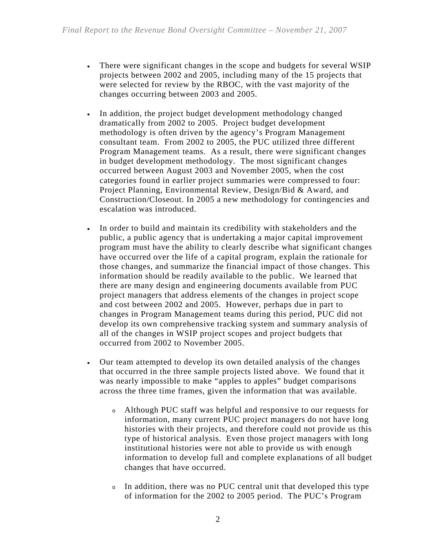- There were significant changes in the scope and budgets for several WSIP projects between 2002 and 2005, including many of the 15 projects that were selected for review by the RBOC, with the vast majority of the changes occurring between 2003 and 2005.
- In addition, the project budget development methodology changed dramatically from 2002 to 2005. Project budget development methodology is often driven by the agency's Program Management consultant team. From 2002 to 2005, the PUC utilized three different Program Management teams. As a result, there were significant changes in budget development methodology. The most significant changes occurred between August 2003 and November 2005, when the cost categories found in earlier project summaries were compressed to four: Project Planning, Environmental Review, Design/Bid & Award, and Construction/Closeout. In 2005 a new methodology for contingencies and escalation was introduced.
- In order to build and maintain its credibility with stakeholders and the public, a public agency that is undertaking a major capital improvement program must have the ability to clearly describe what significant changes have occurred over the life of a capital program, explain the rationale for those changes, and summarize the financial impact of those changes. This information should be readily available to the public. We learned that there are many design and engineering documents available from PUC project managers that address elements of the changes in project scope and cost between 2002 and 2005. However, perhaps due in part to changes in Program Management teams during this period, PUC did not develop its own comprehensive tracking system and summary analysis of all of the changes in WSIP project scopes and project budgets that occurred from 2002 to November 2005.
- Our team attempted to develop its own detailed analysis of the changes that occurred in the three sample projects listed above. We found that it was nearly impossible to make "apples to apples" budget comparisons across the three time frames, given the information that was available.
	- <sup>o</sup> Although PUC staff was helpful and responsive to our requests for information, many current PUC project managers do not have long histories with their projects, and therefore could not provide us this type of historical analysis. Even those project managers with long institutional histories were not able to provide us with enough information to develop full and complete explanations of all budget changes that have occurred.
	- <sup>o</sup> In addition, there was no PUC central unit that developed this type of information for the 2002 to 2005 period. The PUC's Program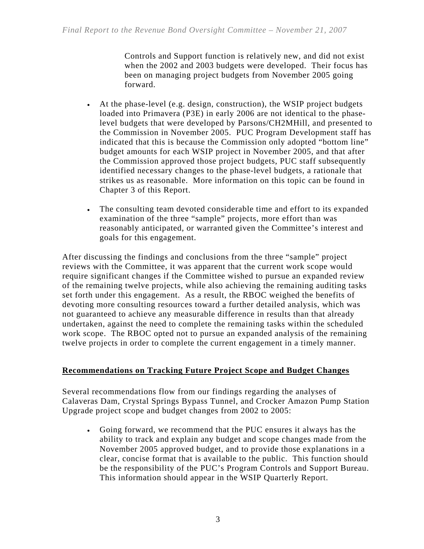Controls and Support function is relatively new, and did not exist when the 2002 and 2003 budgets were developed. Their focus has been on managing project budgets from November 2005 going forward.

- At the phase-level (e.g. design, construction), the WSIP project budgets loaded into Primavera (P3E) in early 2006 are not identical to the phaselevel budgets that were developed by Parsons/CH2MHill, and presented to the Commission in November 2005. PUC Program Development staff has indicated that this is because the Commission only adopted "bottom line" budget amounts for each WSIP project in November 2005, and that after the Commission approved those project budgets, PUC staff subsequently identified necessary changes to the phase-level budgets, a rationale that strikes us as reasonable. More information on this topic can be found in Chapter 3 of this Report.
- The consulting team devoted considerable time and effort to its expanded examination of the three "sample" projects, more effort than was reasonably anticipated, or warranted given the Committee's interest and goals for this engagement.

After discussing the findings and conclusions from the three "sample" project reviews with the Committee, it was apparent that the current work scope would require significant changes if the Committee wished to pursue an expanded review of the remaining twelve projects, while also achieving the remaining auditing tasks set forth under this engagement. As a result, the RBOC weighed the benefits of devoting more consulting resources toward a further detailed analysis, which was not guaranteed to achieve any measurable difference in results than that already undertaken, against the need to complete the remaining tasks within the scheduled work scope. The RBOC opted not to pursue an expanded analysis of the remaining twelve projects in order to complete the current engagement in a timely manner.

#### **Recommendations on Tracking Future Project Scope and Budget Changes**

Several recommendations flow from our findings regarding the analyses of Calaveras Dam, Crystal Springs Bypass Tunnel, and Crocker Amazon Pump Station Upgrade project scope and budget changes from 2002 to 2005:

• Going forward, we recommend that the PUC ensures it always has the ability to track and explain any budget and scope changes made from the November 2005 approved budget, and to provide those explanations in a clear, concise format that is available to the public. This function should be the responsibility of the PUC's Program Controls and Support Bureau. This information should appear in the WSIP Quarterly Report.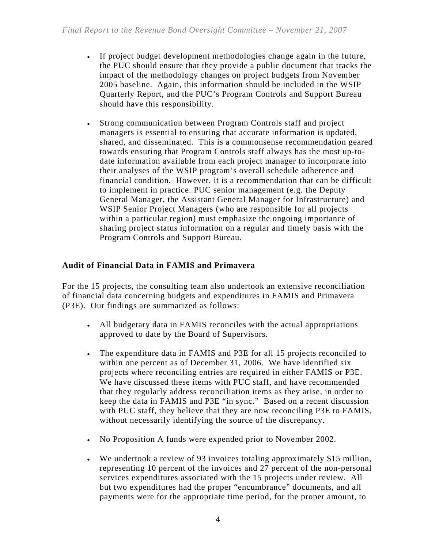- If project budget development methodologies change again in the future, the PUC should ensure that they provide a public document that tracks the impact of the methodology changes on project budgets from November 2005 baseline. Again, this information should be included in the WSIP Quarterly Report, and the PUC's Program Controls and Support Bureau should have this responsibility.
- Strong communication between Program Controls staff and project managers is essential to ensuring that accurate information is updated, shared, and disseminated. This is a commonsense recommendation geared towards ensuring that Program Controls staff always has the most up-todate information available from each project manager to incorporate into their analyses of the WSIP program's overall schedule adherence and financial condition. However, it is a recommendation that can be difficult to implement in practice. PUC senior management (e.g. the Deputy General Manager, the Assistant General Manager for Infrastructure) and WSIP Senior Project Managers (who are responsible for all projects within a particular region) must emphasize the ongoing importance of sharing project status information on a regular and timely basis with the Program Controls and Support Bureau.

### **Audit of Financial Data in FAMIS and Primavera**

For the 15 projects, the consulting team also undertook an extensive reconciliation of financial data concerning budgets and expenditures in FAMIS and Primavera (P3E). Our findings are summarized as follows:

- All budgetary data in FAMIS reconciles with the actual appropriations approved to date by the Board of Supervisors.
- The expenditure data in FAMIS and P3E for all 15 projects reconciled to within one percent as of December 31, 2006. We have identified six projects where reconciling entries are required in either FAMIS or P3E. We have discussed these items with PUC staff, and have recommended that they regularly address reconciliation items as they arise, in order to keep the data in FAMIS and P3E "in sync." Based on a recent discussion with PUC staff, they believe that they are now reconciling P3E to FAMIS, without necessarily identifying the source of the discrepancy.
- No Proposition A funds were expended prior to November 2002.
- We undertook a review of 93 invoices totaling approximately \$15 million, representing 10 percent of the invoices and 27 percent of the non-personal services expenditures associated with the 15 projects under review. All but two expenditures had the proper "encumbrance" documents, and all payments were for the appropriate time period, for the proper amount, to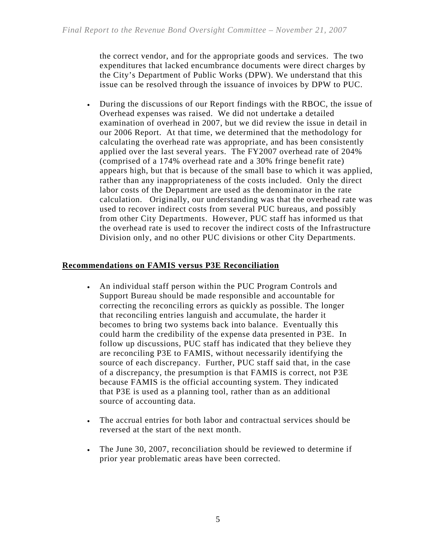the correct vendor, and for the appropriate goods and services. The two expenditures that lacked encumbrance documents were direct charges by the City's Department of Public Works (DPW). We understand that this issue can be resolved through the issuance of invoices by DPW to PUC.

• During the discussions of our Report findings with the RBOC, the issue of Overhead expenses was raised. We did not undertake a detailed examination of overhead in 2007, but we did review the issue in detail in our 2006 Report. At that time, we determined that the methodology for calculating the overhead rate was appropriate, and has been consistently applied over the last several years. The FY2007 overhead rate of 204% (comprised of a 174% overhead rate and a 30% fringe benefit rate) appears high, but that is because of the small base to which it was applied, rather than any inappropriateness of the costs included. Only the direct labor costs of the Department are used as the denominator in the rate calculation. Originally, our understanding was that the overhead rate was used to recover indirect costs from several PUC bureaus, and possibly from other City Departments. However, PUC staff has informed us that the overhead rate is used to recover the indirect costs of the Infrastructure Division only, and no other PUC divisions or other City Departments.

### **Recommendations on FAMIS versus P3E Reconciliation**

- An individual staff person within the PUC Program Controls and Support Bureau should be made responsible and accountable for correcting the reconciling errors as quickly as possible. The longer that reconciling entries languish and accumulate, the harder it becomes to bring two systems back into balance. Eventually this could harm the credibility of the expense data presented in P3E. In follow up discussions, PUC staff has indicated that they believe they are reconciling P3E to FAMIS, without necessarily identifying the source of each discrepancy. Further, PUC staff said that, in the case of a discrepancy, the presumption is that FAMIS is correct, not P3E because FAMIS is the official accounting system. They indicated that P3E is used as a planning tool, rather than as an additional source of accounting data.
- The accrual entries for both labor and contractual services should be reversed at the start of the next month.
- The June 30, 2007, reconciliation should be reviewed to determine if prior year problematic areas have been corrected.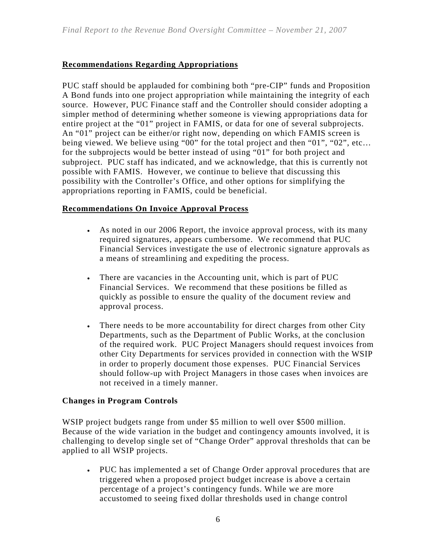### **Recommendations Regarding Appropriations**

PUC staff should be applauded for combining both "pre-CIP" funds and Proposition A Bond funds into one project appropriation while maintaining the integrity of each source. However, PUC Finance staff and the Controller should consider adopting a simpler method of determining whether someone is viewing appropriations data for entire project at the "01" project in FAMIS, or data for one of several subprojects. An "01" project can be either/or right now, depending on which FAMIS screen is being viewed. We believe using "00" for the total project and then "01", "02", etc… for the subprojects would be better instead of using "01" for both project and subproject. PUC staff has indicated, and we acknowledge, that this is currently not possible with FAMIS. However, we continue to believe that discussing this possibility with the Controller's Office, and other options for simplifying the appropriations reporting in FAMIS, could be beneficial.

### **Recommendations On Invoice Approval Process**

- As noted in our 2006 Report, the invoice approval process, with its many required signatures, appears cumbersome. We recommend that PUC Financial Services investigate the use of electronic signature approvals as a means of streamlining and expediting the process.
- There are vacancies in the Accounting unit, which is part of PUC Financial Services. We recommend that these positions be filled as quickly as possible to ensure the quality of the document review and approval process.
- There needs to be more accountability for direct charges from other City Departments, such as the Department of Public Works, at the conclusion of the required work. PUC Project Managers should request invoices from other City Departments for services provided in connection with the WSIP in order to properly document those expenses. PUC Financial Services should follow-up with Project Managers in those cases when invoices are not received in a timely manner.

### **Changes in Program Controls**

WSIP project budgets range from under \$5 million to well over \$500 million. Because of the wide variation in the budget and contingency amounts involved, it is challenging to develop single set of "Change Order" approval thresholds that can be applied to all WSIP projects.

• PUC has implemented a set of Change Order approval procedures that are triggered when a proposed project budget increase is above a certain percentage of a project's contingency funds. While we are more accustomed to seeing fixed dollar thresholds used in change control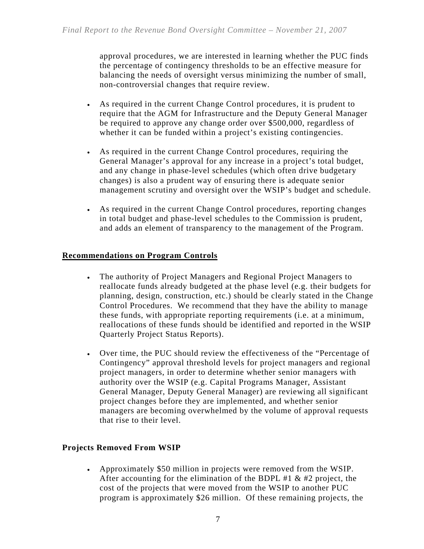approval procedures, we are interested in learning whether the PUC finds the percentage of contingency thresholds to be an effective measure for balancing the needs of oversight versus minimizing the number of small, non-controversial changes that require review.

- As required in the current Change Control procedures, it is prudent to require that the AGM for Infrastructure and the Deputy General Manager be required to approve any change order over \$500,000, regardless of whether it can be funded within a project's existing contingencies.
- As required in the current Change Control procedures, requiring the General Manager's approval for any increase in a project's total budget, and any change in phase-level schedules (which often drive budgetary changes) is also a prudent way of ensuring there is adequate senior management scrutiny and oversight over the WSIP's budget and schedule.
- As required in the current Change Control procedures, reporting changes in total budget and phase-level schedules to the Commission is prudent, and adds an element of transparency to the management of the Program.

#### **Recommendations on Program Controls**

- The authority of Project Managers and Regional Project Managers to reallocate funds already budgeted at the phase level (e.g. their budgets for planning, design, construction, etc.) should be clearly stated in the Change Control Procedures. We recommend that they have the ability to manage these funds, with appropriate reporting requirements (i.e. at a minimum, reallocations of these funds should be identified and reported in the WSIP Quarterly Project Status Reports).
- Over time, the PUC should review the effectiveness of the "Percentage of Contingency" approval threshold levels for project managers and regional project managers, in order to determine whether senior managers with authority over the WSIP (e.g. Capital Programs Manager, Assistant General Manager, Deputy General Manager) are reviewing all significant project changes before they are implemented, and whether senior managers are becoming overwhelmed by the volume of approval requests that rise to their level.

### **Projects Removed From WSIP**

• Approximately \$50 million in projects were removed from the WSIP. After accounting for the elimination of the BDPL #1  $\&$  #2 project, the cost of the projects that were moved from the WSIP to another PUC program is approximately \$26 million. Of these remaining projects, the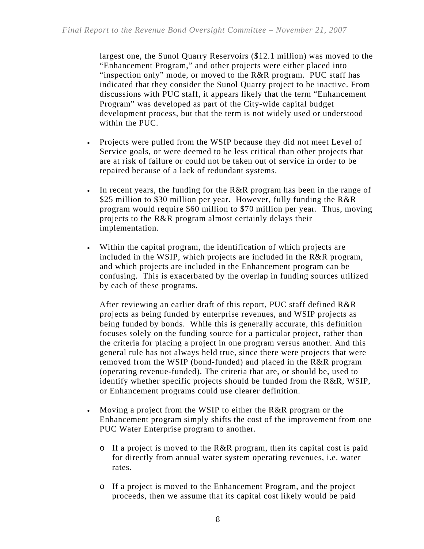largest one, the Sunol Quarry Reservoirs (\$12.1 million) was moved to the "Enhancement Program," and other projects were either placed into "inspection only" mode, or moved to the R&R program. PUC staff has indicated that they consider the Sunol Quarry project to be inactive. From discussions with PUC staff, it appears likely that the term "Enhancement Program" was developed as part of the City-wide capital budget development process, but that the term is not widely used or understood within the PUC.

- Projects were pulled from the WSIP because they did not meet Level of Service goals, or were deemed to be less critical than other projects that are at risk of failure or could not be taken out of service in order to be repaired because of a lack of redundant systems.
- In recent years, the funding for the R&R program has been in the range of \$25 million to \$30 million per year. However, fully funding the R&R program would require \$60 million to \$70 million per year. Thus, moving projects to the R&R program almost certainly delays their implementation.
- Within the capital program, the identification of which projects are included in the WSIP, which projects are included in the R&R program, and which projects are included in the Enhancement program can be confusing. This is exacerbated by the overlap in funding sources utilized by each of these programs.

After reviewing an earlier draft of this report, PUC staff defined R&R projects as being funded by enterprise revenues, and WSIP projects as being funded by bonds. While this is generally accurate, this definition focuses solely on the funding source for a particular project, rather than the criteria for placing a project in one program versus another. And this general rule has not always held true, since there were projects that were removed from the WSIP (bond-funded) and placed in the R&R program (operating revenue-funded). The criteria that are, or should be, used to identify whether specific projects should be funded from the R&R, WSIP, or Enhancement programs could use clearer definition.

- Moving a project from the WSIP to either the R&R program or the Enhancement program simply shifts the cost of the improvement from one PUC Water Enterprise program to another.
	- o If a project is moved to the R&R program, then its capital cost is paid for directly from annual water system operating revenues, i.e. water rates.
	- o If a project is moved to the Enhancement Program, and the project proceeds, then we assume that its capital cost likely would be paid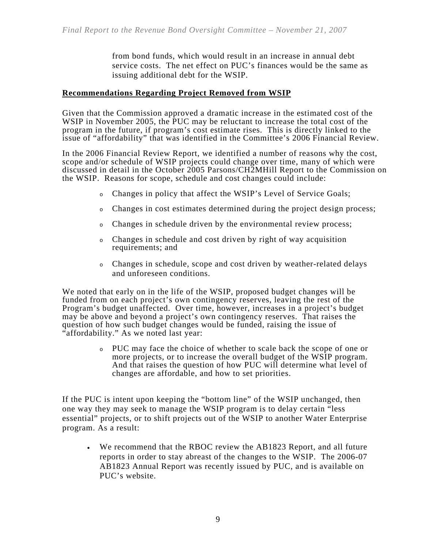from bond funds, which would result in an increase in annual debt service costs. The net effect on PUC's finances would be the same as issuing additional debt for the WSIP.

#### **Recommendations Regarding Project Removed from WSIP**

Given that the Commission approved a dramatic increase in the estimated cost of the WSIP in November 2005, the PUC may be reluctant to increase the total cost of the program in the future, if program's cost estimate rises. This is directly linked to the issue of "affordability" that was identified in the Committee's 2006 Financial Review.

In the 2006 Financial Review Report, we identified a number of reasons why the cost, scope and/or schedule of WSIP projects could change over time, many of which were discussed in detail in the October 2005 Parsons/CH2MHill Report to the Commission on the WSIP. Reasons for scope, schedule and cost changes could include:

- <sup>o</sup> Changes in policy that affect the WSIP's Level of Service Goals;
- <sup>o</sup> Changes in cost estimates determined during the project design process;
- <sup>o</sup> Changes in schedule driven by the environmental review process;
- <sup>o</sup> Changes in schedule and cost driven by right of way acquisition requirements; and
- <sup>o</sup> Changes in schedule, scope and cost driven by weather-related delays and unforeseen conditions.

We noted that early on in the life of the WSIP, proposed budget changes will be funded from on each project's own contingency reserves, leaving the rest of the Program's budget unaffected. Over time, however, increases in a project's budget may be above and beyond a project's own contingency reserves. That raises the question of how such budget changes would be funded, raising the issue of "affordability." As we noted last year:

> <sup>o</sup> PUC may face the choice of whether to scale back the scope of one or more projects, or to increase the overall budget of the WSIP program. And that raises the question of how PUC will determine what level of changes are affordable, and how to set priorities.

If the PUC is intent upon keeping the "bottom line" of the WSIP unchanged, then one way they may seek to manage the WSIP program is to delay certain "less essential" projects, or to shift projects out of the WSIP to another Water Enterprise program. As a result:

• We recommend that the RBOC review the AB1823 Report, and all future reports in order to stay abreast of the changes to the WSIP. The 2006-07 AB1823 Annual Report was recently issued by PUC, and is available on PUC's website.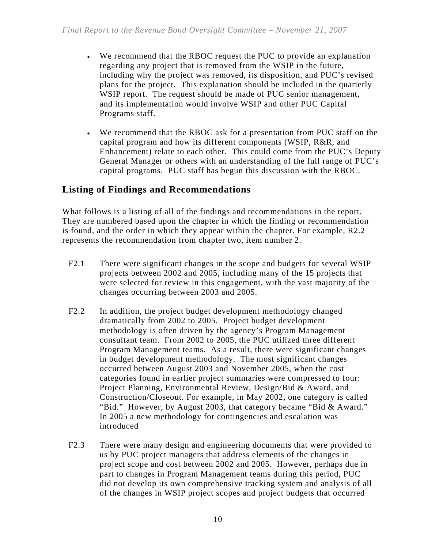- We recommend that the RBOC request the PUC to provide an explanation regarding any project that is removed from the WSIP in the future, including why the project was removed, its disposition, and PUC's revised plans for the project. This explanation should be included in the quarterly WSIP report. The request should be made of PUC senior management, and its implementation would involve WSIP and other PUC Capital Programs staff.
- We recommend that the RBOC ask for a presentation from PUC staff on the capital program and how its different components (WSIP, R&R, and Enhancement) relate to each other. This could come from the PUC's Deputy General Manager or others with an understanding of the full range of PUC's capital programs. PUC staff has begun this discussion with the RBOC.

### **Listing of Findings and Recommendations**

What follows is a listing of all of the findings and recommendations in the report. They are numbered based upon the chapter in which the finding or recommendation is found, and the order in which they appear within the chapter. For example, R2.2 represents the recommendation from chapter two, item number 2.

- F2.1 There were significant changes in the scope and budgets for several WSIP projects between 2002 and 2005, including many of the 15 projects that were selected for review in this engagement, with the vast majority of the changes occurring between 2003 and 2005.
- F2.2 In addition, the project budget development methodology changed dramatically from 2002 to 2005. Project budget development methodology is often driven by the agency's Program Management consultant team. From 2002 to 2005, the PUC utilized three different Program Management teams. As a result, there were significant changes in budget development methodology. The most significant changes occurred between August 2003 and November 2005, when the cost categories found in earlier project summaries were compressed to four: Project Planning, Environmental Review, Design/Bid & Award, and Construction/Closeout. For example, in May 2002, one category is called "Bid." However, by August 2003, that category became "Bid & Award." In 2005 a new methodology for contingencies and escalation was introduced
- F2.3 There were many design and engineering documents that were provided to us by PUC project managers that address elements of the changes in project scope and cost between 2002 and 2005. However, perhaps due in part to changes in Program Management teams during this period, PUC did not develop its own comprehensive tracking system and analysis of all of the changes in WSIP project scopes and project budgets that occurred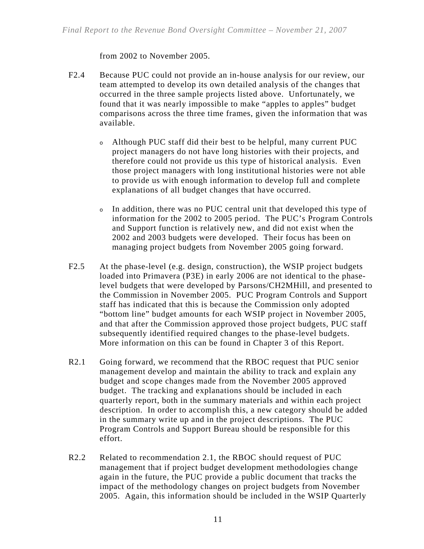from 2002 to November 2005.

- F2.4 Because PUC could not provide an in-house analysis for our review, our team attempted to develop its own detailed analysis of the changes that occurred in the three sample projects listed above. Unfortunately, we found that it was nearly impossible to make "apples to apples" budget comparisons across the three time frames, given the information that was available.
	- <sup>o</sup> Although PUC staff did their best to be helpful, many current PUC project managers do not have long histories with their projects, and therefore could not provide us this type of historical analysis. Even those project managers with long institutional histories were not able to provide us with enough information to develop full and complete explanations of all budget changes that have occurred.
	- <sup>o</sup> In addition, there was no PUC central unit that developed this type of information for the 2002 to 2005 period. The PUC's Program Controls and Support function is relatively new, and did not exist when the 2002 and 2003 budgets were developed. Their focus has been on managing project budgets from November 2005 going forward.
- F2.5 At the phase-level (e.g. design, construction), the WSIP project budgets loaded into Primavera (P3E) in early 2006 are not identical to the phaselevel budgets that were developed by Parsons/CH2MHill, and presented to the Commission in November 2005. PUC Program Controls and Support staff has indicated that this is because the Commission only adopted "bottom line" budget amounts for each WSIP project in November 2005, and that after the Commission approved those project budgets, PUC staff subsequently identified required changes to the phase-level budgets. More information on this can be found in Chapter 3 of this Report.
- R2.1 Going forward, we recommend that the RBOC request that PUC senior management develop and maintain the ability to track and explain any budget and scope changes made from the November 2005 approved budget. The tracking and explanations should be included in each quarterly report, both in the summary materials and within each project description. In order to accomplish this, a new category should be added in the summary write up and in the project descriptions. The PUC Program Controls and Support Bureau should be responsible for this effort.
- R2.2 Related to recommendation 2.1, the RBOC should request of PUC management that if project budget development methodologies change again in the future, the PUC provide a public document that tracks the impact of the methodology changes on project budgets from November 2005. Again, this information should be included in the WSIP Quarterly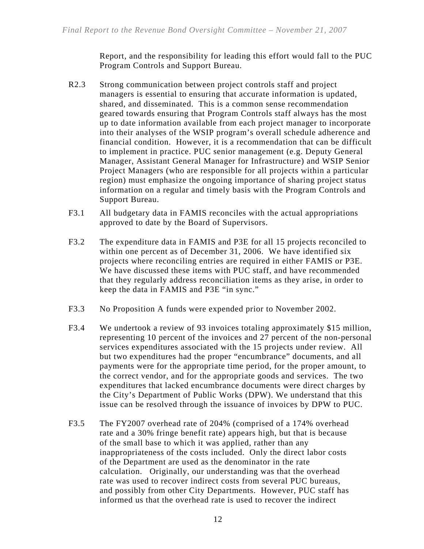Report, and the responsibility for leading this effort would fall to the PUC Program Controls and Support Bureau.

- R2.3 Strong communication between project controls staff and project managers is essential to ensuring that accurate information is updated, shared, and disseminated.This is a common sense recommendation geared towards ensuring that Program Controls staff always has the most up to date information available from each project manager to incorporate into their analyses of the WSIP program's overall schedule adherence and financial condition. However, it is a recommendation that can be difficult to implement in practice. PUC senior management (e.g. Deputy General Manager, Assistant General Manager for Infrastructure) and WSIP Senior Project Managers (who are responsible for all projects within a particular region) must emphasize the ongoing importance of sharing project status information on a regular and timely basis with the Program Controls and Support Bureau.
- F3.1 All budgetary data in FAMIS reconciles with the actual appropriations approved to date by the Board of Supervisors.
- F3.2 The expenditure data in FAMIS and P3E for all 15 projects reconciled to within one percent as of December 31, 2006. We have identified six projects where reconciling entries are required in either FAMIS or P3E. We have discussed these items with PUC staff, and have recommended that they regularly address reconciliation items as they arise, in order to keep the data in FAMIS and P3E "in sync."
- F3.3 No Proposition A funds were expended prior to November 2002.
- F3.4 We undertook a review of 93 invoices totaling approximately \$15 million, representing 10 percent of the invoices and 27 percent of the non-personal services expenditures associated with the 15 projects under review. All but two expenditures had the proper "encumbrance" documents, and all payments were for the appropriate time period, for the proper amount, to the correct vendor, and for the appropriate goods and services. The two expenditures that lacked encumbrance documents were direct charges by the City's Department of Public Works (DPW). We understand that this issue can be resolved through the issuance of invoices by DPW to PUC.
- F3.5 The FY2007 overhead rate of 204% (comprised of a 174% overhead rate and a 30% fringe benefit rate) appears high, but that is because of the small base to which it was applied, rather than any inappropriateness of the costs included. Only the direct labor costs of the Department are used as the denominator in the rate calculation. Originally, our understanding was that the overhead rate was used to recover indirect costs from several PUC bureaus, and possibly from other City Departments. However, PUC staff has informed us that the overhead rate is used to recover the indirect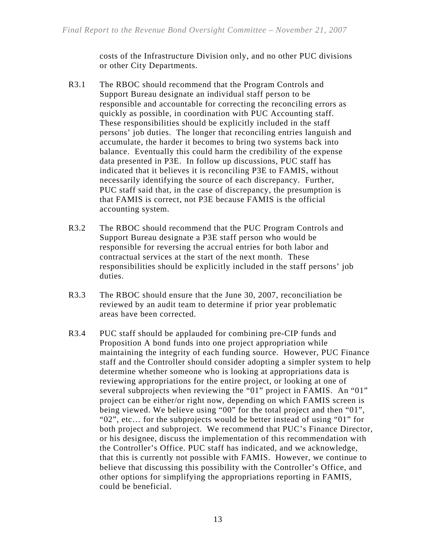costs of the Infrastructure Division only, and no other PUC divisions or other City Departments.

- R3.1 The RBOC should recommend that the Program Controls and Support Bureau designate an individual staff person to be responsible and accountable for correcting the reconciling errors as quickly as possible, in coordination with PUC Accounting staff. These responsibilities should be explicitly included in the staff persons' job duties. The longer that reconciling entries languish and accumulate, the harder it becomes to bring two systems back into balance. Eventually this could harm the credibility of the expense data presented in P3E. In follow up discussions, PUC staff has indicated that it believes it is reconciling P3E to FAMIS, without necessarily identifying the source of each discrepancy. Further, PUC staff said that, in the case of discrepancy, the presumption is that FAMIS is correct, not P3E because FAMIS is the official accounting system.
- R3.2 The RBOC should recommend that the PUC Program Controls and Support Bureau designate a P3E staff person who would be responsible for reversing the accrual entries for both labor and contractual services at the start of the next month. These responsibilities should be explicitly included in the staff persons' job duties.
- R3.3 The RBOC should ensure that the June 30, 2007, reconciliation be reviewed by an audit team to determine if prior year problematic areas have been corrected.
- R3.4 PUC staff should be applauded for combining pre-CIP funds and Proposition A bond funds into one project appropriation while maintaining the integrity of each funding source. However, PUC Finance staff and the Controller should consider adopting a simpler system to help determine whether someone who is looking at appropriations data is reviewing appropriations for the entire project, or looking at one of several subprojects when reviewing the "01" project in FAMIS. An "01" project can be either/or right now, depending on which FAMIS screen is being viewed. We believe using "00" for the total project and then "01", "02", etc… for the subprojects would be better instead of using "01" for both project and subproject. We recommend that PUC's Finance Director, or his designee, discuss the implementation of this recommendation with the Controller's Office. PUC staff has indicated, and we acknowledge, that this is currently not possible with FAMIS. However, we continue to believe that discussing this possibility with the Controller's Office, and other options for simplifying the appropriations reporting in FAMIS, could be beneficial.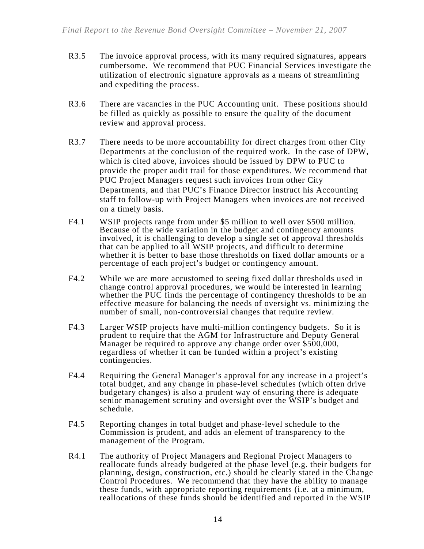- R3.5 The invoice approval process, with its many required signatures, appears cumbersome. We recommend that PUC Financial Services investigate the utilization of electronic signature approvals as a means of streamlining and expediting the process.
- R3.6 There are vacancies in the PUC Accounting unit. These positions should be filled as quickly as possible to ensure the quality of the document review and approval process.
- R3.7 There needs to be more accountability for direct charges from other City Departments at the conclusion of the required work. In the case of DPW, which is cited above, invoices should be issued by DPW to PUC to provide the proper audit trail for those expenditures. We recommend that PUC Project Managers request such invoices from other City Departments, and that PUC's Finance Director instruct his Accounting staff to follow-up with Project Managers when invoices are not received on a timely basis.
- F4.1 WSIP projects range from under \$5 million to well over \$500 million. Because of the wide variation in the budget and contingency amounts involved, it is challenging to develop a single set of approval thresholds that can be applied to all WSIP projects, and difficult to determine whether it is better to base those thresholds on fixed dollar amounts or a percentage of each project's budget or contingency amount.
- F4.2 While we are more accustomed to seeing fixed dollar thresholds used in change control approval procedures, we would be interested in learning whether the PUC finds the percentage of contingency thresholds to be an effective measure for balancing the needs of oversight vs. minimizing the number of small, non-controversial changes that require review.
- F4.3 Larger WSIP projects have multi-million contingency budgets. So it is prudent to require that the AGM for Infrastructure and Deputy General Manager be required to approve any change order over  $$500,000$ , regardless of whether it can be funded within a project's existing contingencies.
- F4.4 Requiring the General Manager's approval for any increase in a project's total budget, and any change in phase-level schedules (which often drive budgetary changes) is also a prudent way of ensuring there is adequate senior management scrutiny and oversight over the WSIP's budget and schedule.
- F4.5 Reporting changes in total budget and phase-level schedule to the Commission is prudent, and adds an element of transparency to the management of the Program.
- R4.1 The authority of Project Managers and Regional Project Managers to reallocate funds already budgeted at the phase level (e.g. their budgets for planning, design, construction, etc.) should be clearly stated in the Change Control Procedures. We recommend that they have the ability to manage these funds, with appropriate reporting requirements (i.e. at a minimum, reallocations of these funds should be identified and reported in the WSIP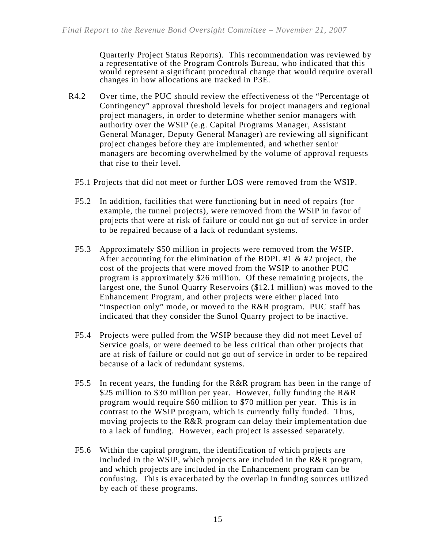Quarterly Project Status Reports). This recommendation was reviewed by a representative of the Program Controls Bureau, who indicated that this would represent a significant procedural change that would require overall changes in how allocations are tracked in P3E.

- R4.2 Over time, the PUC should review the effectiveness of the "Percentage of Contingency" approval threshold levels for project managers and regional project managers, in order to determine whether senior managers with authority over the WSIP (e.g. Capital Programs Manager, Assistant General Manager, Deputy General Manager) are reviewing all significant project changes before they are implemented, and whether senior managers are becoming overwhelmed by the volume of approval requests that rise to their level.
	- F5.1 Projects that did not meet or further LOS were removed from the WSIP.
	- F5.2 In addition, facilities that were functioning but in need of repairs (for example, the tunnel projects), were removed from the WSIP in favor of projects that were at risk of failure or could not go out of service in order to be repaired because of a lack of redundant systems.
	- F5.3 Approximately \$50 million in projects were removed from the WSIP. After accounting for the elimination of the BDPL #1  $\&$  #2 project, the cost of the projects that were moved from the WSIP to another PUC program is approximately \$26 million. Of these remaining projects, the largest one, the Sunol Quarry Reservoirs (\$12.1 million) was moved to the Enhancement Program, and other projects were either placed into "inspection only" mode, or moved to the R&R program. PUC staff has indicated that they consider the Sunol Quarry project to be inactive.
	- F5.4 Projects were pulled from the WSIP because they did not meet Level of Service goals, or were deemed to be less critical than other projects that are at risk of failure or could not go out of service in order to be repaired because of a lack of redundant systems.
	- F5.5 In recent years, the funding for the R&R program has been in the range of \$25 million to \$30 million per year. However, fully funding the R&R program would require \$60 million to \$70 million per year. This is in contrast to the WSIP program, which is currently fully funded. Thus, moving projects to the R&R program can delay their implementation due to a lack of funding. However, each project is assessed separately.
	- F5.6 Within the capital program, the identification of which projects are included in the WSIP, which projects are included in the R&R program, and which projects are included in the Enhancement program can be confusing. This is exacerbated by the overlap in funding sources utilized by each of these programs.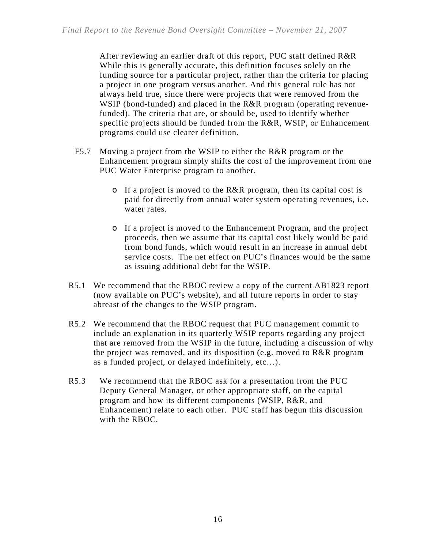After reviewing an earlier draft of this report, PUC staff defined R&R While this is generally accurate, this definition focuses solely on the funding source for a particular project, rather than the criteria for placing a project in one program versus another. And this general rule has not always held true, since there were projects that were removed from the WSIP (bond-funded) and placed in the R&R program (operating revenuefunded). The criteria that are, or should be, used to identify whether specific projects should be funded from the R&R, WSIP, or Enhancement programs could use clearer definition.

- F5.7 Moving a project from the WSIP to either the R&R program or the Enhancement program simply shifts the cost of the improvement from one PUC Water Enterprise program to another.
	- o If a project is moved to the R&R program, then its capital cost is paid for directly from annual water system operating revenues, i.e. water rates.
	- o If a project is moved to the Enhancement Program, and the project proceeds, then we assume that its capital cost likely would be paid from bond funds, which would result in an increase in annual debt service costs. The net effect on PUC's finances would be the same as issuing additional debt for the WSIP.
- R5.1 We recommend that the RBOC review a copy of the current AB1823 report (now available on PUC's website), and all future reports in order to stay abreast of the changes to the WSIP program.
- R5.2 We recommend that the RBOC request that PUC management commit to include an explanation in its quarterly WSIP reports regarding any project that are removed from the WSIP in the future, including a discussion of why the project was removed, and its disposition (e.g. moved to R&R program as a funded project, or delayed indefinitely, etc…).
- R5.3 We recommend that the RBOC ask for a presentation from the PUC Deputy General Manager, or other appropriate staff, on the capital program and how its different components (WSIP, R&R, and Enhancement) relate to each other. PUC staff has begun this discussion with the RBOC.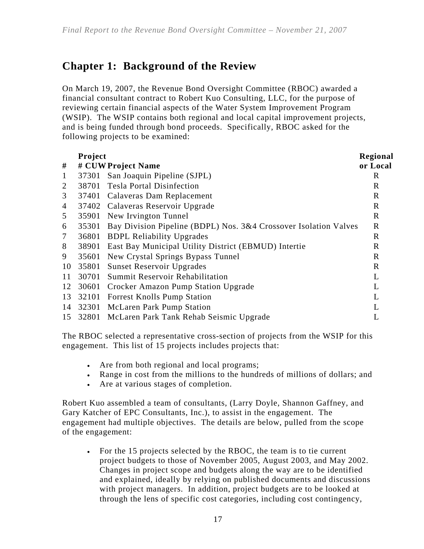## **Chapter 1: Background of the Review**

On March 19, 2007, the Revenue Bond Oversight Committee (RBOC) awarded a financial consultant contract to Robert Kuo Consulting, LLC, for the purpose of reviewing certain financial aspects of the Water System Improvement Program (WSIP). The WSIP contains both regional and local capital improvement projects, and is being funded through bond proceeds. Specifically, RBOC asked for the following projects to be examined:

|                | Project |                                                                  | Regional    |
|----------------|---------|------------------------------------------------------------------|-------------|
| #              |         | # CUW Project Name                                               | or Local    |
| $\mathbf{1}$   | 37301   | San Joaquin Pipeline (SJPL)                                      | R           |
| 2              | 38701   | <b>Tesla Portal Disinfection</b>                                 | $\mathbf R$ |
| 3              | 37401   | Calaveras Dam Replacement                                        | $\mathbf R$ |
| $\overline{4}$ |         | 37402 Calaveras Reservoir Upgrade                                | $\mathbf R$ |
| 5              | 35901   | New Irvington Tunnel                                             | $\mathbf R$ |
| 6              | 35301   | Bay Division Pipeline (BDPL) Nos. 3&4 Crossover Isolation Valves | $\mathbf R$ |
| 7              | 36801   | <b>BDPL Reliability Upgrades</b>                                 | $\mathbf R$ |
| 8              | 38901   | East Bay Municipal Utility District (EBMUD) Intertie             | $\mathbf R$ |
| 9              | 35601   | New Crystal Springs Bypass Tunnel                                | $\mathbf R$ |
| 10             | 35801   | <b>Sunset Reservoir Upgrades</b>                                 | $\mathbf R$ |
| 11             | 30701   | <b>Summit Reservoir Rehabilitation</b>                           | L           |
| 12             | 30601   | Crocker Amazon Pump Station Upgrade                              | L           |
| 13             | 32101   | <b>Forrest Knolls Pump Station</b>                               | L           |
| 14             | 32301   | <b>McLaren Park Pump Station</b>                                 | L           |
| 15             | 32801   | McLaren Park Tank Rehab Seismic Upgrade                          |             |

The RBOC selected a representative cross-section of projects from the WSIP for this engagement. This list of 15 projects includes projects that:

- Are from both regional and local programs;
- Range in cost from the millions to the hundreds of millions of dollars; and
- Are at various stages of completion.

Robert Kuo assembled a team of consultants, (Larry Doyle, Shannon Gaffney, and Gary Katcher of EPC Consultants, Inc.), to assist in the engagement. The engagement had multiple objectives. The details are below, pulled from the scope of the engagement:

• For the 15 projects selected by the RBOC, the team is to tie current project budgets to those of November 2005, August 2003, and May 2002. Changes in project scope and budgets along the way are to be identified and explained, ideally by relying on published documents and discussions with project managers. In addition, project budgets are to be looked at through the lens of specific cost categories, including cost contingency,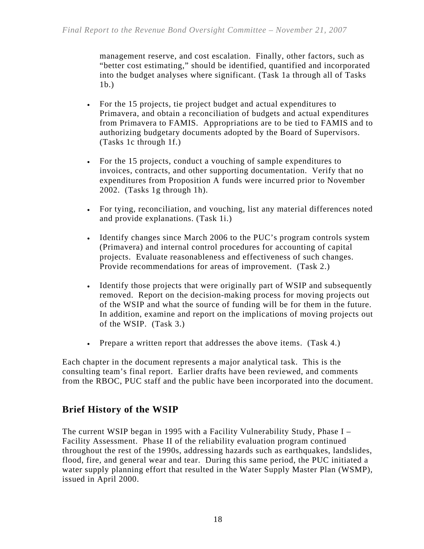management reserve, and cost escalation. Finally, other factors, such as "better cost estimating," should be identified, quantified and incorporated into the budget analyses where significant. (Task 1a through all of Tasks 1b.)

- For the 15 projects, tie project budget and actual expenditures to Primavera, and obtain a reconciliation of budgets and actual expenditures from Primavera to FAMIS. Appropriations are to be tied to FAMIS and to authorizing budgetary documents adopted by the Board of Supervisors. (Tasks 1c through 1f.)
- For the 15 projects, conduct a vouching of sample expenditures to invoices, contracts, and other supporting documentation. Verify that no expenditures from Proposition A funds were incurred prior to November 2002. (Tasks 1g through 1h).
- For tying, reconciliation, and vouching, list any material differences noted and provide explanations. (Task 1i.)
- Identify changes since March 2006 to the PUC's program controls system (Primavera) and internal control procedures for accounting of capital projects. Evaluate reasonableness and effectiveness of such changes. Provide recommendations for areas of improvement. (Task 2.)
- Identify those projects that were originally part of WSIP and subsequently removed. Report on the decision-making process for moving projects out of the WSIP and what the source of funding will be for them in the future. In addition, examine and report on the implications of moving projects out of the WSIP. (Task 3.)
- Prepare a written report that addresses the above items. (Task 4.)

Each chapter in the document represents a major analytical task. This is the consulting team's final report. Earlier drafts have been reviewed, and comments from the RBOC, PUC staff and the public have been incorporated into the document.

### **Brief History of the WSIP**

The current WSIP began in 1995 with a Facility Vulnerability Study, Phase I – Facility Assessment. Phase II of the reliability evaluation program continued throughout the rest of the 1990s, addressing hazards such as earthquakes, landslides, flood, fire, and general wear and tear. During this same period, the PUC initiated a water supply planning effort that resulted in the Water Supply Master Plan (WSMP), issued in April 2000.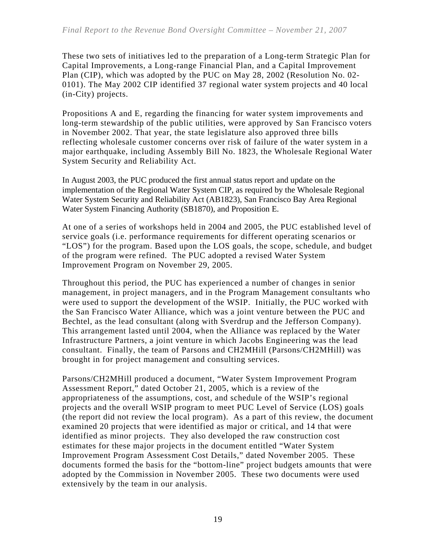These two sets of initiatives led to the preparation of a Long-term Strategic Plan for Capital Improvements, a Long-range Financial Plan, and a Capital Improvement Plan (CIP), which was adopted by the PUC on May 28, 2002 (Resolution No. 02- 0101). The May 2002 CIP identified 37 regional water system projects and 40 local (in-City) projects.

Propositions A and E, regarding the financing for water system improvements and long-term stewardship of the public utilities, were approved by San Francisco voters in November 2002. That year, the state legislature also approved three bills reflecting wholesale customer concerns over risk of failure of the water system in a major earthquake, including Assembly Bill No. 1823, the Wholesale Regional Water System Security and Reliability Act.

In August 2003, the PUC produced the first annual status report and update on the implementation of the Regional Water System CIP, as required by the Wholesale Regional Water System Security and Reliability Act (AB1823), San Francisco Bay Area Regional Water System Financing Authority (SB1870), and Proposition E.

At one of a series of workshops held in 2004 and 2005, the PUC established level of service goals (i.e. performance requirements for different operating scenarios or "LOS") for the program. Based upon the LOS goals, the scope, schedule, and budget of the program were refined. The PUC adopted a revised Water System Improvement Program on November 29, 2005.

Throughout this period, the PUC has experienced a number of changes in senior management, in project managers, and in the Program Management consultants who were used to support the development of the WSIP. Initially, the PUC worked with the San Francisco Water Alliance, which was a joint venture between the PUC and Bechtel, as the lead consultant (along with Sverdrup and the Jefferson Company). This arrangement lasted until 2004, when the Alliance was replaced by the Water Infrastructure Partners, a joint venture in which Jacobs Engineering was the lead consultant. Finally, the team of Parsons and CH2MHill (Parsons/CH2MHill) was brought in for project management and consulting services.

Parsons/CH2MHill produced a document, "Water System Improvement Program Assessment Report," dated October 21, 2005, which is a review of the appropriateness of the assumptions, cost, and schedule of the WSIP's regional projects and the overall WSIP program to meet PUC Level of Service (LOS) goals (the report did not review the local program). As a part of this review, the document examined 20 projects that were identified as major or critical, and 14 that were identified as minor projects. They also developed the raw construction cost estimates for these major projects in the document entitled "Water System Improvement Program Assessment Cost Details," dated November 2005. These documents formed the basis for the "bottom-line" project budgets amounts that were adopted by the Commission in November 2005. These two documents were used extensively by the team in our analysis.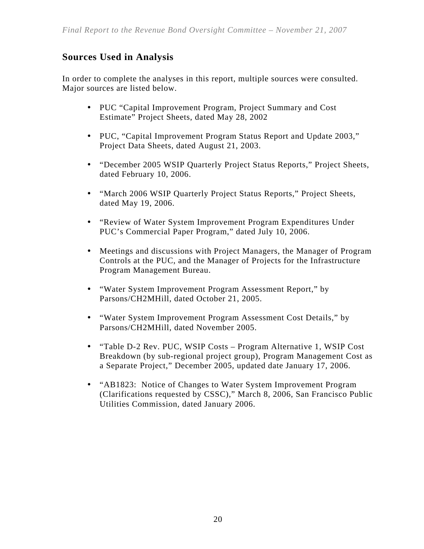### **Sources Used in Analysis**

In order to complete the analyses in this report, multiple sources were consulted. Major sources are listed below.

- PUC "Capital Improvement Program, Project Summary and Cost Estimate" Project Sheets, dated May 28, 2002
- PUC, "Capital Improvement Program Status Report and Update 2003," Project Data Sheets, dated August 21, 2003.
- y "December 2005 WSIP Quarterly Project Status Reports," Project Sheets, dated February 10, 2006.
- "March 2006 WSIP Quarterly Project Status Reports," Project Sheets, dated May 19, 2006.
- "Review of Water System Improvement Program Expenditures Under PUC's Commercial Paper Program," dated July 10, 2006.
- Meetings and discussions with Project Managers, the Manager of Program Controls at the PUC, and the Manager of Projects for the Infrastructure Program Management Bureau.
- "Water System Improvement Program Assessment Report," by Parsons/CH2MHill, dated October 21, 2005.
- "Water System Improvement Program Assessment Cost Details," by Parsons/CH2MHill, dated November 2005.
- "Table D-2 Rev. PUC, WSIP Costs Program Alternative 1, WSIP Cost Breakdown (by sub-regional project group), Program Management Cost as a Separate Project," December 2005, updated date January 17, 2006.
- "AB1823: Notice of Changes to Water System Improvement Program (Clarifications requested by CSSC)," March 8, 2006, San Francisco Public Utilities Commission, dated January 2006.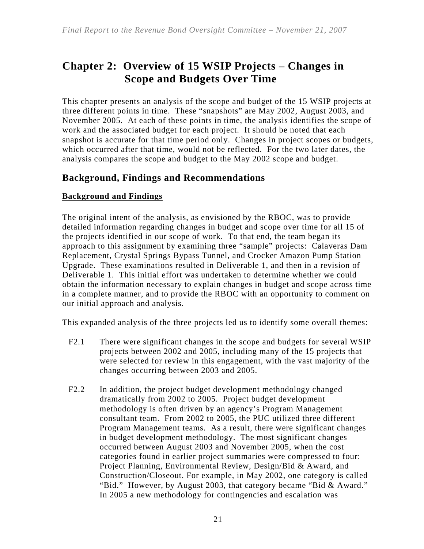## **Chapter 2: Overview of 15 WSIP Projects – Changes in Scope and Budgets Over Time**

This chapter presents an analysis of the scope and budget of the 15 WSIP projects at three different points in time. These "snapshots" are May 2002, August 2003, and November 2005. At each of these points in time, the analysis identifies the scope of work and the associated budget for each project. It should be noted that each snapshot is accurate for that time period only. Changes in project scopes or budgets, which occurred after that time, would not be reflected. For the two later dates, the analysis compares the scope and budget to the May 2002 scope and budget.

### **Background, Findings and Recommendations**

### **Background and Findings**

The original intent of the analysis, as envisioned by the RBOC, was to provide detailed information regarding changes in budget and scope over time for all 15 of the projects identified in our scope of work. To that end, the team began its approach to this assignment by examining three "sample" projects: Calaveras Dam Replacement, Crystal Springs Bypass Tunnel, and Crocker Amazon Pump Station Upgrade. These examinations resulted in Deliverable 1, and then in a revision of Deliverable 1. This initial effort was undertaken to determine whether we could obtain the information necessary to explain changes in budget and scope across time in a complete manner, and to provide the RBOC with an opportunity to comment on our initial approach and analysis.

This expanded analysis of the three projects led us to identify some overall themes:

- F2.1 There were significant changes in the scope and budgets for several WSIP projects between 2002 and 2005, including many of the 15 projects that were selected for review in this engagement, with the vast majority of the changes occurring between 2003 and 2005.
- F2.2 In addition, the project budget development methodology changed dramatically from 2002 to 2005. Project budget development methodology is often driven by an agency's Program Management consultant team. From 2002 to 2005, the PUC utilized three different Program Management teams. As a result, there were significant changes in budget development methodology. The most significant changes occurred between August 2003 and November 2005, when the cost categories found in earlier project summaries were compressed to four: Project Planning, Environmental Review, Design/Bid & Award, and Construction/Closeout. For example, in May 2002, one category is called "Bid." However, by August 2003, that category became "Bid & Award." In 2005 a new methodology for contingencies and escalation was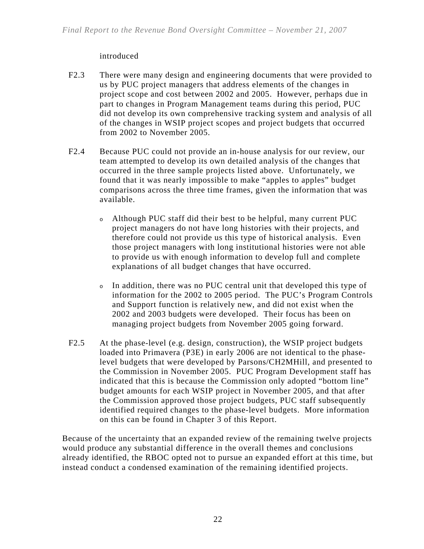### introduced

- F2.3 There were many design and engineering documents that were provided to us by PUC project managers that address elements of the changes in project scope and cost between 2002 and 2005. However, perhaps due in part to changes in Program Management teams during this period, PUC did not develop its own comprehensive tracking system and analysis of all of the changes in WSIP project scopes and project budgets that occurred from 2002 to November 2005.
- F2.4 Because PUC could not provide an in-house analysis for our review, our team attempted to develop its own detailed analysis of the changes that occurred in the three sample projects listed above. Unfortunately, we found that it was nearly impossible to make "apples to apples" budget comparisons across the three time frames, given the information that was available.
	- <sup>o</sup> Although PUC staff did their best to be helpful, many current PUC project managers do not have long histories with their projects, and therefore could not provide us this type of historical analysis. Even those project managers with long institutional histories were not able to provide us with enough information to develop full and complete explanations of all budget changes that have occurred.
	- <sup>o</sup> In addition, there was no PUC central unit that developed this type of information for the 2002 to 2005 period. The PUC's Program Controls and Support function is relatively new, and did not exist when the 2002 and 2003 budgets were developed. Their focus has been on managing project budgets from November 2005 going forward.
- F2.5 At the phase-level (e.g. design, construction), the WSIP project budgets loaded into Primavera (P3E) in early 2006 are not identical to the phaselevel budgets that were developed by Parsons/CH2MHill, and presented to the Commission in November 2005. PUC Program Development staff has indicated that this is because the Commission only adopted "bottom line" budget amounts for each WSIP project in November 2005, and that after the Commission approved those project budgets, PUC staff subsequently identified required changes to the phase-level budgets. More information on this can be found in Chapter 3 of this Report.

Because of the uncertainty that an expanded review of the remaining twelve projects would produce any substantial difference in the overall themes and conclusions already identified, the RBOC opted not to pursue an expanded effort at this time, but instead conduct a condensed examination of the remaining identified projects.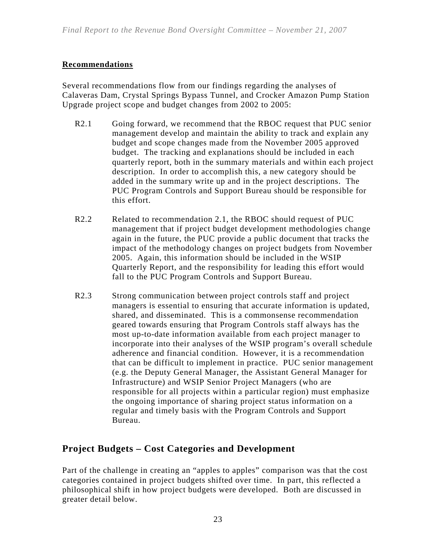### **Recommendations**

Several recommendations flow from our findings regarding the analyses of Calaveras Dam, Crystal Springs Bypass Tunnel, and Crocker Amazon Pump Station Upgrade project scope and budget changes from 2002 to 2005:

- R2.1 Going forward, we recommend that the RBOC request that PUC senior management develop and maintain the ability to track and explain any budget and scope changes made from the November 2005 approved budget. The tracking and explanations should be included in each quarterly report, both in the summary materials and within each project description. In order to accomplish this, a new category should be added in the summary write up and in the project descriptions. The PUC Program Controls and Support Bureau should be responsible for this effort.
- R2.2 Related to recommendation 2.1, the RBOC should request of PUC management that if project budget development methodologies change again in the future, the PUC provide a public document that tracks the impact of the methodology changes on project budgets from November 2005. Again, this information should be included in the WSIP Quarterly Report, and the responsibility for leading this effort would fall to the PUC Program Controls and Support Bureau.
- R2.3 Strong communication between project controls staff and project managers is essential to ensuring that accurate information is updated, shared, and disseminated.This is a commonsense recommendation geared towards ensuring that Program Controls staff always has the most up-to-date information available from each project manager to incorporate into their analyses of the WSIP program's overall schedule adherence and financial condition. However, it is a recommendation that can be difficult to implement in practice. PUC senior management (e.g. the Deputy General Manager, the Assistant General Manager for Infrastructure) and WSIP Senior Project Managers (who are responsible for all projects within a particular region) must emphasize the ongoing importance of sharing project status information on a regular and timely basis with the Program Controls and Support Bureau.

### **Project Budgets – Cost Categories and Development**

Part of the challenge in creating an "apples to apples" comparison was that the cost categories contained in project budgets shifted over time. In part, this reflected a philosophical shift in how project budgets were developed. Both are discussed in greater detail below.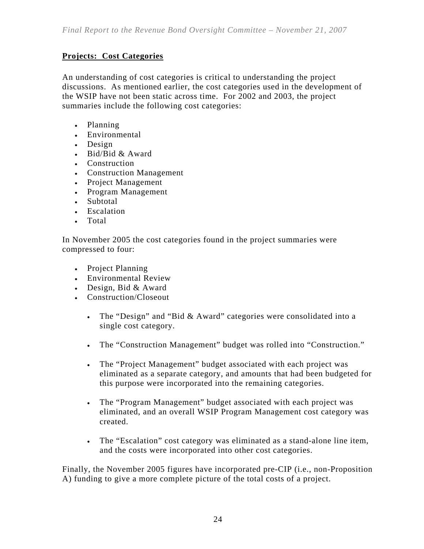### **Projects: Cost Categories**

An understanding of cost categories is critical to understanding the project discussions. As mentioned earlier, the cost categories used in the development of the WSIP have not been static across time. For 2002 and 2003, the project summaries include the following cost categories:

- Planning
- Environmental
- Design
- Bid/Bid & Award
- Construction
- Construction Management
- Project Management
- Program Management
- Subtotal
- Escalation
- Total

In November 2005 the cost categories found in the project summaries were compressed to four:

- Project Planning
- Environmental Review
- Design, Bid & Award
- Construction/Closeout
	- The "Design" and "Bid & Award" categories were consolidated into a single cost category.
	- The "Construction Management" budget was rolled into "Construction."
	- The "Project Management" budget associated with each project was eliminated as a separate category, and amounts that had been budgeted for this purpose were incorporated into the remaining categories.
	- The "Program Management" budget associated with each project was eliminated, and an overall WSIP Program Management cost category was created.
	- The "Escalation" cost category was eliminated as a stand-alone line item, and the costs were incorporated into other cost categories.

Finally, the November 2005 figures have incorporated pre-CIP (i.e., non-Proposition A) funding to give a more complete picture of the total costs of a project.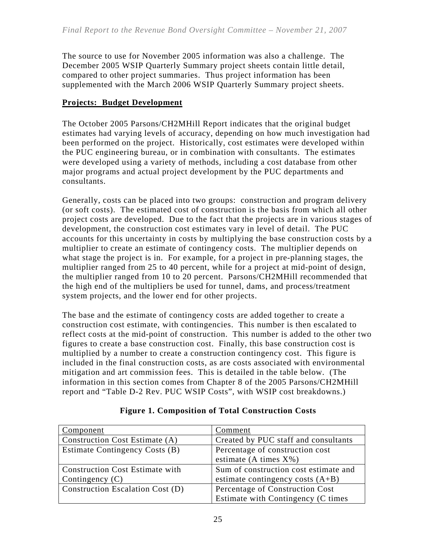The source to use for November 2005 information was also a challenge. The December 2005 WSIP Quarterly Summary project sheets contain little detail, compared to other project summaries. Thus project information has been supplemented with the March 2006 WSIP Quarterly Summary project sheets.

### **Projects: Budget Development**

The October 2005 Parsons/CH2MHill Report indicates that the original budget estimates had varying levels of accuracy, depending on how much investigation had been performed on the project. Historically, cost estimates were developed within the PUC engineering bureau, or in combination with consultants. The estimates were developed using a variety of methods, including a cost database from other major programs and actual project development by the PUC departments and consultants.

Generally, costs can be placed into two groups: construction and program delivery (or soft costs). The estimated cost of construction is the basis from which all other project costs are developed. Due to the fact that the projects are in various stages of development, the construction cost estimates vary in level of detail. The PUC accounts for this uncertainty in costs by multiplying the base construction costs by a multiplier to create an estimate of contingency costs. The multiplier depends on what stage the project is in. For example, for a project in pre-planning stages, the multiplier ranged from 25 to 40 percent, while for a project at mid-point of design, the multiplier ranged from 10 to 20 percent. Parsons/CH2MHill recommended that the high end of the multipliers be used for tunnel, dams, and process/treatment system projects, and the lower end for other projects.

The base and the estimate of contingency costs are added together to create a construction cost estimate, with contingencies. This number is then escalated to reflect costs at the mid-point of construction. This number is added to the other two figures to create a base construction cost. Finally, this base construction cost is multiplied by a number to create a construction contingency cost. This figure is included in the final construction costs, as are costs associated with environmental mitigation and art commission fees. This is detailed in the table below. (The information in this section comes from Chapter 8 of the 2005 Parsons/CH2MHill report and "Table D-2 Rev. PUC WSIP Costs", with WSIP cost breakdowns.)

| Component                              | Comment                               |
|----------------------------------------|---------------------------------------|
| Construction Cost Estimate (A)         | Created by PUC staff and consultants  |
| Estimate Contingency Costs (B)         | Percentage of construction cost       |
|                                        | estimate (A times $X\%$ )             |
| <b>Construction Cost Estimate with</b> | Sum of construction cost estimate and |
| Contingency $(C)$                      | estimate contingency costs $(A+B)$    |
| Construction Escalation Cost (D)       | Percentage of Construction Cost       |
|                                        | Estimate with Contingency (C times    |

### **Figure 1. Composition of Total Construction Costs**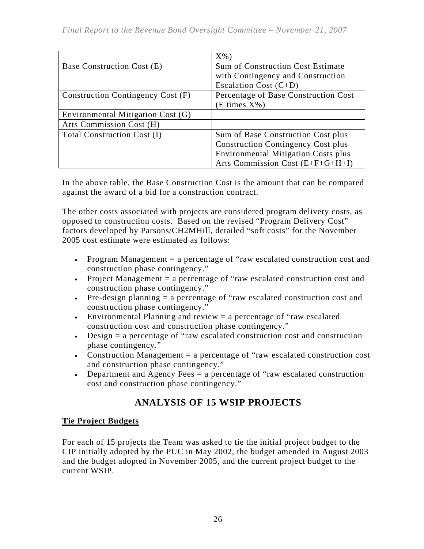|                                   | $X\%$ )                                    |  |  |  |
|-----------------------------------|--------------------------------------------|--|--|--|
| Base Construction Cost (E)        | <b>Sum of Construction Cost Estimate</b>   |  |  |  |
|                                   | with Contingency and Construction          |  |  |  |
|                                   | Escalation Cost $(C+D)$                    |  |  |  |
| Construction Contingency Cost (F) | Percentage of Base Construction Cost       |  |  |  |
|                                   | (E times X%)                               |  |  |  |
| Environmental Mitigation Cost (G) |                                            |  |  |  |
| Arts Commission Cost (H)          |                                            |  |  |  |
| Total Construction Cost (I)       | Sum of Base Construction Cost plus         |  |  |  |
|                                   | <b>Construction Contingency Cost plus</b>  |  |  |  |
|                                   | <b>Environmental Mitigation Costs plus</b> |  |  |  |
|                                   | Arts Commission Cost $(E+F+G+H+I)$         |  |  |  |

In the above table, the Base Construction Cost is the amount that can be compared against the award of a bid for a construction contract.

The other costs associated with projects are considered program delivery costs, as opposed to construction costs. Based on the revised "Program Delivery Cost" factors developed by Parsons/CH2MHill, detailed "soft costs" for the November 2005 cost estimate were estimated as follows:

- Program Management = a percentage of "raw escalated construction cost and construction phase contingency."
- Project Management = a percentage of "raw escalated construction cost and construction phase contingency."
- Pre-design planning  $=$  a percentage of "raw escalated construction cost and construction phase contingency."
- Environmental Planning and review  $=$  a percentage of "raw escalated" construction cost and construction phase contingency."
- Design = a percentage of "raw escalated construction cost and construction phase contingency."
- Construction Management = a percentage of "raw escalated construction cost and construction phase contingency."
- Department and Agency Fees = a percentage of "raw escalated construction" cost and construction phase contingency."

### **ANALYSIS OF 15 WSIP PROJECTS**

### **Tie Project Budgets**

For each of 15 projects the Team was asked to tie the initial project budget to the CIP initially adopted by the PUC in May 2002, the budget amended in August 2003 and the budget adopted in November 2005, and the current project budget to the current WSIP.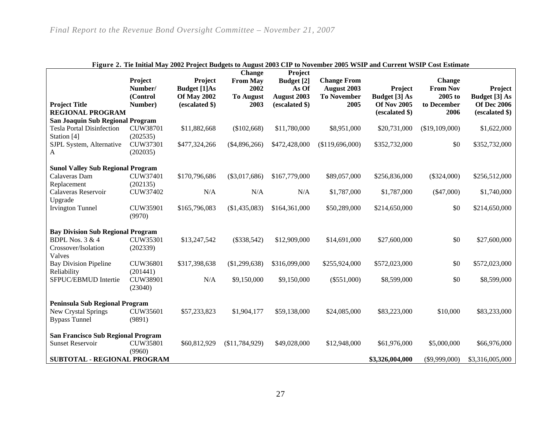| Figure 2. The Initial May 2002 Project Budgets to August 2003 CIP to November 2005 WSIP and Current WSIP Cost Estimate<br><b>Change</b><br>Project |                                                                                             |                                                                        |                                                     |                                                      |                                                                 |                                                       |                                                            |                                                       |  |
|----------------------------------------------------------------------------------------------------------------------------------------------------|---------------------------------------------------------------------------------------------|------------------------------------------------------------------------|-----------------------------------------------------|------------------------------------------------------|-----------------------------------------------------------------|-------------------------------------------------------|------------------------------------------------------------|-------------------------------------------------------|--|
| <b>Project Title</b>                                                                                                                               | Project<br>Number/<br>(Control<br>Number)                                                   | Project<br><b>Budget</b> [1]As<br><b>Of May 2002</b><br>(escalated \$) | <b>From May</b><br>2002<br><b>To August</b><br>2003 | Budget [2]<br>As Of<br>August 2003<br>(escalated \$) | <b>Change From</b><br>August 2003<br><b>To November</b><br>2005 | Project<br><b>Budget</b> [3] As<br><b>Of Nov 2005</b> | <b>Change</b><br><b>From Nov</b><br>2005 to<br>to December | Project<br><b>Budget</b> [3] As<br><b>Of Dec 2006</b> |  |
| <b>REGIONAL PROGRAM</b>                                                                                                                            |                                                                                             |                                                                        |                                                     |                                                      |                                                                 | (escalated \$)                                        | 2006                                                       | (escalated \$)                                        |  |
| San Joaquin Sub Regional Program                                                                                                                   |                                                                                             |                                                                        |                                                     |                                                      |                                                                 |                                                       |                                                            |                                                       |  |
| <b>Tesla Portal Disinfection</b><br>Station [4]                                                                                                    | <b>CUW38701</b><br>(202535)                                                                 | \$11,882,668                                                           | (\$102,668)                                         | \$11,780,000                                         | \$8,951,000                                                     | \$20,731,000                                          | (\$19,109,000)                                             | \$1,622,000                                           |  |
| SJPL System, Alternative<br>A                                                                                                                      | CUW37301<br>(202035)                                                                        | \$477,324,266                                                          | (\$4,896,266)                                       | \$472,428,000                                        | (\$119,696,000)                                                 | \$352,732,000                                         | \$0                                                        | \$352,732,000                                         |  |
| <b>Sunol Valley Sub Regional Program</b>                                                                                                           |                                                                                             |                                                                        |                                                     |                                                      |                                                                 |                                                       |                                                            |                                                       |  |
| Calaveras Dam<br>Replacement                                                                                                                       | <b>CUW37401</b><br>(202135)                                                                 | \$170,796,686                                                          | $(\$3,017,686)$                                     | \$167,779,000                                        | \$89,057,000                                                    | \$256,836,000                                         | $(\$324,000)$                                              | \$256,512,000                                         |  |
| Calaveras Reservoir                                                                                                                                | CUW37402                                                                                    | N/A                                                                    | N/A                                                 | N/A                                                  | \$1,787,000                                                     | \$1,787,000                                           | $(\$47,000)$                                               | \$1,740,000                                           |  |
| Upgrade<br><b>Irvington Tunnel</b>                                                                                                                 | CUW35901<br>(9970)                                                                          | \$165,796,083                                                          | (\$1,435,083)                                       | \$164,361,000                                        | \$50,289,000                                                    | \$214,650,000                                         | \$0                                                        | \$214,650,000                                         |  |
| <b>Bay Division Sub Regional Program</b>                                                                                                           |                                                                                             |                                                                        |                                                     |                                                      |                                                                 |                                                       |                                                            |                                                       |  |
| <b>BDPL Nos. 3 &amp; 4</b><br>Crossover/Isolation<br>Valves                                                                                        | CUW35301<br>(202339)                                                                        | \$13,247,542                                                           | $(\$338,542)$                                       | \$12,909,000                                         | \$14,691,000                                                    | \$27,600,000                                          | \$0                                                        | \$27,600,000                                          |  |
| <b>Bay Division Pipeline</b>                                                                                                                       | CUW36801                                                                                    | \$317,398,638                                                          | (\$1,299,638)                                       | \$316,099,000                                        | \$255,924,000                                                   | \$572,023,000                                         | \$0                                                        | \$572,023,000                                         |  |
| Reliability<br>SFPUC/EBMUD Intertie                                                                                                                | (201441)<br>CUW38901<br>(23040)                                                             | N/A                                                                    | \$9,150,000                                         | \$9,150,000                                          | $(\$551,000)$                                                   | \$8,599,000                                           | \$0                                                        | \$8,599,000                                           |  |
| Peninsula Sub Regional Program                                                                                                                     |                                                                                             |                                                                        |                                                     |                                                      |                                                                 |                                                       |                                                            |                                                       |  |
| New Crystal Springs<br><b>Bypass Tunnel</b>                                                                                                        | CUW35601<br>(9891)                                                                          | \$57,233,823                                                           | \$1,904,177                                         | \$59,138,000                                         | \$24,085,000                                                    | \$83,223,000                                          | \$10,000                                                   | \$83,233,000                                          |  |
| <b>San Francisco Sub Regional Program</b>                                                                                                          |                                                                                             |                                                                        |                                                     |                                                      |                                                                 |                                                       |                                                            |                                                       |  |
| <b>Sunset Reservoir</b>                                                                                                                            | <b>CUW35801</b><br>(9960)                                                                   | \$60,812,929                                                           | (\$11,784,929)                                      | \$49,028,000                                         | \$12,948,000                                                    | \$61,976,000                                          | \$5,000,000                                                | \$66,976,000                                          |  |
|                                                                                                                                                    | <b>SUBTOTAL - REGIONAL PROGRAM</b><br>\$3,326,004,000<br>$(\$9,999,000)$<br>\$3,316,005,000 |                                                                        |                                                     |                                                      |                                                                 |                                                       |                                                            |                                                       |  |

#### **Figure 2. Tie Initial May 2002 Project Budgets to August 2003 CIP to November 2005 WSIP and Current WSIP Cost Estimate**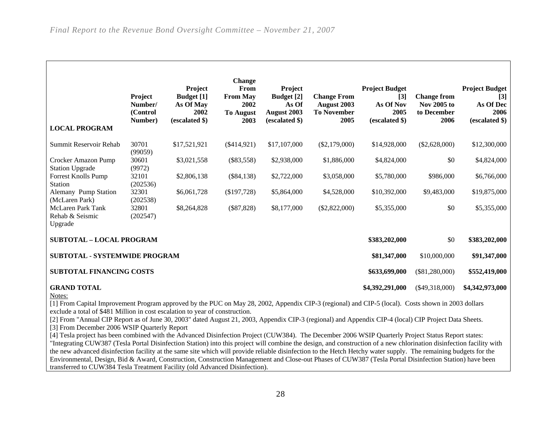|                                                                                                                                                                                                     | Project<br>Number/<br>(Control<br>Number) | Project<br><b>Budget</b> [1]<br>As Of May<br>2002<br>(escalated \$) | <b>Change</b><br>From<br><b>From May</b><br>2002<br><b>To August</b><br>2003 | Project<br><b>Budget</b> [2]<br>As Of<br>August 2003<br>(escalated \$) | <b>Change From</b><br>August 2003<br><b>To November</b><br>2005 | <b>Project Budget</b><br>$[3]$<br>As Of Nov<br>2005<br>(escalated \$) | <b>Change from</b><br><b>Nov 2005 to</b><br>to December<br>2006 | <b>Project Budget</b><br>[3]<br>As Of Dec<br>2006<br>(escalated \$) |  |
|-----------------------------------------------------------------------------------------------------------------------------------------------------------------------------------------------------|-------------------------------------------|---------------------------------------------------------------------|------------------------------------------------------------------------------|------------------------------------------------------------------------|-----------------------------------------------------------------|-----------------------------------------------------------------------|-----------------------------------------------------------------|---------------------------------------------------------------------|--|
| <b>LOCAL PROGRAM</b>                                                                                                                                                                                |                                           |                                                                     |                                                                              |                                                                        |                                                                 |                                                                       |                                                                 |                                                                     |  |
| Summit Reservoir Rehab                                                                                                                                                                              | 30701<br>(99059)                          | \$17,521,921                                                        | (\$414,921)                                                                  | \$17,107,000                                                           | $(\$2,179,000)$                                                 | \$14,928,000                                                          | (\$2,628,000)                                                   | \$12,300,000                                                        |  |
| Crocker Amazon Pump<br><b>Station Upgrade</b>                                                                                                                                                       | 30601<br>(9972)                           | \$3,021,558                                                         | $(\$83,558)$                                                                 | \$2,938,000                                                            | \$1,886,000                                                     | \$4,824,000                                                           | \$0                                                             | \$4,824,000                                                         |  |
| <b>Forrest Knolls Pump</b><br><b>Station</b>                                                                                                                                                        | 32101<br>(202536)                         | \$2,806,138                                                         | $(\$84,138)$                                                                 | \$2,722,000                                                            | \$3,058,000                                                     | \$5,780,000                                                           | \$986,000                                                       | \$6,766,000                                                         |  |
| Alemany Pump Station<br>(McLaren Park)                                                                                                                                                              | 32301<br>(202538)                         | \$6,061,728                                                         | (\$197,728)                                                                  | \$5,864,000                                                            | \$4,528,000                                                     | \$10,392,000                                                          | \$9,483,000                                                     | \$19,875,000                                                        |  |
| McLaren Park Tank<br>Rehab & Seismic<br>Upgrade                                                                                                                                                     | 32801<br>(202547)                         | \$8,264,828                                                         | $(\$87,828)$                                                                 | \$8,177,000                                                            | $(\$2,822,000)$                                                 | \$5,355,000                                                           | \$0                                                             | \$5,355,000                                                         |  |
| <b>SUBTOTAL - LOCAL PROGRAM</b>                                                                                                                                                                     |                                           |                                                                     |                                                                              |                                                                        |                                                                 | \$383,202,000                                                         | \$0                                                             | \$383,202,000                                                       |  |
| <b>SUBTOTAL - SYSTEMWIDE PROGRAM</b>                                                                                                                                                                |                                           |                                                                     |                                                                              |                                                                        |                                                                 | \$81,347,000                                                          | \$10,000,000                                                    | \$91,347,000                                                        |  |
| <b>SUBTOTAL FINANCING COSTS</b>                                                                                                                                                                     |                                           |                                                                     |                                                                              |                                                                        |                                                                 | \$633,699,000                                                         | $(\$81,280,000)$                                                | \$552,419,000                                                       |  |
| <b>GRAND TOTAL</b><br>Notes:                                                                                                                                                                        |                                           |                                                                     |                                                                              |                                                                        |                                                                 | \$4,392,291,000                                                       | $(\$49,318,000)$                                                | \$4,342,973,000                                                     |  |
| [1] From Capital Improvement Program approved by the PUC on May 28, 2002, Appendix CIP-3 (regional) and CIP-5 (local). Costs shown in 2003 dollars                                                  |                                           |                                                                     |                                                                              |                                                                        |                                                                 |                                                                       |                                                                 |                                                                     |  |
| exclude a total of \$481 Million in cost escalation to year of construction.                                                                                                                        |                                           |                                                                     |                                                                              |                                                                        |                                                                 |                                                                       |                                                                 |                                                                     |  |
| [2] From "Annual CIP Report as of June 30, 2003" dated August 21, 2003, Appendix CIP-3 (regional) and Appendix CIP-4 (local) CIP Project Data Sheets.                                               |                                           |                                                                     |                                                                              |                                                                        |                                                                 |                                                                       |                                                                 |                                                                     |  |
| [3] From December 2006 WSIP Quarterly Report<br>[4] Tesla project has been combined with the Advanced Disinfection Project (CUW384). The December 2006 WSIP Quarterly Project Status Report states: |                                           |                                                                     |                                                                              |                                                                        |                                                                 |                                                                       |                                                                 |                                                                     |  |
|                                                                                                                                                                                                     |                                           |                                                                     |                                                                              |                                                                        |                                                                 |                                                                       |                                                                 |                                                                     |  |
| "Integrating CUW387 (Tesla Portal Disinfection Station) into this project will combine the design, and construction of a new chlorination disinfection facility with                                |                                           |                                                                     |                                                                              |                                                                        |                                                                 |                                                                       |                                                                 |                                                                     |  |

the new advanced disinfection facility at the same site which will provide reliable disinfection to the Hetch Hetchy water supply. The remaining budgets for the Environmental, Design, Bid & Award, Construction, Construction Management and Close-out Phases of CUW387 (Tesla Portal Disinfection Station) have been transferred to CUW384 Tesla Treatment Facility (old Advanced Disinfection).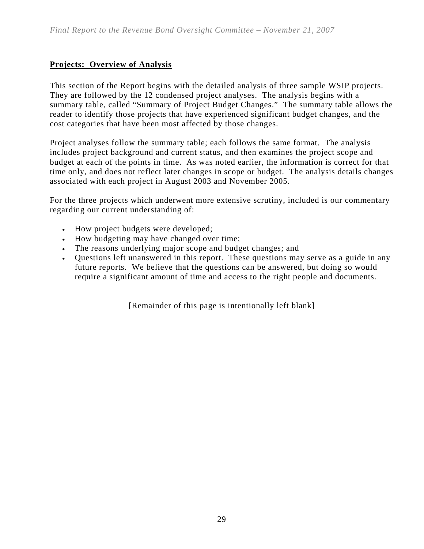### **Projects: Overview of Analysis**

This section of the Report begins with the detailed analysis of three sample WSIP projects. They are followed by the 12 condensed project analyses. The analysis begins with a summary table, called "Summary of Project Budget Changes." The summary table allows the reader to identify those projects that have experienced significant budget changes, and the cost categories that have been most affected by those changes.

Project analyses follow the summary table; each follows the same format. The analysis includes project background and current status, and then examines the project scope and budget at each of the points in time. As was noted earlier, the information is correct for that time only, and does not reflect later changes in scope or budget. The analysis details changes associated with each project in August 2003 and November 2005.

For the three projects which underwent more extensive scrutiny, included is our commentary regarding our current understanding of:

- How project budgets were developed;
- How budgeting may have changed over time;
- The reasons underlying major scope and budget changes; and
- Questions left unanswered in this report. These questions may serve as a guide in any future reports. We believe that the questions can be answered, but doing so would require a significant amount of time and access to the right people and documents.

[Remainder of this page is intentionally left blank]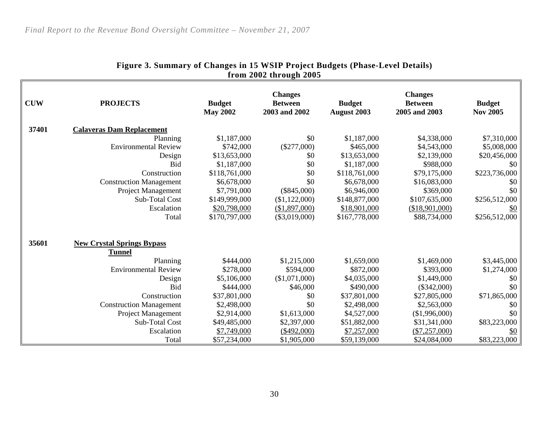| from 2002 through 2005 |                                                    |                                  |                                                   |                                     |                                                   |                                  |  |  |  |
|------------------------|----------------------------------------------------|----------------------------------|---------------------------------------------------|-------------------------------------|---------------------------------------------------|----------------------------------|--|--|--|
| <b>CUW</b>             | <b>PROJECTS</b>                                    | <b>Budget</b><br><b>May 2002</b> | <b>Changes</b><br><b>Between</b><br>2003 and 2002 | <b>Budget</b><br><b>August 2003</b> | <b>Changes</b><br><b>Between</b><br>2005 and 2003 | <b>Budget</b><br><b>Nov 2005</b> |  |  |  |
| 37401                  | <b>Calaveras Dam Replacement</b>                   |                                  |                                                   |                                     |                                                   |                                  |  |  |  |
|                        | Planning                                           | \$1,187,000                      | \$0                                               | \$1,187,000                         | \$4,338,000                                       | \$7,310,000                      |  |  |  |
|                        | <b>Environmental Review</b>                        | \$742,000                        | $(\$277,000)$                                     | \$465,000                           | \$4,543,000                                       | \$5,008,000                      |  |  |  |
|                        | Design                                             | \$13,653,000                     | \$0                                               | \$13,653,000                        | \$2,139,000                                       | \$20,456,000                     |  |  |  |
|                        | <b>Bid</b>                                         | \$1,187,000                      | \$0                                               | \$1,187,000                         | \$988,000                                         | \$0                              |  |  |  |
|                        | Construction                                       | \$118,761,000                    | \$0                                               | \$118,761,000                       | \$79,175,000                                      | \$223,736,000                    |  |  |  |
|                        | <b>Construction Management</b>                     | \$6,678,000                      | \$0                                               | \$6,678,000                         | \$16,083,000                                      | \$0                              |  |  |  |
|                        | <b>Project Management</b>                          | \$7,791,000                      | $(\$845,000)$                                     | \$6,946,000                         | \$369,000                                         | \$0                              |  |  |  |
|                        | Sub-Total Cost                                     | \$149,999,000                    | (\$1,122,000)                                     | \$148,877,000                       | \$107,635,000                                     | \$256,512,000                    |  |  |  |
|                        | Escalation                                         | \$20,798,000                     | (\$1,897,000)                                     | \$18,901,000                        | (\$18,901,000)                                    | <u>\$0</u>                       |  |  |  |
|                        | Total                                              | \$170,797,000                    | $(\$3,019,000)$                                   | \$167,778,000                       | \$88,734,000                                      | \$256,512,000                    |  |  |  |
| 35601                  | <b>New Crystal Springs Bypass</b><br><b>Tunnel</b> |                                  |                                                   |                                     |                                                   |                                  |  |  |  |
|                        | Planning                                           | \$444,000                        | \$1,215,000                                       | \$1,659,000                         | \$1,469,000                                       | \$3,445,000                      |  |  |  |
|                        | <b>Environmental Review</b>                        | \$278,000                        | \$594,000                                         | \$872,000                           | \$393,000                                         | \$1,274,000                      |  |  |  |
|                        | Design                                             | \$5,106,000                      | (\$1,071,000)                                     | \$4,035,000                         | \$1,449,000                                       | \$0                              |  |  |  |
|                        | Bid                                                | \$444,000                        | \$46,000                                          | \$490,000                           | $(\$342,000)$                                     | \$0                              |  |  |  |
|                        | Construction                                       | \$37,801,000                     | \$0                                               | \$37,801,000                        | \$27,805,000                                      | \$71,865,000                     |  |  |  |
|                        | <b>Construction Management</b>                     | \$2,498,000                      | \$0                                               | \$2,498,000                         | \$2,563,000                                       | \$0                              |  |  |  |
|                        | Project Management                                 | \$2,914,000                      | \$1,613,000                                       | \$4,527,000                         | (\$1,996,000)                                     | \$0                              |  |  |  |
|                        | Sub-Total Cost                                     | \$49,485,000                     | \$2,397,000                                       | \$51,882,000                        | \$31,341,000                                      | \$83,223,000                     |  |  |  |
|                        | Escalation                                         | \$7,749,000                      | $(\$492,000)$                                     | \$7,257,000                         | $(\$7,257,000)$                                   | \$0                              |  |  |  |
|                        | Total                                              | \$57,234,000                     | \$1,905,000                                       | \$59,139,000                        | \$24,084,000                                      | \$83,223,000                     |  |  |  |

# **Figure 3. Summary of Changes in 15 WSIP Project Budgets (Phase-Level Details)**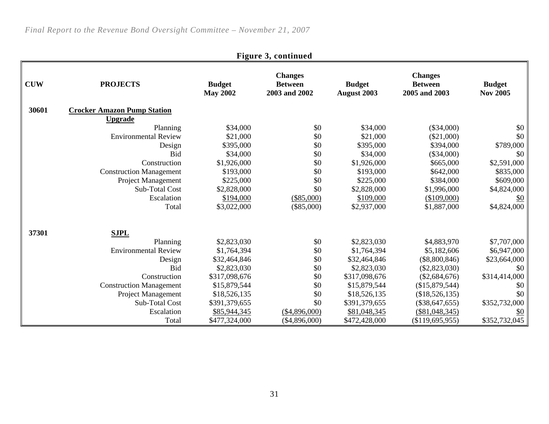| Figure 3, continued |                                    |                                  |                                                   |                                     |                                                   |                                  |  |  |
|---------------------|------------------------------------|----------------------------------|---------------------------------------------------|-------------------------------------|---------------------------------------------------|----------------------------------|--|--|
| <b>CUW</b>          | <b>PROJECTS</b>                    | <b>Budget</b><br><b>May 2002</b> | <b>Changes</b><br><b>Between</b><br>2003 and 2002 | <b>Budget</b><br><b>August 2003</b> | <b>Changes</b><br><b>Between</b><br>2005 and 2003 | <b>Budget</b><br><b>Nov 2005</b> |  |  |
| 30601               | <b>Crocker Amazon Pump Station</b> |                                  |                                                   |                                     |                                                   |                                  |  |  |
|                     | <b>Upgrade</b>                     |                                  |                                                   |                                     |                                                   |                                  |  |  |
|                     | Planning                           | \$34,000                         | \$0                                               | \$34,000                            | $(\$34,000)$                                      | \$0                              |  |  |
|                     | <b>Environmental Review</b>        | \$21,000                         | \$0                                               | \$21,000                            | $(\$21,000)$                                      | \$0                              |  |  |
|                     | Design                             | \$395,000                        | \$0                                               | \$395,000                           | \$394,000                                         | \$789,000                        |  |  |
|                     | <b>Bid</b>                         | \$34,000                         | \$0                                               | \$34,000                            | $(\$34,000)$                                      | \$0                              |  |  |
|                     | Construction                       | \$1,926,000                      | \$0                                               | \$1,926,000                         | \$665,000                                         | \$2,591,000                      |  |  |
|                     | <b>Construction Management</b>     | \$193,000                        | \$0                                               | \$193,000                           | \$642,000                                         | \$835,000                        |  |  |
|                     | <b>Project Management</b>          | \$225,000                        | \$0                                               | \$225,000                           | \$384,000                                         | \$609,000                        |  |  |
|                     | Sub-Total Cost                     | \$2,828,000                      | \$0                                               | \$2,828,000                         | \$1,996,000                                       | \$4,824,000                      |  |  |
|                     | Escalation                         | \$194,000                        | $(\$85,000)$                                      | \$109,000                           | (\$109,000)                                       | <u>\$0</u>                       |  |  |
|                     | Total                              | \$3,022,000                      | $(\$85,000)$                                      | \$2,937,000                         | \$1,887,000                                       | \$4,824,000                      |  |  |
| 37301               | <b>SJPL</b>                        |                                  |                                                   |                                     |                                                   |                                  |  |  |
|                     | Planning                           | \$2,823,030                      | \$0                                               | \$2,823,030                         | \$4,883,970                                       | \$7,707,000                      |  |  |
|                     | <b>Environmental Review</b>        | \$1,764,394                      | \$0                                               | \$1,764,394                         | \$5,182,606                                       | \$6,947,000                      |  |  |
|                     | Design                             | \$32,464,846                     | \$0                                               | \$32,464,846                        | $(\$8,800,846)$                                   | \$23,664,000                     |  |  |
|                     | <b>Bid</b>                         | \$2,823,030                      | \$0                                               | \$2,823,030                         | $(\$2,823,030)$                                   | \$0                              |  |  |
|                     | Construction                       | \$317,098,676                    | \$0                                               | \$317,098,676                       | $(\$2,684,676)$                                   | \$314,414,000                    |  |  |
|                     | <b>Construction Management</b>     | \$15,879,544                     | \$0                                               | \$15,879,544                        | (\$15,879,544)                                    | \$0                              |  |  |
|                     | Project Management                 | \$18,526,135                     | \$0                                               | \$18,526,135                        | (\$18,526,135)                                    | \$0                              |  |  |
|                     | <b>Sub-Total Cost</b>              | \$391,379,655                    | \$0                                               | \$391,379,655                       | $(\$38,647,655)$                                  | \$352,732,000                    |  |  |
|                     | Escalation                         | \$85,944,345                     | (\$4,896,000)                                     | \$81,048,345                        | $(\$81,048,345)$                                  | \$0                              |  |  |
|                     | Total                              | \$477,324,000                    | $(\$4,896,000)$                                   | \$472,428,000                       | (\$119,695,955)                                   | \$352,732,045                    |  |  |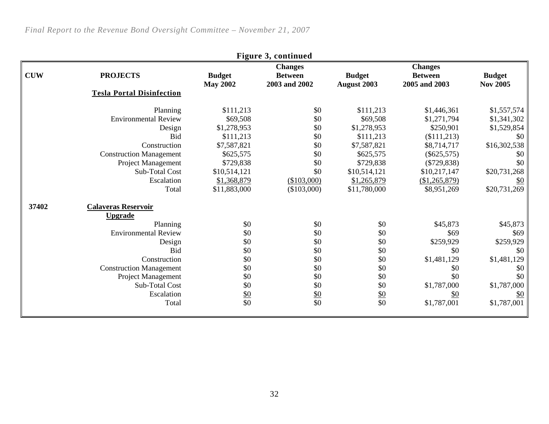|            | <b>Changes</b><br><b>Changes</b> |                 |                 |                 |                |                   |  |  |  |
|------------|----------------------------------|-----------------|-----------------|-----------------|----------------|-------------------|--|--|--|
| <b>CUW</b> | <b>PROJECTS</b>                  | <b>Budget</b>   | <b>Between</b>  | <b>Budget</b>   | <b>Between</b> | <b>Budget</b>     |  |  |  |
|            |                                  | <b>May 2002</b> | 2003 and 2002   | August 2003     | 2005 and 2003  | <b>Nov 2005</b>   |  |  |  |
|            | <b>Tesla Portal Disinfection</b> |                 |                 |                 |                |                   |  |  |  |
|            | Planning                         | \$111,213       | \$0             | \$111,213       | \$1,446,361    | \$1,557,574       |  |  |  |
|            | <b>Environmental Review</b>      | \$69,508        | \$0             | \$69,508        | \$1,271,794    | \$1,341,302       |  |  |  |
|            | Design                           | \$1,278,953     | \$0             | \$1,278,953     | \$250,901      | \$1,529,854       |  |  |  |
|            | <b>Bid</b>                       | \$111,213       | \$0             | \$111,213       | (\$111,213)    | \$0               |  |  |  |
|            | Construction                     | \$7,587,821     | \$0             | \$7,587,821     | \$8,714,717    | \$16,302,538      |  |  |  |
|            | <b>Construction Management</b>   | \$625,575       | \$0             | \$625,575       | $(\$625,575)$  | \$0               |  |  |  |
|            | Project Management               | \$729,838       | \$0             | \$729,838       | $(\$729,838)$  | \$0               |  |  |  |
|            | Sub-Total Cost                   | \$10,514,121    | \$0             | \$10,514,121    | \$10,217,147   | \$20,731,268      |  |  |  |
|            | Escalation                       | \$1,368,879     | (\$103,000)     | \$1,265,879     | (\$1,265,879)  | $\frac{$0}{}$     |  |  |  |
|            | Total                            | \$11,883,000    | (\$103,000)     | \$11,780,000    | \$8,951,269    | \$20,731,269      |  |  |  |
| 37402      | <b>Calaveras Reservoir</b>       |                 |                 |                 |                |                   |  |  |  |
|            | <u>Upgrade</u>                   |                 |                 |                 |                |                   |  |  |  |
|            | Planning                         | \$0             | \$0             | \$0             | \$45,873       | \$45,873          |  |  |  |
|            | <b>Environmental Review</b>      | \$0             | \$0             | \$0             | \$69           | \$69              |  |  |  |
|            | Design                           | \$0             | \$0             | \$0             | \$259,929      | \$259,929         |  |  |  |
|            | <b>Bid</b>                       | \$0             | \$0             | \$0             | \$0            | \$0               |  |  |  |
|            | Construction                     | \$0             | \$0             | \$0             | \$1,481,129    | \$1,481,129       |  |  |  |
|            | <b>Construction Management</b>   | \$0             | \$0             | \$0             | \$0            | \$0               |  |  |  |
|            | Project Management               | \$0             | \$0             | \$0             | \$0            | \$0               |  |  |  |
|            | Sub-Total Cost                   | \$0             | \$0             | \$0             | \$1,787,000    | \$1,787,000       |  |  |  |
|            | Escalation                       | $\frac{$0}{$0}$ | $\frac{$0}{$0}$ | $\frac{$0}{$0}$ | $\frac{$0}{}$  | $\underline{\$0}$ |  |  |  |
|            | Total                            |                 |                 |                 | \$1,787,001    | \$1,787,001       |  |  |  |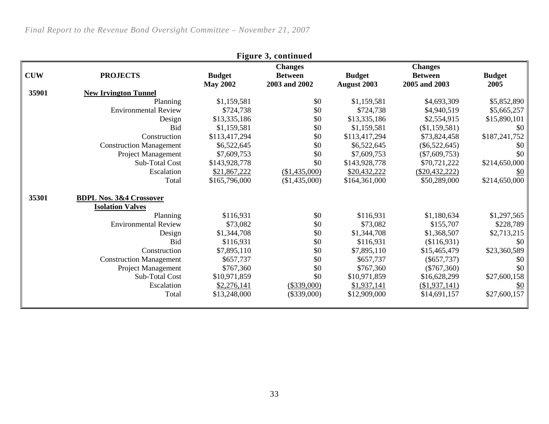| Figure 3, continued |                                    |                 |                |                    |                  |               |  |  |
|---------------------|------------------------------------|-----------------|----------------|--------------------|------------------|---------------|--|--|
|                     |                                    |                 | <b>Changes</b> |                    | <b>Changes</b>   |               |  |  |
| <b>CUW</b>          | <b>PROJECTS</b>                    | <b>Budget</b>   | <b>Between</b> | <b>Budget</b>      | <b>Between</b>   | <b>Budget</b> |  |  |
|                     |                                    | <b>May 2002</b> | 2003 and 2002  | <b>August 2003</b> | 2005 and 2003    | 2005          |  |  |
| 35901               | <b>New Irvington Tunnel</b>        |                 |                |                    |                  |               |  |  |
|                     | Planning                           | \$1,159,581     | \$0            | \$1,159,581        | \$4,693,309      | \$5,852,890   |  |  |
|                     | <b>Environmental Review</b>        | \$724,738       | \$0            | \$724,738          | \$4,940,519      | \$5,665,257   |  |  |
|                     | Design                             | \$13,335,186    | \$0            | \$13,335,186       | \$2,554,915      | \$15,890,101  |  |  |
|                     | <b>Bid</b>                         | \$1,159,581     | \$0            | \$1,159,581        | (\$1,159,581)    | \$0           |  |  |
|                     | Construction                       | \$113,417,294   | \$0            | \$113,417,294      | \$73,824,458     | \$187,241,752 |  |  |
|                     | <b>Construction Management</b>     | \$6,522,645     | \$0            | \$6,522,645        | $(\$6,522,645)$  | \$0           |  |  |
|                     | Project Management                 | \$7,609,753     | \$0            | \$7,609,753        | $(\$7,609,753)$  | \$0           |  |  |
|                     | Sub-Total Cost                     | \$143,928,778   | \$0            | \$143,928,778      | \$70,721,222     | \$214,650,000 |  |  |
|                     | Escalation                         | \$21,867,222    | (\$1,435,000)  | \$20,432,222       | $(\$20,432,222)$ | \$0           |  |  |
|                     | Total                              | \$165,796,000   | (\$1,435,000)  | \$164,361,000      | \$50,289,000     | \$214,650,000 |  |  |
| 35301               | <b>BDPL Nos. 3&amp;4 Crossover</b> |                 |                |                    |                  |               |  |  |
|                     | <b>Isolation Valves</b>            |                 |                |                    |                  |               |  |  |
|                     | Planning                           | \$116,931       | \$0            | \$116,931          | \$1,180,634      | \$1,297,565   |  |  |
|                     | <b>Environmental Review</b>        | \$73,082        | \$0            | \$73,082           | \$155,707        | \$228,789     |  |  |
|                     | Design                             | \$1,344,708     | \$0            | \$1,344,708        | \$1,368,507      | \$2,713,215   |  |  |
|                     | <b>Bid</b>                         | \$116,931       | \$0            | \$116,931          | (\$116,931)      | \$0           |  |  |
|                     | Construction                       | \$7,895,110     | \$0            | \$7,895,110        | \$15,465,479     | \$23,360,589  |  |  |
|                     | <b>Construction Management</b>     | \$657,737       | \$0            | \$657,737          | $(\$657,737)$    | \$0           |  |  |
|                     | Project Management                 | \$767,360       | \$0            | \$767,360          | $(\$767,360)$    | \$0           |  |  |
|                     | Sub-Total Cost                     | \$10,971,859    | \$0            | \$10,971,859       | \$16,628,299     | \$27,600,158  |  |  |
|                     | Escalation                         | \$2,276,141     | (\$339,000)    | \$1,937,141        | (\$1,937,141)    | \$0           |  |  |
|                     | Total                              | \$13,248,000    | $(\$339,000)$  | \$12,909,000       | \$14,691,157     | \$27,600,157  |  |  |
|                     |                                    |                 |                |                    |                  |               |  |  |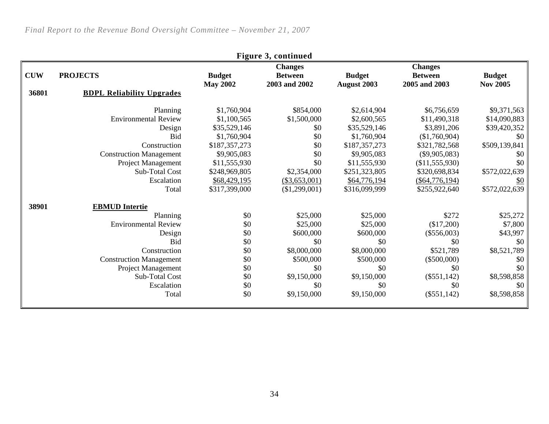| Figure 3, continued |                                  |                 |                |                    |                  |                  |  |
|---------------------|----------------------------------|-----------------|----------------|--------------------|------------------|------------------|--|
|                     |                                  |                 | <b>Changes</b> |                    | <b>Changes</b>   |                  |  |
| <b>CUW</b>          | <b>PROJECTS</b>                  | <b>Budget</b>   | <b>Between</b> | <b>Budget</b>      | <b>Between</b>   | <b>Budget</b>    |  |
|                     |                                  | <b>May 2002</b> | 2003 and 2002  | <b>August 2003</b> | 2005 and 2003    | <b>Nov 2005</b>  |  |
| 36801               | <b>BDPL Reliability Upgrades</b> |                 |                |                    |                  |                  |  |
|                     | Planning                         | \$1,760,904     | \$854,000      | \$2,614,904        | \$6,756,659      | \$9,371,563      |  |
|                     | <b>Environmental Review</b>      | \$1,100,565     | \$1,500,000    | \$2,600,565        | \$11,490,318     | \$14,090,883     |  |
|                     | Design                           | \$35,529,146    | \$0            | \$35,529,146       | \$3,891,206      | \$39,420,352     |  |
|                     | <b>Bid</b>                       | \$1,760,904     | \$0            | \$1,760,904        | (\$1,760,904)    | \$0\$            |  |
|                     | Construction                     | \$187,357,273   | \$0            | \$187,357,273      | \$321,782,568    | \$509,139,841    |  |
|                     | <b>Construction Management</b>   | \$9,905,083     | \$0            | \$9,905,083        | $(\$9,905,083)$  | \$0 <sub>1</sub> |  |
|                     | Project Management               | \$11,555,930    | \$0            | \$11,555,930       | (\$11,555,930)   | \$0              |  |
|                     | <b>Sub-Total Cost</b>            | \$248,969,805   | \$2,354,000    | \$251,323,805      | \$320,698,834    | \$572,022,639    |  |
|                     | Escalation                       | \$68,429,195    | (\$3,653,001)  | \$64,776,194       | $(\$64,776,194)$ | \$0              |  |
|                     | Total                            | \$317,399,000   | (\$1,299,001)  | \$316,099,999      | \$255,922,640    | \$572,022,639    |  |
| 38901               | <b>EBMUD</b> Intertie            |                 |                |                    |                  |                  |  |
|                     | Planning                         | \$0             | \$25,000       | \$25,000           | \$272            | \$25,272         |  |
|                     | <b>Environmental Review</b>      | \$0             | \$25,000       | \$25,000           | (\$17,200)       | \$7,800          |  |
|                     | Design                           | \$0             | \$600,000      | \$600,000          | $(\$556,003)$    | \$43,997         |  |
|                     | <b>Bid</b>                       | \$0             | \$0            | \$0                | \$0              | \$0 <sub>1</sub> |  |
|                     | Construction                     | \$0             | \$8,000,000    | \$8,000,000        | \$521,789        | \$8,521,789      |  |
|                     | <b>Construction Management</b>   | \$0             | \$500,000      | \$500,000          | $(\$500,000)$    | \$0 <sub>1</sub> |  |
|                     | Project Management               | \$0             | \$0            | \$0                | \$0              | \$0              |  |
|                     | Sub-Total Cost                   | \$0             | \$9,150,000    | \$9,150,000        | $(\$551,142)$    | \$8,598,858      |  |
|                     | Escalation                       | \$0             | \$0            | \$0                | \$0              | \$0\$            |  |
|                     | Total                            | \$0             | \$9,150,000    | \$9,150,000        | $(\$551,142)$    | \$8,598,858      |  |
|                     |                                  |                 |                |                    |                  |                  |  |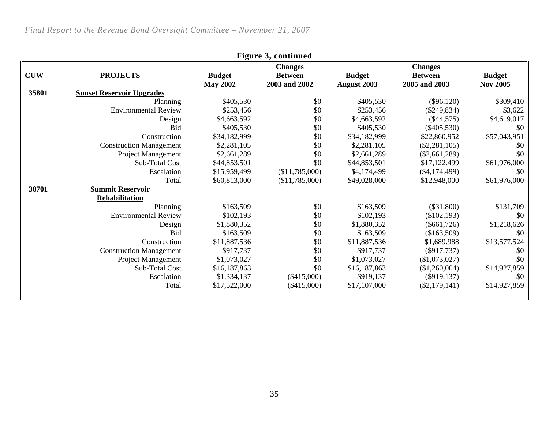| <b>Figure 3, continued</b> |                                  |                                  |                                                   |                              |                                                   |                                  |  |  |
|----------------------------|----------------------------------|----------------------------------|---------------------------------------------------|------------------------------|---------------------------------------------------|----------------------------------|--|--|
| <b>CUW</b>                 | <b>PROJECTS</b>                  | <b>Budget</b><br><b>May 2002</b> | <b>Changes</b><br><b>Between</b><br>2003 and 2002 | <b>Budget</b><br>August 2003 | <b>Changes</b><br><b>Between</b><br>2005 and 2003 | <b>Budget</b><br><b>Nov 2005</b> |  |  |
| 35801                      | <b>Sunset Reservoir Upgrades</b> |                                  |                                                   |                              |                                                   |                                  |  |  |
|                            | Planning                         | \$405,530                        | \$0                                               | \$405,530                    | $(\$96,120)$                                      | \$309,410                        |  |  |
|                            | <b>Environmental Review</b>      | \$253,456                        | \$0                                               | \$253,456                    | $(\$249,834)$                                     | \$3,622                          |  |  |
|                            | Design                           | \$4,663,592                      | \$0                                               | \$4,663,592                  | $(\$44,575)$                                      | \$4,619,017                      |  |  |
|                            | <b>Bid</b>                       | \$405,530                        | \$0                                               | \$405,530                    | $(\$405,530)$                                     | \$0                              |  |  |
|                            | Construction                     | \$34,182,999                     | \$0                                               | \$34,182,999                 | \$22,860,952                                      | \$57,043,951                     |  |  |
|                            | <b>Construction Management</b>   | \$2,281,105                      | \$0                                               | \$2,281,105                  | $(\$2,281,105)$                                   | \$0                              |  |  |
|                            | Project Management               | \$2,661,289                      | \$0                                               | \$2,661,289                  | $(\$2,661,289)$                                   | \$0                              |  |  |
|                            | Sub-Total Cost                   | \$44,853,501                     | \$0                                               | \$44,853,501                 | \$17,122,499                                      | \$61,976,000                     |  |  |
|                            | Escalation                       | \$15,959,499                     | (\$11,785,000)                                    | \$4,174,499                  | ( \$4,174,499)                                    | $\frac{$0}{}$                    |  |  |
|                            | Total                            | \$60,813,000                     | (\$11,785,000)                                    | \$49,028,000                 | \$12,948,000                                      | \$61,976,000                     |  |  |
| 30701                      | <b>Summit Reservoir</b>          |                                  |                                                   |                              |                                                   |                                  |  |  |
|                            | Rehabilitation                   |                                  |                                                   |                              |                                                   |                                  |  |  |
|                            | Planning                         | \$163,509                        | \$0                                               | \$163,509                    | $(\$31,800)$                                      | \$131,709                        |  |  |
|                            | <b>Environmental Review</b>      | \$102,193                        | \$0                                               | \$102,193                    | (\$102,193)                                       | \$0                              |  |  |
|                            | Design                           | \$1,880,352                      | \$0                                               | \$1,880,352                  | $(\$661,726)$                                     | \$1,218,626                      |  |  |
|                            | <b>Bid</b>                       | \$163,509                        | \$0                                               | \$163,509                    | (\$163,509)                                       | \$0                              |  |  |
|                            | Construction                     | \$11,887,536                     | \$0                                               | \$11,887,536                 | \$1,689,988                                       | \$13,577,524                     |  |  |
|                            | <b>Construction Management</b>   | \$917,737                        | \$0                                               | \$917,737                    | $(\$917,737)$                                     | \$0                              |  |  |
|                            | Project Management               | \$1,073,027                      | \$0                                               | \$1,073,027                  | (\$1,073,027)                                     | \$0                              |  |  |
|                            | Sub-Total Cost                   | \$16,187,863                     | \$0                                               | \$16,187,863                 | (\$1,260,004)                                     | \$14,927,859                     |  |  |
|                            | Escalation                       | \$1,334,137                      | (\$415,000)                                       | \$919,137                    | $(\$919,137)$                                     | $\frac{$0}{}$                    |  |  |
|                            | Total                            | \$17,522,000                     | $(\$415,000)$                                     | \$17,107,000                 | $(\$2,179,141)$                                   | \$14,927,859                     |  |  |
|                            |                                  |                                  |                                                   |                              |                                                   |                                  |  |  |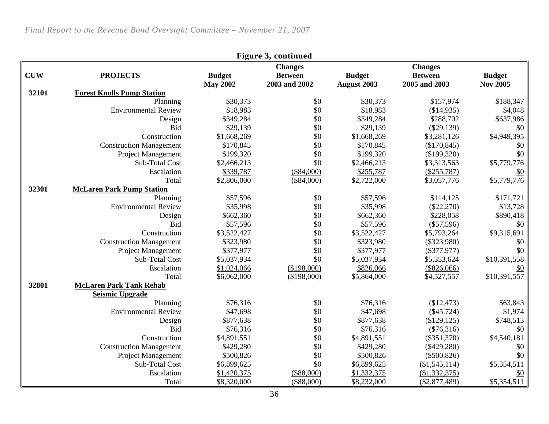| Figure 3, continued |                                   |                 |                |               |                 |                 |  |  |
|---------------------|-----------------------------------|-----------------|----------------|---------------|-----------------|-----------------|--|--|
|                     |                                   |                 | <b>Changes</b> |               | <b>Changes</b>  |                 |  |  |
| <b>CUW</b>          | <b>PROJECTS</b>                   | <b>Budget</b>   | <b>Between</b> | <b>Budget</b> | <b>Between</b>  | <b>Budget</b>   |  |  |
|                     |                                   | <b>May 2002</b> | 2003 and 2002  | August 2003   | 2005 and 2003   | <b>Nov 2005</b> |  |  |
| 32101               | <b>Forest Knolls Pump Station</b> |                 |                |               |                 |                 |  |  |
|                     | Planning                          | \$30,373        | \$0            | \$30,373      | \$157,974       | \$188,347       |  |  |
|                     | <b>Environmental Review</b>       | \$18,983        | \$0            | \$18,983      | (\$14,935)      | \$4,048         |  |  |
|                     | Design                            | \$349,284       | \$0            | \$349,284     | \$288,702       | \$637,986       |  |  |
|                     | <b>Bid</b>                        | \$29,139        | \$0            | \$29,139      | $(\$29,139)$    | \$0             |  |  |
|                     | Construction                      | \$1,668,269     | \$0            | \$1,668,269   | \$3,281,126     | \$4,949,395     |  |  |
|                     | <b>Construction Management</b>    | \$170,845       | \$0            | \$170,845     | (\$170,845)     | \$0             |  |  |
|                     | Project Management                | \$199,320       | \$0            | \$199,320     | (\$199,320)     | \$0             |  |  |
|                     | Sub-Total Cost                    | \$2,466,213     | \$0            | \$2,466,213   | \$3,313,563     | \$5,779,776     |  |  |
|                     | Escalation                        | \$339,787       | $(\$84,000)$   | \$255,787     | $(\$255,787)$   | \$0             |  |  |
|                     | Total                             | \$2,806,000     | $(\$84,000)$   | \$2,722,000   | \$3,057,776     | \$5,779,776     |  |  |
| 32301               | <b>McLaren Park Pump Station</b>  |                 |                |               |                 |                 |  |  |
|                     | Planning                          | \$57,596        | \$0            | \$57,596      | \$114,125       | \$171,721       |  |  |
|                     | <b>Environmental Review</b>       | \$35,998        | \$0            | \$35,998      | $(\$22,270)$    | \$13,728        |  |  |
|                     | Design                            | \$662,360       | \$0            | \$662,360     | \$228,058       | \$890,418       |  |  |
|                     | <b>Bid</b>                        | \$57,596        | \$0            | \$57,596      | $(\$57,596)$    | \$0             |  |  |
|                     | Construction                      | \$3,522,427     | \$0            | \$3,522,427   | \$5,793,264     | \$9,315,691     |  |  |
|                     | <b>Construction Management</b>    | \$323,980       | \$0            | \$323,980     | $(\$323,980)$   | \$0             |  |  |
|                     | Project Management                | \$377,977       | \$0            | \$377,977     | $(\$377,977)$   | \$0             |  |  |
|                     | Sub-Total Cost                    | \$5,037,934     | \$0            | \$5,037,934   | \$5,353,624     | \$10,391,558    |  |  |
|                     | Escalation                        | \$1,024,066     | (\$198,000)    | \$826,066     | (\$826,066)     | \$0             |  |  |
|                     | Total                             | \$6,062,000     | (\$198,000)    | \$5,864,000   | \$4,527,557     | \$10,391,557    |  |  |
| 32801               | <b>McLaren Park Tank Rehab</b>    |                 |                |               |                 |                 |  |  |
|                     | <b>Seismic Upgrade</b>            |                 |                |               |                 |                 |  |  |
|                     | Planning                          | \$76,316        | \$0            | \$76,316      | (\$12,473)      | \$63,843        |  |  |
|                     | <b>Environmental Review</b>       | \$47,698        | \$0            | \$47,698      | $(\$45,724)$    | \$1,974         |  |  |
|                     | Design                            | \$877,638       | \$0            | \$877,638     | (\$129,125)     | \$748,513       |  |  |
|                     | <b>Bid</b>                        | \$76,316        | \$0            | \$76,316      | $(\$76,316)$    | \$0             |  |  |
|                     | Construction                      | \$4,891,551     | \$0            | \$4,891,551   | $(\$351,370)$   | \$4,540,181     |  |  |
|                     | <b>Construction Management</b>    | \$429,280       | \$0            | \$429,280     | $(\$429,280)$   | \$0             |  |  |
|                     | Project Management                | \$500,826       | \$0            | \$500,826     | $(\$500,826)$   | \$0             |  |  |
|                     | Sub-Total Cost                    | \$6,899,625     | \$0            | \$6,899,625   | (\$1,545,114)   | \$5,354,511     |  |  |
|                     | Escalation                        | \$1,420,375     | $(\$88,000)$   | \$1,332,375   | (\$1,332,375)   | \$0             |  |  |
|                     | Total                             | \$8,320,000     | $(\$88,000)$   | \$8,232,000   | $(\$2,877,489)$ | \$5,354,511     |  |  |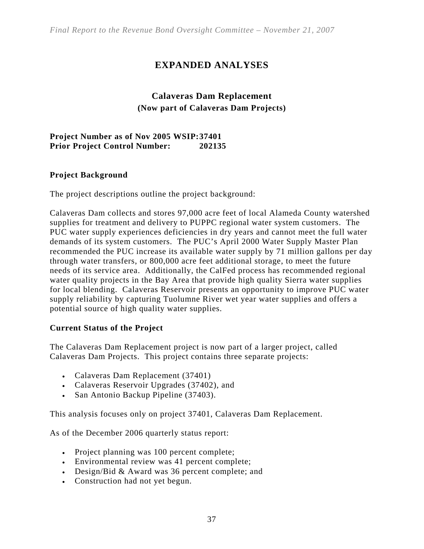# **EXPANDED ANALYSES**

# **Calaveras Dam Replacement (Now part of Calaveras Dam Projects)**

#### **Project Number as of Nov 2005 WSIP: 37401 Prior Project Control Number: 202135**

#### **Project Background**

The project descriptions outline the project background:

Calaveras Dam collects and stores 97,000 acre feet of local Alameda County watershed supplies for treatment and delivery to PUPPC regional water system customers. The PUC water supply experiences deficiencies in dry years and cannot meet the full water demands of its system customers. The PUC's April 2000 Water Supply Master Plan recommended the PUC increase its available water supply by 71 million gallons per day through water transfers, or 800,000 acre feet additional storage, to meet the future needs of its service area. Additionally, the CalFed process has recommended regional water quality projects in the Bay Area that provide high quality Sierra water supplies for local blending. Calaveras Reservoir presents an opportunity to improve PUC water supply reliability by capturing Tuolumne River wet year water supplies and offers a potential source of high quality water supplies.

#### **Current Status of the Project**

The Calaveras Dam Replacement project is now part of a larger project, called Calaveras Dam Projects. This project contains three separate projects:

- Calaveras Dam Replacement (37401)
- Calaveras Reservoir Upgrades (37402), and
- San Antonio Backup Pipeline (37403).

This analysis focuses only on project 37401, Calaveras Dam Replacement.

As of the December 2006 quarterly status report:

- Project planning was 100 percent complete;
- Environmental review was 41 percent complete;
- Design/Bid & Award was 36 percent complete; and
- Construction had not yet begun.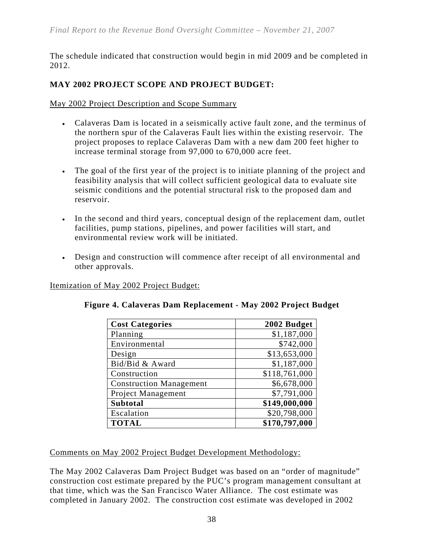The schedule indicated that construction would begin in mid 2009 and be completed in 2012.

# **MAY 2002 PROJECT SCOPE AND PROJECT BUDGET:**

May 2002 Project Description and Scope Summary

- Calaveras Dam is located in a seismically active fault zone, and the terminus of the northern spur of the Calaveras Fault lies within the existing reservoir. The project proposes to replace Calaveras Dam with a new dam 200 feet higher to increase terminal storage from 97,000 to 670,000 acre feet.
- The goal of the first year of the project is to initiate planning of the project and feasibility analysis that will collect sufficient geological data to evaluate site seismic conditions and the potential structural risk to the proposed dam and reservoir.
- In the second and third years, conceptual design of the replacement dam, outlet facilities, pump stations, pipelines, and power facilities will start, and environmental review work will be initiated.
- Design and construction will commence after receipt of all environmental and other approvals.

Itemization of May 2002 Project Budget:

| <b>Cost Categories</b>         | 2002 Budget   |
|--------------------------------|---------------|
| Planning                       | \$1,187,000   |
| Environmental                  | \$742,000     |
| Design                         | \$13,653,000  |
| Bid/Bid & Award                | \$1,187,000   |
| Construction                   | \$118,761,000 |
| <b>Construction Management</b> | \$6,678,000   |
| Project Management             | \$7,791,000   |
| <b>Subtotal</b>                | \$149,000,000 |
| Escalation                     | \$20,798,000  |
| <b>TOTAL</b>                   | \$170,797,000 |

|  | Figure 4. Calaveras Dam Replacement - May 2002 Project Budget |  |  |
|--|---------------------------------------------------------------|--|--|
|  |                                                               |  |  |

Comments on May 2002 Project Budget Development Methodology:

The May 2002 Calaveras Dam Project Budget was based on an "order of magnitude" construction cost estimate prepared by the PUC's program management consultant at that time, which was the San Francisco Water Alliance. The cost estimate was completed in January 2002. The construction cost estimate was developed in 2002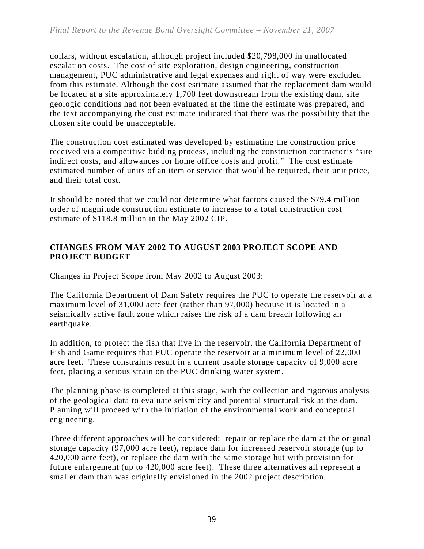dollars, without escalation, although project included \$20,798,000 in unallocated escalation costs. The cost of site exploration, design engineering, construction management, PUC administrative and legal expenses and right of way were excluded from this estimate. Although the cost estimate assumed that the replacement dam would be located at a site approximately 1,700 feet downstream from the existing dam, site geologic conditions had not been evaluated at the time the estimate was prepared, and the text accompanying the cost estimate indicated that there was the possibility that the chosen site could be unacceptable.

The construction cost estimated was developed by estimating the construction price received via a competitive bidding process, including the construction contractor's "site indirect costs, and allowances for home office costs and profit." The cost estimate estimated number of units of an item or service that would be required, their unit price, and their total cost.

It should be noted that we could not determine what factors caused the \$79.4 million order of magnitude construction estimate to increase to a total construction cost estimate of \$118.8 million in the May 2002 CIP.

# **CHANGES FROM MAY 2002 TO AUGUST 2003 PROJECT SCOPE AND PROJECT BUDGET**

# Changes in Project Scope from May 2002 to August 2003:

The California Department of Dam Safety requires the PUC to operate the reservoir at a maximum level of 31,000 acre feet (rather than 97,000) because it is located in a seismically active fault zone which raises the risk of a dam breach following an earthquake.

In addition, to protect the fish that live in the reservoir, the California Department of Fish and Game requires that PUC operate the reservoir at a minimum level of 22,000 acre feet. These constraints result in a current usable storage capacity of 9,000 acre feet, placing a serious strain on the PUC drinking water system.

The planning phase is completed at this stage, with the collection and rigorous analysis of the geological data to evaluate seismicity and potential structural risk at the dam. Planning will proceed with the initiation of the environmental work and conceptual engineering.

Three different approaches will be considered: repair or replace the dam at the original storage capacity (97,000 acre feet), replace dam for increased reservoir storage (up to 420,000 acre feet), or replace the dam with the same storage but with provision for future enlargement (up to 420,000 acre feet). These three alternatives all represent a smaller dam than was originally envisioned in the 2002 project description.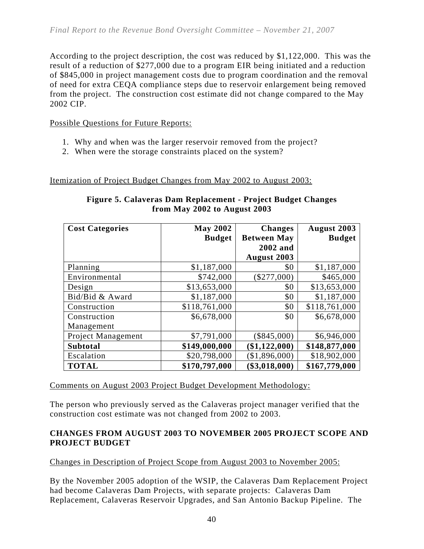According to the project description, the cost was reduced by \$1,122,000. This was the result of a reduction of \$277,000 due to a program EIR being initiated and a reduction of \$845,000 in project management costs due to program coordination and the removal of need for extra CEQA compliance steps due to reservoir enlargement being removed from the project. The construction cost estimate did not change compared to the May 2002 CIP.

Possible Questions for Future Reports:

- 1. Why and when was the larger reservoir removed from the project?
- 2. When were the storage constraints placed on the system?

Itemization of Project Budget Changes from May 2002 to August 2003:

| <b>Cost Categories</b>    | <b>May 2002</b> | <b>Changes</b>     | <b>August 2003</b> |
|---------------------------|-----------------|--------------------|--------------------|
|                           | <b>Budget</b>   | <b>Between May</b> | <b>Budget</b>      |
|                           |                 | 2002 and           |                    |
|                           |                 | <b>August 2003</b> |                    |
| Planning                  | \$1,187,000     | \$0                | \$1,187,000        |
| Environmental             | \$742,000       | $(\$277,000)$      | \$465,000          |
| Design                    | \$13,653,000    | \$0                | \$13,653,000       |
| Bid/Bid & Award           | \$1,187,000     | \$0                | \$1,187,000        |
| Construction              | \$118,761,000   | \$0                | \$118,761,000      |
| Construction              | \$6,678,000     | \$0                | \$6,678,000        |
| Management                |                 |                    |                    |
| <b>Project Management</b> | \$7,791,000     | $(\$845,000)$      | \$6,946,000        |
| <b>Subtotal</b>           | \$149,000,000   | $(\$1,122,000)$    | \$148,877,000      |
| Escalation                | \$20,798,000    | (\$1,896,000)      | \$18,902,000       |
| <b>TOTAL</b>              | \$170,797,000   | (\$3,018,000)      | \$167,779,000      |

## **Figure 5. Calaveras Dam Replacement - Project Budget Changes from May 2002 to August 2003**

#### Comments on August 2003 Project Budget Development Methodology:

The person who previously served as the Calaveras project manager verified that the construction cost estimate was not changed from 2002 to 2003.

#### **CHANGES FROM AUGUST 2003 TO NOVEMBER 2005 PROJECT SCOPE AND PROJECT BUDGET**

Changes in Description of Project Scope from August 2003 to November 2005:

By the November 2005 adoption of the WSIP, the Calaveras Dam Replacement Project had become Calaveras Dam Projects, with separate projects: Calaveras Dam Replacement, Calaveras Reservoir Upgrades, and San Antonio Backup Pipeline. The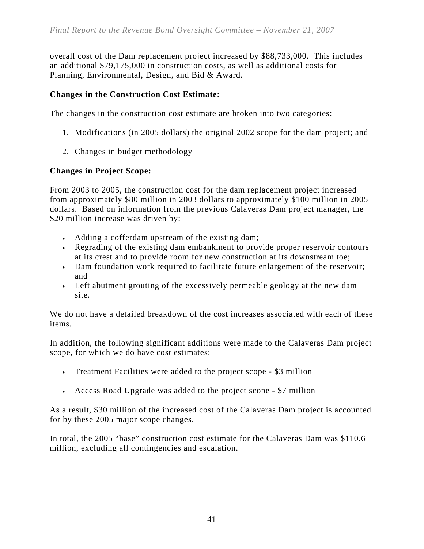overall cost of the Dam replacement project increased by \$88,733,000. This includes an additional \$79,175,000 in construction costs, as well as additional costs for Planning, Environmental, Design, and Bid & Award.

# **Changes in the Construction Cost Estimate:**

The changes in the construction cost estimate are broken into two categories:

- 1. Modifications (in 2005 dollars) the original 2002 scope for the dam project; and
- 2. Changes in budget methodology

## **Changes in Project Scope:**

From 2003 to 2005, the construction cost for the dam replacement project increased from approximately \$80 million in 2003 dollars to approximately \$100 million in 2005 dollars. Based on information from the previous Calaveras Dam project manager, the \$20 million increase was driven by:

- Adding a cofferdam upstream of the existing dam;
- Regrading of the existing dam embankment to provide proper reservoir contours at its crest and to provide room for new construction at its downstream toe;
- Dam foundation work required to facilitate future enlargement of the reservoir; and
- Left abutment grouting of the excessively permeable geology at the new dam site.

We do not have a detailed breakdown of the cost increases associated with each of these items.

In addition, the following significant additions were made to the Calaveras Dam project scope, for which we do have cost estimates:

- Treatment Facilities were added to the project scope \$3 million
- Access Road Upgrade was added to the project scope \$7 million

As a result, \$30 million of the increased cost of the Calaveras Dam project is accounted for by these 2005 major scope changes.

In total, the 2005 "base" construction cost estimate for the Calaveras Dam was \$110.6 million, excluding all contingencies and escalation.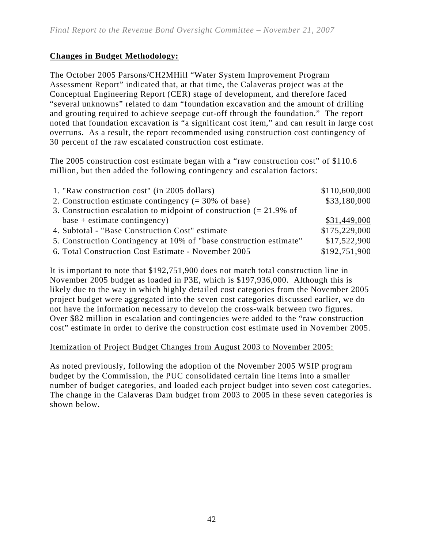# **Changes in Budget Methodology:**

The October 2005 Parsons/CH2MHill "Water System Improvement Program Assessment Report" indicated that, at that time, the Calaveras project was at the Conceptual Engineering Report (CER) stage of development, and therefore faced "several unknowns" related to dam "foundation excavation and the amount of drilling and grouting required to achieve seepage cut-off through the foundation." The report noted that foundation excavation is "a significant cost item," and can result in large cost overruns. As a result, the report recommended using construction cost contingency of 30 percent of the raw escalated construction cost estimate.

The 2005 construction cost estimate began with a "raw construction cost" of \$110.6 million, but then added the following contingency and escalation factors:

| 1. "Raw construction cost" (in 2005 dollars)                                   | \$110,600,000 |
|--------------------------------------------------------------------------------|---------------|
| 2. Construction estimate contingency $(= 30\% \text{ of base})$                | \$33,180,000  |
| 3. Construction escalation to midpoint of construction $(= 21.9\% \text{ of }$ |               |
| $base + estimate contingency)$                                                 | \$31,449,000  |
| 4. Subtotal - "Base Construction Cost" estimate                                | \$175,229,000 |
| 5. Construction Contingency at 10% of "base construction estimate"             | \$17,522,900  |
| 6. Total Construction Cost Estimate - November 2005                            | \$192,751,900 |

It is important to note that \$192,751,900 does not match total construction line in November 2005 budget as loaded in P3E, which is \$197,936,000. Although this is likely due to the way in which highly detailed cost categories from the November 2005 project budget were aggregated into the seven cost categories discussed earlier, we do not have the information necessary to develop the cross-walk between two figures. Over \$82 million in escalation and contingencies were added to the "raw construction cost" estimate in order to derive the construction cost estimate used in November 2005.

#### Itemization of Project Budget Changes from August 2003 to November 2005:

As noted previously, following the adoption of the November 2005 WSIP program budget by the Commission, the PUC consolidated certain line items into a smaller number of budget categories, and loaded each project budget into seven cost categories. The change in the Calaveras Dam budget from 2003 to 2005 in these seven categories is shown below.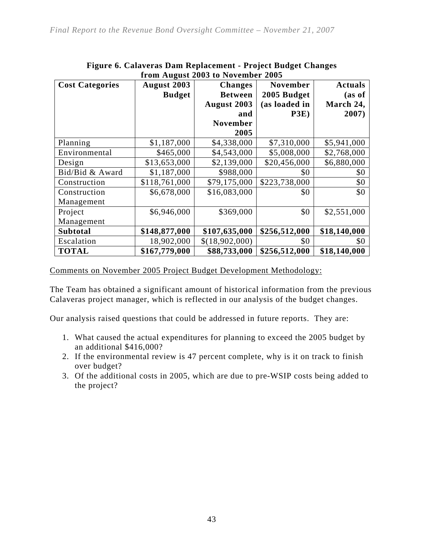| <b>Cost Categories</b> | August 2003   | <b>Changes</b>  | <b>November</b> | <b>Actuals</b> |  |
|------------------------|---------------|-----------------|-----------------|----------------|--|
|                        | <b>Budget</b> | <b>Between</b>  | 2005 Budget     | (as of         |  |
|                        |               | August 2003     | (as loaded in   | March 24,      |  |
|                        |               | and             | P3E)            | 2007)          |  |
|                        |               | <b>November</b> |                 |                |  |
|                        |               | 2005            |                 |                |  |
| Planning               | \$1,187,000   | \$4,338,000     | \$7,310,000     | \$5,941,000    |  |
| Environmental          | \$465,000     | \$4,543,000     | \$5,008,000     | \$2,768,000    |  |
| Design                 | \$13,653,000  | \$2,139,000     | \$20,456,000    | \$6,880,000    |  |
| Bid/Bid & Award        | \$1,187,000   | \$988,000       | \$0             | \$0            |  |
| Construction           | \$118,761,000 | \$79,175,000    | \$223,738,000   | \$0            |  |
| Construction           | \$6,678,000   | \$16,083,000    | \$0             | \$0            |  |
| Management             |               |                 |                 |                |  |
| Project                | \$6,946,000   | \$369,000       | \$0             | \$2,551,000    |  |
| Management             |               |                 |                 |                |  |
| <b>Subtotal</b>        | \$148,877,000 | \$107,635,000   | \$256,512,000   | \$18,140,000   |  |
| Escalation             | 18,902,000    | \$(18,902,000)  | \$0             | \$0            |  |
| <b>TOTAL</b>           | \$167,779,000 | \$88,733,000    | \$256,512,000   | \$18,140,000   |  |

#### **Figure 6. Calaveras Dam Replacement - Project Budget Changes from August 2003 to November 2005**

Comments on November 2005 Project Budget Development Methodology:

The Team has obtained a significant amount of historical information from the previous Calaveras project manager, which is reflected in our analysis of the budget changes.

Our analysis raised questions that could be addressed in future reports. They are:

- 1. What caused the actual expenditures for planning to exceed the 2005 budget by an additional \$416,000?
- 2. If the environmental review is 47 percent complete, why is it on track to finish over budget?
- 3. Of the additional costs in 2005, which are due to pre-WSIP costs being added to the project?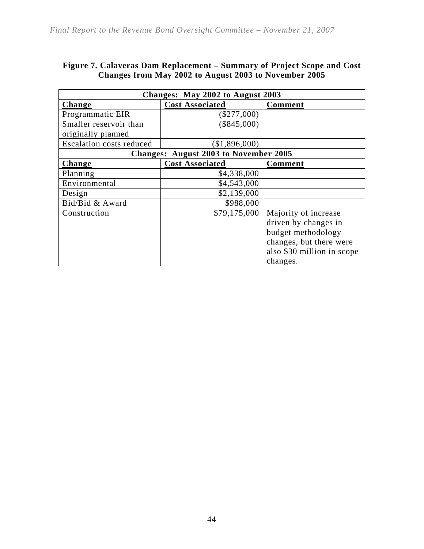| Figure 7. Calaveras Dam Replacement – Summary of Project Scope and Cost |  |
|-------------------------------------------------------------------------|--|
| Changes from May 2002 to August 2003 to November 2005                   |  |

| Changes: May 2002 to August 2003 |                                              |                            |  |  |  |  |  |  |
|----------------------------------|----------------------------------------------|----------------------------|--|--|--|--|--|--|
| Change                           | <b>Cost Associated</b>                       | <b>Comment</b>             |  |  |  |  |  |  |
| Programmatic EIR                 | $(\$277,000)$                                |                            |  |  |  |  |  |  |
| Smaller reservoir than           | $(\$845,000)$                                |                            |  |  |  |  |  |  |
| originally planned               |                                              |                            |  |  |  |  |  |  |
| <b>Escalation costs reduced</b>  | (\$1,896,000)                                |                            |  |  |  |  |  |  |
|                                  | <b>Changes: August 2003 to November 2005</b> |                            |  |  |  |  |  |  |
| Change                           | <b>Cost Associated</b>                       | Comment                    |  |  |  |  |  |  |
| Planning                         | \$4,338,000                                  |                            |  |  |  |  |  |  |
| Environmental                    | \$4,543,000                                  |                            |  |  |  |  |  |  |
| Design                           | \$2,139,000                                  |                            |  |  |  |  |  |  |
| Bid/Bid & Award                  | \$988,000                                    |                            |  |  |  |  |  |  |
| Construction                     | \$79,175,000                                 | Majority of increase       |  |  |  |  |  |  |
|                                  |                                              | driven by changes in       |  |  |  |  |  |  |
|                                  |                                              | budget methodology         |  |  |  |  |  |  |
|                                  |                                              | changes, but there were    |  |  |  |  |  |  |
|                                  |                                              | also \$30 million in scope |  |  |  |  |  |  |
|                                  |                                              | changes.                   |  |  |  |  |  |  |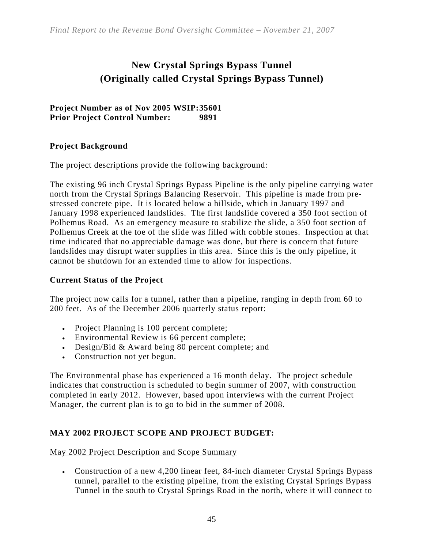# **New Crystal Springs Bypass Tunnel (Originally called Crystal Springs Bypass Tunnel)**

**Project Number as of Nov 2005 WSIP: 35601 Prior Project Control Number: 9891** 

## **Project Background**

The project descriptions provide the following background:

The existing 96 inch Crystal Springs Bypass Pipeline is the only pipeline carrying water north from the Crystal Springs Balancing Reservoir. This pipeline is made from prestressed concrete pipe. It is located below a hillside, which in January 1997 and January 1998 experienced landslides. The first landslide covered a 350 foot section of Polhemus Road. As an emergency measure to stabilize the slide, a 350 foot section of Polhemus Creek at the toe of the slide was filled with cobble stones. Inspection at that time indicated that no appreciable damage was done, but there is concern that future landslides may disrupt water supplies in this area. Since this is the only pipeline, it cannot be shutdown for an extended time to allow for inspections.

#### **Current Status of the Project**

The project now calls for a tunnel, rather than a pipeline, ranging in depth from 60 to 200 feet. As of the December 2006 quarterly status report:

- Project Planning is 100 percent complete;
- Environmental Review is 66 percent complete;
- Design/Bid & Award being 80 percent complete; and
- Construction not yet begun.

The Environmental phase has experienced a 16 month delay. The project schedule indicates that construction is scheduled to begin summer of 2007, with construction completed in early 2012. However, based upon interviews with the current Project Manager, the current plan is to go to bid in the summer of 2008.

# **MAY 2002 PROJECT SCOPE AND PROJECT BUDGET:**

May 2002 Project Description and Scope Summary

• Construction of a new 4,200 linear feet, 84-inch diameter Crystal Springs Bypass tunnel, parallel to the existing pipeline, from the existing Crystal Springs Bypass Tunnel in the south to Crystal Springs Road in the north, where it will connect to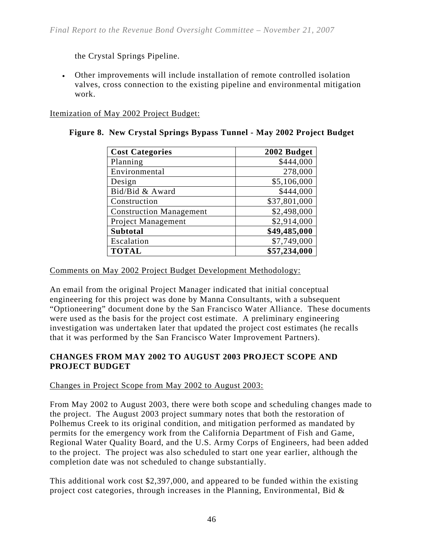the Crystal Springs Pipeline.

• Other improvements will include installation of remote controlled isolation valves, cross connection to the existing pipeline and environmental mitigation work.

Itemization of May 2002 Project Budget:

| <b>Cost Categories</b>         | 2002 Budget  |
|--------------------------------|--------------|
| Planning                       | \$444,000    |
| Environmental                  | 278,000      |
| Design                         | \$5,106,000  |
| Bid/Bid & Award                | \$444,000    |
| Construction                   | \$37,801,000 |
| <b>Construction Management</b> | \$2,498,000  |
| Project Management             | \$2,914,000  |
| <b>Subtotal</b>                | \$49,485,000 |
| Escalation                     | \$7,749,000  |
| <b>TOTAL</b>                   | \$57,234,000 |

| Figure 8. New Crystal Springs Bypass Tunnel - May 2002 Project Budget |  |  |  |  |  |  |  |  |  |
|-----------------------------------------------------------------------|--|--|--|--|--|--|--|--|--|
|-----------------------------------------------------------------------|--|--|--|--|--|--|--|--|--|

Comments on May 2002 Project Budget Development Methodology:

An email from the original Project Manager indicated that initial conceptual engineering for this project was done by Manna Consultants, with a subsequent "Optioneering" document done by the San Francisco Water Alliance. These documents were used as the basis for the project cost estimate. A preliminary engineering investigation was undertaken later that updated the project cost estimates (he recalls that it was performed by the San Francisco Water Improvement Partners).

## **CHANGES FROM MAY 2002 TO AUGUST 2003 PROJECT SCOPE AND PROJECT BUDGET**

#### Changes in Project Scope from May 2002 to August 2003:

From May 2002 to August 2003, there were both scope and scheduling changes made to the project. The August 2003 project summary notes that both the restoration of Polhemus Creek to its original condition, and mitigation performed as mandated by permits for the emergency work from the California Department of Fish and Game, Regional Water Quality Board, and the U.S. Army Corps of Engineers, had been added to the project. The project was also scheduled to start one year earlier, although the completion date was not scheduled to change substantially.

This additional work cost \$2,397,000, and appeared to be funded within the existing project cost categories, through increases in the Planning, Environmental, Bid &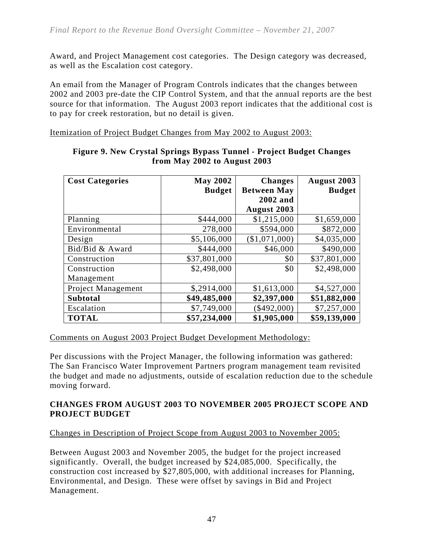Award, and Project Management cost categories. The Design category was decreased, as well as the Escalation cost category.

An email from the Manager of Program Controls indicates that the changes between 2002 and 2003 pre-date the CIP Control System, and that the annual reports are the best source for that information. The August 2003 report indicates that the additional cost is to pay for creek restoration, but no detail is given.

Itemization of Project Budget Changes from May 2002 to August 2003:

| <b>Cost Categories</b> | <b>May 2002</b> | <b>Changes</b>     | August 2003   |
|------------------------|-----------------|--------------------|---------------|
|                        | <b>Budget</b>   | <b>Between May</b> | <b>Budget</b> |
|                        |                 | 2002 and           |               |
|                        |                 | <b>August 2003</b> |               |
| Planning               | \$444,000       | \$1,215,000        | \$1,659,000   |
| Environmental          | 278,000         | \$594,000          | \$872,000     |
| Design                 | \$5,106,000     | (\$1,071,000)      | \$4,035,000   |
| Bid/Bid & Award        | \$444,000       | \$46,000           | \$490,000     |
| Construction           | \$37,801,000    | \$0                | \$37,801,000  |
| Construction           | \$2,498,000     | \$0                | \$2,498,000   |
| Management             |                 |                    |               |
| Project Management     | \$,2914,000     | \$1,613,000        | \$4,527,000   |
| <b>Subtotal</b>        | \$49,485,000    | \$2,397,000        | \$51,882,000  |
| Escalation             | \$7,749,000     | \$492,000          | \$7,257,000   |
| <b>TOTAL</b>           | \$57,234,000    | \$1,905,000        | \$59,139,000  |

#### **Figure 9. New Crystal Springs Bypass Tunnel - Project Budget Changes from May 2002 to August 2003**

#### Comments on August 2003 Project Budget Development Methodology:

Per discussions with the Project Manager, the following information was gathered: The San Francisco Water Improvement Partners program management team revisited the budget and made no adjustments, outside of escalation reduction due to the schedule moving forward.

## **CHANGES FROM AUGUST 2003 TO NOVEMBER 2005 PROJECT SCOPE AND PROJECT BUDGET**

# Changes in Description of Project Scope from August 2003 to November 2005:

Between August 2003 and November 2005, the budget for the project increased significantly. Overall, the budget increased by \$24,085,000. Specifically, the construction cost increased by \$27,805,000, with additional increases for Planning, Environmental, and Design. These were offset by savings in Bid and Project Management.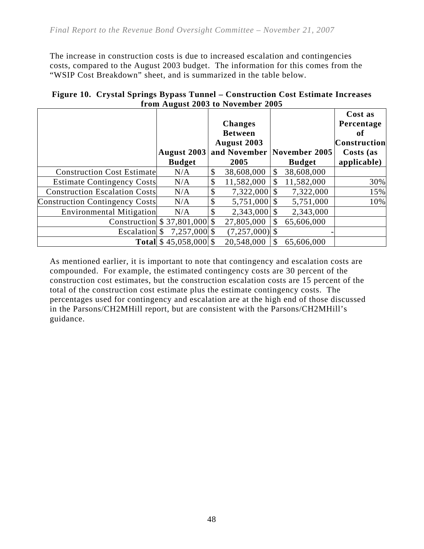The increase in construction costs is due to increased escalation and contingencies costs, compared to the August 2003 budget. The information for this comes from the "WSIP Cost Breakdown" sheet, and is summarized in the table below.

|                                       |                                | Hom August 2009 to November 2009                                        |                                |                                                                                |
|---------------------------------------|--------------------------------|-------------------------------------------------------------------------|--------------------------------|--------------------------------------------------------------------------------|
|                                       | August 2003<br><b>Budget</b>   | <b>Changes</b><br><b>Between</b><br>August 2003<br>and November<br>2005 | November 2005<br><b>Budget</b> | Cost as<br>Percentage<br>оf<br><b>Construction</b><br>Costs (as<br>applicable) |
| <b>Construction Cost Estimate</b>     | N/A                            | \$<br>38,608,000                                                        | \$<br>38,608,000               |                                                                                |
| <b>Estimate Contingency Costs</b>     | N/A                            | \$<br>11,582,000                                                        | 11,582,000                     | 30%                                                                            |
| <b>Construction Escalation Costs</b>  | N/A                            | \$<br>$7,322,000$ \\$                                                   | 7,322,000                      | 15%                                                                            |
| <b>Construction Contingency Costs</b> | N/A                            | \$<br>$5,751,000$ \\$                                                   | 5,751,000                      | 10%                                                                            |
| <b>Environmental Mitigation</b>       | N/A                            | \$<br>$2,343,000$ \$                                                    | 2,343,000                      |                                                                                |
|                                       | Construction $$37,801,000$ \\$ | 27,805,000                                                              | 65,606,000                     |                                                                                |
| Escalation \$                         | 7,257,000 \$                   | $(7,257,000)$ \$                                                        |                                |                                                                                |
|                                       | <b>Total</b> \$45,058,000 \$   | 20,548,000                                                              | 65,606,000                     |                                                                                |

**Figure 10. Crystal Springs Bypass Tunnel – Construction Cost Estimate Increases from August 2003 to November 2005** 

As mentioned earlier, it is important to note that contingency and escalation costs are compounded. For example, the estimated contingency costs are 30 percent of the construction cost estimates, but the construction escalation costs are 15 percent of the total of the construction cost estimate plus the estimate contingency costs. The percentages used for contingency and escalation are at the high end of those discussed in the Parsons/CH2MHill report, but are consistent with the Parsons/CH2MHill's guidance.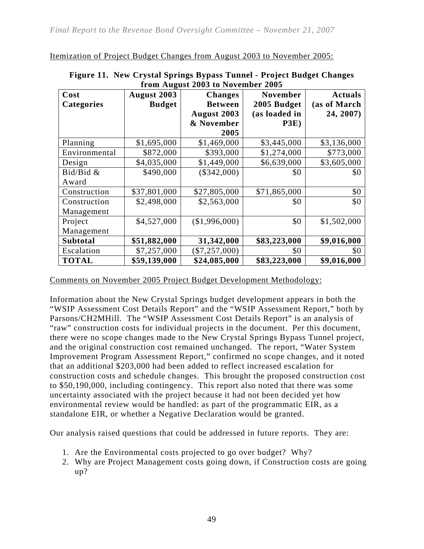Itemization of Project Budget Changes from August 2003 to November 2005:

| Cost              | August 2003   | <b>Changes</b>  | <b>November</b> | <b>Actuals</b> |
|-------------------|---------------|-----------------|-----------------|----------------|
| <b>Categories</b> | <b>Budget</b> | <b>Between</b>  | 2005 Budget     | (as of March   |
|                   |               | August 2003     | (as loaded in   | 24, 2007)      |
|                   |               | & November      | P3E)            |                |
|                   |               | 2005            |                 |                |
| Planning          | \$1,695,000   | \$1,469,000     | \$3,445,000     | \$3,136,000    |
| Environmental     | \$872,000     | \$393,000       | \$1,274,000     | \$773,000      |
| Design            | \$4,035,000   | \$1,449,000     | \$6,639,000     | \$3,605,000    |
| Bid/Bid &         | \$490,000     | $(\$342,000)$   | \$0             | \$0            |
| Award             |               |                 |                 |                |
| Construction      | \$37,801,000  | \$27,805,000    | \$71,865,000    | \$0            |
| Construction      | \$2,498,000   | \$2,563,000     | \$0             | \$0            |
| Management        |               |                 |                 |                |
| Project           | \$4,527,000   | (\$1,996,000)   | \$0             | \$1,502,000    |
| Management        |               |                 |                 |                |
| <b>Subtotal</b>   | \$51,882,000  | 31,342,000      | \$83,223,000    | \$9,016,000    |
| Escalation        | \$7,257,000   | $(\$7,257,000)$ | \$0             | \$0            |
| <b>TOTAL</b>      | \$59,139,000  | \$24,085,000    | \$83,223,000    | \$9,016,000    |

| Figure 11. New Crystal Springs Bypass Tunnel - Project Budget Changes |
|-----------------------------------------------------------------------|
| from August 2003 to November 2005                                     |

Comments on November 2005 Project Budget Development Methodology:

Information about the New Crystal Springs budget development appears in both the "WSIP Assessment Cost Details Report" and the "WSIP Assessment Report," both by Parsons/CH2MHill. The "WSIP Assessment Cost Details Report" is an analysis of "raw" construction costs for individual projects in the document. Per this document, there were no scope changes made to the New Crystal Springs Bypass Tunnel project, and the original construction cost remained unchanged. The report, "Water System Improvement Program Assessment Report," confirmed no scope changes, and it noted that an additional \$203,000 had been added to reflect increased escalation for construction costs and schedule changes. This brought the proposed construction cost to \$50,190,000, including contingency. This report also noted that there was some uncertainty associated with the project because it had not been decided yet how environmental review would be handled: as part of the programmatic EIR, as a standalone EIR, or whether a Negative Declaration would be granted.

Our analysis raised questions that could be addressed in future reports. They are:

- 1. Are the Environmental costs projected to go over budget? Why?
- 2. Why are Project Management costs going down, if Construction costs are going up?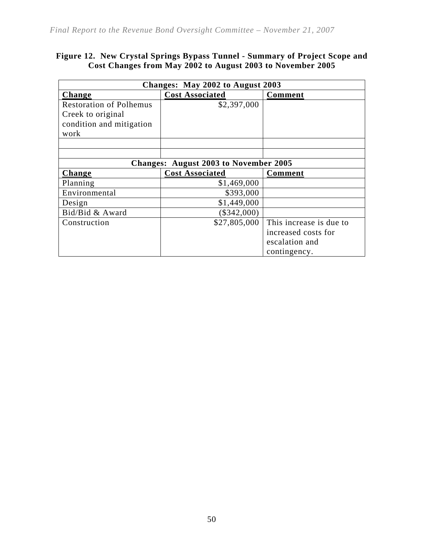#### **Figure 12. New Crystal Springs Bypass Tunnel - Summary of Project Scope and Cost Changes from May 2002 to August 2003 to November 2005**

| Changes: May 2002 to August 2003 |                                       |                         |  |  |  |  |  |  |
|----------------------------------|---------------------------------------|-------------------------|--|--|--|--|--|--|
| <b>Change</b>                    | <b>Cost Associated</b>                | <b>Comment</b>          |  |  |  |  |  |  |
| <b>Restoration of Polhemus</b>   | \$2,397,000                           |                         |  |  |  |  |  |  |
| Creek to original                |                                       |                         |  |  |  |  |  |  |
| condition and mitigation         |                                       |                         |  |  |  |  |  |  |
| work                             |                                       |                         |  |  |  |  |  |  |
|                                  |                                       |                         |  |  |  |  |  |  |
|                                  |                                       |                         |  |  |  |  |  |  |
|                                  | Changes: August 2003 to November 2005 |                         |  |  |  |  |  |  |
| <b>Change</b>                    | <b>Cost Associated</b>                | <b>Comment</b>          |  |  |  |  |  |  |
| Planning                         | \$1,469,000                           |                         |  |  |  |  |  |  |
| Environmental                    | \$393,000                             |                         |  |  |  |  |  |  |
| Design                           | \$1,449,000                           |                         |  |  |  |  |  |  |
| Bid/Bid & Award                  | $(\$342,000)$                         |                         |  |  |  |  |  |  |
| Construction                     | \$27,805,000                          | This increase is due to |  |  |  |  |  |  |
|                                  |                                       | increased costs for     |  |  |  |  |  |  |
|                                  |                                       | escalation and          |  |  |  |  |  |  |
|                                  |                                       | contingency.            |  |  |  |  |  |  |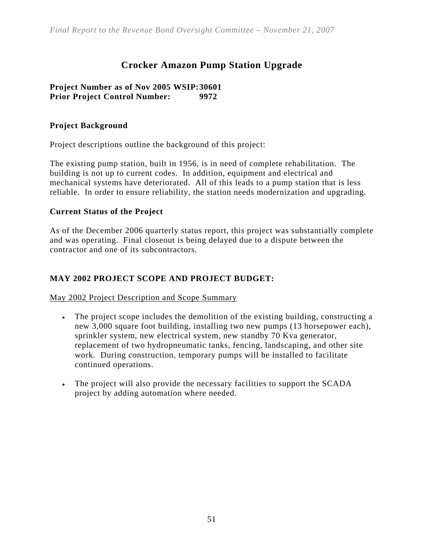# **Crocker Amazon Pump Station Upgrade**

#### **Project Number as of Nov 2005 WSIP: 30601 Prior Project Control Number: 9972**

## **Project Background**

Project descriptions outline the background of this project:

The existing pump station, built in 1956, is in need of complete rehabilitation. The building is not up to current codes. In addition, equipment and electrical and mechanical systems have deteriorated. All of this leads to a pump station that is less reliable. In order to ensure reliability, the station needs modernization and upgrading.

#### **Current Status of the Project**

As of the December 2006 quarterly status report, this project was substantially complete and was operating. Final closeout is being delayed due to a dispute between the contractor and one of its subcontractors.

## **MAY 2002 PROJECT SCOPE AND PROJECT BUDGET:**

May 2002 Project Description and Scope Summary

- The project scope includes the demolition of the existing building, constructing a new 3,000 square foot building, installing two new pumps (13 horsepower each), sprinkler system, new electrical system, new standby 70 Kva generator, replacement of two hydropneumatic tanks, fencing, landscaping, and other site work. During construction, temporary pumps will be installed to facilitate continued operations.
- The project will also provide the necessary facilities to support the SCADA project by adding automation where needed.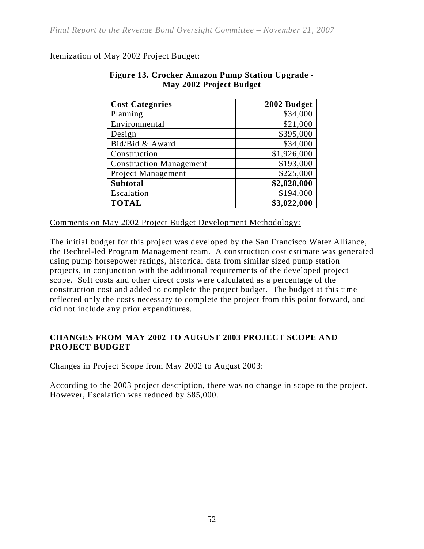#### Itemization of May 2002 Project Budget:

| <b>Cost Categories</b>         | 2002 Budget |
|--------------------------------|-------------|
| Planning                       | \$34,000    |
| Environmental                  | \$21,000    |
| Design                         | \$395,000   |
| Bid/Bid & Award                | \$34,000    |
| Construction                   | \$1,926,000 |
| <b>Construction Management</b> | \$193,000   |
| Project Management             | \$225,000   |
| Subtotal                       | \$2,828,000 |
| Escalation                     | \$194,000   |
| <b>TOTAL</b>                   | \$3,022,000 |

#### **Figure 13. Crocker Amazon Pump Station Upgrade - May 2002 Project Budget**

Comments on May 2002 Project Budget Development Methodology:

The initial budget for this project was developed by the San Francisco Water Alliance, the Bechtel-led Program Management team. A construction cost estimate was generated using pump horsepower ratings, historical data from similar sized pump station projects, in conjunction with the additional requirements of the developed project scope. Soft costs and other direct costs were calculated as a percentage of the construction cost and added to complete the project budget. The budget at this time reflected only the costs necessary to complete the project from this point forward, and did not include any prior expenditures.

## **CHANGES FROM MAY 2002 TO AUGUST 2003 PROJECT SCOPE AND PROJECT BUDGET**

Changes in Project Scope from May 2002 to August 2003:

According to the 2003 project description, there was no change in scope to the project. However, Escalation was reduced by \$85,000.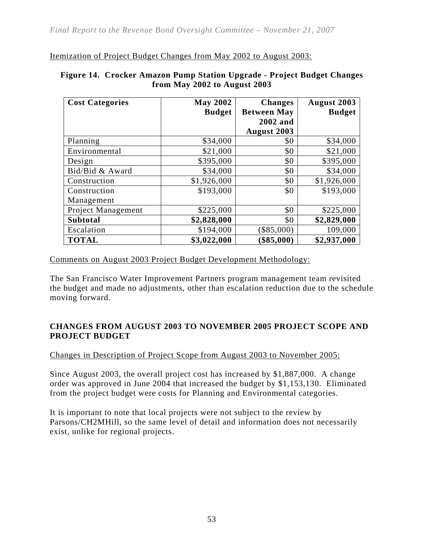Itemization of Project Budget Changes from May 2002 to August 2003:

| <b>Cost Categories</b> | <b>May 2002</b> | <b>Changes</b>     | <b>August 2003</b> |
|------------------------|-----------------|--------------------|--------------------|
|                        | <b>Budget</b>   | <b>Between May</b> | <b>Budget</b>      |
|                        |                 | 2002 and           |                    |
|                        |                 | August 2003        |                    |
| Planning               | \$34,000        | \$0                | \$34,000           |
| Environmental          | \$21,000        | \$0                | \$21,000           |
| Design                 | \$395,000       | \$0                | \$395,000          |
| Bid/Bid & Award        | \$34,000        | \$0                | \$34,000           |
| Construction           | \$1,926,000     | \$0                | \$1,926,000        |
| Construction           | \$193,000       | \$0                | \$193,000          |
| Management             |                 |                    |                    |
| Project Management     | \$225,000       | \$0                | \$225,000          |
| <b>Subtotal</b>        | \$2,828,000     | \$0                | \$2,829,000        |
| Escalation             | \$194,000       | \$85,000           | 109,000            |
| <b>TOTAL</b>           | \$3,022,000     | \$85,000           | \$2,937,000        |

#### **Figure 14. Crocker Amazon Pump Station Upgrade - Project Budget Changes from May 2002 to August 2003**

Comments on August 2003 Project Budget Development Methodology:

The San Francisco Water Improvement Partners program management team revisited the budget and made no adjustments, other than escalation reduction due to the schedule moving forward.

## **CHANGES FROM AUGUST 2003 TO NOVEMBER 2005 PROJECT SCOPE AND PROJECT BUDGET**

#### Changes in Description of Project Scope from August 2003 to November 2005:

Since August 2003, the overall project cost has increased by \$1,887,000. A change order was approved in June 2004 that increased the budget by \$1,153,130. Eliminated from the project budget were costs for Planning and Environmental categories.

It is important to note that local projects were not subject to the review by Parsons/CH2MHill, so the same level of detail and information does not necessarily exist, unlike for regional projects.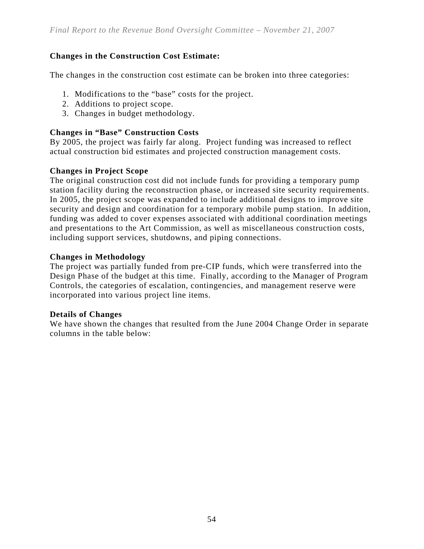# **Changes in the Construction Cost Estimate:**

The changes in the construction cost estimate can be broken into three categories:

- 1. Modifications to the "base" costs for the project.
- 2. Additions to project scope.
- 3. Changes in budget methodology.

#### **Changes in "Base" Construction Costs**

By 2005, the project was fairly far along. Project funding was increased to reflect actual construction bid estimates and projected construction management costs.

#### **Changes in Project Scope**

The original construction cost did not include funds for providing a temporary pump station facility during the reconstruction phase, or increased site security requirements. In 2005, the project scope was expanded to include additional designs to improve site security and design and coordination for a temporary mobile pump station. In addition, funding was added to cover expenses associated with additional coordination meetings and presentations to the Art Commission, as well as miscellaneous construction costs, including support services, shutdowns, and piping connections.

#### **Changes in Methodology**

The project was partially funded from pre-CIP funds, which were transferred into the Design Phase of the budget at this time. Finally, according to the Manager of Program Controls, the categories of escalation, contingencies, and management reserve were incorporated into various project line items.

#### **Details of Changes**

We have shown the changes that resulted from the June 2004 Change Order in separate columns in the table below: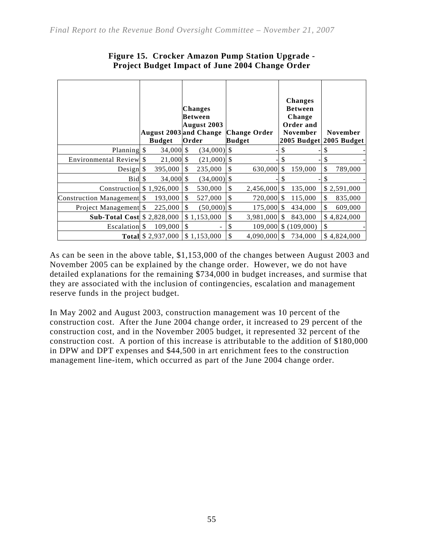|                                    |     | <b>August 2003</b> and Change<br><b>Budget</b> |               | Changes<br>Between<br>August 2003<br>Order |               | <b>Change Order</b><br>Budget |               | <b>Changes</b><br><b>Between</b><br>Change<br>Order and<br><b>November</b><br>2005 Budget 2005 Budget |    | <b>November</b> |
|------------------------------------|-----|------------------------------------------------|---------------|--------------------------------------------|---------------|-------------------------------|---------------|-------------------------------------------------------------------------------------------------------|----|-----------------|
| Planning \$                        |     | $34,000$ \$                                    |               | $(34,000)$ \$                              |               |                               | S             |                                                                                                       |    |                 |
| Environmental Review               | \$. | 21,000 \$                                      |               | $(21,000)$ \$                              |               |                               |               |                                                                                                       |    |                 |
| Design                             | \$  | 395,000                                        | <sup>\$</sup> | 235,000                                    | \$            | 630,000                       | \$.           | 159,000                                                                                               | \$ | 789,000         |
| Bid                                | S   | $34,000$ \$                                    |               | $(34,000)$ \$                              |               |                               |               |                                                                                                       | S  |                 |
| Construction                       |     | \$1,926,000                                    | \$            | 530,000                                    | \$            | 2,456,000                     | $\mathbb{S}$  | 135,000                                                                                               |    | \$2,591,000     |
| <b>Construction Management</b>     | S   | 193,000                                        | \$            | 527,000                                    | \$            | $720,000$ \$                  |               | 115,000                                                                                               | \$ | 835,000         |
| Project Management                 | \$  | 225,000                                        | <sup>\$</sup> | $(50,000)$ \$                              |               | 175,000 \$                    |               | 434,000                                                                                               | \$ | 609,000         |
| <b>Sub-Total Cost \$ 2,828,000</b> |     |                                                |               | \$1,153,000                                | \$            | 3,981,000                     | <sup>\$</sup> | 843,000                                                                                               |    | \$4,824,000     |
| Escalation                         | S   | 109,000                                        | <sup>\$</sup> |                                            | \$            |                               |               | 109,000 \$ (109,000)                                                                                  | \$ |                 |
|                                    |     | <b>Total</b> \$ 2,937,000                      |               | \$1.153.000                                | <sup>\$</sup> | $4.090.000$ \ \$              |               | 734,000                                                                                               |    | \$4,824,000     |

# **Figure 15. Crocker Amazon Pump Station Upgrade - Project Budget Impact of June 2004 Change Order**

As can be seen in the above table, \$1,153,000 of the changes between August 2003 and November 2005 can be explained by the change order. However, we do not have detailed explanations for the remaining \$734,000 in budget increases, and surmise that they are associated with the inclusion of contingencies, escalation and management reserve funds in the project budget.

In May 2002 and August 2003, construction management was 10 percent of the construction cost. After the June 2004 change order, it increased to 29 percent of the construction cost, and in the November 2005 budget, it represented 32 percent of the construction cost. A portion of this increase is attributable to the addition of \$180,000 in DPW and DPT expenses and \$44,500 in art enrichment fees to the construction management line-item, which occurred as part of the June 2004 change order.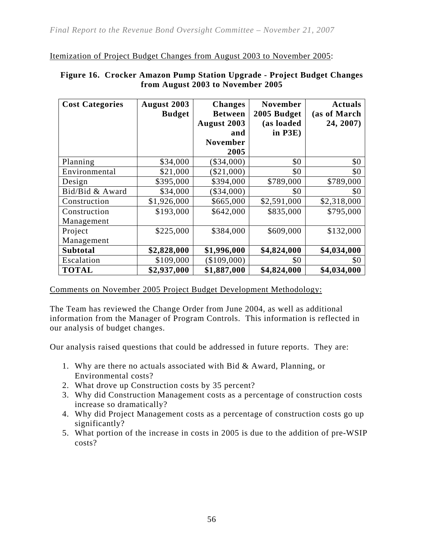Itemization of Project Budget Changes from August 2003 to November 2005:

| <b>Cost Categories</b> | August 2003   | <b>Changes</b>  | <b>November</b> | <b>Actuals</b> |
|------------------------|---------------|-----------------|-----------------|----------------|
|                        | <b>Budget</b> | <b>Between</b>  | 2005 Budget     | (as of March   |
|                        |               | August 2003     | (as loaded      | 24, 2007)      |
|                        |               | and             | in $P3E$ )      |                |
|                        |               | <b>November</b> |                 |                |
|                        |               | 2005            |                 |                |
| Planning               | \$34,000      | $(\$34,000)$    | \$0             | \$0            |
| Environmental          | \$21,000      | $(\$21,000)$    | \$0             | \$0            |
| Design                 | \$395,000     | \$394,000       | \$789,000       | \$789,000      |
| Bid/Bid & Award        | \$34,000      | $(\$34,000)$    | \$0             | \$0            |
| Construction           | \$1,926,000   | \$665,000       | \$2,591,000     | \$2,318,000    |
| Construction           | \$193,000     | \$642,000       | \$835,000       | \$795,000      |
| Management             |               |                 |                 |                |
| Project                | \$225,000     | \$384,000       | \$609,000       | \$132,000      |
| Management             |               |                 |                 |                |
| <b>Subtotal</b>        | \$2,828,000   | \$1,996,000     | \$4,824,000     | \$4,034,000    |
| Escalation             | \$109,000     | \$109,000       | \$0             | \$0            |
| <b>TOTAL</b>           | \$2,937,000   | \$1,887,000     | \$4,824,000     | \$4,034,000    |

#### **Figure 16. Crocker Amazon Pump Station Upgrade - Project Budget Changes from August 2003 to November 2005**

Comments on November 2005 Project Budget Development Methodology:

The Team has reviewed the Change Order from June 2004, as well as additional information from the Manager of Program Controls. This information is reflected in our analysis of budget changes.

Our analysis raised questions that could be addressed in future reports. They are:

- 1. Why are there no actuals associated with Bid & Award, Planning, or Environmental costs?
- 2. What drove up Construction costs by 35 percent?
- 3. Why did Construction Management costs as a percentage of construction costs increase so dramatically?
- 4. Why did Project Management costs as a percentage of construction costs go up significantly?
- 5. What portion of the increase in costs in 2005 is due to the addition of pre-WSIP costs?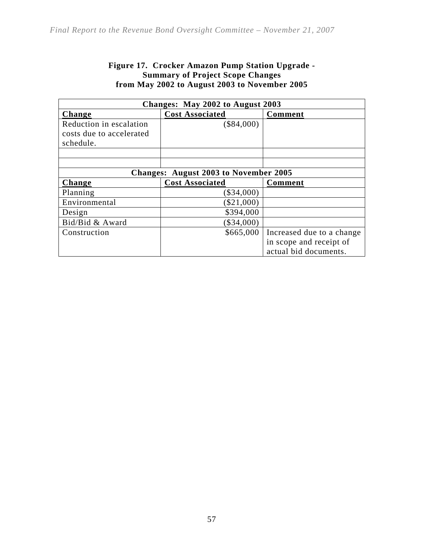## **Figure 17. Crocker Amazon Pump Station Upgrade - Summary of Project Scope Changes from May 2002 to August 2003 to November 2005**

| Changes: May 2002 to August 2003 |                                              |                           |  |
|----------------------------------|----------------------------------------------|---------------------------|--|
| Change                           | <b>Cost Associated</b>                       | Comment                   |  |
| Reduction in escalation          | $(\$84,000)$                                 |                           |  |
| costs due to accelerated         |                                              |                           |  |
| schedule.                        |                                              |                           |  |
|                                  |                                              |                           |  |
|                                  |                                              |                           |  |
|                                  | <b>Changes: August 2003 to November 2005</b> |                           |  |
| Change                           | <b>Cost Associated</b>                       | <b>Comment</b>            |  |
| Planning                         | $(\$34,000)$                                 |                           |  |
| Environmental                    | $(\$21,000)$                                 |                           |  |
| Design                           | \$394,000                                    |                           |  |
| Bid/Bid & Award                  | $(\$34,000)$                                 |                           |  |
| Construction                     | \$665,000                                    | Increased due to a change |  |
|                                  |                                              | in scope and receipt of   |  |
|                                  |                                              | actual bid documents.     |  |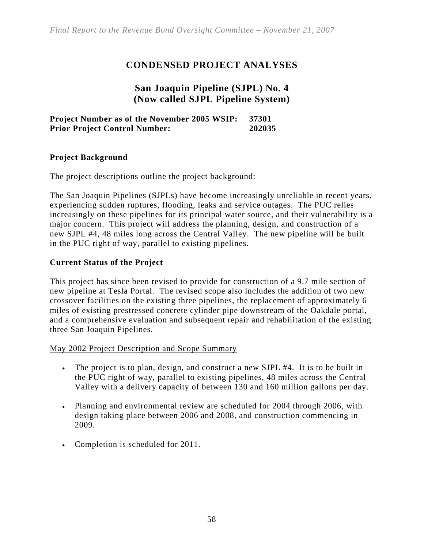# **CONDENSED PROJECT ANALYSES**

# **San Joaquin Pipeline (SJPL) No. 4 (Now called SJPL Pipeline System)**

## **Project Number as of the November 2005 WSIP: 37301 Prior Project Control Number: 202035**

#### **Project Background**

The project descriptions outline the project background:

The San Joaquin Pipelines (SJPLs) have become increasingly unreliable in recent years, experiencing sudden ruptures, flooding, leaks and service outages. The PUC relies increasingly on these pipelines for its principal water source, and their vulnerability is a major concern. This project will address the planning, design, and construction of a new SJPL #4, 48 miles long across the Central Valley. The new pipeline will be built in the PUC right of way, parallel to existing pipelines.

#### **Current Status of the Project**

This project has since been revised to provide for construction of a 9.7 mile section of new pipeline at Tesla Portal. The revised scope also includes the addition of two new crossover facilities on the existing three pipelines, the replacement of approximately 6 miles of existing prestressed concrete cylinder pipe downstream of the Oakdale portal, and a comprehensive evaluation and subsequent repair and rehabilitation of the existing three San Joaquin Pipelines.

May 2002 Project Description and Scope Summary

- The project is to plan, design, and construct a new SJPL #4. It is to be built in the PUC right of way, parallel to existing pipelines, 48 miles across the Central Valley with a delivery capacity of between 130 and 160 million gallons per day.
- Planning and environmental review are scheduled for 2004 through 2006, with design taking place between 2006 and 2008, and construction commencing in 2009.
- Completion is scheduled for 2011.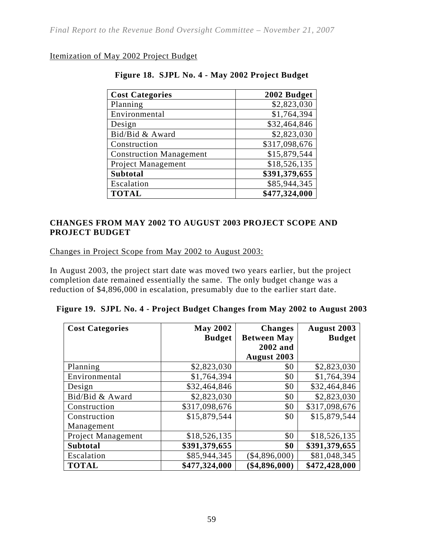#### Itemization of May 2002 Project Budget

| <b>Cost Categories</b>         | 2002 Budget   |
|--------------------------------|---------------|
| Planning                       | \$2,823,030   |
| Environmental                  | \$1,764,394   |
| Design                         | \$32,464,846  |
| Bid/Bid & Award                | \$2,823,030   |
| Construction                   | \$317,098,676 |
| <b>Construction Management</b> | \$15,879,544  |
| Project Management             | \$18,526,135  |
| <b>Subtotal</b>                | \$391,379,655 |
| Escalation                     | \$85,944,345  |
| <b>TOTAL</b>                   | \$477,324,000 |

## **Figure 18. SJPL No. 4 - May 2002 Project Budget**

## **CHANGES FROM MAY 2002 TO AUGUST 2003 PROJECT SCOPE AND PROJECT BUDGET**

Changes in Project Scope from May 2002 to August 2003:

In August 2003, the project start date was moved two years earlier, but the project completion date remained essentially the same. The only budget change was a reduction of \$4,896,000 in escalation, presumably due to the earlier start date.

| <b>Cost Categories</b>    | <b>May 2002</b> | <b>Changes</b>     | <b>August 2003</b> |
|---------------------------|-----------------|--------------------|--------------------|
|                           | <b>Budget</b>   | <b>Between May</b> | <b>Budget</b>      |
|                           |                 | 2002 and           |                    |
|                           |                 | <b>August 2003</b> |                    |
| Planning                  | \$2,823,030     | \$0                | \$2,823,030        |
| Environmental             | \$1,764,394     | \$0                | \$1,764,394        |
| Design                    | \$32,464,846    | \$0                | \$32,464,846       |
| Bid/Bid & Award           | \$2,823,030     | \$0                | \$2,823,030        |
| Construction              | \$317,098,676   | \$0                | \$317,098,676      |
| Construction              | \$15,879,544    | \$0                | \$15,879,544       |
| Management                |                 |                    |                    |
| <b>Project Management</b> | \$18,526,135    | \$0                | \$18,526,135       |
| <b>Subtotal</b>           | \$391,379,655   | \$0                | \$391,379,655      |
| Escalation                | \$85,944,345    | \$4,896,000        | \$81,048,345       |
| <b>TOTAL</b>              | \$477,324,000   | \$4,896,000        | \$472,428,000      |

| Figure 19. SJPL No. 4 - Project Budget Changes from May 2002 to August 2003 |  |
|-----------------------------------------------------------------------------|--|
|                                                                             |  |
|                                                                             |  |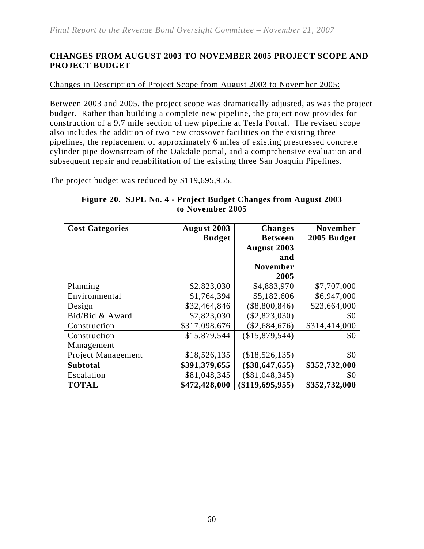## **CHANGES FROM AUGUST 2003 TO NOVEMBER 2005 PROJECT SCOPE AND PROJECT BUDGET**

#### Changes in Description of Project Scope from August 2003 to November 2005:

Between 2003 and 2005, the project scope was dramatically adjusted, as was the project budget. Rather than building a complete new pipeline, the project now provides for construction of a 9.7 mile section of new pipeline at Tesla Portal. The revised scope also includes the addition of two new crossover facilities on the existing three pipelines, the replacement of approximately 6 miles of existing prestressed concrete cylinder pipe downstream of the Oakdale portal, and a comprehensive evaluation and subsequent repair and rehabilitation of the existing three San Joaquin Pipelines.

The project budget was reduced by \$119,695,955.

| <b>Cost Categories</b> | August 2003   | <b>Changes</b>   | <b>November</b> |
|------------------------|---------------|------------------|-----------------|
|                        | <b>Budget</b> | <b>Between</b>   | 2005 Budget     |
|                        |               | August 2003      |                 |
|                        |               | and              |                 |
|                        |               | <b>November</b>  |                 |
|                        |               | 2005             |                 |
| Planning               | \$2,823,030   | \$4,883,970      | \$7,707,000     |
| Environmental          | \$1,764,394   | \$5,182,606      | \$6,947,000     |
| Design                 | \$32,464,846  | $(\$8,800,846)$  | \$23,664,000    |
| Bid/Bid & Award        | \$2,823,030   | (\$2,823,030)    | \$0             |
| Construction           | \$317,098,676 | (\$2,684,676)    | \$314,414,000   |
| Construction           | \$15,879,544  | (\$15,879,544)   | \$0             |
| Management             |               |                  |                 |
| Project Management     | \$18,526,135  | (\$18,526,135)   | \$0             |
| <b>Subtotal</b>        | \$391,379,655 | \$38,647,655     | \$352,732,000   |
| Escalation             | \$81,048,345  | $(\$81,048,345)$ | \$0             |
| <b>TOTAL</b>           | \$472,428,000 | \$119,695,955    | \$352,732,000   |

#### **Figure 20. SJPL No. 4 - Project Budget Changes from August 2003 to November 2005**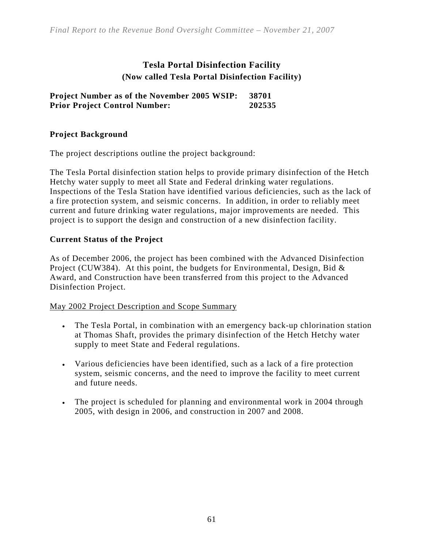# **Tesla Portal Disinfection Facility (Now called Tesla Portal Disinfection Facility)**

**Project Number as of the November 2005 WSIP: 38701 Prior Project Control Number: 202535** 

# **Project Background**

The project descriptions outline the project background:

The Tesla Portal disinfection station helps to provide primary disinfection of the Hetch Hetchy water supply to meet all State and Federal drinking water regulations. Inspections of the Tesla Station have identified various deficiencies, such as the lack of a fire protection system, and seismic concerns. In addition, in order to reliably meet current and future drinking water regulations, major improvements are needed. This project is to support the design and construction of a new disinfection facility.

#### **Current Status of the Project**

As of December 2006, the project has been combined with the Advanced Disinfection Project (CUW384). At this point, the budgets for Environmental, Design, Bid & Award, and Construction have been transferred from this project to the Advanced Disinfection Project.

#### May 2002 Project Description and Scope Summary

- The Tesla Portal, in combination with an emergency back-up chlorination station at Thomas Shaft, provides the primary disinfection of the Hetch Hetchy water supply to meet State and Federal regulations.
- Various deficiencies have been identified, such as a lack of a fire protection system, seismic concerns, and the need to improve the facility to meet current and future needs.
- The project is scheduled for planning and environmental work in 2004 through 2005, with design in 2006, and construction in 2007 and 2008.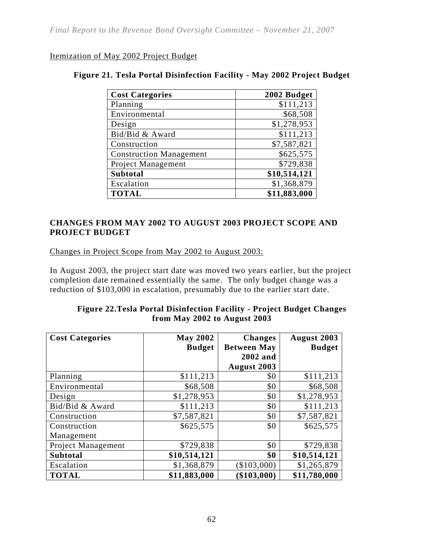#### Itemization of May 2002 Project Budget

| <b>Cost Categories</b>         | 2002 Budget  |
|--------------------------------|--------------|
| Planning                       | \$111,213    |
| Environmental                  | \$68,508     |
| Design                         | \$1,278,953  |
| Bid/Bid & Award                | \$111,213    |
| Construction                   | \$7,587,821  |
| <b>Construction Management</b> | \$625,575    |
| Project Management             | \$729,838    |
| <b>Subtotal</b>                | \$10,514,121 |
| Escalation                     | \$1,368,879  |
| <b>TOTAL</b>                   | \$11,883,000 |

# **Figure 21. Tesla Portal Disinfection Facility - May 2002 Project Budget**

## **CHANGES FROM MAY 2002 TO AUGUST 2003 PROJECT SCOPE AND PROJECT BUDGET**

Changes in Project Scope from May 2002 to August 2003:

In August 2003, the project start date was moved two years earlier, but the project completion date remained essentially the same. The only budget change was a reduction of \$103,000 in escalation, presumably due to the earlier start date.

#### **Figure 22.Tesla Portal Disinfection Facility - Project Budget Changes from May 2002 to August 2003**

| <b>Cost Categories</b> | <b>May 2002</b> | <b>Changes</b>     | August 2003   |
|------------------------|-----------------|--------------------|---------------|
|                        | <b>Budget</b>   | <b>Between May</b> | <b>Budget</b> |
|                        |                 | 2002 and           |               |
|                        |                 | August 2003        |               |
| Planning               | \$111,213       | \$0                | \$111,213     |
| Environmental          | \$68,508        | \$0                | \$68,508      |
| Design                 | \$1,278,953     | \$0                | \$1,278,953   |
| Bid/Bid & Award        | \$111,213       | \$0                | \$111,213     |
| Construction           | \$7,587,821     | \$0                | \$7,587,821   |
| Construction           | \$625,575       | \$0                | \$625,575     |
| Management             |                 |                    |               |
| Project Management     | \$729,838       | \$0                | \$729,838     |
| <b>Subtotal</b>        | \$10,514,121    | \$0                | \$10,514,121  |
| Escalation             | \$1,368,879     | $(\$103,000)$      | \$1,265,879   |
| <b>TOTAL</b>           | \$11,883,000    | \$103,000          | \$11,780,000  |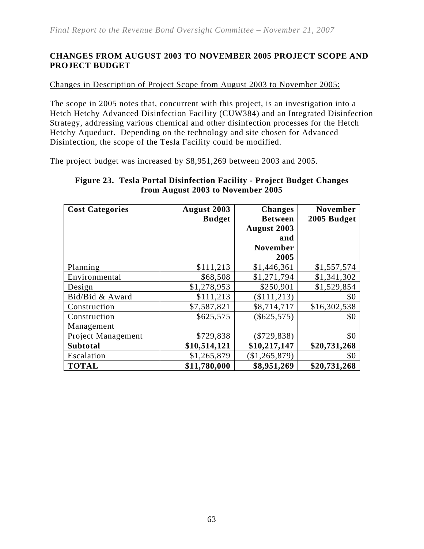## **CHANGES FROM AUGUST 2003 TO NOVEMBER 2005 PROJECT SCOPE AND PROJECT BUDGET**

#### Changes in Description of Project Scope from August 2003 to November 2005:

The scope in 2005 notes that, concurrent with this project, is an investigation into a Hetch Hetchy Advanced Disinfection Facility (CUW384) and an Integrated Disinfection Strategy, addressing various chemical and other disinfection processes for the Hetch Hetchy Aqueduct. Depending on the technology and site chosen for Advanced Disinfection, the scope of the Tesla Facility could be modified.

The project budget was increased by \$8,951,269 between 2003 and 2005.

#### **Figure 23. Tesla Portal Disinfection Facility - Project Budget Changes from August 2003 to November 2005**

| <b>Cost Categories</b> | August 2003   | <b>Changes</b>  | <b>November</b> |
|------------------------|---------------|-----------------|-----------------|
|                        | <b>Budget</b> | <b>Between</b>  | 2005 Budget     |
|                        |               | August 2003     |                 |
|                        |               | and             |                 |
|                        |               | <b>November</b> |                 |
|                        |               | 2005            |                 |
| Planning               | \$111,213     | \$1,446,361     | \$1,557,574     |
| Environmental          | \$68,508      | \$1,271,794     | \$1,341,302     |
| Design                 | \$1,278,953   | \$250,901       | \$1,529,854     |
| Bid/Bid & Award        | \$111,213     | (\$111, 213)    | \$0             |
| Construction           | \$7,587,821   | \$8,714,717     | \$16,302,538    |
| Construction           | \$625,575     | $(\$625,575)$   | \$0             |
| Management             |               |                 |                 |
| Project Management     | \$729,838     | $(\$729,838)$   | \$0             |
| <b>Subtotal</b>        | \$10,514,121  | \$10,217,147    | \$20,731,268    |
| Escalation             | \$1,265,879   | (\$1,265,879)   | \$0             |
| <b>TOTAL</b>           | \$11,780,000  | \$8,951,269     | \$20,731,268    |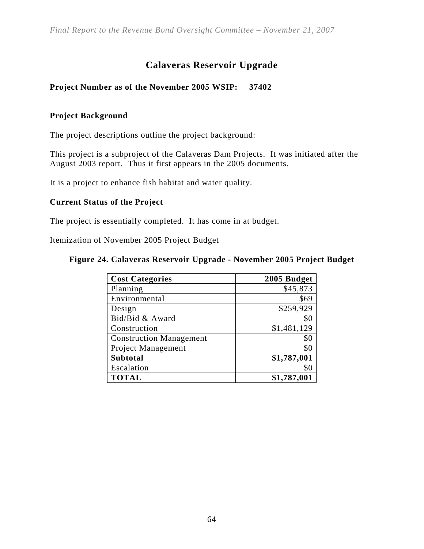# **Calaveras Reservoir Upgrade**

# **Project Number as of the November 2005 WSIP: 37402**

## **Project Background**

The project descriptions outline the project background:

This project is a subproject of the Calaveras Dam Projects. It was initiated after the August 2003 report. Thus it first appears in the 2005 documents.

It is a project to enhance fish habitat and water quality.

#### **Current Status of the Project**

The project is essentially completed. It has come in at budget.

Itemization of November 2005 Project Budget

#### **Figure 24. Calaveras Reservoir Upgrade - November 2005 Project Budget**

| <b>Cost Categories</b>         | 2005 Budget |
|--------------------------------|-------------|
| Planning                       | \$45,873    |
| Environmental                  | \$69        |
| Design                         | \$259,929   |
| Bid/Bid & Award                | \$0         |
| Construction                   | \$1,481,129 |
| <b>Construction Management</b> | \$0         |
| <b>Project Management</b>      | \$0         |
| <b>Subtotal</b>                | \$1,787,001 |
| Escalation                     | \$0         |
| <b>TOTAL</b>                   | \$1,787,001 |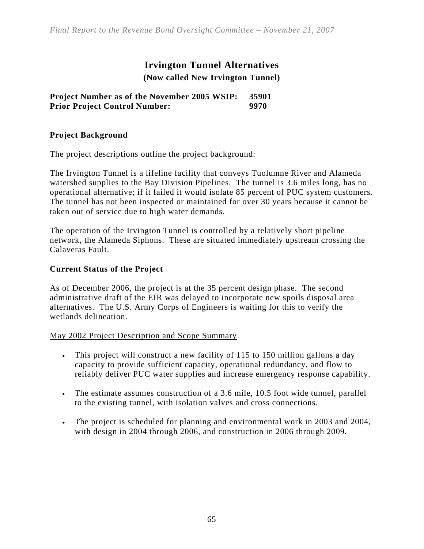*Final Report to the Revenue Bond Oversight Committee – November 21, 2007* 

# **Irvington Tunnel Alternatives (Now called New Irvington Tunnel)**

**Project Number as of the November 2005 WSIP: 35901 Prior Project Control Number: 9970** 

## **Project Background**

The project descriptions outline the project background:

The Irvington Tunnel is a lifeline facility that conveys Tuolumne River and Alameda watershed supplies to the Bay Division Pipelines. The tunnel is 3.6 miles long, has no operational alternative; if it failed it would isolate 85 percent of PUC system customers. The tunnel has not been inspected or maintained for over 30 years because it cannot be taken out of service due to high water demands.

The operation of the Irvington Tunnel is controlled by a relatively short pipeline network, the Alameda Siphons. These are situated immediately upstream crossing the Calaveras Fault.

## **Current Status of the Project**

As of December 2006, the project is at the 35 percent design phase. The second administrative draft of the EIR was delayed to incorporate new spoils disposal area alternatives. The U.S. Army Corps of Engineers is waiting for this to verify the wetlands delineation.

#### May 2002 Project Description and Scope Summary

- This project will construct a new facility of 115 to 150 million gallons a day capacity to provide sufficient capacity, operational redundancy, and flow to reliably deliver PUC water supplies and increase emergency response capability.
- The estimate assumes construction of a 3.6 mile, 10.5 foot wide tunnel, parallel to the existing tunnel, with isolation valves and cross connections.
- The project is scheduled for planning and environmental work in 2003 and 2004, with design in 2004 through 2006, and construction in 2006 through 2009.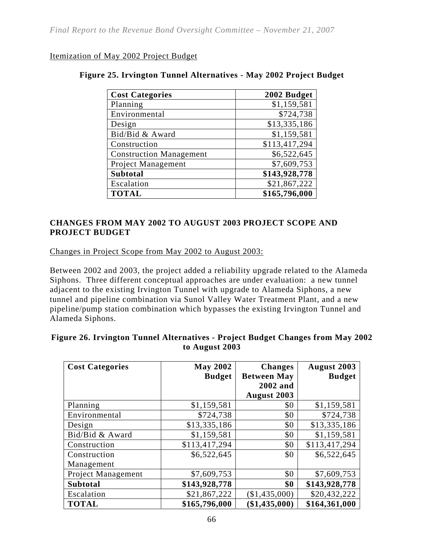#### Itemization of May 2002 Project Budget

| <b>Cost Categories</b>         | 2002 Budget   |
|--------------------------------|---------------|
| Planning                       | \$1,159,581   |
| Environmental                  | \$724,738     |
| Design                         | \$13,335,186  |
| Bid/Bid & Award                | \$1,159,581   |
| Construction                   | \$113,417,294 |
| <b>Construction Management</b> | \$6,522,645   |
| Project Management             | \$7,609,753   |
| <b>Subtotal</b>                | \$143,928,778 |
| Escalation                     | \$21,867,222  |
| <b>TOTAL</b>                   | \$165,796,000 |

#### **Figure 25. Irvington Tunnel Alternatives - May 2002 Project Budget**

#### **CHANGES FROM MAY 2002 TO AUGUST 2003 PROJECT SCOPE AND PROJECT BUDGET**

Changes in Project Scope from May 2002 to August 2003:

Between 2002 and 2003, the project added a reliability upgrade related to the Alameda Siphons. Three different conceptual approaches are under evaluation: a new tunnel adjacent to the existing Irvington Tunnel with upgrade to Alameda Siphons, a new tunnel and pipeline combination via Sunol Valley Water Treatment Plant, and a new pipeline/pump station combination which bypasses the existing Irvington Tunnel and Alameda Siphons.

| <b>Cost Categories</b> | <b>May 2002</b> | <b>Changes</b>     | <b>August 2003</b> |
|------------------------|-----------------|--------------------|--------------------|
|                        | <b>Budget</b>   | <b>Between May</b> | <b>Budget</b>      |
|                        |                 | 2002 and           |                    |
|                        |                 | August 2003        |                    |
| Planning               | \$1,159,581     | \$0                | \$1,159,581        |
| Environmental          | \$724,738       | \$0                | \$724,738          |
| Design                 | \$13,335,186    | \$0                | \$13,335,186       |
| Bid/Bid & Award        | \$1,159,581     | \$0                | \$1,159,581        |
| Construction           | \$113,417,294   | \$0                | \$113,417,294      |
| Construction           | \$6,522,645     | \$0                | \$6,522,645        |
| Management             |                 |                    |                    |
| Project Management     | \$7,609,753     | \$0                | \$7,609,753        |
| <b>Subtotal</b>        | \$143,928,778   | \$0                | \$143,928,778      |
| Escalation             | \$21,867,222    | (\$1,435,000)      | \$20,432,222       |
| <b>TOTAL</b>           | \$165,796,000   | $(\$1,435,000)$    | \$164,361,000      |

#### **Figure 26. Irvington Tunnel Alternatives - Project Budget Changes from May 2002 to August 2003**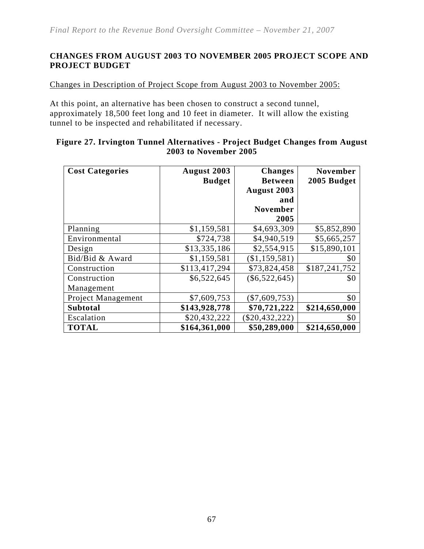#### **CHANGES FROM AUGUST 2003 TO NOVEMBER 2005 PROJECT SCOPE AND PROJECT BUDGET**

Changes in Description of Project Scope from August 2003 to November 2005:

At this point, an alternative has been chosen to construct a second tunnel, approximately 18,500 feet long and 10 feet in diameter. It will allow the existing tunnel to be inspected and rehabilitated if necessary.

| Figure 27. Irvington Tunnel Alternatives - Project Budget Changes from August |  |
|-------------------------------------------------------------------------------|--|
| <b>2003 to November 2005</b>                                                  |  |
|                                                                               |  |

| <b>Cost Categories</b>    | August 2003   | <b>Changes</b>  | <b>November</b> |
|---------------------------|---------------|-----------------|-----------------|
|                           | <b>Budget</b> | <b>Between</b>  | 2005 Budget     |
|                           |               | August 2003     |                 |
|                           |               | and             |                 |
|                           |               | <b>November</b> |                 |
|                           |               | 2005            |                 |
| Planning                  | \$1,159,581   | \$4,693,309     | \$5,852,890     |
| Environmental             | \$724,738     | \$4,940,519     | \$5,665,257     |
| Design                    | \$13,335,186  | \$2,554,915     | \$15,890,101    |
| Bid/Bid & Award           | \$1,159,581   | (\$1,159,581)   | \$0             |
| Construction              | \$113,417,294 | \$73,824,458    | \$187,241,752   |
| Construction              | \$6,522,645   | $(\$6,522,645)$ | \$0             |
| Management                |               |                 |                 |
| <b>Project Management</b> | \$7,609,753   | $(\$7,609,753)$ | \$0             |
| <b>Subtotal</b>           | \$143,928,778 | \$70,721,222    | \$214,650,000   |
| Escalation                | \$20,432,222  | \$20,432,222    | \$0             |
| <b>TOTAL</b>              | \$164,361,000 | \$50,289,000    | \$214,650,000   |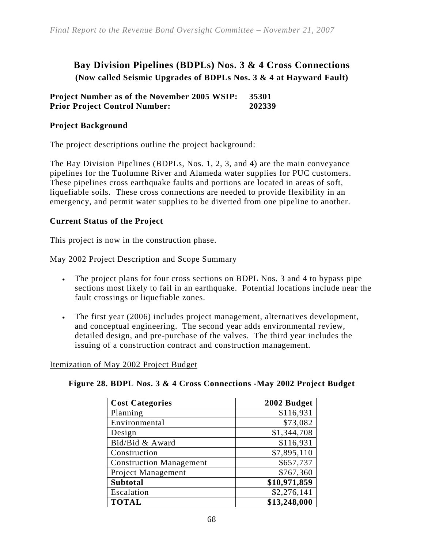## **Bay Division Pipelines (BDPLs) Nos. 3 & 4 Cross Connections (Now called Seismic Upgrades of BDPLs Nos. 3 & 4 at Hayward Fault)**

#### **Project Number as of the November 2005 WSIP: 35301 Prior Project Control Number: 202339**

#### **Project Background**

The project descriptions outline the project background:

The Bay Division Pipelines (BDPLs, Nos. 1, 2, 3, and 4) are the main conveyance pipelines for the Tuolumne River and Alameda water supplies for PUC customers. These pipelines cross earthquake faults and portions are located in areas of soft, liquefiable soils. These cross connections are needed to provide flexibility in an emergency, and permit water supplies to be diverted from one pipeline to another.

#### **Current Status of the Project**

This project is now in the construction phase.

#### May 2002 Project Description and Scope Summary

- The project plans for four cross sections on BDPL Nos. 3 and 4 to bypass pipe sections most likely to fail in an earthquake. Potential locations include near the fault crossings or liquefiable zones.
- The first year (2006) includes project management, alternatives development, and conceptual engineering. The second year adds environmental review, detailed design, and pre-purchase of the valves. The third year includes the issuing of a construction contract and construction management.

#### Itemization of May 2002 Project Budget

|  | Figure 28. BDPL Nos. 3 & 4 Cross Connections - May 2002 Project Budget |
|--|------------------------------------------------------------------------|
|  |                                                                        |

| <b>Cost Categories</b>         | 2002 Budget  |
|--------------------------------|--------------|
| Planning                       | \$116,931    |
| Environmental                  | \$73,082     |
| Design                         | \$1,344,708  |
| Bid/Bid & Award                | \$116,931    |
| Construction                   | \$7,895,110  |
| <b>Construction Management</b> | \$657,737    |
| Project Management             | \$767,360    |
| <b>Subtotal</b>                | \$10,971,859 |
| Escalation                     | \$2,276,141  |
| <b>TOTAL</b>                   | \$13,248,000 |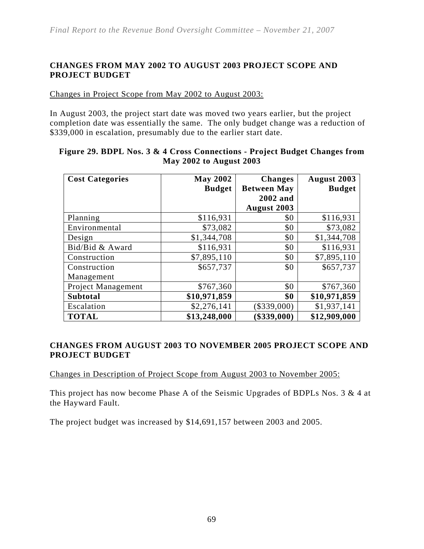#### **CHANGES FROM MAY 2002 TO AUGUST 2003 PROJECT SCOPE AND PROJECT BUDGET**

Changes in Project Scope from May 2002 to August 2003:

In August 2003, the project start date was moved two years earlier, but the project completion date was essentially the same. The only budget change was a reduction of \$339,000 in escalation, presumably due to the earlier start date.

| <b>Cost Categories</b>    | <b>May 2002</b> | <b>Changes</b>     | <b>August 2003</b> |
|---------------------------|-----------------|--------------------|--------------------|
|                           | <b>Budget</b>   | <b>Between May</b> | <b>Budget</b>      |
|                           |                 | 2002 and           |                    |
|                           |                 | August 2003        |                    |
| Planning                  | \$116,931       | \$0                | \$116,931          |
| Environmental             | \$73,082        | \$0                | \$73,082           |
| Design                    | \$1,344,708     | \$0                | \$1,344,708        |
| Bid/Bid & Award           | \$116,931       | \$0                | \$116,931          |
| Construction              | \$7,895,110     | \$0                | \$7,895,110        |
| Construction              | \$657,737       | \$0                | \$657,737          |
| Management                |                 |                    |                    |
| <b>Project Management</b> | \$767,360       | \$0                | \$767,360          |
| <b>Subtotal</b>           | \$10,971,859    | \$0                | \$10,971,859       |
| Escalation                | \$2,276,141     | \$339,000          | \$1,937,141        |
| <b>TOTAL</b>              | \$13,248,000    | \$339,000          | \$12,909,000       |

#### **Figure 29. BDPL Nos. 3 & 4 Cross Connections - Project Budget Changes from May 2002 to August 2003**

#### **CHANGES FROM AUGUST 2003 TO NOVEMBER 2005 PROJECT SCOPE AND PROJECT BUDGET**

Changes in Description of Project Scope from August 2003 to November 2005:

This project has now become Phase A of the Seismic Upgrades of BDPLs Nos. 3 & 4 at the Hayward Fault.

The project budget was increased by \$14,691,157 between 2003 and 2005.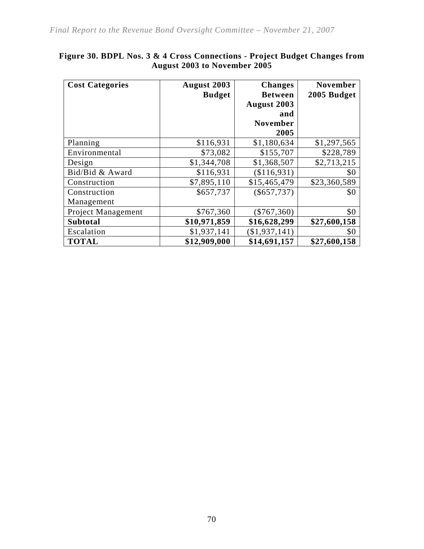| <b>Cost Categories</b>     | August 2003<br><b>Budget</b> | <b>Changes</b><br><b>Between</b><br>August 2003 | <b>November</b><br>2005 Budget |
|----------------------------|------------------------------|-------------------------------------------------|--------------------------------|
|                            |                              | and<br><b>November</b><br>2005                  |                                |
| Planning                   | \$116,931                    | \$1,180,634                                     | \$1,297,565                    |
| Environmental              | \$73,082                     | \$155,707                                       | \$228,789                      |
| Design                     | \$1,344,708                  | \$1,368,507                                     | \$2,713,215                    |
| Bid/Bid & Award            | \$116,931                    | (\$116,931)                                     | \$0                            |
| Construction               | \$7,895,110                  | \$15,465,479                                    | \$23,360,589                   |
| Construction<br>Management | \$657,737                    | $(\$657,737)$                                   | \$0                            |
| <b>Project Management</b>  | \$767,360                    | $(\$767,360)$                                   | \$0                            |
| <b>Subtotal</b>            | \$10,971,859                 | \$16,628,299                                    | \$27,600,158                   |
| Escalation                 | \$1,937,141                  | (\$1,937,141)                                   | \$0                            |
| <b>TOTAL</b>               | \$12,909,000                 | \$14,691,157                                    | \$27,600,158                   |

#### **Figure 30. BDPL Nos. 3 & 4 Cross Connections - Project Budget Changes from August 2003 to November 2005**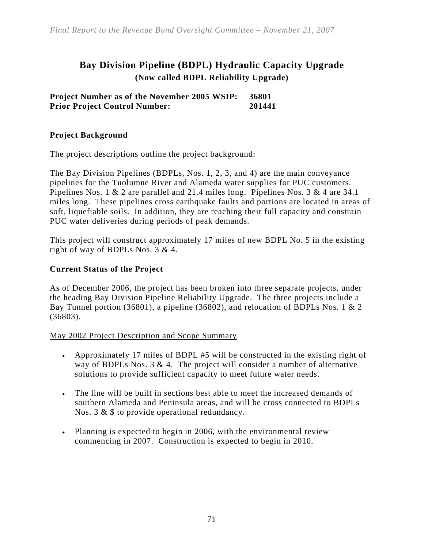## **Bay Division Pipeline (BDPL) Hydraulic Capacity Upgrade (Now called BDPL Reliability Upgrade)**

**Project Number as of the November 2005 WSIP: 36801 Prior Project Control Number: 201441** 

#### **Project Background**

The project descriptions outline the project background:

The Bay Division Pipelines (BDPLs, Nos. 1, 2, 3, and 4) are the main conveyance pipelines for the Tuolumne River and Alameda water supplies for PUC customers. Pipelines Nos. 1 & 2 are parallel and 21.4 miles long. Pipelines Nos. 3 & 4 are 34.1 miles long. These pipelines cross earthquake faults and portions are located in areas of soft, liquefiable soils. In addition, they are reaching their full capacity and constrain PUC water deliveries during periods of peak demands.

This project will construct approximately 17 miles of new BDPL No. 5 in the existing right of way of BDPLs Nos. 3 & 4.

#### **Current Status of the Project**

As of December 2006, the project has been broken into three separate projects, under the heading Bay Division Pipeline Reliability Upgrade. The three projects include a Bay Tunnel portion (36801), a pipeline (36802), and relocation of BDPLs Nos. 1 & 2 (36803).

#### May 2002 Project Description and Scope Summary

- Approximately 17 miles of BDPL #5 will be constructed in the existing right of way of BDPLs Nos.  $3 \& 4$ . The project will consider a number of alternative solutions to provide sufficient capacity to meet future water needs.
- The line will be built in sections best able to meet the increased demands of southern Alameda and Peninsula areas, and will be cross connected to BDPLs Nos. 3 & \$ to provide operational redundancy.
- Planning is expected to begin in 2006, with the environmental review commencing in 2007. Construction is expected to begin in 2010.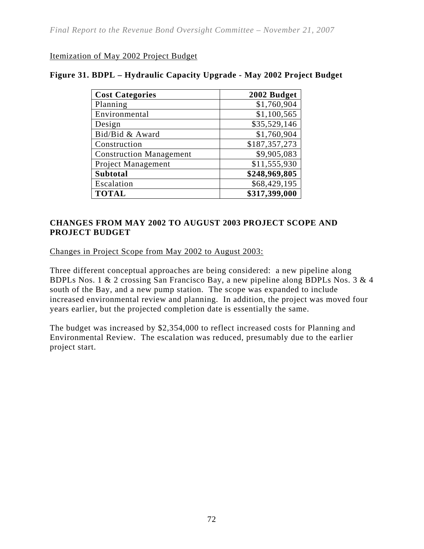#### Itemization of May 2002 Project Budget

#### **Figure 31. BDPL – Hydraulic Capacity Upgrade - May 2002 Project Budget**

| <b>Cost Categories</b>         | 2002 Budget   |
|--------------------------------|---------------|
| Planning                       | \$1,760,904   |
| Environmental                  | \$1,100,565   |
| Design                         | \$35,529,146  |
| Bid/Bid & Award                | \$1,760,904   |
| Construction                   | \$187,357,273 |
| <b>Construction Management</b> | \$9,905,083   |
| Project Management             | \$11,555,930  |
| <b>Subtotal</b>                | \$248,969,805 |
| Escalation                     | \$68,429,195  |
| <b>TOTAL</b>                   | \$317,399,000 |

#### **CHANGES FROM MAY 2002 TO AUGUST 2003 PROJECT SCOPE AND PROJECT BUDGET**

Changes in Project Scope from May 2002 to August 2003:

Three different conceptual approaches are being considered: a new pipeline along BDPLs Nos. 1 & 2 crossing San Francisco Bay, a new pipeline along BDPLs Nos. 3 & 4 south of the Bay, and a new pump station. The scope was expanded to include increased environmental review and planning. In addition, the project was moved four years earlier, but the projected completion date is essentially the same.

The budget was increased by \$2,354,000 to reflect increased costs for Planning and Environmental Review. The escalation was reduced, presumably due to the earlier project start.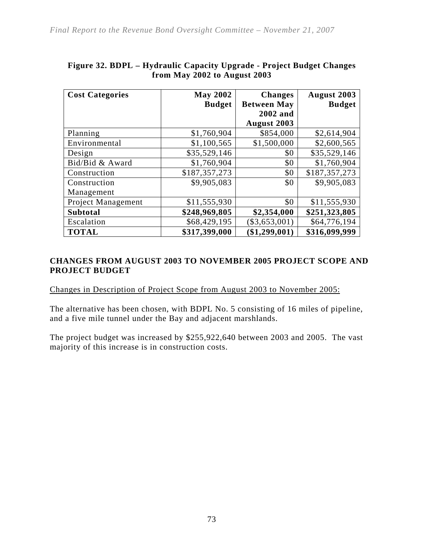| <b>Cost Categories</b>    | <b>May 2002</b> | <b>Changes</b>     | <b>August 2003</b> |
|---------------------------|-----------------|--------------------|--------------------|
|                           | <b>Budget</b>   | <b>Between May</b> | <b>Budget</b>      |
|                           |                 | 2002 and           |                    |
|                           |                 | <b>August 2003</b> |                    |
| Planning                  | \$1,760,904     | \$854,000          | \$2,614,904        |
| Environmental             | \$1,100,565     | \$1,500,000        | \$2,600,565        |
| Design                    | \$35,529,146    | \$0                | \$35,529,146       |
| Bid/Bid & Award           | \$1,760,904     | \$0                | \$1,760,904        |
| Construction              | \$187,357,273   | \$0                | \$187,357,273      |
| Construction              | \$9,905,083     | \$0                | \$9,905,083        |
| Management                |                 |                    |                    |
| <b>Project Management</b> | \$11,555,930    | \$0                | \$11,555,930       |
| <b>Subtotal</b>           | \$248,969,805   | \$2,354,000        | \$251,323,805      |
| Escalation                | \$68,429,195    | $(\$3,653,001)$    | \$64,776,194       |
| <b>TOTAL</b>              | \$317,399,000   | (\$1,299,001)      | \$316,099,999      |

### **Figure 32. BDPL – Hydraulic Capacity Upgrade - Project Budget Changes from May 2002 to August 2003**

#### **CHANGES FROM AUGUST 2003 TO NOVEMBER 2005 PROJECT SCOPE AND PROJECT BUDGET**

Changes in Description of Project Scope from August 2003 to November 2005:

The alternative has been chosen, with BDPL No. 5 consisting of 16 miles of pipeline, and a five mile tunnel under the Bay and adjacent marshlands.

The project budget was increased by \$255,922,640 between 2003 and 2005. The vast majority of this increase is in construction costs.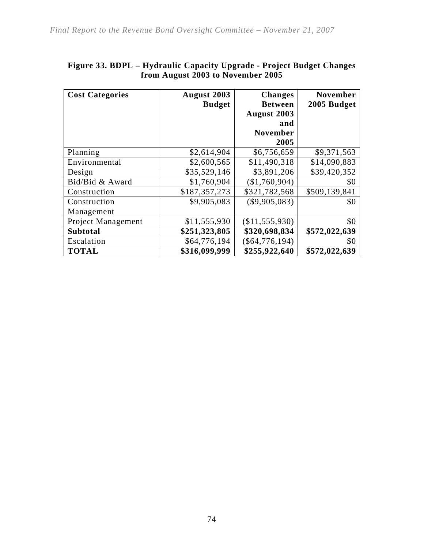| <b>Cost Categories</b> | August 2003   | <b>Changes</b>     | <b>November</b> |
|------------------------|---------------|--------------------|-----------------|
|                        | <b>Budget</b> | <b>Between</b>     | 2005 Budget     |
|                        |               | <b>August 2003</b> |                 |
|                        |               | and                |                 |
|                        |               | <b>November</b>    |                 |
|                        |               | 2005               |                 |
| Planning               | \$2,614,904   | \$6,756,659        | \$9,371,563     |
| Environmental          | \$2,600,565   | \$11,490,318       | \$14,090,883    |
| Design                 | \$35,529,146  | \$3,891,206        | \$39,420,352    |
| Bid/Bid & Award        | \$1,760,904   | (\$1,760,904)      | \$0             |
| Construction           | \$187,357,273 | \$321,782,568      | \$509,139,841   |
| Construction           | \$9,905,083   | $(\$9,905,083)$    | \$0             |
| Management             |               |                    |                 |
| Project Management     | \$11,555,930  | (\$11,555,930)     | \$0             |
| <b>Subtotal</b>        | \$251,323,805 | \$320,698,834      | \$572,022,639   |
| Escalation             | \$64,776,194  | $(\$64,776,194)$   | \$0             |
| <b>TOTAL</b>           | \$316,099,999 | \$255,922,640      | \$572,022,639   |

## **Figure 33. BDPL – Hydraulic Capacity Upgrade - Project Budget Changes from August 2003 to November 2005**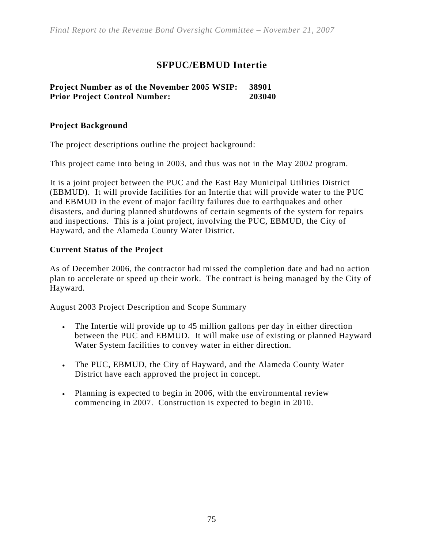## **SFPUC/EBMUD Intertie**

#### **Project Number as of the November 2005 WSIP: 38901 Prior Project Control Number: 203040**

#### **Project Background**

The project descriptions outline the project background:

This project came into being in 2003, and thus was not in the May 2002 program.

It is a joint project between the PUC and the East Bay Municipal Utilities District (EBMUD). It will provide facilities for an Intertie that will provide water to the PUC and EBMUD in the event of major facility failures due to earthquakes and other disasters, and during planned shutdowns of certain segments of the system for repairs and inspections. This is a joint project, involving the PUC, EBMUD, the City of Hayward, and the Alameda County Water District.

#### **Current Status of the Project**

As of December 2006, the contractor had missed the completion date and had no action plan to accelerate or speed up their work. The contract is being managed by the City of Hayward.

August 2003 Project Description and Scope Summary

- The Intertie will provide up to 45 million gallons per day in either direction between the PUC and EBMUD. It will make use of existing or planned Hayward Water System facilities to convey water in either direction.
- The PUC, EBMUD, the City of Hayward, and the Alameda County Water District have each approved the project in concept.
- Planning is expected to begin in 2006, with the environmental review commencing in 2007. Construction is expected to begin in 2010.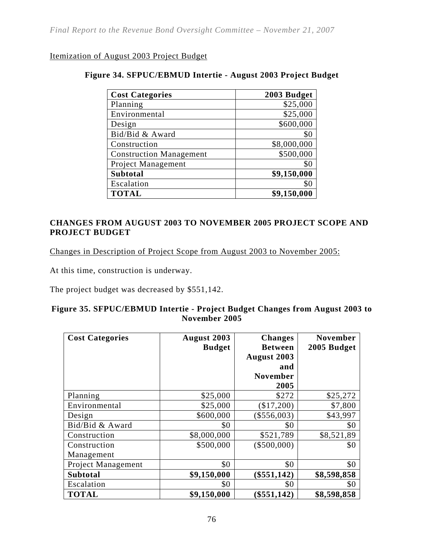#### Itemization of August 2003 Project Budget

#### **Figure 34. SFPUC/EBMUD Intertie - August 2003 Project Budget**

| <b>Cost Categories</b>         | 2003 Budget |
|--------------------------------|-------------|
| Planning                       | \$25,000    |
| Environmental                  | \$25,000    |
| Design                         | \$600,000   |
| Bid/Bid & Award                | \$0         |
| Construction                   | \$8,000,000 |
| <b>Construction Management</b> | \$500,000   |
| Project Management             | \$0         |
| <b>Subtotal</b>                | \$9,150,000 |
| Escalation                     | \$0         |
| <b>TOTAL</b>                   | \$9,150,000 |

#### **CHANGES FROM AUGUST 2003 TO NOVEMBER 2005 PROJECT SCOPE AND PROJECT BUDGET**

Changes in Description of Project Scope from August 2003 to November 2005:

At this time, construction is underway.

The project budget was decreased by \$551,142.

#### **Figure 35. SFPUC/EBMUD Intertie - Project Budget Changes from August 2003 to November 2005**

| <b>Cost Categories</b> | August 2003<br><b>Budget</b> | <b>Changes</b><br><b>Between</b><br>August 2003<br>and<br><b>November</b><br>2005 | <b>November</b><br>2005 Budget |
|------------------------|------------------------------|-----------------------------------------------------------------------------------|--------------------------------|
| Planning               | \$25,000                     | \$272                                                                             | \$25,272                       |
| Environmental          | \$25,000                     | $(\$17,200)$                                                                      | \$7,800                        |
| Design                 | \$600,000                    | $(\$556,003)$                                                                     | \$43,997                       |
| Bid/Bid & Award        | \$0                          | \$0                                                                               | \$0                            |
| Construction           | \$8,000,000                  | \$521,789                                                                         | \$8,521,89                     |
| Construction           | \$500,000                    | $(\$500,000)$                                                                     | \$0                            |
| Management             |                              |                                                                                   |                                |
| Project Management     | \$0                          | \$0                                                                               | \$0                            |
| <b>Subtotal</b>        | \$9,150,000                  | $(\$551,142)$                                                                     | \$8,598,858                    |
| Escalation             | \$0                          | \$0                                                                               | \$0                            |
| <b>TOTAL</b>           | \$9,150,000                  | \$551,142                                                                         | \$8,598,858                    |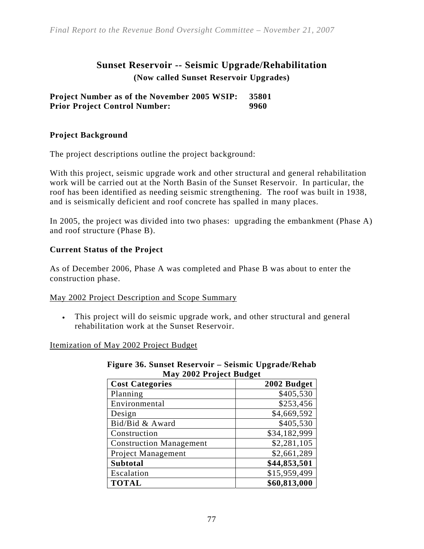## **Sunset Reservoir -- Seismic Upgrade/Rehabilitation (Now called Sunset Reservoir Upgrades)**

**Project Number as of the November 2005 WSIP: 35801 Prior Project Control Number: 9960** 

#### **Project Background**

The project descriptions outline the project background:

With this project, seismic upgrade work and other structural and general rehabilitation work will be carried out at the North Basin of the Sunset Reservoir. In particular, the roof has been identified as needing seismic strengthening. The roof was built in 1938, and is seismically deficient and roof concrete has spalled in many places.

In 2005, the project was divided into two phases: upgrading the embankment (Phase A) and roof structure (Phase B).

#### **Current Status of the Project**

As of December 2006, Phase A was completed and Phase B was about to enter the construction phase.

#### May 2002 Project Description and Scope Summary

• This project will do seismic upgrade work, and other structural and general rehabilitation work at the Sunset Reservoir.

#### Itemization of May 2002 Project Budget

| May 2002 Project Budget        |              |  |  |
|--------------------------------|--------------|--|--|
| <b>Cost Categories</b>         | 2002 Budget  |  |  |
| Planning                       | \$405,530    |  |  |
| Environmental                  | \$253,456    |  |  |
| Design                         | \$4,669,592  |  |  |
| Bid/Bid & Award                | \$405,530    |  |  |
| Construction                   | \$34,182,999 |  |  |
| <b>Construction Management</b> | \$2,281,105  |  |  |
| Project Management             | \$2,661,289  |  |  |
| <b>Subtotal</b>                | \$44,853,501 |  |  |
| Escalation                     | \$15,959,499 |  |  |
| <b>TOTAL</b>                   | \$60,813,000 |  |  |

# **Figure 36. Sunset Reservoir – Seismic Upgrade/Rehab**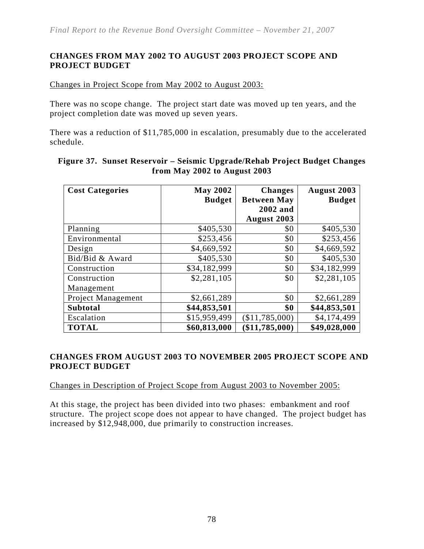#### **CHANGES FROM MAY 2002 TO AUGUST 2003 PROJECT SCOPE AND PROJECT BUDGET**

Changes in Project Scope from May 2002 to August 2003:

There was no scope change. The project start date was moved up ten years, and the project completion date was moved up seven years.

There was a reduction of \$11,785,000 in escalation, presumably due to the accelerated schedule.

| <b>Cost Categories</b>    | <b>May 2002</b> | <b>Changes</b>     | <b>August 2003</b> |
|---------------------------|-----------------|--------------------|--------------------|
|                           | <b>Budget</b>   | <b>Between May</b> | <b>Budget</b>      |
|                           |                 | 2002 and           |                    |
|                           |                 | August 2003        |                    |
| Planning                  | \$405,530       | \$0                | \$405,530          |
| Environmental             | \$253,456       | \$0                | \$253,456          |
| Design                    | \$4,669,592     | \$0                | \$4,669,592        |
| Bid/Bid & Award           | \$405,530       | \$0                | \$405,530          |
| Construction              | \$34,182,999    | \$0                | \$34,182,999       |
| Construction              | \$2,281,105     | \$0                | \$2,281,105        |
| Management                |                 |                    |                    |
| <b>Project Management</b> | \$2,661,289     | \$0                | \$2,661,289        |
| <b>Subtotal</b>           | \$44,853,501    | \$0                | \$44,853,501       |
| Escalation                | \$15,959,499    | (\$11,785,000)     | \$4,174,499        |
| <b>TOTAL</b>              | \$60,813,000    | \$11,785,000       | \$49,028,000       |

#### **Figure 37. Sunset Reservoir – Seismic Upgrade/Rehab Project Budget Changes from May 2002 to August 2003**

#### **CHANGES FROM AUGUST 2003 TO NOVEMBER 2005 PROJECT SCOPE AND PROJECT BUDGET**

Changes in Description of Project Scope from August 2003 to November 2005:

At this stage, the project has been divided into two phases: embankment and roof structure. The project scope does not appear to have changed. The project budget has increased by \$12,948,000, due primarily to construction increases.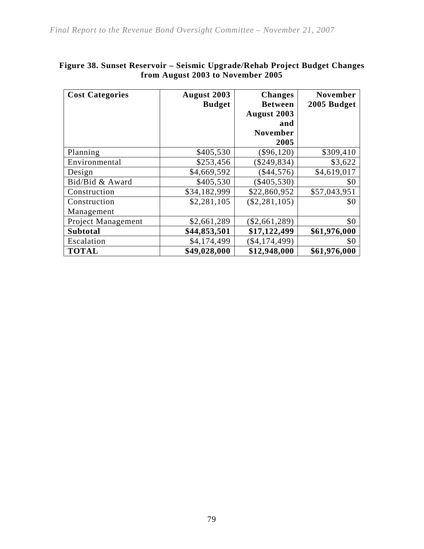| <b>Cost Categories</b> | August 2003   | <b>Changes</b>  | November     |
|------------------------|---------------|-----------------|--------------|
|                        | <b>Budget</b> | <b>Between</b>  | 2005 Budget  |
|                        |               | August 2003     |              |
|                        |               | and             |              |
|                        |               | <b>November</b> |              |
|                        |               | 2005            |              |
| Planning               | \$405,530     | \$96,120        | \$309,410    |
| Environmental          | \$253,456     | \$249,834)      | \$3,622      |
| Design                 | \$4,669,592   | $(\$44,576)$    | \$4,619,017  |
| Bid/Bid & Award        | \$405,530     | $(\$405,530)$   | \$0          |
| Construction           | \$34,182,999  | \$22,860,952    | \$57,043,951 |
| Construction           | \$2,281,105   | $(\$2,281,105)$ | \$0          |
| Management             |               |                 |              |
| Project Management     | \$2,661,289   | $(\$2,661,289)$ | \$0          |
| <b>Subtotal</b>        | \$44,853,501  | \$17,122,499    | \$61,976,000 |
| Escalation             | \$4,174,499   | (\$4,174,499)   | \$0          |
| <b>TOTAL</b>           | \$49,028,000  | \$12,948,000    | \$61,976,000 |

#### **Figure 38. Sunset Reservoir – Seismic Upgrade/Rehab Project Budget Changes from August 2003 to November 2005**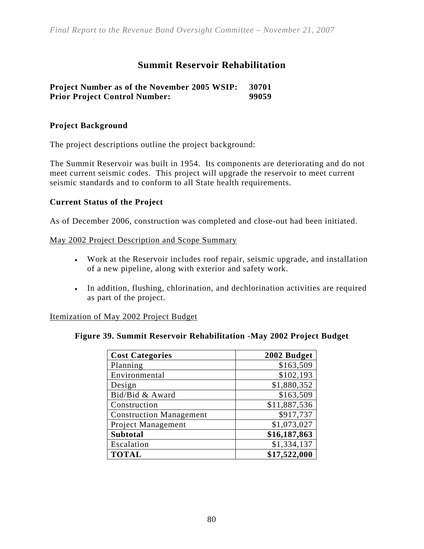## **Summit Reservoir Rehabilitation**

#### **Project Number as of the November 2005 WSIP: 30701 Prior Project Control Number: 99059**

#### **Project Background**

The project descriptions outline the project background:

The Summit Reservoir was built in 1954. Its components are deteriorating and do not meet current seismic codes. This project will upgrade the reservoir to meet current seismic standards and to conform to all State health requirements.

#### **Current Status of the Project**

As of December 2006, construction was completed and close-out had been initiated.

#### May 2002 Project Description and Scope Summary

- Work at the Reservoir includes roof repair, seismic upgrade, and installation of a new pipeline, along with exterior and safety work.
- In addition, flushing, chlorination, and dechlorination activities are required as part of the project.

#### Itemization of May 2002 Project Budget

#### **Figure 39. Summit Reservoir Rehabilitation -May 2002 Project Budget**

| <b>Cost Categories</b>         | 2002 Budget  |
|--------------------------------|--------------|
| Planning                       | \$163,509    |
| Environmental                  | \$102,193    |
| Design                         | \$1,880,352  |
| Bid/Bid & Award                | \$163,509    |
| Construction                   | \$11,887,536 |
| <b>Construction Management</b> | \$917,737    |
| Project Management             | \$1,073,027  |
| <b>Subtotal</b>                | \$16,187,863 |
| Escalation                     | \$1,334,137  |
| <b>TOTAL</b>                   | \$17,522,000 |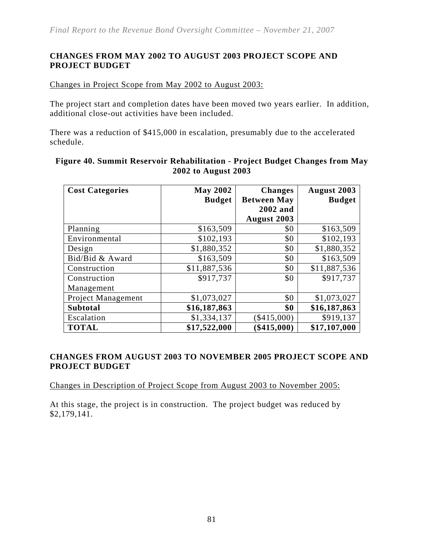#### **CHANGES FROM MAY 2002 TO AUGUST 2003 PROJECT SCOPE AND PROJECT BUDGET**

Changes in Project Scope from May 2002 to August 2003:

The project start and completion dates have been moved two years earlier. In addition, additional close-out activities have been included.

There was a reduction of \$415,000 in escalation, presumably due to the accelerated schedule.

| <b>Cost Categories</b> | <b>May 2002</b> | <b>Changes</b>     | <b>August 2003</b> |
|------------------------|-----------------|--------------------|--------------------|
|                        | <b>Budget</b>   | <b>Between May</b> | <b>Budget</b>      |
|                        |                 | 2002 and           |                    |
|                        |                 | August 2003        |                    |
| Planning               | \$163,509       | \$0                | \$163,509          |
| Environmental          | \$102,193       | \$0                | \$102,193          |
| Design                 | \$1,880,352     | \$0                | \$1,880,352        |
| Bid/Bid & Award        | \$163,509       | \$0                | \$163,509          |
| Construction           | \$11,887,536    | \$0                | \$11,887,536       |
| Construction           | \$917,737       | \$0                | \$917,737          |
| Management             |                 |                    |                    |
| Project Management     | \$1,073,027     | \$0                | \$1,073,027        |
| <b>Subtotal</b>        | \$16,187,863    | \$0                | \$16,187,863       |
| Escalation             | \$1,334,137     | $(\$415,000)$      | \$919,137          |
| <b>TOTAL</b>           | \$17,522,000    | \$415,000          | \$17,107,000       |

#### **Figure 40. Summit Reservoir Rehabilitation - Project Budget Changes from May 2002 to August 2003**

#### **CHANGES FROM AUGUST 2003 TO NOVEMBER 2005 PROJECT SCOPE AND PROJECT BUDGET**

Changes in Description of Project Scope from August 2003 to November 2005:

At this stage, the project is in construction. The project budget was reduced by \$2,179,141.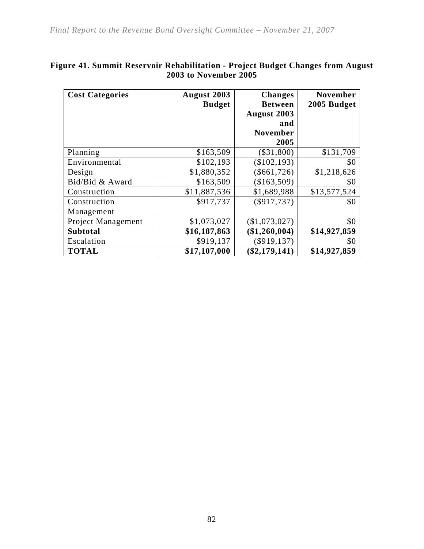| <b>Cost Categories</b> | August 2003   | <b>Changes</b>  | <b>November</b> |
|------------------------|---------------|-----------------|-----------------|
|                        | <b>Budget</b> | <b>Between</b>  | 2005 Budget     |
|                        |               | August 2003     |                 |
|                        |               | and             |                 |
|                        |               | <b>November</b> |                 |
|                        |               | 2005            |                 |
| Planning               | \$163,509     | $(\$31,800)$    | \$131,709       |
| Environmental          | \$102,193     | (\$102,193)     | \$0             |
| Design                 | \$1,880,352   | $(\$661,726)$   | \$1,218,626     |
| Bid/Bid & Award        | \$163,509     | \$163,509       | \$0             |
| Construction           | \$11,887,536  | \$1,689,988     | \$13,577,524    |
| Construction           | \$917,737     | $(\$917,737)$   | \$0             |
| Management             |               |                 |                 |
| Project Management     | \$1,073,027   | (\$1,073,027)   | \$0             |
| <b>Subtotal</b>        | \$16,187,863  | (\$1,260,004)   | \$14,927,859    |
| Escalation             | \$919,137     | $(\$919,137)$   | \$0             |
| <b>TOTAL</b>           | \$17,107,000  | $(\$2,179,141)$ | \$14,927,859    |

## **Figure 41. Summit Reservoir Rehabilitation - Project Budget Changes from August 2003 to November 2005**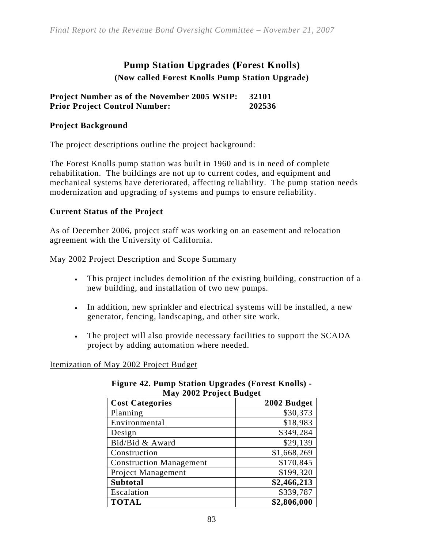## **Pump Station Upgrades (Forest Knolls) (Now called Forest Knolls Pump Station Upgrade)**

#### **Project Number as of the November 2005 WSIP: 32101 Prior Project Control Number: 202536**

#### **Project Background**

The project descriptions outline the project background:

The Forest Knolls pump station was built in 1960 and is in need of complete rehabilitation. The buildings are not up to current codes, and equipment and mechanical systems have deteriorated, affecting reliability. The pump station needs modernization and upgrading of systems and pumps to ensure reliability.

#### **Current Status of the Project**

As of December 2006, project staff was working on an easement and relocation agreement with the University of California.

#### May 2002 Project Description and Scope Summary

- This project includes demolition of the existing building, construction of a new building, and installation of two new pumps.
- In addition, new sprinkler and electrical systems will be installed, a new generator, fencing, landscaping, and other site work.
- The project will also provide necessary facilities to support the SCADA project by adding automation where needed.

#### Itemization of May 2002 Project Budget

| May 2002 Project Budget        |             |
|--------------------------------|-------------|
| <b>Cost Categories</b>         | 2002 Budget |
| Planning                       | \$30,373    |
| Environmental                  | \$18,983    |
| Design                         | \$349,284   |
| Bid/Bid & Award                | \$29,139    |
| Construction                   | \$1,668,269 |
| <b>Construction Management</b> | \$170,845   |
| Project Management             | \$199,320   |
| <b>Subtotal</b>                | \$2,466,213 |
| Escalation                     | \$339,787   |
| <b>TOTAL</b>                   | \$2,806,000 |

#### **Figure 42. Pump Station Upgrades (Forest Knolls) - May Droiget Budget**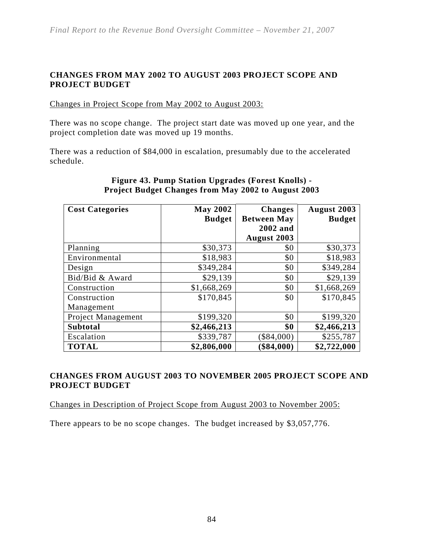#### **CHANGES FROM MAY 2002 TO AUGUST 2003 PROJECT SCOPE AND PROJECT BUDGET**

Changes in Project Scope from May 2002 to August 2003:

There was no scope change. The project start date was moved up one year, and the project completion date was moved up 19 months.

There was a reduction of \$84,000 in escalation, presumably due to the accelerated schedule.

| <b>Cost Categories</b> | <b>May 2002</b> | <b>Changes</b>     | August 2003   |
|------------------------|-----------------|--------------------|---------------|
|                        | <b>Budget</b>   | <b>Between May</b> | <b>Budget</b> |
|                        |                 | 2002 and           |               |
|                        |                 | <b>August 2003</b> |               |
| Planning               | \$30,373        | \$0                | \$30,373      |
| Environmental          | \$18,983        | \$0                | \$18,983      |
| Design                 | \$349,284       | \$0                | \$349,284     |
| Bid/Bid & Award        | \$29,139        | \$0                | \$29,139      |
| Construction           | \$1,668,269     | \$0                | \$1,668,269   |
| Construction           | \$170,845       | \$0                | \$170,845     |
| Management             |                 |                    |               |
| Project Management     | \$199,320       | \$0                | \$199,320     |
| <b>Subtotal</b>        | \$2,466,213     | \$0                | \$2,466,213   |
| Escalation             | \$339,787       | \$84,000           | \$255,787     |
| <b>TOTAL</b>           | \$2,806,000     | \$84,000           | \$2,722,000   |

#### **Figure 43. Pump Station Upgrades (Forest Knolls) - Project Budget Changes from May 2002 to August 2003**

#### **CHANGES FROM AUGUST 2003 TO NOVEMBER 2005 PROJECT SCOPE AND PROJECT BUDGET**

Changes in Description of Project Scope from August 2003 to November 2005:

There appears to be no scope changes. The budget increased by \$3,057,776.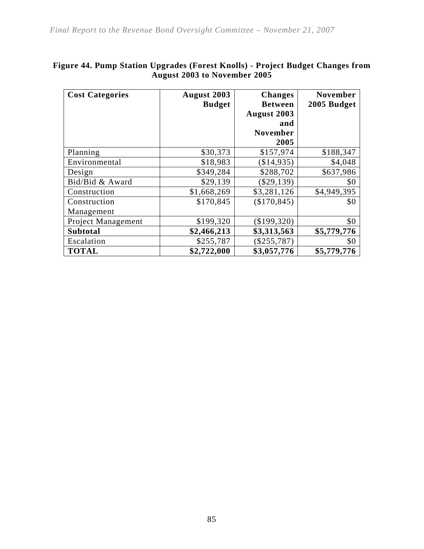| <b>Cost Categories</b> | <b>August 2003</b> | <b>Changes</b>  | <b>November</b> |
|------------------------|--------------------|-----------------|-----------------|
|                        | <b>Budget</b>      | <b>Between</b>  | 2005 Budget     |
|                        |                    | August 2003     |                 |
|                        |                    | and             |                 |
|                        |                    | <b>November</b> |                 |
|                        |                    | 2005            |                 |
| Planning               | \$30,373           | \$157,974       | \$188,347       |
| Environmental          | \$18,983           | \$14,935)       | \$4,048         |
| Design                 | \$349,284          | \$288,702       | \$637,986       |
| Bid/Bid & Award        | \$29,139           | \$29,139        | \$0             |
| Construction           | \$1,668,269        | \$3,281,126     | \$4,949,395     |
| Construction           | \$170,845          | (\$170,845)     | \$0             |
| Management             |                    |                 |                 |
| Project Management     | \$199,320          | (\$199,320)     | \$0             |
| <b>Subtotal</b>        | \$2,466,213        | \$3,313,563     | \$5,779,776     |
| Escalation             | \$255,787          | (\$255,787)     | \$0             |
| <b>TOTAL</b>           | \$2,722,000        | \$3,057,776     | \$5,779,776     |

#### **Figure 44. Pump Station Upgrades (Forest Knolls) - Project Budget Changes from August 2003 to November 2005**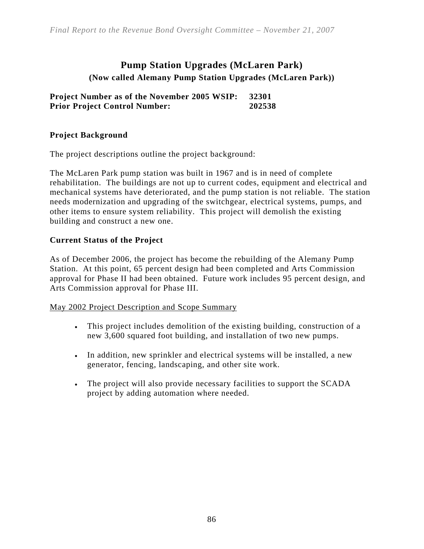## **Pump Station Upgrades (McLaren Park) (Now called Alemany Pump Station Upgrades (McLaren Park))**

**Project Number as of the November 2005 WSIP: 32301 Prior Project Control Number: 202538** 

#### **Project Background**

The project descriptions outline the project background:

The McLaren Park pump station was built in 1967 and is in need of complete rehabilitation. The buildings are not up to current codes, equipment and electrical and mechanical systems have deteriorated, and the pump station is not reliable. The station needs modernization and upgrading of the switchgear, electrical systems, pumps, and other items to ensure system reliability. This project will demolish the existing building and construct a new one.

#### **Current Status of the Project**

As of December 2006, the project has become the rebuilding of the Alemany Pump Station. At this point, 65 percent design had been completed and Arts Commission approval for Phase II had been obtained. Future work includes 95 percent design, and Arts Commission approval for Phase III.

#### May 2002 Project Description and Scope Summary

- This project includes demolition of the existing building, construction of a new 3,600 squared foot building, and installation of two new pumps.
- In addition, new sprinkler and electrical systems will be installed, a new generator, fencing, landscaping, and other site work.
- The project will also provide necessary facilities to support the SCADA project by adding automation where needed.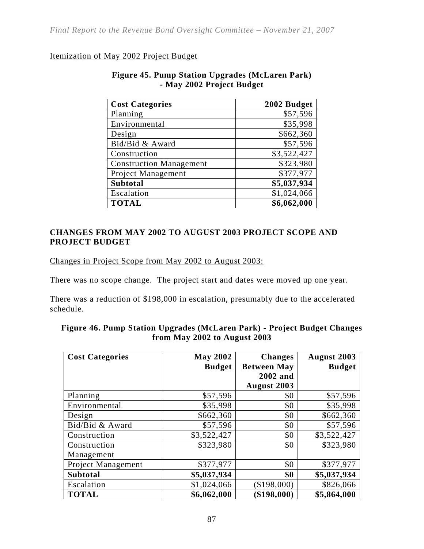#### Itemization of May 2002 Project Budget

| <b>Cost Categories</b>         | 2002 Budget |
|--------------------------------|-------------|
| Planning                       | \$57,596    |
| Environmental                  | \$35,998    |
| Design                         | \$662,360   |
| Bid/Bid & Award                | \$57,596    |
| Construction                   | \$3,522,427 |
| <b>Construction Management</b> | \$323,980   |
| Project Management             | \$377,977   |
| <b>Subtotal</b>                | \$5,037,934 |
| Escalation                     | \$1,024,066 |
| <b>TOTAL</b>                   | \$6,062,000 |

#### **Figure 45. Pump Station Upgrades (McLaren Park) - May 2002 Project Budget**

#### **CHANGES FROM MAY 2002 TO AUGUST 2003 PROJECT SCOPE AND PROJECT BUDGET**

Changes in Project Scope from May 2002 to August 2003:

There was no scope change. The project start and dates were moved up one year.

There was a reduction of \$198,000 in escalation, presumably due to the accelerated schedule.

| <b>Cost Categories</b> | <b>May 2002</b><br><b>Budget</b> | <b>Changes</b><br><b>Between May</b> | August 2003<br><b>Budget</b> |
|------------------------|----------------------------------|--------------------------------------|------------------------------|
|                        |                                  | 2002 and                             |                              |
|                        |                                  | August 2003                          |                              |
| Planning               | \$57,596                         | \$0                                  | \$57,596                     |
| Environmental          | \$35,998                         | \$0                                  | \$35,998                     |
| Design                 | \$662,360                        | \$0                                  | \$662,360                    |
| Bid/Bid & Award        | \$57,596                         | \$0                                  | \$57,596                     |
| Construction           | \$3,522,427                      | \$0                                  | \$3,522,427                  |
| Construction           | \$323,980                        | \$0                                  | \$323,980                    |
| Management             |                                  |                                      |                              |
| Project Management     | \$377,977                        | \$0                                  | \$377,977                    |
| <b>Subtotal</b>        | \$5,037,934                      | \$0                                  | \$5,037,934                  |
| Escalation             | \$1,024,066                      | \$198,000                            | \$826,066                    |
| <b>TOTAL</b>           | \$6,062,000                      | \$198,000                            | \$5,864,000                  |

| Figure 46. Pump Station Upgrades (McLaren Park) - Project Budget Changes |  |
|--------------------------------------------------------------------------|--|
| from May 2002 to August $2003$                                           |  |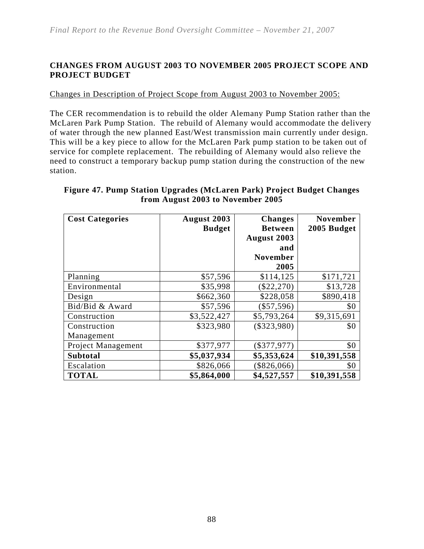#### **CHANGES FROM AUGUST 2003 TO NOVEMBER 2005 PROJECT SCOPE AND PROJECT BUDGET**

#### Changes in Description of Project Scope from August 2003 to November 2005:

The CER recommendation is to rebuild the older Alemany Pump Station rather than the McLaren Park Pump Station. The rebuild of Alemany would accommodate the delivery of water through the new planned East/West transmission main currently under design. This will be a key piece to allow for the McLaren Park pump station to be taken out of service for complete replacement. The rebuilding of Alemany would also relieve the need to construct a temporary backup pump station during the construction of the new station.

| <b>Cost Categories</b> | August 2003<br><b>Budget</b> | <b>Changes</b><br><b>Between</b> | <b>November</b><br>2005 Budget |
|------------------------|------------------------------|----------------------------------|--------------------------------|
|                        |                              | August 2003                      |                                |
|                        |                              | and                              |                                |
|                        |                              | <b>November</b>                  |                                |
|                        |                              | 2005                             |                                |
| Planning               | \$57,596                     | \$114,125                        | \$171,721                      |
| Environmental          | \$35,998                     | $(\$22,270)$                     | \$13,728                       |
| Design                 | \$662,360                    | \$228,058                        | \$890,418                      |
| Bid/Bid & Award        | \$57,596                     | (\$57,596)                       | \$0                            |
| Construction           | \$3,522,427                  | \$5,793,264                      | \$9,315,691                    |
| Construction           | \$323,980                    | $(\$323,980)$                    | \$0                            |
| Management             |                              |                                  |                                |
| Project Management     | \$377,977                    | $(\$377,977)$                    | \$0                            |
| <b>Subtotal</b>        | \$5,037,934                  | \$5,353,624                      | \$10,391,558                   |
| Escalation             | \$826,066                    | \$826,066                        | \$0                            |
| <b>TOTAL</b>           | \$5,864,000                  | \$4,527,557                      | \$10,391,558                   |

#### **Figure 47. Pump Station Upgrades (McLaren Park) Project Budget Changes from August 2003 to November 2005**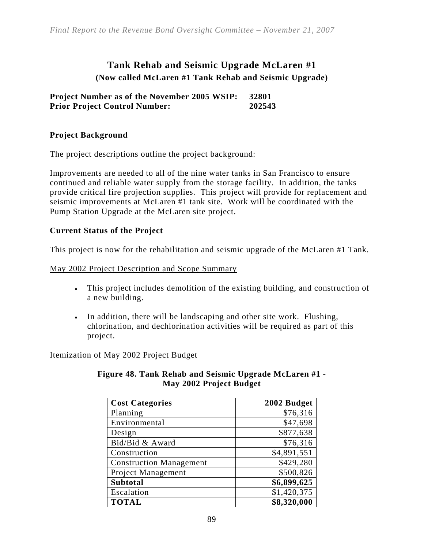## **Tank Rehab and Seismic Upgrade McLaren #1 (Now called McLaren #1 Tank Rehab and Seismic Upgrade)**

**Project Number as of the November 2005 WSIP: 32801 Prior Project Control Number: 202543** 

#### **Project Background**

The project descriptions outline the project background:

Improvements are needed to all of the nine water tanks in San Francisco to ensure continued and reliable water supply from the storage facility. In addition, the tanks provide critical fire projection supplies. This project will provide for replacement and seismic improvements at McLaren #1 tank site. Work will be coordinated with the Pump Station Upgrade at the McLaren site project.

#### **Current Status of the Project**

This project is now for the rehabilitation and seismic upgrade of the McLaren #1 Tank.

#### May 2002 Project Description and Scope Summary

- This project includes demolition of the existing building, and construction of a new building.
- In addition, there will be landscaping and other site work. Flushing, chlorination, and dechlorination activities will be required as part of this project.

Itemization of May 2002 Project Budget

| <b>Cost Categories</b>         | 2002 Budget |
|--------------------------------|-------------|
| Planning                       | \$76,316    |
| Environmental                  | \$47,698    |
| Design                         | \$877,638   |
| Bid/Bid & Award                | \$76,316    |
| Construction                   | \$4,891,551 |
| <b>Construction Management</b> | \$429,280   |
| Project Management             | \$500,826   |
| Subtotal                       | \$6,899,625 |
| Escalation                     | \$1,420,375 |
| <b>TOTAL</b>                   | \$8,320,000 |

#### **Figure 48. Tank Rehab and Seismic Upgrade McLaren #1 - May 2002 Project Budget**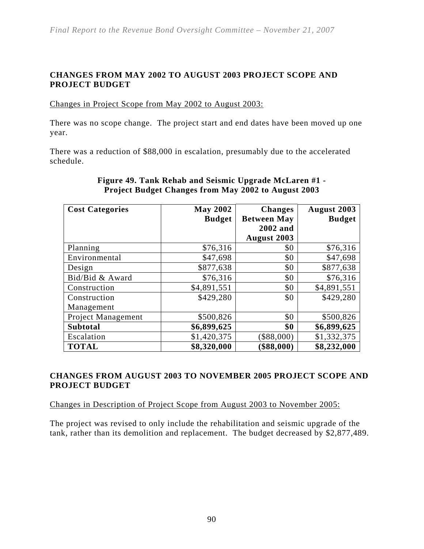#### **CHANGES FROM MAY 2002 TO AUGUST 2003 PROJECT SCOPE AND PROJECT BUDGET**

Changes in Project Scope from May 2002 to August 2003:

There was no scope change. The project start and end dates have been moved up one year.

There was a reduction of \$88,000 in escalation, presumably due to the accelerated schedule.

| <b>Cost Categories</b> | <b>May 2002</b> | <b>Changes</b>     | August 2003   |
|------------------------|-----------------|--------------------|---------------|
|                        | <b>Budget</b>   | <b>Between May</b> | <b>Budget</b> |
|                        |                 | 2002 and           |               |
|                        |                 | <b>August 2003</b> |               |
| Planning               | \$76,316        | \$0                | \$76,316      |
| Environmental          | \$47,698        | \$0                | \$47,698      |
| Design                 | \$877,638       | \$0                | \$877,638     |
| Bid/Bid & Award        | \$76,316        | \$0                | \$76,316      |
| Construction           | \$4,891,551     | \$0                | \$4,891,551   |
| Construction           | \$429,280       | \$0                | \$429,280     |
| Management             |                 |                    |               |
| Project Management     | \$500,826       | \$0                | \$500,826     |
| <b>Subtotal</b>        | \$6,899,625     | \$0                | \$6,899,625   |
| Escalation             | \$1,420,375     | \$88,000           | \$1,332,375   |
| <b>TOTAL</b>           | \$8,320,000     | \$88,000           | \$8,232,000   |

#### **Figure 49. Tank Rehab and Seismic Upgrade McLaren #1 - Project Budget Changes from May 2002 to August 2003**

#### **CHANGES FROM AUGUST 2003 TO NOVEMBER 2005 PROJECT SCOPE AND PROJECT BUDGET**

Changes in Description of Project Scope from August 2003 to November 2005:

The project was revised to only include the rehabilitation and seismic upgrade of the tank, rather than its demolition and replacement. The budget decreased by \$2,877,489.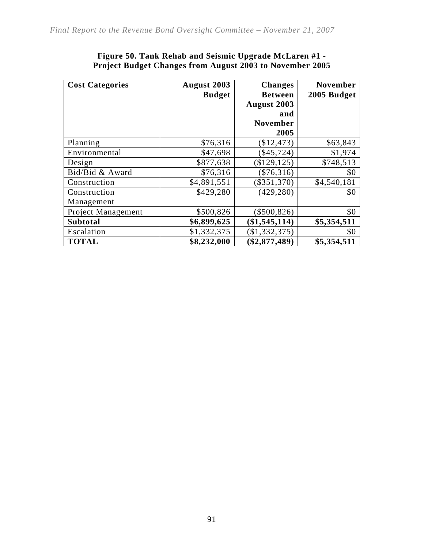| <b>Cost Categories</b>    | August 2003   | <b>Changes</b>  | <b>November</b> |
|---------------------------|---------------|-----------------|-----------------|
|                           | <b>Budget</b> | <b>Between</b>  | 2005 Budget     |
|                           |               | August 2003     |                 |
|                           |               | and             |                 |
|                           |               | <b>November</b> |                 |
|                           |               | 2005            |                 |
| Planning                  | \$76,316      | \$12,473        | \$63,843        |
| Environmental             | \$47,698      | \$45,724)       | \$1,974         |
| Design                    | \$877,638     | \$129, 125)     | \$748,513       |
| Bid/Bid & Award           | \$76,316      | $(\$76,316)$    | \$0             |
| Construction              | \$4,891,551   | $(\$351,370)$   | \$4,540,181     |
| Construction              | \$429,280     | (429, 280)      | \$0             |
| Management                |               |                 |                 |
| <b>Project Management</b> | \$500,826     | $(\$500,826)$   | \$0             |
| <b>Subtotal</b>           | \$6,899,625   | (\$1,545,114)   | \$5,354,511     |
| Escalation                | \$1,332,375   | (\$1,332,375)   | \$0             |
| <b>TOTAL</b>              | \$8,232,000   | \$2,877,489     | \$5,354,511     |

#### **Figure 50. Tank Rehab and Seismic Upgrade McLaren #1 - Project Budget Changes from August 2003 to November 2005**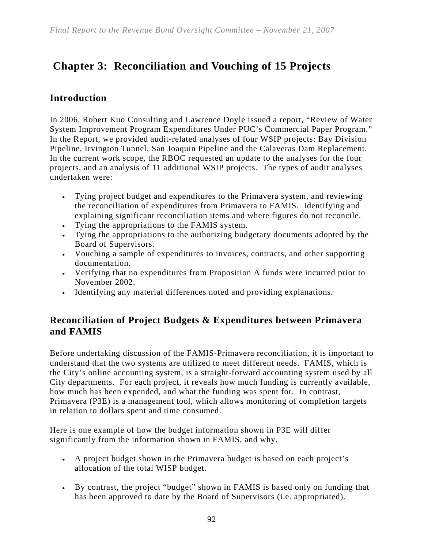## **Chapter 3: Reconciliation and Vouching of 15 Projects**

## **Introduction**

In 2006, Robert Kuo Consulting and Lawrence Doyle issued a report, "Review of Water System Improvement Program Expenditures Under PUC's Commercial Paper Program." In the Report, we provided audit-related analyses of four WSIP projects: Bay Division Pipeline, Irvington Tunnel, San Joaquin Pipeline and the Calaveras Dam Replacement. In the current work scope, the RBOC requested an update to the analyses for the four projects, and an analysis of 11 additional WSIP projects. The types of audit analyses undertaken were:

- Tying project budget and expenditures to the Primavera system, and reviewing the reconciliation of expenditures from Primavera to FAMIS. Identifying and explaining significant reconciliation items and where figures do not reconcile.
- Tying the appropriations to the FAMIS system.
- Tying the appropriations to the authorizing budgetary documents adopted by the Board of Supervisors.
- Vouching a sample of expenditures to invoices, contracts, and other supporting documentation.
- Verifying that no expenditures from Proposition A funds were incurred prior to November 2002.
- Identifying any material differences noted and providing explanations.

## **Reconciliation of Project Budgets & Expenditures between Primavera and FAMIS**

Before undertaking discussion of the FAMIS-Primavera reconciliation, it is important to understand that the two systems are utilized to meet different needs. FAMIS, which is the City's online accounting system, is a straight-forward accounting system used by all City departments. For each project, it reveals how much funding is currently available, how much has been expended, and what the funding was spent for. In contrast, Primavera (P3E) is a management tool, which allows monitoring of completion targets in relation to dollars spent and time consumed.

Here is one example of how the budget information shown in P3E will differ significantly from the information shown in FAMIS, and why.

- A project budget shown in the Primavera budget is based on each project's allocation of the total WISP budget.
- By contrast, the project "budget" shown in FAMIS is based only on funding that has been approved to date by the Board of Supervisors (i.e. appropriated).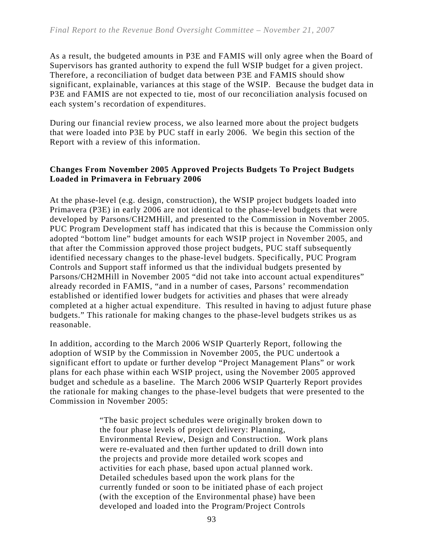As a result, the budgeted amounts in P3E and FAMIS will only agree when the Board of Supervisors has granted authority to expend the full WSIP budget for a given project. Therefore, a reconciliation of budget data between P3E and FAMIS should show significant, explainable, variances at this stage of the WSIP. Because the budget data in P3E and FAMIS are not expected to tie, most of our reconciliation analysis focused on each system's recordation of expenditures.

During our financial review process, we also learned more about the project budgets that were loaded into P3E by PUC staff in early 2006. We begin this section of the Report with a review of this information.

#### **Changes From November 2005 Approved Projects Budgets To Project Budgets Loaded in Primavera in February 2006**

At the phase-level (e.g. design, construction), the WSIP project budgets loaded into Primavera (P3E) in early 2006 are not identical to the phase-level budgets that were developed by Parsons/CH2MHill, and presented to the Commission in November 2005. PUC Program Development staff has indicated that this is because the Commission only adopted "bottom line" budget amounts for each WSIP project in November 2005, and that after the Commission approved those project budgets, PUC staff subsequently identified necessary changes to the phase-level budgets. Specifically, PUC Program Controls and Support staff informed us that the individual budgets presented by Parsons/CH2MHill in November 2005 "did not take into account actual expenditures" already recorded in FAMIS, "and in a number of cases, Parsons' recommendation established or identified lower budgets for activities and phases that were already completed at a higher actual expenditure. This resulted in having to adjust future phase budgets." This rationale for making changes to the phase-level budgets strikes us as reasonable.

In addition, according to the March 2006 WSIP Quarterly Report, following the adoption of WSIP by the Commission in November 2005, the PUC undertook a significant effort to update or further develop "Project Management Plans" or work plans for each phase within each WSIP project, using the November 2005 approved budget and schedule as a baseline. The March 2006 WSIP Quarterly Report provides the rationale for making changes to the phase-level budgets that were presented to the Commission in November 2005:

> "The basic project schedules were originally broken down to the four phase levels of project delivery: Planning, Environmental Review, Design and Construction. Work plans were re-evaluated and then further updated to drill down into the projects and provide more detailed work scopes and activities for each phase, based upon actual planned work. Detailed schedules based upon the work plans for the currently funded or soon to be initiated phase of each project (with the exception of the Environmental phase) have been developed and loaded into the Program/Project Controls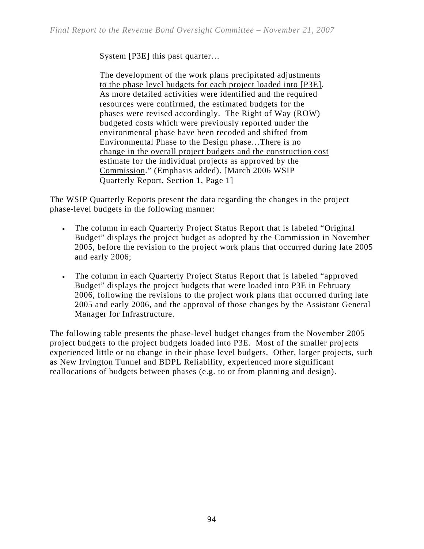System [P3E] this past quarter…

The development of the work plans precipitated adjustments to the phase level budgets for each project loaded into [P3E]. As more detailed activities were identified and the required resources were confirmed, the estimated budgets for the phases were revised accordingly. The Right of Way (ROW) budgeted costs which were previously reported under the environmental phase have been recoded and shifted from Environmental Phase to the Design phase…There is no change in the overall project budgets and the construction cost estimate for the individual projects as approved by the Commission." (Emphasis added). [March 2006 WSIP Quarterly Report, Section 1, Page 1]

The WSIP Quarterly Reports present the data regarding the changes in the project phase-level budgets in the following manner:

- The column in each Quarterly Project Status Report that is labeled "Original Budget" displays the project budget as adopted by the Commission in November 2005, before the revision to the project work plans that occurred during late 2005 and early 2006;
- The column in each Quarterly Project Status Report that is labeled "approved Budget" displays the project budgets that were loaded into P3E in February 2006, following the revisions to the project work plans that occurred during late 2005 and early 2006, and the approval of those changes by the Assistant General Manager for Infrastructure.

The following table presents the phase-level budget changes from the November 2005 project budgets to the project budgets loaded into P3E. Most of the smaller projects experienced little or no change in their phase level budgets. Other, larger projects, such as New Irvington Tunnel and BDPL Reliability, experienced more significant reallocations of budgets between phases (e.g. to or from planning and design).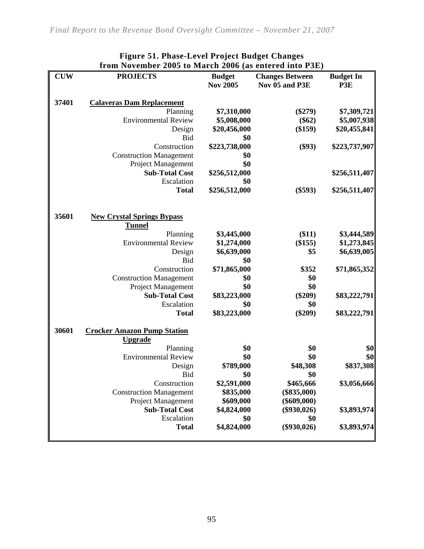| <b>CUW</b> | <b>PROJECTS</b>                    | <b>Budget</b>   | <b>Changes Between</b> | <b>Budget In</b> |
|------------|------------------------------------|-----------------|------------------------|------------------|
|            |                                    | <b>Nov 2005</b> | Nov 05 and P3E         | P3E              |
|            |                                    |                 |                        |                  |
| 37401      | <b>Calaveras Dam Replacement</b>   |                 |                        |                  |
|            | Planning                           | \$7,310,000     | $(\$279)$              | \$7,309,721      |
|            | <b>Environmental Review</b>        | \$5,008,000     | $(\$62)$               | \$5,007,938      |
|            | Design                             | \$20,456,000    | (\$159)                | \$20,455,841     |
|            | <b>Bid</b>                         | \$0             |                        |                  |
|            | Construction                       | \$223,738,000   | (\$93)                 | \$223,737,907    |
|            | <b>Construction Management</b>     | \$0             |                        |                  |
|            | <b>Project Management</b>          | \$0             |                        |                  |
|            | <b>Sub-Total Cost</b>              | \$256,512,000   |                        | \$256,511,407    |
|            | Escalation                         | \$0             |                        |                  |
|            | <b>Total</b>                       | \$256,512,000   | $(\$593)$              | \$256,511,407    |
| 35601      | <b>New Crystal Springs Bypass</b>  |                 |                        |                  |
|            | <b>Tunnel</b>                      |                 |                        |                  |
|            | Planning                           | \$3,445,000     | (\$11)                 | \$3,444,589      |
|            | <b>Environmental Review</b>        | \$1,274,000     | (\$155)                | \$1,273,845      |
|            | Design                             | \$6,639,000     | \$5                    | \$6,639,005      |
|            | Bid                                | \$0             |                        |                  |
|            | Construction                       | \$71,865,000    | \$352                  | \$71,865,352     |
|            | <b>Construction Management</b>     | \$0             | \$0                    |                  |
|            | Project Management                 | \$0             | \$0                    |                  |
|            | <b>Sub-Total Cost</b>              | \$83,223,000    | $(\$209)$              | \$83,222,791     |
|            | Escalation                         | \$0             | \$0                    |                  |
|            | <b>Total</b>                       | \$83,223,000    | $(\$209)$              | \$83,222,791     |
| 30601      | <b>Crocker Amazon Pump Station</b> |                 |                        |                  |
|            | <b>Upgrade</b>                     |                 |                        |                  |
|            | Planning                           | \$0             | \$0                    | \$0              |
|            | <b>Environmental Review</b>        | \$0             | \$0                    | \$0              |
|            | Design                             | \$789,000       | \$48,308               | \$837,308        |
|            | <b>Bid</b>                         | \$0             | \$0                    |                  |
|            | Construction                       | \$2,591,000     | \$465,666              | \$3,056,666      |
|            | <b>Construction Management</b>     | \$835,000       | $(\$835,000)$          |                  |
|            | Project Management                 | \$609,000       | $(\$609,000)$          |                  |
|            | <b>Sub-Total Cost</b>              | \$4,824,000     | $(\$930,026)$          | \$3,893,974      |
|            | Escalation                         | \$0             | \$0                    |                  |
|            | <b>Total</b>                       | \$4,824,000     | $(\$930,026)$          | \$3,893,974      |

#### **Figure 51. Phase-Level Project Budget Changes from November 2005 to March 2006 (as entered into P3E)**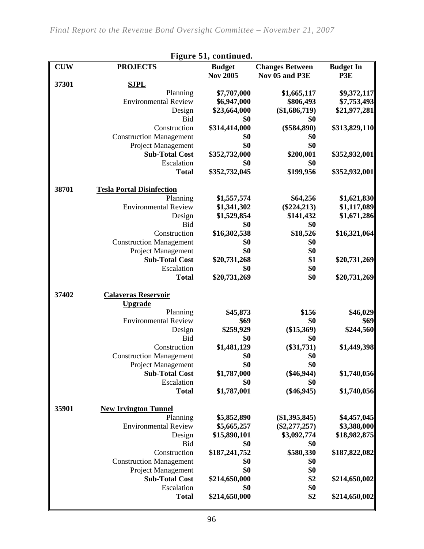| Figure 51, continued. |                                                      |                      |                        |                  |  |
|-----------------------|------------------------------------------------------|----------------------|------------------------|------------------|--|
| <b>CUW</b>            | <b>PROJECTS</b>                                      | <b>Budget</b>        | <b>Changes Between</b> | <b>Budget In</b> |  |
|                       |                                                      | <b>Nov 2005</b>      | Nov 05 and P3E         | P3E              |  |
| 37301                 | <b>SJPL</b>                                          |                      |                        |                  |  |
|                       | Planning                                             | \$7,707,000          | \$1,665,117            | \$9,372,117      |  |
|                       | <b>Environmental Review</b>                          | \$6,947,000          | \$806,493              | \$7,753,493      |  |
|                       | Design                                               | \$23,664,000         | $(\$1,686,719)$        | \$21,977,281     |  |
|                       | <b>Bid</b>                                           | \$0                  | \$0                    |                  |  |
|                       | Construction                                         | \$314,414,000        | $(\$584,890)$          | \$313,829,110    |  |
|                       | <b>Construction Management</b>                       | \$0                  | \$0                    |                  |  |
|                       | Project Management<br><b>Sub-Total Cost</b>          | \$0                  | \$0                    |                  |  |
|                       | Escalation                                           | \$352,732,000<br>\$0 | \$200,001<br>\$0       | \$352,932,001    |  |
|                       | <b>Total</b>                                         | \$352,732,045        | \$199,956              | \$352,932,001    |  |
| 38701                 | <b>Tesla Portal Disinfection</b>                     |                      |                        |                  |  |
|                       | Planning                                             | \$1,557,574          | \$64,256               | \$1,621,830      |  |
|                       | <b>Environmental Review</b>                          | \$1,341,302          | $(\$224,213)$          | \$1,117,089      |  |
|                       | Design                                               | \$1,529,854          | \$141,432              | \$1,671,286      |  |
|                       | <b>Bid</b>                                           | \$0                  | \$0                    |                  |  |
|                       | Construction                                         | \$16,302,538         | \$18,526               | \$16,321,064     |  |
|                       | <b>Construction Management</b>                       | \$0                  | \$0                    |                  |  |
|                       | Project Management                                   | \$0                  | \$0                    |                  |  |
|                       | <b>Sub-Total Cost</b>                                | \$20,731,268         | \$1                    | \$20,731,269     |  |
|                       | Escalation                                           | \$0                  | \$0                    |                  |  |
|                       | <b>Total</b>                                         | \$20,731,269         | \$0                    | \$20,731,269     |  |
| 37402                 | <b>Calaveras Reservoir</b>                           |                      |                        |                  |  |
|                       | <b>Upgrade</b>                                       |                      |                        |                  |  |
|                       | Planning                                             | \$45,873             | \$156                  | \$46,029         |  |
|                       | <b>Environmental Review</b>                          | \$69                 | \$0                    | \$69             |  |
|                       | Design                                               | \$259,929            | $(\$15,369)$           | \$244,560        |  |
|                       | Bid                                                  | \$0                  | \$0                    |                  |  |
|                       | Construction                                         | \$1,481,129          | $(\$31,731)$           | \$1,449,398      |  |
|                       | <b>Construction Management</b>                       | \$0                  | \$0                    |                  |  |
|                       | Project Management                                   | \$0                  | \$0                    |                  |  |
|                       | <b>Sub-Total Cost</b>                                | \$1,787,000          | $(\$46,944)$           | \$1,740,056      |  |
|                       | Escalation                                           | \$0                  | \$0                    |                  |  |
|                       | <b>Total</b>                                         | \$1,787,001          | $(\$46,945)$           | \$1,740,056      |  |
| 35901                 | <b>New Irvington Tunnel</b>                          |                      |                        |                  |  |
|                       | Planning                                             | \$5,852,890          | $(\$1,395,845)$        | \$4,457,045      |  |
|                       | <b>Environmental Review</b>                          | \$5,665,257          | $(\$2,277,257)$        | \$3,388,000      |  |
|                       | Design                                               | \$15,890,101         | \$3,092,774            | \$18,982,875     |  |
|                       | <b>Bid</b>                                           | \$0                  | \$0                    |                  |  |
|                       | Construction                                         | \$187,241,752        | \$580,330              | \$187,822,082    |  |
|                       | <b>Construction Management</b><br>Project Management | \$0<br>\$0           | \$0<br>\$0             |                  |  |
|                       | <b>Sub-Total Cost</b>                                | \$214,650,000        | \$2                    | \$214,650,002    |  |
|                       | Escalation                                           | \$0                  | \$0                    |                  |  |
|                       | <b>Total</b>                                         | \$214,650,000        | \$2                    | \$214,650,002    |  |
|                       |                                                      |                      |                        |                  |  |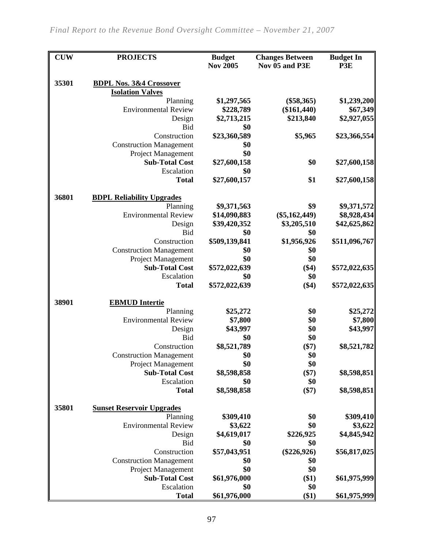| <b>CUW</b> | <b>PROJECTS</b>                    | <b>Budget</b><br><b>Nov 2005</b> | <b>Changes Between</b><br>Nov 05 and P3E | <b>Budget In</b><br>P3E |
|------------|------------------------------------|----------------------------------|------------------------------------------|-------------------------|
| 35301      | <b>BDPL Nos. 3&amp;4 Crossover</b> |                                  |                                          |                         |
|            | <b>Isolation Valves</b>            |                                  |                                          |                         |
|            | Planning                           | \$1,297,565                      | $(\$58,365)$                             | \$1,239,200             |
|            | <b>Environmental Review</b>        | \$228,789                        | $(\$161,440)$                            | \$67,349                |
|            | Design                             | \$2,713,215                      | \$213,840                                | \$2,927,055             |
|            | Bid                                | \$0                              |                                          |                         |
|            | Construction                       | \$23,360,589                     | \$5,965                                  | \$23,366,554            |
|            | <b>Construction Management</b>     | \$0                              |                                          |                         |
|            | Project Management                 | \$0                              |                                          |                         |
|            | <b>Sub-Total Cost</b>              | \$27,600,158                     | \$0                                      | \$27,600,158            |
|            | Escalation                         | \$0                              |                                          |                         |
|            | <b>Total</b>                       | \$27,600,157                     | \$1                                      | \$27,600,158            |
| 36801      | <b>BDPL Reliability Upgrades</b>   |                                  |                                          |                         |
|            | Planning                           | \$9,371,563                      | \$9                                      | \$9,371,572             |
|            | <b>Environmental Review</b>        | \$14,090,883                     | $(\$5,162,449)$                          | \$8,928,434             |
|            | Design                             | \$39,420,352                     | \$3,205,510                              | \$42,625,862            |
|            | <b>Bid</b>                         | \$0                              | \$0                                      |                         |
|            | Construction                       | \$509,139,841                    | \$1,956,926                              | \$511,096,767           |
|            | <b>Construction Management</b>     | \$0                              | \$0                                      |                         |
|            | Project Management                 | \$0                              | \$0                                      |                         |
|            | <b>Sub-Total Cost</b>              | \$572,022,639                    | (\$4)                                    | \$572,022,635           |
|            | Escalation                         | \$0                              | \$0                                      |                         |
|            | <b>Total</b>                       | \$572,022,639                    | (\$4)                                    | \$572,022,635           |
| 38901      | <b>EBMUD</b> Intertie              |                                  |                                          |                         |
|            | Planning                           | \$25,272                         | \$0                                      | \$25,272                |
|            | <b>Environmental Review</b>        | \$7,800                          | \$0                                      | \$7,800                 |
|            | Design                             | \$43,997                         | \$0                                      | \$43,997                |
|            | <b>Bid</b>                         | \$0                              | \$0                                      |                         |
|            | Construction                       | \$8,521,789                      | $(\$7)$                                  | \$8,521,782             |
|            | <b>Construction Management</b>     | \$0                              | \$0                                      |                         |
|            | Project Management                 | \$0                              | \$0                                      |                         |
|            | <b>Sub-Total Cost</b>              | \$8,598,858                      | $(\$7)$                                  | \$8,598,851             |
|            | Escalation<br><b>Total</b>         | \$0<br>\$8,598,858               | \$0<br>$(\$7)$                           | \$8,598,851             |
|            |                                    |                                  |                                          |                         |
| 35801      | <b>Sunset Reservoir Upgrades</b>   |                                  |                                          |                         |
|            | Planning                           | \$309,410                        | \$0                                      | \$309,410               |
|            | <b>Environmental Review</b>        | \$3,622                          | \$0                                      | \$3,622                 |
|            | Design                             | \$4,619,017                      | \$226,925                                | \$4,845,942             |
|            | <b>Bid</b>                         | \$0                              | \$0                                      |                         |
|            | Construction                       | \$57,043,951                     | $(\$226,926)$                            | \$56,817,025            |
|            | <b>Construction Management</b>     | \$0                              | \$0                                      |                         |
|            | Project Management                 | \$0                              | \$0                                      |                         |
|            | <b>Sub-Total Cost</b>              | \$61,976,000                     | $(\$1)$                                  | \$61,975,999            |
|            | Escalation                         | \$0                              | \$0                                      |                         |
|            | <b>Total</b>                       | \$61,976,000                     | $(\$1)$                                  | \$61,975,999            |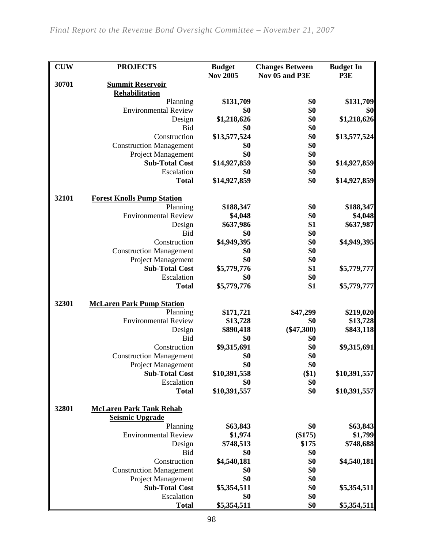| <b>CUW</b> | <b>PROJECTS</b>                   | <b>Budget</b>      | <b>Changes Between</b> | <b>Budget In</b> |
|------------|-----------------------------------|--------------------|------------------------|------------------|
|            |                                   | <b>Nov 2005</b>    | Nov 05 and P3E         | P3E              |
| 30701      | <b>Summit Reservoir</b>           |                    |                        |                  |
|            | Rehabilitation<br>Planning        | \$131,709          | \$0                    | \$131,709        |
|            | <b>Environmental Review</b>       | \$0                | \$0                    | \$0              |
|            | Design                            | \$1,218,626        | \$0                    | \$1,218,626      |
|            | <b>Bid</b>                        | \$0                | \$0                    |                  |
|            | Construction                      | \$13,577,524       | \$0                    | \$13,577,524     |
|            | <b>Construction Management</b>    | \$0                | \$0                    |                  |
|            | Project Management                | \$0                | \$0                    |                  |
|            | <b>Sub-Total Cost</b>             | \$14,927,859       | \$0                    | \$14,927,859     |
|            | Escalation                        | \$0                | \$0                    |                  |
|            | <b>Total</b>                      | \$14,927,859       | \$0                    | \$14,927,859     |
| 32101      | <b>Forest Knolls Pump Station</b> |                    |                        |                  |
|            | Planning                          | \$188,347          | \$0                    | \$188,347        |
|            | <b>Environmental Review</b>       | \$4,048            | \$0                    | \$4,048          |
|            | Design                            | \$637,986          | \$1                    | \$637,987        |
|            | <b>Bid</b>                        | \$0                | \$0                    |                  |
|            | Construction                      | \$4,949,395        | \$0                    | \$4,949,395      |
|            | <b>Construction Management</b>    | \$0                | \$0                    |                  |
|            | Project Management                | \$0                | \$0                    |                  |
|            | <b>Sub-Total Cost</b>             | \$5,779,776        | \$1                    | \$5,779,777      |
|            | Escalation                        | \$0                | \$0                    |                  |
|            | <b>Total</b>                      | \$5,779,776        | \$1                    | \$5,779,777      |
| 32301      | <b>McLaren Park Pump Station</b>  |                    |                        |                  |
|            | Planning                          | \$171,721          | \$47,299               | \$219,020        |
|            | <b>Environmental Review</b>       | \$13,728           | \$0                    | \$13,728         |
|            | Design                            | \$890,418          | $(\$47,300)$           | \$843,118        |
|            | <b>Bid</b>                        | \$0                | \$0                    |                  |
|            | Construction                      | \$9,315,691        | \$0                    | \$9,315,691      |
|            | <b>Construction Management</b>    | \$0                | \$0                    |                  |
|            | <b>Project Management</b>         | \$0                | \$0                    |                  |
|            | <b>Sub-Total Cost</b>             | \$10,391,558       | \$1)                   | \$10,391,557     |
|            | Escalation                        | \$0                | \$0                    |                  |
|            | <b>Total</b>                      | \$10,391,557       | \$0                    | \$10,391,557     |
| 32801      | <b>McLaren Park Tank Rehab</b>    |                    |                        |                  |
|            | <b>Seismic Upgrade</b>            |                    |                        |                  |
|            | Planning                          | \$63,843           | \$0                    | \$63,843         |
|            | <b>Environmental Review</b>       | \$1,974            | (\$175)                | \$1,799          |
|            | Design                            | \$748,513          | \$175                  | \$748,688        |
|            | <b>Bid</b><br>Construction        | \$0                | \$0<br>\$0             | \$4,540,181      |
|            | <b>Construction Management</b>    | \$4,540,181<br>\$0 | \$0                    |                  |
|            | Project Management                | \$0                | \$0                    |                  |
|            | <b>Sub-Total Cost</b>             | \$5,354,511        | \$0                    | \$5,354,511      |
|            | Escalation                        | \$0                | \$0                    |                  |
|            | <b>Total</b>                      | \$5,354,511        | \$0                    | \$5,354,511      |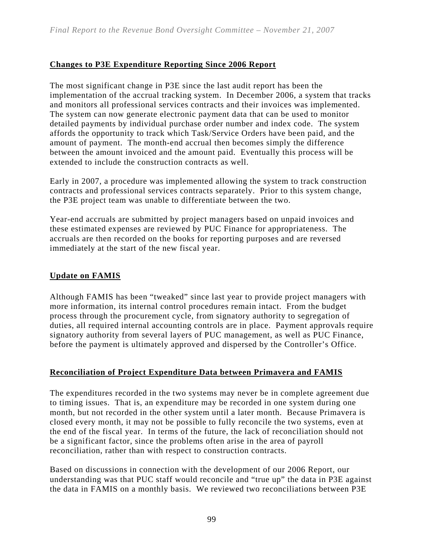#### **Changes to P3E Expenditure Reporting Since 2006 Report**

The most significant change in P3E since the last audit report has been the implementation of the accrual tracking system. In December 2006, a system that tracks and monitors all professional services contracts and their invoices was implemented. The system can now generate electronic payment data that can be used to monitor detailed payments by individual purchase order number and index code. The system affords the opportunity to track which Task/Service Orders have been paid, and the amount of payment. The month-end accrual then becomes simply the difference between the amount invoiced and the amount paid. Eventually this process will be extended to include the construction contracts as well.

Early in 2007, a procedure was implemented allowing the system to track construction contracts and professional services contracts separately. Prior to this system change, the P3E project team was unable to differentiate between the two.

Year-end accruals are submitted by project managers based on unpaid invoices and these estimated expenses are reviewed by PUC Finance for appropriateness. The accruals are then recorded on the books for reporting purposes and are reversed immediately at the start of the new fiscal year.

#### **Update on FAMIS**

Although FAMIS has been "tweaked" since last year to provide project managers with more information, its internal control procedures remain intact. From the budget process through the procurement cycle, from signatory authority to segregation of duties, all required internal accounting controls are in place. Payment approvals require signatory authority from several layers of PUC management, as well as PUC Finance, before the payment is ultimately approved and dispersed by the Controller's Office.

#### **Reconciliation of Project Expenditure Data between Primavera and FAMIS**

The expenditures recorded in the two systems may never be in complete agreement due to timing issues. That is, an expenditure may be recorded in one system during one month, but not recorded in the other system until a later month. Because Primavera is closed every month, it may not be possible to fully reconcile the two systems, even at the end of the fiscal year. In terms of the future, the lack of reconciliation should not be a significant factor, since the problems often arise in the area of payroll reconciliation, rather than with respect to construction contracts.

Based on discussions in connection with the development of our 2006 Report, our understanding was that PUC staff would reconcile and "true up" the data in P3E against the data in FAMIS on a monthly basis. We reviewed two reconciliations between P3E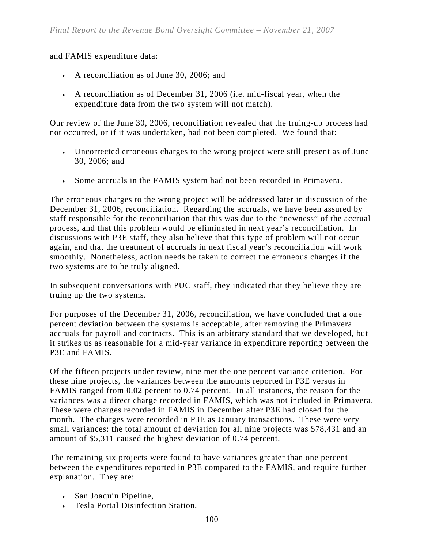and FAMIS expenditure data:

- A reconciliation as of June 30, 2006; and
- A reconciliation as of December 31, 2006 (i.e. mid-fiscal year, when the expenditure data from the two system will not match).

Our review of the June 30, 2006, reconciliation revealed that the truing-up process had not occurred, or if it was undertaken, had not been completed. We found that:

- Uncorrected erroneous charges to the wrong project were still present as of June 30, 2006; and
- Some accruals in the FAMIS system had not been recorded in Primavera.

The erroneous charges to the wrong project will be addressed later in discussion of the December 31, 2006, reconciliation. Regarding the accruals, we have been assured by staff responsible for the reconciliation that this was due to the "newness" of the accrual process, and that this problem would be eliminated in next year's reconciliation. In discussions with P3E staff, they also believe that this type of problem will not occur again, and that the treatment of accruals in next fiscal year's reconciliation will work smoothly. Nonetheless, action needs be taken to correct the erroneous charges if the two systems are to be truly aligned.

In subsequent conversations with PUC staff, they indicated that they believe they are truing up the two systems.

For purposes of the December 31, 2006, reconciliation, we have concluded that a one percent deviation between the systems is acceptable, after removing the Primavera accruals for payroll and contracts. This is an arbitrary standard that we developed, but it strikes us as reasonable for a mid-year variance in expenditure reporting between the P3E and FAMIS.

Of the fifteen projects under review, nine met the one percent variance criterion. For these nine projects, the variances between the amounts reported in P3E versus in FAMIS ranged from 0.02 percent to 0.74 percent. In all instances, the reason for the variances was a direct charge recorded in FAMIS, which was not included in Primavera. These were charges recorded in FAMIS in December after P3E had closed for the month. The charges were recorded in P3E as January transactions. These were very small variances: the total amount of deviation for all nine projects was \$78,431 and an amount of \$5,311 caused the highest deviation of 0.74 percent.

The remaining six projects were found to have variances greater than one percent between the expenditures reported in P3E compared to the FAMIS, and require further explanation. They are:

- San Joaquin Pipeline,
- Tesla Portal Disinfection Station,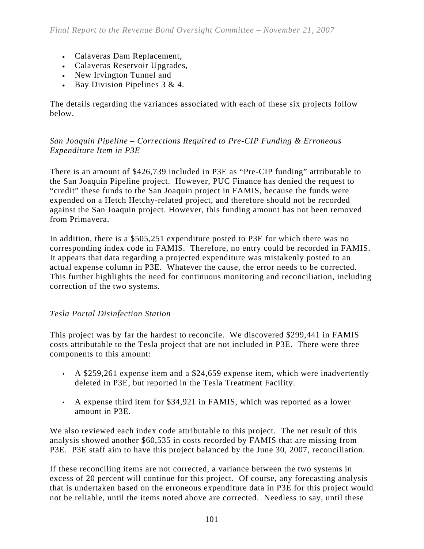- Calaveras Dam Replacement,
- Calaveras Reservoir Upgrades,
- New Irvington Tunnel and
- Bay Division Pipelines 3 & 4.

The details regarding the variances associated with each of these six projects follow below.

#### *San Joaquin Pipeline – Corrections Required to Pre-CIP Funding & Erroneous Expenditure Item in P3E*

There is an amount of \$426,739 included in P3E as "Pre-CIP funding" attributable to the San Joaquin Pipeline project. However, PUC Finance has denied the request to "credit" these funds to the San Joaquin project in FAMIS, because the funds were expended on a Hetch Hetchy-related project, and therefore should not be recorded against the San Joaquin project. However, this funding amount has not been removed from Primavera.

In addition, there is a \$505,251 expenditure posted to P3E for which there was no corresponding index code in FAMIS. Therefore, no entry could be recorded in FAMIS. It appears that data regarding a projected expenditure was mistakenly posted to an actual expense column in P3E. Whatever the cause, the error needs to be corrected. This further highlights the need for continuous monitoring and reconciliation, including correction of the two systems.

#### *Tesla Portal Disinfection Station*

This project was by far the hardest to reconcile. We discovered \$299,441 in FAMIS costs attributable to the Tesla project that are not included in P3E. There were three components to this amount:

- A \$259,261 expense item and a \$24,659 expense item, which were inadvertently deleted in P3E, but reported in the Tesla Treatment Facility.
- $\cdot$  A expense third item for \$34,921 in FAMIS, which was reported as a lower amount in P3E.

We also reviewed each index code attributable to this project. The net result of this analysis showed another \$60,535 in costs recorded by FAMIS that are missing from P3E. P3E staff aim to have this project balanced by the June 30, 2007, reconciliation.

If these reconciling items are not corrected, a variance between the two systems in excess of 20 percent will continue for this project. Of course, any forecasting analysis that is undertaken based on the erroneous expenditure data in P3E for this project would not be reliable, until the items noted above are corrected. Needless to say, until these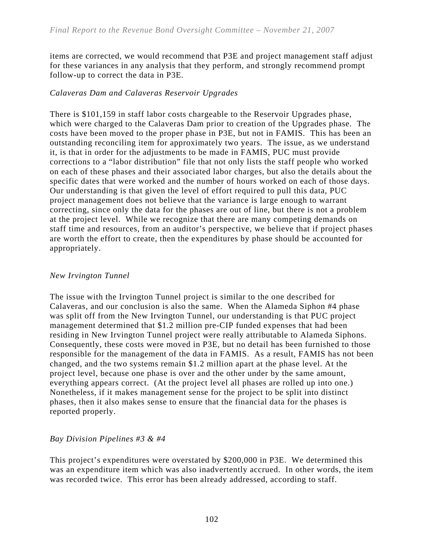items are corrected, we would recommend that P3E and project management staff adjust for these variances in any analysis that they perform, and strongly recommend prompt follow-up to correct the data in P3E.

#### *Calaveras Dam and Calaveras Reservoir Upgrades*

There is \$101,159 in staff labor costs chargeable to the Reservoir Upgrades phase, which were charged to the Calaveras Dam prior to creation of the Upgrades phase. The costs have been moved to the proper phase in P3E, but not in FAMIS. This has been an outstanding reconciling item for approximately two years. The issue, as we understand it, is that in order for the adjustments to be made in FAMIS, PUC must provide corrections to a "labor distribution" file that not only lists the staff people who worked on each of these phases and their associated labor charges, but also the details about the specific dates that were worked and the number of hours worked on each of those days. Our understanding is that given the level of effort required to pull this data, PUC project management does not believe that the variance is large enough to warrant correcting, since only the data for the phases are out of line, but there is not a problem at the project level. While we recognize that there are many competing demands on staff time and resources, from an auditor's perspective, we believe that if project phases are worth the effort to create, then the expenditures by phase should be accounted for appropriately.

#### *New Irvington Tunnel*

The issue with the Irvington Tunnel project is similar to the one described for Calaveras, and our conclusion is also the same. When the Alameda Siphon #4 phase was split off from the New Irvington Tunnel, our understanding is that PUC project management determined that \$1.2 million pre-CIP funded expenses that had been residing in New Irvington Tunnel project were really attributable to Alameda Siphons. Consequently, these costs were moved in P3E, but no detail has been furnished to those responsible for the management of the data in FAMIS. As a result, FAMIS has not been changed, and the two systems remain \$1.2 million apart at the phase level. At the project level, because one phase is over and the other under by the same amount, everything appears correct. (At the project level all phases are rolled up into one.) Nonetheless, if it makes management sense for the project to be split into distinct phases, then it also makes sense to ensure that the financial data for the phases is reported properly.

#### *Bay Division Pipelines #3 & #4*

This project's expenditures were overstated by \$200,000 in P3E. We determined this was an expenditure item which was also inadvertently accrued. In other words, the item was recorded twice. This error has been already addressed, according to staff.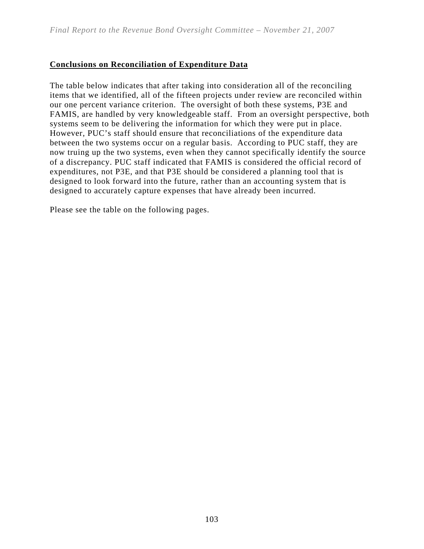### **Conclusions on Reconciliation of Expenditure Data**

The table below indicates that after taking into consideration all of the reconciling items that we identified, all of the fifteen projects under review are reconciled within our one percent variance criterion. The oversight of both these systems, P3E and FAMIS, are handled by very knowledgeable staff. From an oversight perspective, both systems seem to be delivering the information for which they were put in place. However, PUC's staff should ensure that reconciliations of the expenditure data between the two systems occur on a regular basis. According to PUC staff, they are now truing up the two systems, even when they cannot specifically identify the source of a discrepancy. PUC staff indicated that FAMIS is considered the official record of expenditures, not P3E, and that P3E should be considered a planning tool that is designed to look forward into the future, rather than an accounting system that is designed to accurately capture expenses that have already been incurred.

Please see the table on the following pages.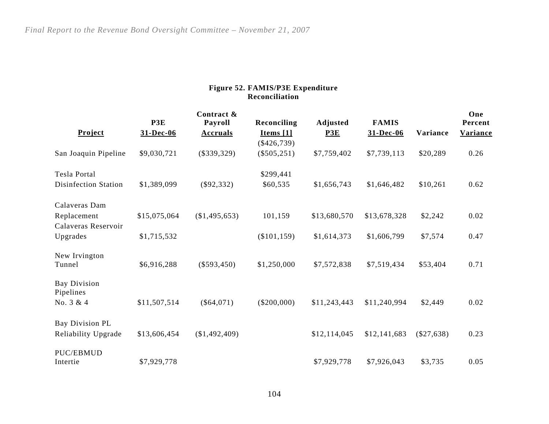#### **Figure 52. FAMIS/P3E Expenditure Reconciliation**

|                      |              | Contract &      |                |              |              |                 | One      |
|----------------------|--------------|-----------------|----------------|--------------|--------------|-----------------|----------|
|                      | P3E          | Payroll         | Reconciling    | Adjusted     | <b>FAMIS</b> |                 | Percent  |
| Project              | 31-Dec-06    | <b>Accruals</b> | Items $[1]$    | P3E          | 31-Dec-06    | <b>Variance</b> | Variance |
|                      |              |                 | $(\$426,739)$  |              |              |                 |          |
| San Joaquin Pipeline | \$9,030,721  | $(\$339,329)$   | $(\$505,251)$  | \$7,759,402  | \$7,739,113  | \$20,289        | 0.26     |
| <b>Tesla Portal</b>  |              |                 | \$299,441      |              |              |                 |          |
| Disinfection Station | \$1,389,099  | $(\$92,332)$    | \$60,535       | \$1,656,743  | \$1,646,482  | \$10,261        | 0.62     |
| Calaveras Dam        |              |                 |                |              |              |                 |          |
| Replacement          | \$15,075,064 | (\$1,495,653)   | 101,159        | \$13,680,570 | \$13,678,328 | \$2,242         | 0.02     |
| Calaveras Reservoir  |              |                 |                |              |              |                 |          |
| Upgrades             | \$1,715,532  |                 | $(\$101, 159)$ | \$1,614,373  | \$1,606,799  | \$7,574         | 0.47     |
|                      |              |                 |                |              |              |                 |          |
| New Irvington        |              |                 |                |              |              |                 |          |
| Tunnel               | \$6,916,288  | $(\$593,450)$   | \$1,250,000    | \$7,572,838  | \$7,519,434  | \$53,404        | 0.71     |
| <b>Bay Division</b>  |              |                 |                |              |              |                 |          |
| Pipelines            |              |                 |                |              |              |                 |          |
| No. 3 & 4            | \$11,507,514 | $(\$64,071)$    | $(\$200,000)$  | \$11,243,443 | \$11,240,994 | \$2,449         | 0.02     |
|                      |              |                 |                |              |              |                 |          |
| Bay Division PL      |              |                 |                |              |              |                 |          |
| Reliability Upgrade  | \$13,606,454 | (\$1,492,409)   |                | \$12,114,045 | \$12,141,683 | $(\$27,638)$    | 0.23     |
| PUC/EBMUD            |              |                 |                |              |              |                 |          |
| Intertie             | \$7,929,778  |                 |                | \$7,929,778  | \$7,926,043  | \$3,735         | 0.05     |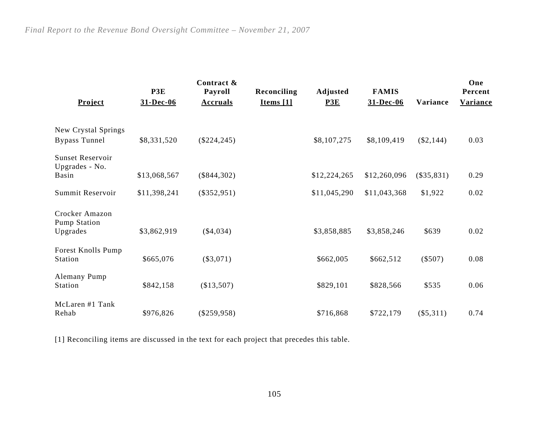| <b>Project</b>                              | P3E<br>31-Dec-06 | Contract &<br>Payroll<br><b>Accruals</b> | Reconciling<br>Items $[1]$ | Adjusted<br>P3E | <b>FAMIS</b><br>31-Dec-06 | <b>Variance</b> | One<br>Percent<br><b>Variance</b> |
|---------------------------------------------|------------------|------------------------------------------|----------------------------|-----------------|---------------------------|-----------------|-----------------------------------|
| New Crystal Springs<br><b>Bypass Tunnel</b> | \$8,331,520      | $(\$224, 245)$                           |                            | \$8,107,275     | \$8,109,419               | $(\$2,144)$     | 0.03                              |
| <b>Sunset Reservoir</b><br>Upgrades - No.   |                  |                                          |                            |                 |                           |                 |                                   |
| Basin                                       | \$13,068,567     | $(\$844,302)$                            |                            | \$12,224,265    | \$12,260,096              | $(\$35,831)$    | 0.29                              |
| Summit Reservoir                            | \$11,398,241     | $(\$352,951)$                            |                            | \$11,045,290    | \$11,043,368              | \$1,922         | 0.02                              |
| Crocker Amazon<br>Pump Station<br>Upgrades  | \$3,862,919      | $(\$4,034)$                              |                            | \$3,858,885     | \$3,858,246               | \$639           | 0.02                              |
|                                             |                  |                                          |                            |                 |                           |                 |                                   |
| Forest Knolls Pump<br>Station               | \$665,076        | $(\$3,071)$                              |                            | \$662,005       | \$662,512                 | $(\$507)$       | 0.08                              |
| Alemany Pump<br>Station                     | \$842,158        | (\$13,507)                               |                            | \$829,101       | \$828,566                 | \$535           | 0.06                              |
| McLaren #1 Tank<br>Rehab                    | \$976,826        | $(\$259,958)$                            |                            | \$716,868       | \$722,179                 | $(\$5,311)$     | 0.74                              |

[1] Reconciling items are discussed in the text for each project that precedes this table.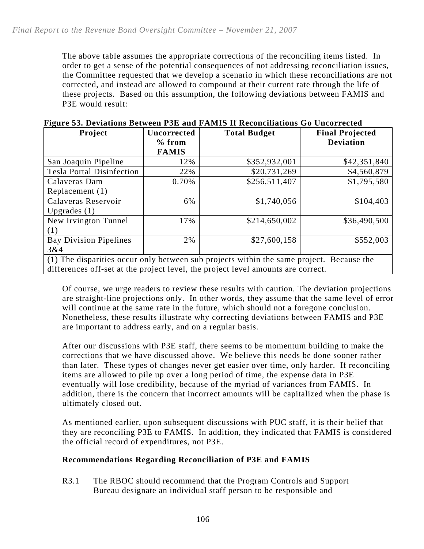The above table assumes the appropriate corrections of the reconciling items listed. In order to get a sense of the potential consequences of not addressing reconciliation issues, the Committee requested that we develop a scenario in which these reconciliations are not corrected, and instead are allowed to compound at their current rate through the life of these projects. Based on this assumption, the following deviations between FAMIS and P3E would result:

| Project                                                                                  | Uncorrected<br>$%$ from | <b>Total Budget</b>                                                              | <b>Final Projected</b><br><b>Deviation</b> |  |  |  |  |
|------------------------------------------------------------------------------------------|-------------------------|----------------------------------------------------------------------------------|--------------------------------------------|--|--|--|--|
|                                                                                          | <b>FAMIS</b>            |                                                                                  |                                            |  |  |  |  |
| San Joaquin Pipeline                                                                     | 12%                     | \$352,932,001                                                                    | \$42,351,840                               |  |  |  |  |
| <b>Tesla Portal Disinfection</b>                                                         | 22%                     | \$20,731,269                                                                     | \$4,560,879                                |  |  |  |  |
| Calaveras Dam                                                                            | 0.70%                   | \$256,511,407                                                                    | \$1,795,580                                |  |  |  |  |
| Replacement (1)                                                                          |                         |                                                                                  |                                            |  |  |  |  |
| Calaveras Reservoir                                                                      | 6%                      | \$1,740,056                                                                      | \$104,403                                  |  |  |  |  |
| Upgrades $(1)$                                                                           |                         |                                                                                  |                                            |  |  |  |  |
| New Irvington Tunnel                                                                     | 17%                     | \$214,650,002                                                                    | \$36,490,500                               |  |  |  |  |
| (1)                                                                                      |                         |                                                                                  |                                            |  |  |  |  |
| <b>Bay Division Pipelines</b>                                                            | 2%                      | \$27,600,158                                                                     | \$552,003                                  |  |  |  |  |
| 3&4                                                                                      |                         |                                                                                  |                                            |  |  |  |  |
| (1) The disparities occur only between sub projects within the same project. Because the |                         |                                                                                  |                                            |  |  |  |  |
|                                                                                          |                         | differences off-set at the project level, the project level amounts are correct. |                                            |  |  |  |  |

|  |  |  |  | Figure 53. Deviations Between P3E and FAMIS If Reconciliations Go Uncorrected |
|--|--|--|--|-------------------------------------------------------------------------------|
|  |  |  |  |                                                                               |

Of course, we urge readers to review these results with caution. The deviation projections are straight-line projections only. In other words, they assume that the same level of error will continue at the same rate in the future, which should not a foregone conclusion. Nonetheless, these results illustrate why correcting deviations between FAMIS and P3E are important to address early, and on a regular basis.

After our discussions with P3E staff, there seems to be momentum building to make the corrections that we have discussed above. We believe this needs be done sooner rather than later. These types of changes never get easier over time, only harder. If reconciling items are allowed to pile up over a long period of time, the expense data in P3E eventually will lose credibility, because of the myriad of variances from FAMIS. In addition, there is the concern that incorrect amounts will be capitalized when the phase is ultimately closed out.

As mentioned earlier, upon subsequent discussions with PUC staff, it is their belief that they are reconciling P3E to FAMIS. In addition, they indicated that FAMIS is considered the official record of expenditures, not P3E.

#### **Recommendations Regarding Reconciliation of P3E and FAMIS**

R3.1 The RBOC should recommend that the Program Controls and Support Bureau designate an individual staff person to be responsible and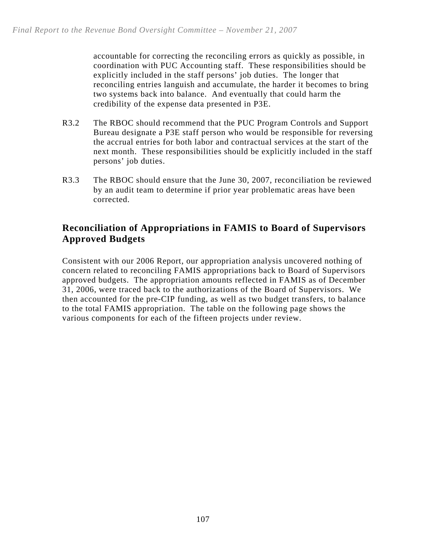accountable for correcting the reconciling errors as quickly as possible, in coordination with PUC Accounting staff. These responsibilities should be explicitly included in the staff persons' job duties. The longer that reconciling entries languish and accumulate, the harder it becomes to bring two systems back into balance. And eventually that could harm the credibility of the expense data presented in P3E.

- R3.2 The RBOC should recommend that the PUC Program Controls and Support Bureau designate a P3E staff person who would be responsible for reversing the accrual entries for both labor and contractual services at the start of the next month. These responsibilities should be explicitly included in the staff persons' job duties.
- R3.3 The RBOC should ensure that the June 30, 2007, reconciliation be reviewed by an audit team to determine if prior year problematic areas have been corrected.

# **Reconciliation of Appropriations in FAMIS to Board of Supervisors Approved Budgets**

Consistent with our 2006 Report, our appropriation analysis uncovered nothing of concern related to reconciling FAMIS appropriations back to Board of Supervisors approved budgets. The appropriation amounts reflected in FAMIS as of December 31, 2006, were traced back to the authorizations of the Board of Supervisors. We then accounted for the pre-CIP funding, as well as two budget transfers, to balance to the total FAMIS appropriation. The table on the following page shows the various components for each of the fifteen projects under review.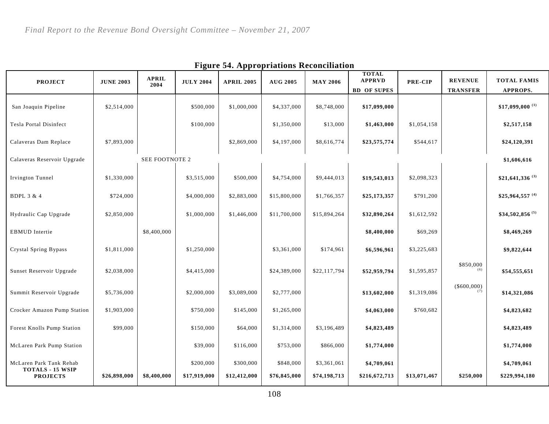|                                                    |                  | <b>APRIL</b>   |                  | --- - - - --      |                 |                 | <b>TOTAL</b><br><b>APPRVD</b> |              | <b>REVENUE</b>       | <b>TOTAL FAMIS</b>           |
|----------------------------------------------------|------------------|----------------|------------------|-------------------|-----------------|-----------------|-------------------------------|--------------|----------------------|------------------------------|
| <b>PROJECT</b>                                     | <b>JUNE 2003</b> | 2004           | <b>JULY 2004</b> | <b>APRIL 2005</b> | <b>AUG 2005</b> | <b>MAY 2006</b> | <b>BD OF SUPES</b>            | PRE-CIP      | <b>TRANSFER</b>      | APPROPS.                     |
| San Joaquin Pipeline                               | \$2,514,000      |                | \$500,000        | \$1,000,000       | \$4,337,000     | \$8,748,000     | \$17,099,000                  |              |                      | $$17,099,000$ <sup>(1)</sup> |
| Tesla Portal Disinfect                             |                  |                | \$100,000        |                   | \$1,350,000     | \$13,000        | \$1,463,000                   | \$1,054,158  |                      | \$2,517,158                  |
| Calaveras Dam Replace                              | \$7,893,000      |                |                  | \$2,869,000       | \$4,197,000     | \$8,616,774     | \$23,575,774                  | \$544,617    |                      | \$24,120,391                 |
| Calaveras Reservoir Upgrade                        |                  | SEE FOOTNOTE 2 |                  |                   |                 |                 |                               |              |                      | \$1,606,616                  |
| <b>Irvington Tunnel</b>                            | \$1,330,000      |                | \$3,515,000      | \$500,000         | \$4,754,000     | \$9,444,013     | \$19,543,013                  | \$2,098,323  |                      | \$21,641,336 <sup>(3)</sup>  |
| <b>BDPL 3 &amp; 4</b>                              | \$724,000        |                | \$4,000,000      | \$2,883,000       | \$15,800,000    | \$1,766,357     | \$25,173,357                  | \$791,200    |                      | \$25,964,557 (4)             |
| Hydraulic Cap Upgrade                              | \$2,850,000      |                | \$1,000,000      | \$1,446,000       | \$11,700,000    | \$15,894,264    | \$32,890,264                  | \$1,612,592  |                      | $$34,502,856^{(5)}$          |
| <b>EBMUD</b> Intertie                              |                  | \$8,400,000    |                  |                   |                 |                 | \$8,400,000                   | \$69,269     |                      | \$8,469,269                  |
| Crystal Spring Bypass                              | \$1,811,000      |                | \$1,250,000      |                   | \$3,361,000     | \$174,961       | \$6,596,961                   | \$3,225,683  |                      | \$9,822,644                  |
| Sunset Reservoir Upgrade                           | \$2,038,000      |                | \$4,415,000      |                   | \$24,389,000    | \$22,117,794    | \$52,959,794                  | \$1,595,857  | \$850,000<br>(6)     | \$54,555,651                 |
| Summit Reservoir Upgrade                           | \$5,736,000      |                | \$2,000,000      | \$3,089,000       | \$2,777,000     |                 | \$13,602,000                  | \$1,319,086  | $(\$600,000)$<br>(7) | \$14,321,086                 |
| Crocker Amazon Pump Station                        | \$1,903,000      |                | \$750,000        | \$145,000         | \$1,265,000     |                 | \$4,063,000                   | \$760,682    |                      | \$4,823,682                  |
| Forest Knolls Pump Station                         | \$99,000         |                | \$150,000        | \$64,000          | \$1,314,000     | \$3,196,489     | \$4,823,489                   |              |                      | \$4,823,489                  |
| McLaren Park Pump Station                          |                  |                | \$39,000         | \$116,000         | \$753,000       | \$866,000       | \$1,774,000                   |              |                      | \$1,774,000                  |
| McLaren Park Tank Rehab<br><b>TOTALS - 15 WSIP</b> |                  |                | \$200,000        | \$300,000         | \$848,000       | \$3,361,061     | \$4,709,061                   |              |                      | \$4,709,061                  |
| <b>PROJECTS</b>                                    | \$26,898,000     | \$8,400,000    | \$17,919,000     | \$12,412,000      | \$76,845,000    | \$74,198,713    | \$216,672,713                 | \$13,071,467 | \$250,000            | \$229,994,180                |

**Figure 54. Appropriations Reconciliation**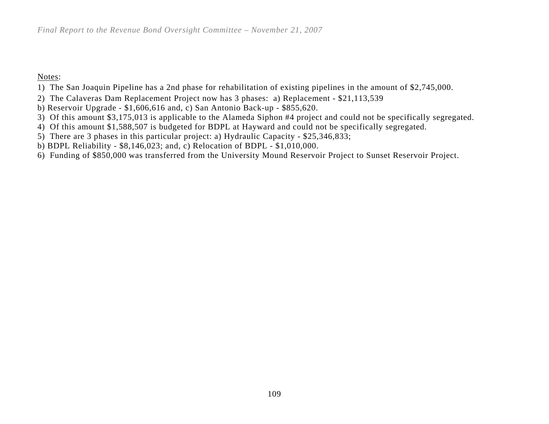Notes:

- 1) The San Joaquin Pipeline has a 2nd phase for rehabilitation of existing pipelines in the amount of \$2,745,000.
- 2) The Calaveras Dam Replacement Project now has 3 phases: a) Replacement \$21,113,539
- b) Reservoir Upgrade \$1,606,616 and, c) San Antonio Back-up \$855,620.
- 3) Of this amount \$3,175,013 is applicable to the Alameda Siphon #4 project and could not be specifically segregated.
- 4) Of this amount \$1,588,507 is budgeted for BDPL at Hayward and could not be specifically segregated.
- 5) There are 3 phases in this particular project: a) Hydraulic Capacity \$25,346,833;
- b) BDPL Reliability \$8,146,023; and, c) Relocation of BDPL \$1,010,000.
- 6) Funding of \$850,000 was transferred from the University Mound Reservoir Project to Sunset Reservoir Project.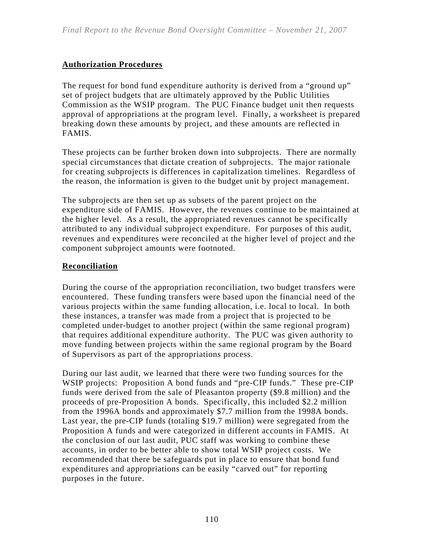## **Authorization Procedures**

The request for bond fund expenditure authority is derived from a "ground up" set of project budgets that are ultimately approved by the Public Utilities Commission as the WSIP program. The PUC Finance budget unit then requests approval of appropriations at the program level. Finally, a worksheet is prepared breaking down these amounts by project, and these amounts are reflected in FAMIS.

These projects can be further broken down into subprojects. There are normally special circumstances that dictate creation of subprojects. The major rationale for creating subprojects is differences in capitalization timelines. Regardless of the reason, the information is given to the budget unit by project management.

The subprojects are then set up as subsets of the parent project on the expenditure side of FAMIS. However, the revenues continue to be maintained at the higher level. As a result, the appropriated revenues cannot be specifically attributed to any individual subproject expenditure. For purposes of this audit, revenues and expenditures were reconciled at the higher level of project and the component subproject amounts were footnoted.

### **Reconciliation**

During the course of the appropriation reconciliation, two budget transfers were encountered. These funding transfers were based upon the financial need of the various projects within the same funding allocation, i.e. local to local. In both these instances, a transfer was made from a project that is projected to be completed under-budget to another project (within the same regional program) that requires additional expenditure authority. The PUC was given authority to move funding between projects within the same regional program by the Board of Supervisors as part of the appropriations process.

During our last audit, we learned that there were two funding sources for the WSIP projects: Proposition A bond funds and "pre-CIP funds." These pre-CIP funds were derived from the sale of Pleasanton property (\$9.8 million) and the proceeds of pre-Proposition A bonds. Specifically, this included \$2.2 million from the 1996A bonds and approximately \$7.7 million from the 1998A bonds. Last year, the pre-CIP funds (totaling \$19.7 million) were segregated from the Proposition A funds and were categorized in different accounts in FAMIS. At the conclusion of our last audit, PUC staff was working to combine these accounts, in order to be better able to show total WSIP project costs. We recommended that there be safeguards put in place to ensure that bond fund expenditures and appropriations can be easily "carved out" for reporting purposes in the future.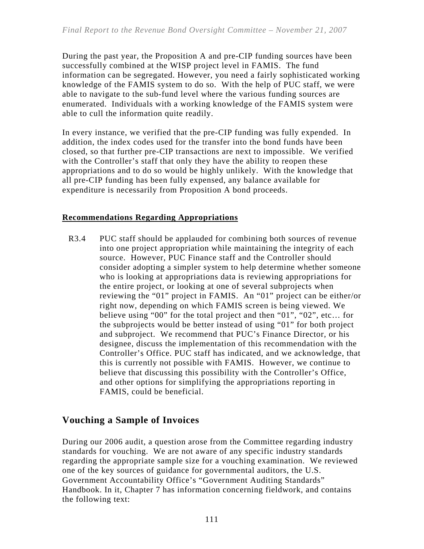During the past year, the Proposition A and pre-CIP funding sources have been successfully combined at the WISP project level in FAMIS. The fund information can be segregated. However, you need a fairly sophisticated working knowledge of the FAMIS system to do so. With the help of PUC staff, we were able to navigate to the sub-fund level where the various funding sources are enumerated. Individuals with a working knowledge of the FAMIS system were able to cull the information quite readily.

In every instance, we verified that the pre-CIP funding was fully expended. In addition, the index codes used for the transfer into the bond funds have been closed, so that further pre-CIP transactions are next to impossible. We verified with the Controller's staff that only they have the ability to reopen these appropriations and to do so would be highly unlikely. With the knowledge that all pre-CIP funding has been fully expensed, any balance available for expenditure is necessarily from Proposition A bond proceeds.

### **Recommendations Regarding Appropriations**

R3.4 PUC staff should be applauded for combining both sources of revenue into one project appropriation while maintaining the integrity of each source. However, PUC Finance staff and the Controller should consider adopting a simpler system to help determine whether someone who is looking at appropriations data is reviewing appropriations for the entire project, or looking at one of several subprojects when reviewing the "01" project in FAMIS. An "01" project can be either/or right now, depending on which FAMIS screen is being viewed. We believe using "00" for the total project and then "01", "02", etc… for the subprojects would be better instead of using "01" for both project and subproject. We recommend that PUC's Finance Director, or his designee, discuss the implementation of this recommendation with the Controller's Office. PUC staff has indicated, and we acknowledge, that this is currently not possible with FAMIS. However, we continue to believe that discussing this possibility with the Controller's Office, and other options for simplifying the appropriations reporting in FAMIS, could be beneficial.

# **Vouching a Sample of Invoices**

During our 2006 audit, a question arose from the Committee regarding industry standards for vouching. We are not aware of any specific industry standards regarding the appropriate sample size for a vouching examination. We reviewed one of the key sources of guidance for governmental auditors, the U.S. Government Accountability Office's "Government Auditing Standards" Handbook. In it, Chapter 7 has information concerning fieldwork, and contains the following text: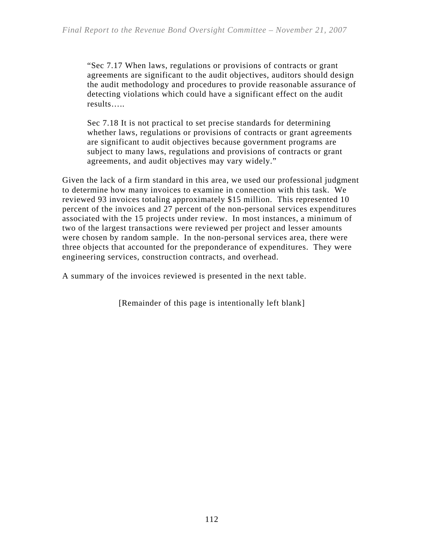"Sec 7.17 When laws, regulations or provisions of contracts or grant agreements are significant to the audit objectives, auditors should design the audit methodology and procedures to provide reasonable assurance of detecting violations which could have a significant effect on the audit results…..

Sec 7.18 It is not practical to set precise standards for determining whether laws, regulations or provisions of contracts or grant agreements are significant to audit objectives because government programs are subject to many laws, regulations and provisions of contracts or grant agreements, and audit objectives may vary widely."

Given the lack of a firm standard in this area, we used our professional judgment to determine how many invoices to examine in connection with this task. We reviewed 93 invoices totaling approximately \$15 million. This represented 10 percent of the invoices and 27 percent of the non-personal services expenditures associated with the 15 projects under review. In most instances, a minimum of two of the largest transactions were reviewed per project and lesser amounts were chosen by random sample. In the non-personal services area, there were three objects that accounted for the preponderance of expenditures. They were engineering services, construction contracts, and overhead.

A summary of the invoices reviewed is presented in the next table.

[Remainder of this page is intentionally left blank]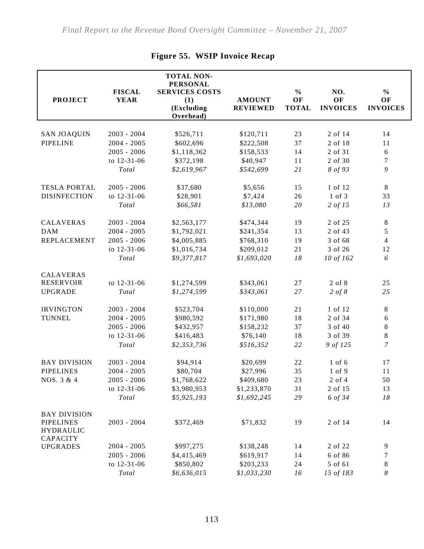| <b>PROJECT</b>                                          | <b>FISCAL</b><br><b>YEAR</b> | <b>TOTAL NON-</b><br><b>PERSONAL</b><br><b>SERVICES COSTS</b><br>(1)<br>(Excluding<br>Overhead) | <b>AMOUNT</b><br><b>REVIEWED</b> | $\frac{0}{0}$<br>OF<br><b>TOTAL</b> | NO.<br>OF<br><b>INVOICES</b> | $\frac{0}{0}$<br>OF<br><b>INVOICES</b> |
|---------------------------------------------------------|------------------------------|-------------------------------------------------------------------------------------------------|----------------------------------|-------------------------------------|------------------------------|----------------------------------------|
|                                                         | $2003 - 2004$                |                                                                                                 |                                  | 23                                  | 2 of 14                      | 14                                     |
| <b>SAN JOAQUIN</b><br><b>PIPELINE</b>                   | $2004 - 2005$                | \$526,711                                                                                       | \$120,711                        |                                     |                              |                                        |
|                                                         | $2005 - 2006$                | \$602,696                                                                                       | \$222,508                        | 37                                  | 2 of 18<br>2 of 31           | 11                                     |
|                                                         |                              | \$1,118,362                                                                                     | \$158,533                        | 14                                  | 2 of 30                      | $\sqrt{6}$                             |
|                                                         | to 12-31-06                  | \$372,198                                                                                       | \$40,947                         | 11                                  |                              | $\boldsymbol{7}$                       |
|                                                         | Total                        | \$2,619,967                                                                                     | \$542,699                        | 21                                  | 8 of 93                      | 9                                      |
| <b>TESLA PORTAL</b>                                     | $2005 - 2006$                | \$37,680                                                                                        | \$5,656                          | 15                                  | 1 of 12                      | $\,8\,$                                |
| <b>DISINFECTION</b>                                     | to 12-31-06                  | \$28,901                                                                                        | \$7,424                          | 26                                  | 1 of 3                       | 33                                     |
|                                                         | Total                        | \$66,581                                                                                        | \$13,080                         | 20                                  | 2 of 15                      | 13                                     |
| <b>CALAVERAS</b>                                        | $2003 - 2004$                | \$2,563,177                                                                                     | \$474,344                        | 19                                  | 2 of 25                      | $\,8\,$                                |
| <b>DAM</b>                                              | $2004 - 2005$                | \$1,792,021                                                                                     | \$241,354                        | 13                                  | 2 of 43                      | $\mathfrak s$                          |
| <b>REPLACEMENT</b>                                      | $2005 - 2006$                | \$4,005,885                                                                                     | \$768,310                        | 19                                  | 3 of 68                      | $\overline{4}$                         |
|                                                         | to 12-31-06                  | \$1,016,734                                                                                     | \$209,012                        | 21                                  | 3 of 26                      | 12                                     |
|                                                         | Total                        | \$9,377,817                                                                                     | \$1,693,020                      | $18\,$                              | 10 of 162                    | 6                                      |
|                                                         |                              |                                                                                                 |                                  |                                     |                              |                                        |
| <b>CALAVERAS</b>                                        |                              |                                                                                                 |                                  |                                     |                              |                                        |
| <b>RESERVOIR</b>                                        | to 12-31-06                  | \$1,274,599                                                                                     | \$343,061                        | 27                                  | 2 of 8                       | 25                                     |
| <b>UPGRADE</b>                                          | Total                        | \$1,274,599                                                                                     | \$343,061                        | 27                                  | $2 \text{ of } 8$            | 25                                     |
| <b>IRVINGTON</b>                                        | 2003 - 2004                  | \$523,704                                                                                       | \$110,000                        | 21                                  | 1 of 12                      | $\,8\,$                                |
| <b>TUNNEL</b>                                           | $2004 - 2005$                | \$980,592                                                                                       | \$171,980                        | 18                                  | 2 of 34                      | $\sqrt{6}$                             |
|                                                         | $2005 - 2006$                | \$432,957                                                                                       | \$158,232                        | 37                                  | 3 of 40                      | $8\,$                                  |
|                                                         | to 12-31-06                  | \$416,483                                                                                       | \$76,140                         | 18                                  | 3 of 39                      | $\,8\,$                                |
|                                                         | Total                        | \$2,353,736                                                                                     | \$516,352                        | 22                                  | 9 of 125                     | $\boldsymbol{7}$                       |
| <b>BAY DIVISION</b>                                     | $2003 - 2004$                | \$94,914                                                                                        | \$20,699                         | 22                                  | $1$ of $6$                   | 17                                     |
| <b>PIPELINES</b>                                        | $2004 - 2005$                | \$80,704                                                                                        | \$27,996                         | 35                                  | 1 of 9                       | 11                                     |
| NOS. 3 & 4                                              | $2005 - 2006$                | \$1,768,622                                                                                     | \$409,680                        | 23                                  | 2 of 4                       | 50                                     |
|                                                         | to 12-31-06                  | \$3,980,953                                                                                     | \$1,233,870                      | 31                                  | 2 of 15                      | 13                                     |
|                                                         | Total                        | \$5,925,193                                                                                     | \$1,692,245                      | 29                                  | 6 of 34                      | $18\,$                                 |
|                                                         |                              |                                                                                                 |                                  |                                     |                              |                                        |
| <b>BAY DIVISION</b>                                     |                              |                                                                                                 |                                  |                                     |                              |                                        |
| <b>PIPELINES</b><br><b>HYDRAULIC</b><br><b>CAPACITY</b> | $2003 - 2004$                | \$372,469                                                                                       | \$71,832                         | 19                                  | 2 of 14                      | 14                                     |
| <b>UPGRADES</b>                                         | $2004 - 2005$                | \$997,275                                                                                       | \$138,248                        | 14                                  | 2 of 22                      | 9                                      |
|                                                         | $2005 - 2006$                | \$4,415,469                                                                                     | \$619,917                        | 14                                  | 6 of 86                      | 7                                      |
|                                                         | to 12-31-06                  | \$850,802                                                                                       | \$203,233                        | 24                                  | 5 of 61                      | $8\,$                                  |
|                                                         | Total                        | \$6,636,015                                                                                     | \$1,033,230                      | 16                                  | 15 of 183                    | 8                                      |

# **Figure 55. WSIP Invoice Recap**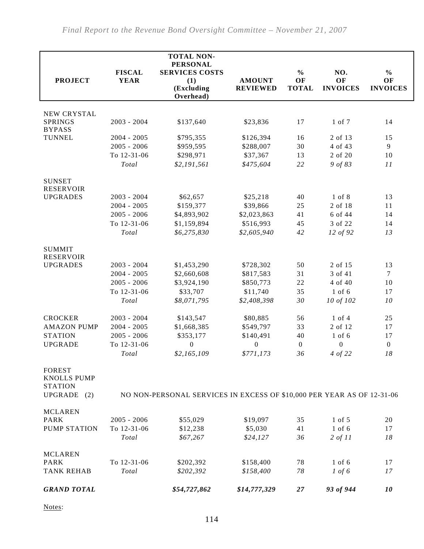|                                                                                |               | <b>TOTAL NON-</b>                                                      |                  |                  |                    |                  |
|--------------------------------------------------------------------------------|---------------|------------------------------------------------------------------------|------------------|------------------|--------------------|------------------|
|                                                                                | <b>FISCAL</b> | <b>PERSONAL</b><br><b>SERVICES COSTS</b>                               |                  | $\frac{0}{0}$    | NO.                | $\frac{0}{0}$    |
| <b>PROJECT</b>                                                                 | <b>YEAR</b>   | (1)                                                                    | <b>AMOUNT</b>    | OF               | OF                 | OF               |
|                                                                                |               | (Excluding<br>Overhead)                                                | <b>REVIEWED</b>  | <b>TOTAL</b>     | <b>INVOICES</b>    | <b>INVOICES</b>  |
|                                                                                |               |                                                                        |                  |                  |                    |                  |
| NEW CRYSTAL<br><b>SPRINGS</b><br><b>BYPASS</b>                                 | $2003 - 2004$ | \$137,640                                                              | \$23,836         | 17               | 1 of 7             | 14               |
| <b>TUNNEL</b>                                                                  | $2004 - 2005$ | \$795,355                                                              | \$126,394        | 16               | 2 of 13            | 15               |
|                                                                                | $2005 - 2006$ | \$959,595                                                              | \$288,007        | 30               | 4 of 43            | $\overline{9}$   |
|                                                                                | To 12-31-06   | \$298,971                                                              | \$37,367         | 13               | 2 of 20            | 10               |
|                                                                                | Total         | \$2,191,561                                                            | \$475,604        | 22               | 9 of 83            | 11               |
| <b>SUNSET</b><br><b>RESERVOIR</b>                                              |               |                                                                        |                  |                  |                    |                  |
| <b>UPGRADES</b>                                                                | $2003 - 2004$ | \$62,657                                                               | \$25,218         | 40               | 1 of 8             | 13               |
|                                                                                | $2004 - 2005$ | \$159,377                                                              | \$39,866         | 25               | 2 of 18            | 11               |
|                                                                                | $2005 - 2006$ | \$4,893,902                                                            | \$2,023,863      | 41               | 6 of 44            | 14               |
|                                                                                | To 12-31-06   | \$1,159,894                                                            | \$516,993        | 45               | 3 of 22            | 14               |
|                                                                                | Total         | \$6,275,830                                                            | \$2,605,940      | 42               | 12 of 92           | 13               |
| <b>SUMMIT</b><br><b>RESERVOIR</b>                                              |               |                                                                        |                  |                  |                    |                  |
| <b>UPGRADES</b>                                                                | 2003 - 2004   | \$1,453,290                                                            | \$728,302        | 50               | 2 of 15            | 13               |
|                                                                                | $2004 - 2005$ | \$2,660,608                                                            | \$817,583        | 31               | 3 of 41            | $\tau$           |
|                                                                                | $2005 - 2006$ | \$3,924,190                                                            | \$850,773        | 22               | 4 of 40            | 10               |
|                                                                                | To 12-31-06   | \$33,707                                                               | \$11,740         | 35               | $1$ of $6$         | 17               |
|                                                                                | Total         | \$8,071,795                                                            | \$2,408,398      | 30               | 10 of 102          | 10               |
| <b>CROCKER</b>                                                                 | 2003 - 2004   | \$143,547                                                              | \$80,885         | 56               | $1$ of $4$         | 25               |
| <b>AMAZON PUMP</b>                                                             | $2004 - 2005$ | \$1,668,385                                                            | \$549,797        | 33               | 2 of 12            | 17               |
| <b>STATION</b>                                                                 | $2005 - 2006$ | \$353,177                                                              | \$140,491        | 40               | $1$ of $6$         | 17               |
| <b>UPGRADE</b>                                                                 | To 12-31-06   | $\boldsymbol{0}$                                                       | $\boldsymbol{0}$ | $\boldsymbol{0}$ | $\boldsymbol{0}$   | $\boldsymbol{0}$ |
|                                                                                | Total         | \$2,165,109                                                            | \$771,173        | 36               | 4 of 22            | 18               |
| <b>FOREST</b><br><b>KNOLLS PUMP</b><br><b>STATION</b><br><b>UPGRADE</b><br>(2) |               | NO NON-PERSONAL SERVICES IN EXCESS OF \$10,000 PER YEAR AS OF 12-31-06 |                  |                  |                    |                  |
| <b>MCLAREN</b>                                                                 |               |                                                                        |                  |                  |                    |                  |
| <b>PARK</b>                                                                    | $2005 - 2006$ | \$55,029                                                               | \$19,097         | 35               | 1 of 5             | 20               |
| <b>PUMP STATION</b>                                                            | To 12-31-06   | \$12,238                                                               | \$5,030          | 41               | $1$ of $6$         | 17               |
|                                                                                | Total         | \$67,267                                                               | \$24,127         | 36               | $2 \text{ of } 11$ | 18               |
| <b>MCLAREN</b>                                                                 |               |                                                                        |                  |                  |                    |                  |
| <b>PARK</b>                                                                    | To 12-31-06   | \$202,392                                                              | \$158,400        | 78               | $1$ of $6$         | 17               |
| <b>TANK REHAB</b>                                                              | Total         | \$202,392                                                              | \$158,400        | 78               | $1 \text{ of } 6$  | 17               |
| <b>GRAND TOTAL</b>                                                             |               | \$54,727,862                                                           | \$14,777,329     | 27               | 93 of 944          | 10               |

Notes: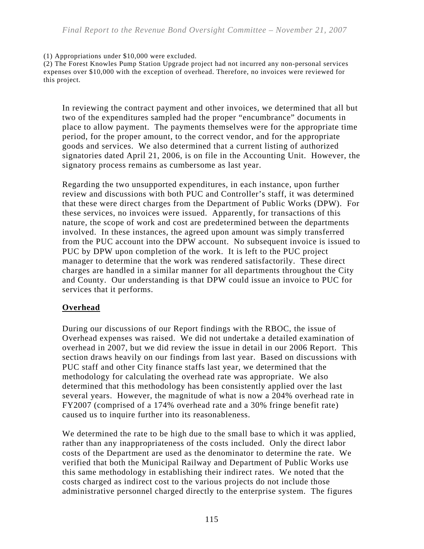#### (1) Appropriations under \$10,000 were excluded.

(2) The Forest Knowles Pump Station Upgrade project had not incurred any non-personal services expenses over \$10,000 with the exception of overhead. Therefore, no invoices were reviewed for this project.

In reviewing the contract payment and other invoices, we determined that all but two of the expenditures sampled had the proper "encumbrance" documents in place to allow payment. The payments themselves were for the appropriate time period, for the proper amount, to the correct vendor, and for the appropriate goods and services. We also determined that a current listing of authorized signatories dated April 21, 2006, is on file in the Accounting Unit. However, the signatory process remains as cumbersome as last year.

Regarding the two unsupported expenditures, in each instance, upon further review and discussions with both PUC and Controller's staff, it was determined that these were direct charges from the Department of Public Works (DPW). For these services, no invoices were issued. Apparently, for transactions of this nature, the scope of work and cost are predetermined between the departments involved. In these instances, the agreed upon amount was simply transferred from the PUC account into the DPW account. No subsequent invoice is issued to PUC by DPW upon completion of the work. It is left to the PUC project manager to determine that the work was rendered satisfactorily. These direct charges are handled in a similar manner for all departments throughout the City and County. Our understanding is that DPW could issue an invoice to PUC for services that it performs.

#### **Overhead**

During our discussions of our Report findings with the RBOC, the issue of Overhead expenses was raised. We did not undertake a detailed examination of overhead in 2007, but we did review the issue in detail in our 2006 Report. This section draws heavily on our findings from last year. Based on discussions with PUC staff and other City finance staffs last year, we determined that the methodology for calculating the overhead rate was appropriate. We also determined that this methodology has been consistently applied over the last several years. However, the magnitude of what is now a 204% overhead rate in FY2007 (comprised of a 174% overhead rate and a 30% fringe benefit rate) caused us to inquire further into its reasonableness.

We determined the rate to be high due to the small base to which it was applied, rather than any inappropriateness of the costs included. Only the direct labor costs of the Department are used as the denominator to determine the rate. We verified that both the Municipal Railway and Department of Public Works use this same methodology in establishing their indirect rates. We noted that the costs charged as indirect cost to the various projects do not include those administrative personnel charged directly to the enterprise system. The figures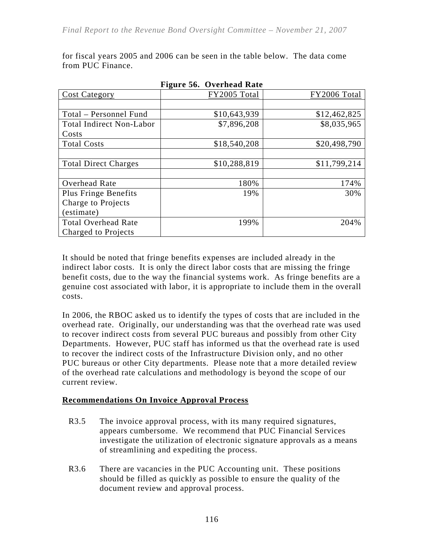for fiscal years 2005 and 2006 can be seen in the table below. The data come from PUC Finance.

| <b>Cost Category</b>            | FY2005 Total | FY2006 Total |
|---------------------------------|--------------|--------------|
|                                 |              |              |
| Total – Personnel Fund          | \$10,643,939 | \$12,462,825 |
| <b>Total Indirect Non-Labor</b> | \$7,896,208  | \$8,035,965  |
| Costs                           |              |              |
| <b>Total Costs</b>              | \$18,540,208 | \$20,498,790 |
|                                 |              |              |
| <b>Total Direct Charges</b>     | \$10,288,819 | \$11,799,214 |
|                                 |              |              |
| Overhead Rate                   | 180%         | 174%         |
| Plus Fringe Benefits            | 19%          | 30%          |
| Charge to Projects              |              |              |
| (estimate)                      |              |              |
| <b>Total Overhead Rate</b>      | 199%         | 204%         |
| Charged to Projects             |              |              |

**Figure 56. Overhead Rate** 

It should be noted that fringe benefits expenses are included already in the indirect labor costs. It is only the direct labor costs that are missing the fringe benefit costs, due to the way the financial systems work. As fringe benefits are a genuine cost associated with labor, it is appropriate to include them in the overall costs.

In 2006, the RBOC asked us to identify the types of costs that are included in the overhead rate. Originally, our understanding was that the overhead rate was used to recover indirect costs from several PUC bureaus and possibly from other City Departments. However, PUC staff has informed us that the overhead rate is used to recover the indirect costs of the Infrastructure Division only, and no other PUC bureaus or other City departments. Please note that a more detailed review of the overhead rate calculations and methodology is beyond the scope of our current review.

#### **Recommendations On Invoice Approval Process**

- R3.5 The invoice approval process, with its many required signatures, appears cumbersome. We recommend that PUC Financial Services investigate the utilization of electronic signature approvals as a means of streamlining and expediting the process.
- R3.6 There are vacancies in the PUC Accounting unit. These positions should be filled as quickly as possible to ensure the quality of the document review and approval process.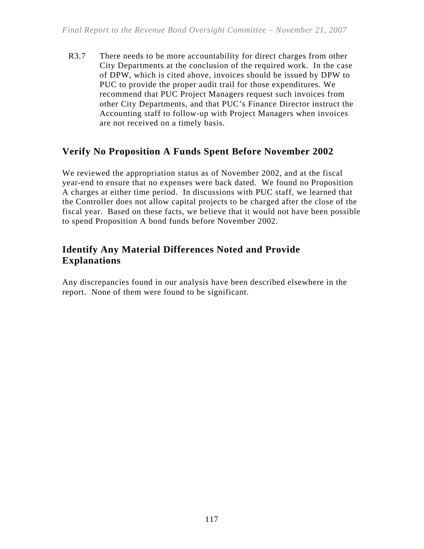R3.7 There needs to be more accountability for direct charges from other City Departments at the conclusion of the required work. In the case of DPW, which is cited above, invoices should be issued by DPW to PUC to provide the proper audit trail for those expenditures. We recommend that PUC Project Managers request such invoices from other City Departments, and that PUC's Finance Director instruct the Accounting staff to follow-up with Project Managers when invoices are not received on a timely basis.

# **Verify No Proposition A Funds Spent Before November 2002**

We reviewed the appropriation status as of November 2002, and at the fiscal year-end to ensure that no expenses were back dated. We found no Proposition A charges at either time period. In discussions with PUC staff, we learned that the Controller does not allow capital projects to be charged after the close of the fiscal year. Based on these facts, we believe that it would not have been possible to spend Proposition A bond funds before November 2002.

# **Identify Any Material Differences Noted and Provide Explanations**

Any discrepancies found in our analysis have been described elsewhere in the report. None of them were found to be significant.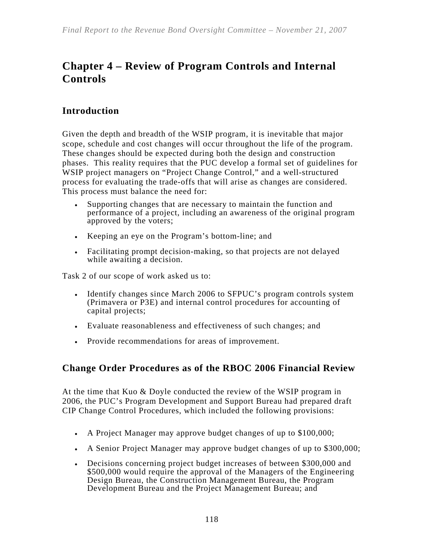# **Chapter 4 – Review of Program Controls and Internal Controls**

# **Introduction**

Given the depth and breadth of the WSIP program, it is inevitable that major scope, schedule and cost changes will occur throughout the life of the program. These changes should be expected during both the design and construction phases. This reality requires that the PUC develop a formal set of guidelines for WSIP project managers on "Project Change Control," and a well-structured process for evaluating the trade-offs that will arise as changes are considered. This process must balance the need for:

- Supporting changes that are necessary to maintain the function and performance of a project, including an awareness of the original program approved by the voters;
- Keeping an eye on the Program's bottom-line; and
- Facilitating prompt decision-making, so that projects are not delayed while awaiting a decision.

Task 2 of our scope of work asked us to:

- Identify changes since March 2006 to SFPUC's program controls system (Primavera or P3E) and internal control procedures for accounting of capital projects;
- Evaluate reasonableness and effectiveness of such changes; and
- Provide recommendations for areas of improvement.

# **Change Order Procedures as of the RBOC 2006 Financial Review**

At the time that Kuo & Doyle conducted the review of the WSIP program in 2006, the PUC's Program Development and Support Bureau had prepared draft CIP Change Control Procedures, which included the following provisions:

- A Project Manager may approve budget changes of up to \$100,000;
- A Senior Project Manager may approve budget changes of up to \$300,000;
- Decisions concerning project budget increases of between \$300,000 and \$500,000 would require the approval of the Managers of the Engineering Design Bureau, the Construction Management Bureau, the Program Development Bureau and the Project Management Bureau; and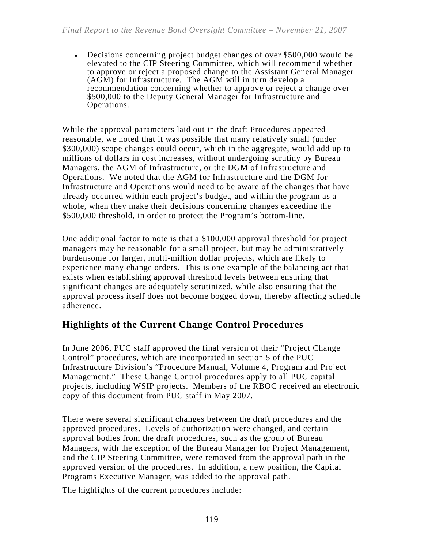• Decisions concerning project budget changes of over \$500,000 would be elevated to the CIP Steering Committee, which will recommend whether to approve or reject a proposed change to the Assistant General Manager (AGM) for Infrastructure. The AGM will in turn develop a recommendation concerning whether to approve or reject a change over \$500,000 to the Deputy General Manager for Infrastructure and Operations.

While the approval parameters laid out in the draft Procedures appeared reasonable, we noted that it was possible that many relatively small (under \$300,000) scope changes could occur, which in the aggregate, would add up to millions of dollars in cost increases, without undergoing scrutiny by Bureau Managers, the AGM of Infrastructure, or the DGM of Infrastructure and Operations. We noted that the AGM for Infrastructure and the DGM for Infrastructure and Operations would need to be aware of the changes that have already occurred within each project's budget, and within the program as a whole, when they make their decisions concerning changes exceeding the \$500,000 threshold, in order to protect the Program's bottom-line.

One additional factor to note is that a \$100,000 approval threshold for project managers may be reasonable for a small project, but may be administratively burdensome for larger, multi-million dollar projects, which are likely to experience many change orders. This is one example of the balancing act that exists when establishing approval threshold levels between ensuring that significant changes are adequately scrutinized, while also ensuring that the approval process itself does not become bogged down, thereby affecting schedule adherence.

# **Highlights of the Current Change Control Procedures**

In June 2006, PUC staff approved the final version of their "Project Change Control" procedures, which are incorporated in section 5 of the PUC Infrastructure Division's "Procedure Manual, Volume 4, Program and Project Management." These Change Control procedures apply to all PUC capital projects, including WSIP projects. Members of the RBOC received an electronic copy of this document from PUC staff in May 2007.

There were several significant changes between the draft procedures and the approved procedures. Levels of authorization were changed, and certain approval bodies from the draft procedures, such as the group of Bureau Managers, with the exception of the Bureau Manager for Project Management, and the CIP Steering Committee, were removed from the approval path in the approved version of the procedures. In addition, a new position, the Capital Programs Executive Manager, was added to the approval path.

The highlights of the current procedures include: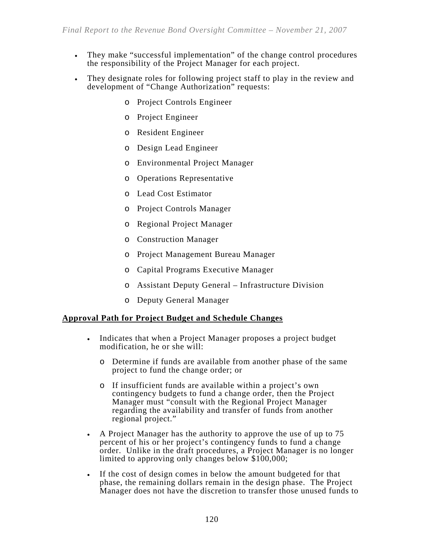- They make "successful implementation" of the change control procedures the responsibility of the Project Manager for each project.
- They designate roles for following project staff to play in the review and development of "Change Authorization" requests:
	- o Project Controls Engineer
	- o Project Engineer
	- o Resident Engineer
	- o Design Lead Engineer
	- o Environmental Project Manager
	- o Operations Representative
	- o Lead Cost Estimator
	- o Project Controls Manager
	- o Regional Project Manager
	- o Construction Manager
	- o Project Management Bureau Manager
	- o Capital Programs Executive Manager
	- o Assistant Deputy General Infrastructure Division
	- o Deputy General Manager

#### **Approval Path for Project Budget and Schedule Changes**

- Indicates that when a Project Manager proposes a project budget modification, he or she will:
	- o Determine if funds are available from another phase of the same project to fund the change order; or
	- o If insufficient funds are available within a project's own contingency budgets to fund a change order, then the Project Manager must "consult with the Regional Project Manager regarding the availability and transfer of funds from another regional project."
- A Project Manager has the authority to approve the use of up to 75 percent of his or her project's contingency funds to fund a change order. Unlike in the draft procedures, a Project Manager is no longer limited to approving only changes below \$100,000;
- If the cost of design comes in below the amount budgeted for that phase, the remaining dollars remain in the design phase. The Project Manager does not have the discretion to transfer those unused funds to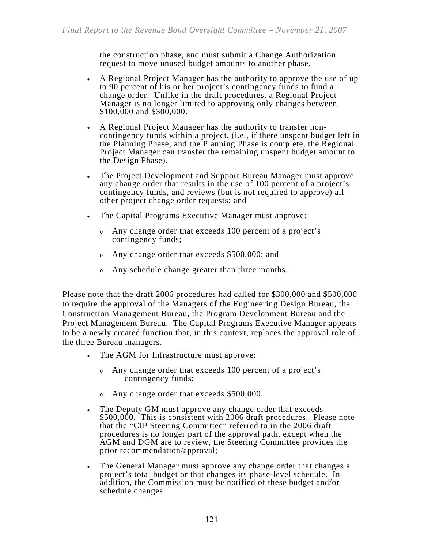the construction phase, and must submit a Change Authorization request to move unused budget amounts to another phase.

- A Regional Project Manager has the authority to approve the use of up to 90 percent of his or her project's contingency funds to fund a change order. Unlike in the draft procedures, a Regional Project Manager is no longer limited to approving only changes between \$100,000 and \$300,000.
- A Regional Project Manager has the authority to transfer noncontingency funds within a project, (i.e., if there unspent budget left in the Planning Phase, and the Planning Phase is complete, the Regional Project Manager can transfer the remaining unspent budget amount to the Design Phase).
- The Project Development and Support Bureau Manager must approve any change order that results in the use of 100 percent of a project's contingency funds, and reviews (but is not required to approve) all other project change order requests; and
- The Capital Programs Executive Manager must approve:
	- <sup>o</sup> Any change order that exceeds 100 percent of a project's contingency funds;
	- <sup>o</sup> Any change order that exceeds \$500,000; and
	- <sup>o</sup> Any schedule change greater than three months.

Please note that the draft 2006 procedures had called for \$300,000 and \$500,000 to require the approval of the Managers of the Engineering Design Bureau, the Construction Management Bureau, the Program Development Bureau and the Project Management Bureau. The Capital Programs Executive Manager appears to be a newly created function that, in this context, replaces the approval role of the three Bureau managers.

- The AGM for Infrastructure must approve:
	- <sup>o</sup> Any change order that exceeds 100 percent of a project's contingency funds;
	- <sup>o</sup> Any change order that exceeds \$500,000
- The Deputy GM must approve any change order that exceeds \$500,000. This is consistent with 2006 draft procedures. Please note that the "CIP Steering Committee" referred to in the 2006 draft procedures is no longer part of the approval path, except when the AGM and DGM are to review, the Steering Committee provides the prior recommendation/approval;
- The General Manager must approve any change order that changes a project's total budget or that changes its phase-level schedule. In addition, the Commission must be notified of these budget and/or schedule changes.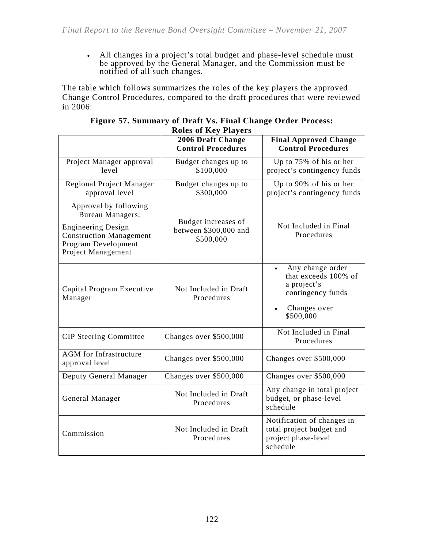• All changes in a project's total budget and phase-level schedule must be approved by the General Manager, and the Commission must be notified of all such changes.

The table which follows summarizes the roles of the key players the approved Change Control Procedures, compared to the draft procedures that were reviewed in 2006:

|                                                                                                                                                              | ROIG OF ISY THY CID<br>2006 Draft Change<br><b>Control Procedures</b> | <b>Final Approved Change</b><br><b>Control Procedures</b>                                                              |
|--------------------------------------------------------------------------------------------------------------------------------------------------------------|-----------------------------------------------------------------------|------------------------------------------------------------------------------------------------------------------------|
| Project Manager approval<br>level                                                                                                                            | Budget changes up to<br>\$100,000                                     | Up to 75% of his or her<br>project's contingency funds                                                                 |
| <b>Regional Project Manager</b><br>approval level                                                                                                            | Budget changes up to<br>\$300,000                                     | Up to 90% of his or her<br>project's contingency funds                                                                 |
| Approval by following<br><b>Bureau Managers:</b><br><b>Engineering Design</b><br><b>Construction Management</b><br>Program Development<br>Project Management | Budget increases of<br>between \$300,000 and<br>\$500,000             | Not Included in Final<br>Procedures                                                                                    |
| Capital Program Executive<br>Manager                                                                                                                         | Not Included in Draft<br>Procedures                                   | Any change order<br>$\bullet$<br>that exceeds 100% of<br>a project's<br>contingency funds<br>Changes over<br>\$500,000 |
| <b>CIP</b> Steering Committee                                                                                                                                | Changes over \$500,000                                                | Not Included in Final<br>Procedures                                                                                    |
| <b>AGM</b> for Infrastructure<br>approval level                                                                                                              | Changes over \$500,000                                                | Changes over \$500,000                                                                                                 |
| Deputy General Manager                                                                                                                                       | Changes over \$500,000                                                | Changes over \$500,000                                                                                                 |
| General Manager                                                                                                                                              | Not Included in Draft<br>Procedures                                   | Any change in total project<br>budget, or phase-level<br>schedule                                                      |
| Commission                                                                                                                                                   | Not Included in Draft<br>Procedures                                   | Notification of changes in<br>total project budget and<br>project phase-level<br>schedule                              |

| Figure 57. Summary of Draft Vs. Final Change Order Process: |                             |  |
|-------------------------------------------------------------|-----------------------------|--|
|                                                             | <b>Roles of Key Players</b> |  |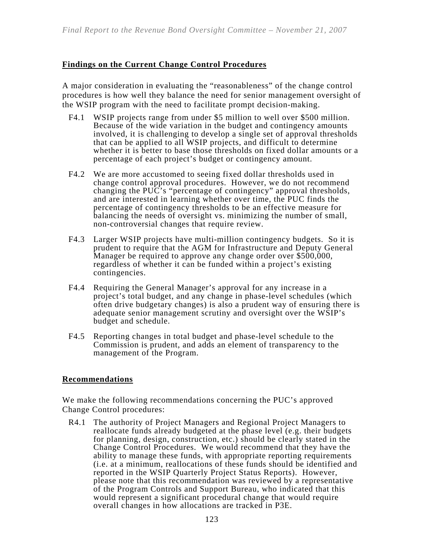### **Findings on the Current Change Control Procedures**

A major consideration in evaluating the "reasonableness" of the change control procedures is how well they balance the need for senior management oversight of the WSIP program with the need to facilitate prompt decision-making.

- F4.1 WSIP projects range from under \$5 million to well over \$500 million. Because of the wide variation in the budget and contingency amounts involved, it is challenging to develop a single set of approval thresholds that can be applied to all WSIP projects, and difficult to determine whether it is better to base those thresholds on fixed dollar amounts or a percentage of each project's budget or contingency amount.
- F4.2 We are more accustomed to seeing fixed dollar thresholds used in change control approval procedures. However, we do not recommend changing the PUC's "percentage of contingency" approval thresholds, and are interested in learning whether over time, the PUC finds the percentage of contingency thresholds to be an effective measure for balancing the needs of oversight vs. minimizing the number of small, non-controversial changes that require review.
- F4.3 Larger WSIP projects have multi-million contingency budgets. So it is prudent to require that the AGM for Infrastructure and Deputy General Manager be required to approve any change order over \$500,000, regardless of whether it can be funded within a project's existing contingencies.
- F4.4 Requiring the General Manager's approval for any increase in a project's total budget, and any change in phase-level schedules (which often drive budgetary changes) is also a prudent way of ensuring there is adequate senior management scrutiny and oversight over the WSIP's budget and schedule.
- F4.5 Reporting changes in total budget and phase-level schedule to the Commission is prudent, and adds an element of transparency to the management of the Program.

#### **Recommendations**

We make the following recommendations concerning the PUC's approved Change Control procedures:

R4.1 The authority of Project Managers and Regional Project Managers to reallocate funds already budgeted at the phase level (e.g. their budgets for planning, design, construction, etc.) should be clearly stated in the Change Control Procedures. We would recommend that they have the ability to manage these funds, with appropriate reporting requirements (i.e. at a minimum, reallocations of these funds should be identified and reported in the WSIP Quarterly Project Status Reports). However, please note that this recommendation was reviewed by a representative of the Program Controls and Support Bureau, who indicated that this would represent a significant procedural change that would require overall changes in how allocations are tracked in P3E.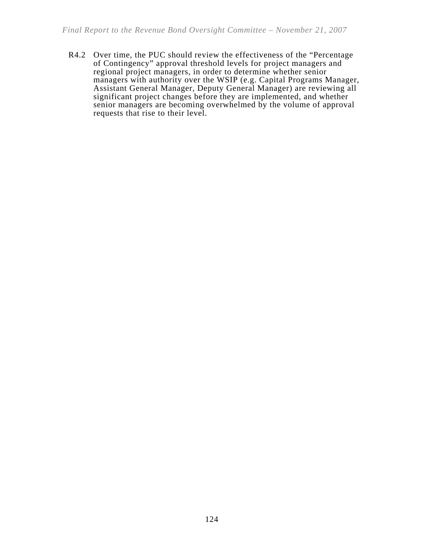R4.2 Over time, the PUC should review the effectiveness of the "Percentage of Contingency" approval threshold levels for project managers and regional project managers, in order to determine whether senior managers with authority over the WSIP (e.g. Capital Programs Manager, Assistant General Manager, Deputy General Manager) are reviewing all significant project changes before they are implemented, and whether senior managers are becoming overwhelmed by the volume of approval requests that rise to their level.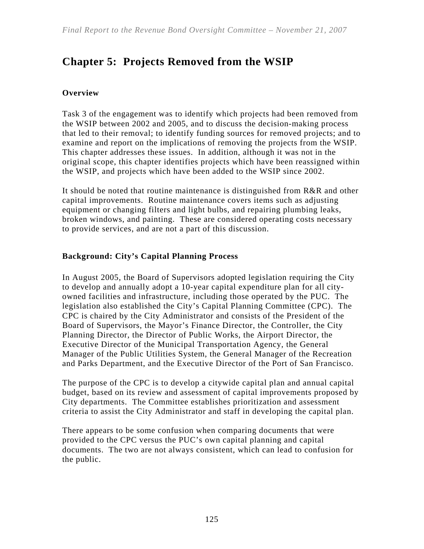# **Chapter 5: Projects Removed from the WSIP**

### **Overview**

Task 3 of the engagement was to identify which projects had been removed from the WSIP between 2002 and 2005, and to discuss the decision-making process that led to their removal; to identify funding sources for removed projects; and to examine and report on the implications of removing the projects from the WSIP. This chapter addresses these issues. In addition, although it was not in the original scope, this chapter identifies projects which have been reassigned within the WSIP, and projects which have been added to the WSIP since 2002.

It should be noted that routine maintenance is distinguished from R&R and other capital improvements. Routine maintenance covers items such as adjusting equipment or changing filters and light bulbs, and repairing plumbing leaks, broken windows, and painting. These are considered operating costs necessary to provide services, and are not a part of this discussion.

### **Background: City's Capital Planning Process**

In August 2005, the Board of Supervisors adopted legislation requiring the City to develop and annually adopt a 10-year capital expenditure plan for all cityowned facilities and infrastructure, including those operated by the PUC. The legislation also established the City's Capital Planning Committee (CPC). The CPC is chaired by the City Administrator and consists of the President of the Board of Supervisors, the Mayor's Finance Director, the Controller, the City Planning Director, the Director of Public Works, the Airport Director, the Executive Director of the Municipal Transportation Agency, the General Manager of the Public Utilities System, the General Manager of the Recreation and Parks Department, and the Executive Director of the Port of San Francisco.

The purpose of the CPC is to develop a citywide capital plan and annual capital budget, based on its review and assessment of capital improvements proposed by City departments. The Committee establishes prioritization and assessment criteria to assist the City Administrator and staff in developing the capital plan.

There appears to be some confusion when comparing documents that were provided to the CPC versus the PUC's own capital planning and capital documents. The two are not always consistent, which can lead to confusion for the public.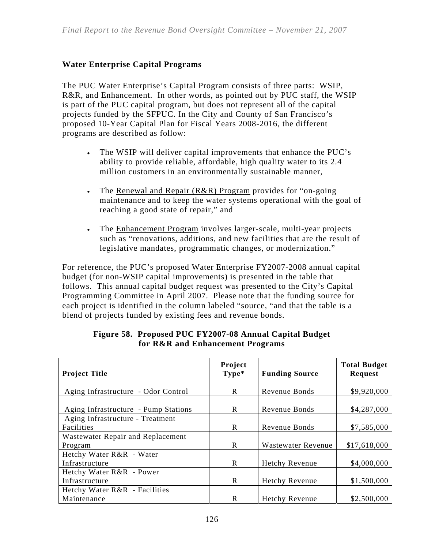## **Water Enterprise Capital Programs**

The PUC Water Enterprise's Capital Program consists of three parts: WSIP, R&R, and Enhancement. In other words, as pointed out by PUC staff, the WSIP is part of the PUC capital program, but does not represent all of the capital projects funded by the SFPUC. In the City and County of San Francisco's proposed 10-Year Capital Plan for Fiscal Years 2008-2016, the different programs are described as follow:

- The WSIP will deliver capital improvements that enhance the PUC's ability to provide reliable, affordable, high quality water to its 2.4 million customers in an environmentally sustainable manner,
- The Renewal and Repair  $(R&R)$  Program provides for "on-going" maintenance and to keep the water systems operational with the goal of reaching a good state of repair," and
- The Enhancement Program involves larger-scale, multi-year projects such as "renovations, additions, and new facilities that are the result of legislative mandates, programmatic changes, or modernization."

For reference, the PUC's proposed Water Enterprise FY2007-2008 annual capital budget (for non-WSIP capital improvements) is presented in the table that follows. This annual capital budget request was presented to the City's Capital Programming Committee in April 2007. Please note that the funding source for each project is identified in the column labeled "source, "and that the table is a blend of projects funded by existing fees and revenue bonds.

| <b>Project Title</b>                 | Project<br>$Type*$ | <b>Funding Source</b> | <b>Total Budget</b><br>Request |
|--------------------------------------|--------------------|-----------------------|--------------------------------|
|                                      |                    |                       |                                |
| Aging Infrastructure - Odor Control  | R                  | Revenue Bonds         | \$9,920,000                    |
| Aging Infrastructure - Pump Stations | R                  | Revenue Bonds         | \$4,287,000                    |
| Aging Infrastructure - Treatment     |                    |                       |                                |
| Facilities                           | R.                 | Revenue Bonds         | \$7,585,000                    |
| Wastewater Repair and Replacement    |                    |                       |                                |
| Program                              | R                  | Wastewater Revenue    | \$17,618,000                   |
| Hetchy Water R&R - Water             |                    |                       |                                |
| Infrastructure                       | R                  | Hetchy Revenue        | \$4,000,000                    |
| Hetchy Water R&R - Power             |                    |                       |                                |
| Infrastructure                       | R                  | Hetchy Revenue        | \$1,500,000                    |
| Hetchy Water R&R - Facilities        |                    |                       |                                |
| Maintenance                          | R                  | <b>Hetchy Revenue</b> | \$2,500,000                    |

#### **Figure 58. Proposed PUC FY2007-08 Annual Capital Budget for R&R and Enhancement Programs**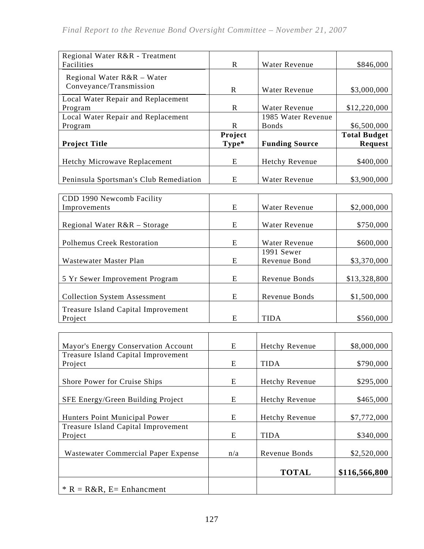| Regional Water R&R - Treatment<br>Facilities | R       | Water Revenue         | \$846,000           |
|----------------------------------------------|---------|-----------------------|---------------------|
| Regional Water R&R – Water                   |         |                       |                     |
| Conveyance/Transmission                      | R       | <b>Water Revenue</b>  | \$3,000,000         |
| Local Water Repair and Replacement           |         |                       |                     |
| Program                                      | R       | <b>Water Revenue</b>  | \$12,220,000        |
| Local Water Repair and Replacement           |         | 1985 Water Revenue    |                     |
| Program                                      | R       | <b>Bonds</b>          | \$6,500,000         |
|                                              | Project |                       | <b>Total Budget</b> |
| <b>Project Title</b>                         | Type*   | <b>Funding Source</b> | <b>Request</b>      |
|                                              |         |                       |                     |
| Hetchy Microwave Replacement                 | E       | <b>Hetchy Revenue</b> | \$400,000           |
|                                              |         |                       |                     |
| Peninsula Sportsman's Club Remediation       | E       | <b>Water Revenue</b>  | \$3,900,000         |

| CDD 1990 Newcomb Facility           |   |               |              |
|-------------------------------------|---|---------------|--------------|
| Improvements                        | E | Water Revenue | \$2,000,000  |
|                                     |   |               |              |
| Regional Water $R\&R - Storage$     | E | Water Revenue | \$750,000    |
|                                     |   |               |              |
| Polhemus Creek Restoration          | E | Water Revenue | \$600,000    |
|                                     |   | 1991 Sewer    |              |
| Wastewater Master Plan              | E | Revenue Bond  | \$3,370,000  |
|                                     |   |               |              |
| 5 Yr Sewer Improvement Program      | E | Revenue Bonds | \$13,328,800 |
|                                     |   |               |              |
| <b>Collection System Assessment</b> | E | Revenue Bonds | \$1,500,000  |
| Treasure Island Capital Improvement |   |               |              |
| Project                             | E | <b>TIDA</b>   | \$560,000    |

| Mayor's Energy Conservation Account        | E   | Hetchy Revenue | \$8,000,000   |
|--------------------------------------------|-----|----------------|---------------|
| <b>Treasure Island Capital Improvement</b> |     |                |               |
| Project                                    | E   | <b>TIDA</b>    | \$790,000     |
|                                            |     |                |               |
| Shore Power for Cruise Ships               | E   | Hetchy Revenue | \$295,000     |
|                                            |     |                |               |
| SFE Energy/Green Building Project          | E   | Hetchy Revenue | \$465,000     |
|                                            |     |                |               |
| Hunters Point Municipal Power              | E   | Hetchy Revenue | \$7,772,000   |
| Treasure Island Capital Improvement        |     |                |               |
| Project                                    | E   | <b>TIDA</b>    | \$340,000     |
|                                            |     |                |               |
| Wastewater Commercial Paper Expense        | n/a | Revenue Bonds  | \$2,520,000   |
|                                            |     |                |               |
|                                            |     | <b>TOTAL</b>   | \$116,566,800 |
| $*$ R = R&R, E= Enhancment                 |     |                |               |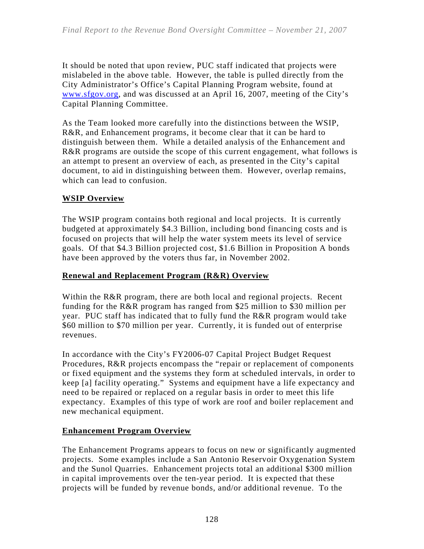It should be noted that upon review, PUC staff indicated that projects were mislabeled in the above table. However, the table is pulled directly from the City Administrator's Office's Capital Planning Program website, found at www.sfgov.org, and was discussed at an April 16, 2007, meeting of the City's Capital Planning Committee.

As the Team looked more carefully into the distinctions between the WSIP, R&R, and Enhancement programs, it become clear that it can be hard to distinguish between them. While a detailed analysis of the Enhancement and R&R programs are outside the scope of this current engagement, what follows is an attempt to present an overview of each, as presented in the City's capital document, to aid in distinguishing between them. However, overlap remains, which can lead to confusion.

### **WSIP Overview**

The WSIP program contains both regional and local projects. It is currently budgeted at approximately \$4.3 Billion, including bond financing costs and is focused on projects that will help the water system meets its level of service goals. Of that \$4.3 Billion projected cost, \$1.6 Billion in Proposition A bonds have been approved by the voters thus far, in November 2002.

### **Renewal and Replacement Program (R&R) Overview**

Within the R&R program, there are both local and regional projects. Recent funding for the R&R program has ranged from \$25 million to \$30 million per year. PUC staff has indicated that to fully fund the R&R program would take \$60 million to \$70 million per year. Currently, it is funded out of enterprise revenues.

In accordance with the City's FY2006-07 Capital Project Budget Request Procedures, R&R projects encompass the "repair or replacement of components or fixed equipment and the systems they form at scheduled intervals, in order to keep [a] facility operating." Systems and equipment have a life expectancy and need to be repaired or replaced on a regular basis in order to meet this life expectancy. Examples of this type of work are roof and boiler replacement and new mechanical equipment.

## **Enhancement Program Overview**

The Enhancement Programs appears to focus on new or significantly augmented projects. Some examples include a San Antonio Reservoir Oxygenation System and the Sunol Quarries. Enhancement projects total an additional \$300 million in capital improvements over the ten-year period. It is expected that these projects will be funded by revenue bonds, and/or additional revenue. To the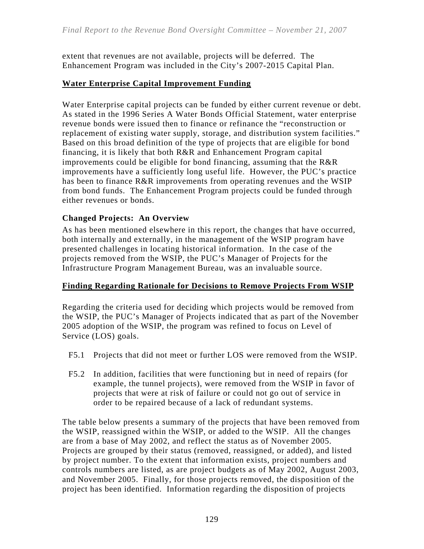extent that revenues are not available, projects will be deferred. The Enhancement Program was included in the City's 2007-2015 Capital Plan.

### **Water Enterprise Capital Improvement Funding**

Water Enterprise capital projects can be funded by either current revenue or debt. As stated in the 1996 Series A Water Bonds Official Statement, water enterprise revenue bonds were issued then to finance or refinance the "reconstruction or replacement of existing water supply, storage, and distribution system facilities." Based on this broad definition of the type of projects that are eligible for bond financing, it is likely that both R&R and Enhancement Program capital improvements could be eligible for bond financing, assuming that the R&R improvements have a sufficiently long useful life. However, the PUC's practice has been to finance R&R improvements from operating revenues and the WSIP from bond funds. The Enhancement Program projects could be funded through either revenues or bonds.

### **Changed Projects: An Overview**

As has been mentioned elsewhere in this report, the changes that have occurred, both internally and externally, in the management of the WSIP program have presented challenges in locating historical information. In the case of the projects removed from the WSIP, the PUC's Manager of Projects for the Infrastructure Program Management Bureau, was an invaluable source.

#### **Finding Regarding Rationale for Decisions to Remove Projects From WSIP**

Regarding the criteria used for deciding which projects would be removed from the WSIP, the PUC's Manager of Projects indicated that as part of the November 2005 adoption of the WSIP, the program was refined to focus on Level of Service (LOS) goals.

- F5.1 Projects that did not meet or further LOS were removed from the WSIP.
- F5.2 In addition, facilities that were functioning but in need of repairs (for example, the tunnel projects), were removed from the WSIP in favor of projects that were at risk of failure or could not go out of service in order to be repaired because of a lack of redundant systems.

The table below presents a summary of the projects that have been removed from the WSIP, reassigned within the WSIP, or added to the WSIP. All the changes are from a base of May 2002, and reflect the status as of November 2005. Projects are grouped by their status (removed, reassigned, or added), and listed by project number. To the extent that information exists, project numbers and controls numbers are listed, as are project budgets as of May 2002, August 2003, and November 2005. Finally, for those projects removed, the disposition of the project has been identified. Information regarding the disposition of projects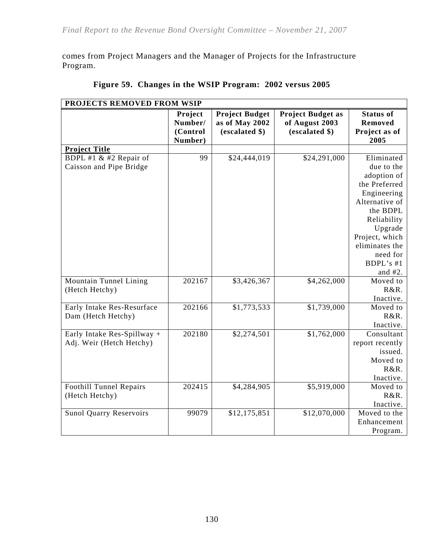comes from Project Managers and the Manager of Projects for the Infrastructure Program.

| PROJECTS REMOVED FROM WSIP                              |                                           |                                                           |                                                              |                                                                                                                                                                                              |  |
|---------------------------------------------------------|-------------------------------------------|-----------------------------------------------------------|--------------------------------------------------------------|----------------------------------------------------------------------------------------------------------------------------------------------------------------------------------------------|--|
|                                                         | Project<br>Number/<br>(Control<br>Number) | <b>Project Budget</b><br>as of May 2002<br>(escalated \$) | <b>Project Budget as</b><br>of August 2003<br>(escalated \$) | <b>Status of</b><br>Removed<br>Project as of<br>2005                                                                                                                                         |  |
| <b>Project Title</b>                                    |                                           |                                                           |                                                              |                                                                                                                                                                                              |  |
| BDPL #1 & #2 Repair of<br>Caisson and Pipe Bridge       | 99                                        | \$24,444,019                                              | \$24,291,000                                                 | Eliminated<br>due to the<br>adoption of<br>the Preferred<br>Engineering<br>Alternative of<br>the BDPL<br>Reliability<br>Upgrade<br>Project, which<br>eliminates the<br>need for<br>BDPL's #1 |  |
| Mountain Tunnel Lining<br>(Hetch Hetchy)                | 202167                                    | \$3,426,367                                               | \$4,262,000                                                  | and $#2$ .<br>Moved to<br>R&R.<br>Inactive.                                                                                                                                                  |  |
| Early Intake Res-Resurface<br>Dam (Hetch Hetchy)        | 202166                                    | \$1,773,533                                               | \$1,739,000                                                  | Moved to<br>R&R.<br>Inactive.                                                                                                                                                                |  |
| Early Intake Res-Spillway +<br>Adj. Weir (Hetch Hetchy) | 202180                                    | \$2,274,501                                               | \$1,762,000                                                  | Consultant<br>report recently<br>issued.<br>Moved to<br>R&R.<br>Inactive.                                                                                                                    |  |
| Foothill Tunnel Repairs<br>(Hetch Hetchy)               | 202415                                    | \$4,284,905                                               | \$5,919,000                                                  | Moved to<br>R&R.<br>Inactive.                                                                                                                                                                |  |
| <b>Sunol Quarry Reservoirs</b>                          | 99079                                     | \$12,175,851                                              | \$12,070,000                                                 | Moved to the<br>Enhancement<br>Program.                                                                                                                                                      |  |

|  | Figure 59. Changes in the WSIP Program: 2002 versus 2005 |  |
|--|----------------------------------------------------------|--|
|  |                                                          |  |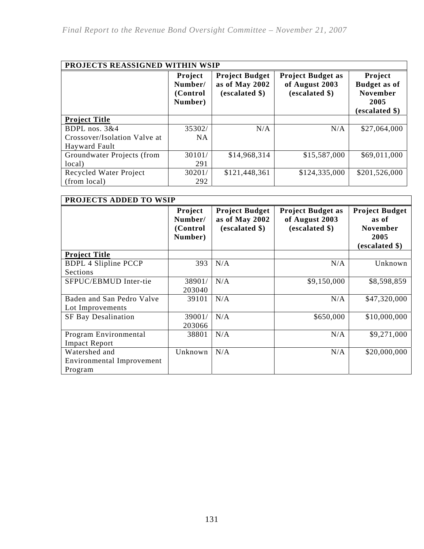| PROJECTS REASSIGNED WITHIN WSIP |                                            |                                                           |                                                              |                                                                             |
|---------------------------------|--------------------------------------------|-----------------------------------------------------------|--------------------------------------------------------------|-----------------------------------------------------------------------------|
|                                 | Project<br>Number/<br>(Control)<br>Number) | <b>Project Budget</b><br>as of May 2002<br>(escalated \$) | <b>Project Budget as</b><br>of August 2003<br>(escalated \$) | Project<br><b>Budget as of</b><br><b>November</b><br>2005<br>(escalated \$) |
| <b>Project Title</b>            |                                            |                                                           |                                                              |                                                                             |
| BDPL nos. 3&4                   | 35302/                                     | N/A                                                       | N/A                                                          | \$27,064,000                                                                |
| Crossover/Isolation Valve at    | <b>NA</b>                                  |                                                           |                                                              |                                                                             |
| Hayward Fault                   |                                            |                                                           |                                                              |                                                                             |
| Groundwater Projects (from      | 30101/                                     | \$14,968,314                                              | \$15,587,000                                                 | \$69,011,000                                                                |
| local)                          | 291                                        |                                                           |                                                              |                                                                             |
| Recycled Water Project          | 30201/                                     | \$121,448,361                                             | \$124,335,000                                                | \$201,526,000                                                               |
| (from local)                    | 292                                        |                                                           |                                                              |                                                                             |

| <b>PROJECTS ADDED TO WSIP</b>                         |                                           |                                                           |                                                              |                                                                             |  |
|-------------------------------------------------------|-------------------------------------------|-----------------------------------------------------------|--------------------------------------------------------------|-----------------------------------------------------------------------------|--|
|                                                       | Project<br>Number/<br>(Control<br>Number) | <b>Project Budget</b><br>as of May 2002<br>(escalated \$) | <b>Project Budget as</b><br>of August 2003<br>(escalated \$) | <b>Project Budget</b><br>as of<br><b>November</b><br>2005<br>(escalated \$) |  |
| <b>Project Title</b>                                  |                                           |                                                           |                                                              |                                                                             |  |
| <b>BDPL 4 Slipline PCCP</b><br>Sections               | 393                                       | N/A                                                       | N/A                                                          | Unknown                                                                     |  |
| SFPUC/EBMUD Inter-tie                                 | 38901/<br>203040                          | N/A                                                       | \$9,150,000                                                  | \$8,598,859                                                                 |  |
| Baden and San Pedro Valve<br>Lot Improvements         | 39101                                     | N/A                                                       | N/A                                                          | \$47,320,000                                                                |  |
| <b>SF Bay Desalination</b>                            | 39001/<br>203066                          | N/A                                                       | \$650,000                                                    | \$10,000,000                                                                |  |
| Program Environmental<br><b>Impact Report</b>         | 38801                                     | N/A                                                       | N/A                                                          | \$9,271,000                                                                 |  |
| Watershed and<br>Environmental Improvement<br>Program | Unknown                                   | N/A                                                       | N/A                                                          | \$20,000,000                                                                |  |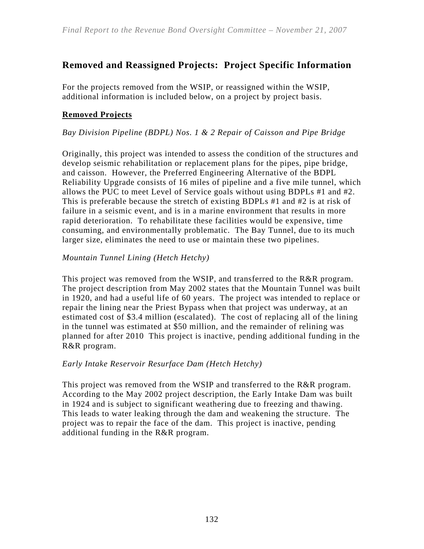# **Removed and Reassigned Projects: Project Specific Information**

For the projects removed from the WSIP, or reassigned within the WSIP, additional information is included below, on a project by project basis.

### **Removed Projects**

#### *Bay Division Pipeline (BDPL) Nos. 1 & 2 Repair of Caisson and Pipe Bridge*

Originally, this project was intended to assess the condition of the structures and develop seismic rehabilitation or replacement plans for the pipes, pipe bridge, and caisson. However, the Preferred Engineering Alternative of the BDPL Reliability Upgrade consists of 16 miles of pipeline and a five mile tunnel, which allows the PUC to meet Level of Service goals without using BDPLs #1 and #2. This is preferable because the stretch of existing BDPLs #1 and #2 is at risk of failure in a seismic event, and is in a marine environment that results in more rapid deterioration. To rehabilitate these facilities would be expensive, time consuming, and environmentally problematic. The Bay Tunnel, due to its much larger size, eliminates the need to use or maintain these two pipelines.

#### *Mountain Tunnel Lining (Hetch Hetchy)*

This project was removed from the WSIP, and transferred to the R&R program. The project description from May 2002 states that the Mountain Tunnel was built in 1920, and had a useful life of 60 years. The project was intended to replace or repair the lining near the Priest Bypass when that project was underway, at an estimated cost of \$3.4 million (escalated). The cost of replacing all of the lining in the tunnel was estimated at \$50 million, and the remainder of relining was planned for after 2010 This project is inactive, pending additional funding in the R&R program.

#### *Early Intake Reservoir Resurface Dam (Hetch Hetchy)*

This project was removed from the WSIP and transferred to the R&R program. According to the May 2002 project description, the Early Intake Dam was built in 1924 and is subject to significant weathering due to freezing and thawing. This leads to water leaking through the dam and weakening the structure. The project was to repair the face of the dam. This project is inactive, pending additional funding in the R&R program.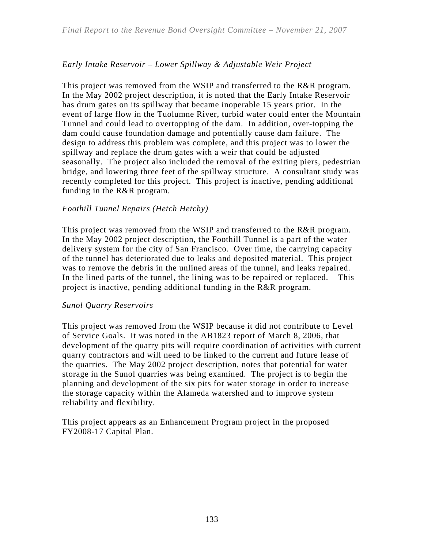### *Early Intake Reservoir – Lower Spillway & Adjustable Weir Project*

This project was removed from the WSIP and transferred to the R&R program. In the May 2002 project description, it is noted that the Early Intake Reservoir has drum gates on its spillway that became inoperable 15 years prior. In the event of large flow in the Tuolumne River, turbid water could enter the Mountain Tunnel and could lead to overtopping of the dam. In addition, over-topping the dam could cause foundation damage and potentially cause dam failure. The design to address this problem was complete, and this project was to lower the spillway and replace the drum gates with a weir that could be adjusted seasonally. The project also included the removal of the exiting piers, pedestrian bridge, and lowering three feet of the spillway structure. A consultant study was recently completed for this project. This project is inactive, pending additional funding in the R&R program.

#### *Foothill Tunnel Repairs (Hetch Hetchy)*

This project was removed from the WSIP and transferred to the R&R program. In the May 2002 project description, the Foothill Tunnel is a part of the water delivery system for the city of San Francisco. Over time, the carrying capacity of the tunnel has deteriorated due to leaks and deposited material. This project was to remove the debris in the unlined areas of the tunnel, and leaks repaired. In the lined parts of the tunnel, the lining was to be repaired or replaced. This project is inactive, pending additional funding in the R&R program.

#### *Sunol Quarry Reservoirs*

This project was removed from the WSIP because it did not contribute to Level of Service Goals. It was noted in the AB1823 report of March 8, 2006, that development of the quarry pits will require coordination of activities with current quarry contractors and will need to be linked to the current and future lease of the quarries. The May 2002 project description, notes that potential for water storage in the Sunol quarries was being examined. The project is to begin the planning and development of the six pits for water storage in order to increase the storage capacity within the Alameda watershed and to improve system reliability and flexibility.

This project appears as an Enhancement Program project in the proposed FY2008-17 Capital Plan.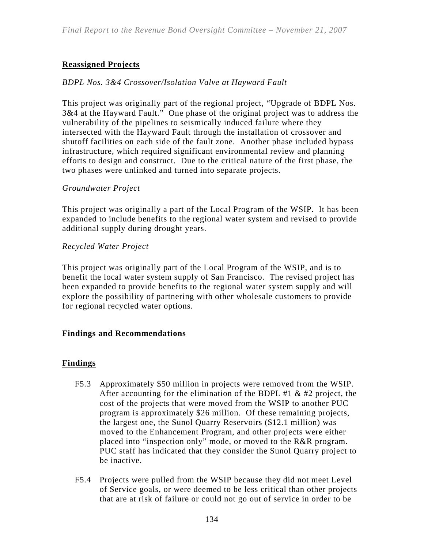### **Reassigned Projects**

#### *BDPL Nos. 3&4 Crossover/Isolation Valve at Hayward Fault*

This project was originally part of the regional project, "Upgrade of BDPL Nos. 3&4 at the Hayward Fault." One phase of the original project was to address the vulnerability of the pipelines to seismically induced failure where they intersected with the Hayward Fault through the installation of crossover and shutoff facilities on each side of the fault zone. Another phase included bypass infrastructure, which required significant environmental review and planning efforts to design and construct. Due to the critical nature of the first phase, the two phases were unlinked and turned into separate projects.

#### *Groundwater Project*

This project was originally a part of the Local Program of the WSIP. It has been expanded to include benefits to the regional water system and revised to provide additional supply during drought years.

#### *Recycled Water Project*

This project was originally part of the Local Program of the WSIP, and is to benefit the local water system supply of San Francisco. The revised project has been expanded to provide benefits to the regional water system supply and will explore the possibility of partnering with other wholesale customers to provide for regional recycled water options.

#### **Findings and Recommendations**

#### **Findings**

- F5.3 Approximately \$50 million in projects were removed from the WSIP. After accounting for the elimination of the BDPL #1  $&$  #2 project, the cost of the projects that were moved from the WSIP to another PUC program is approximately \$26 million. Of these remaining projects, the largest one, the Sunol Quarry Reservoirs (\$12.1 million) was moved to the Enhancement Program, and other projects were either placed into "inspection only" mode, or moved to the R&R program. PUC staff has indicated that they consider the Sunol Quarry project to be inactive.
- F5.4 Projects were pulled from the WSIP because they did not meet Level of Service goals, or were deemed to be less critical than other projects that are at risk of failure or could not go out of service in order to be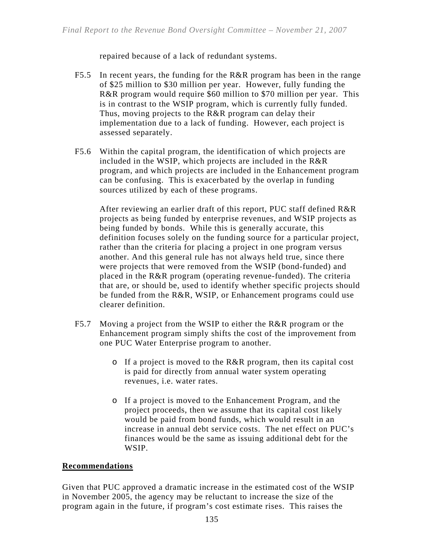repaired because of a lack of redundant systems.

- F5.5 In recent years, the funding for the R&R program has been in the range of \$25 million to \$30 million per year. However, fully funding the R&R program would require \$60 million to \$70 million per year. This is in contrast to the WSIP program, which is currently fully funded. Thus, moving projects to the R&R program can delay their implementation due to a lack of funding. However, each project is assessed separately.
- F5.6 Within the capital program, the identification of which projects are included in the WSIP, which projects are included in the R&R program, and which projects are included in the Enhancement program can be confusing. This is exacerbated by the overlap in funding sources utilized by each of these programs.

After reviewing an earlier draft of this report, PUC staff defined R&R projects as being funded by enterprise revenues, and WSIP projects as being funded by bonds. While this is generally accurate, this definition focuses solely on the funding source for a particular project, rather than the criteria for placing a project in one program versus another. And this general rule has not always held true, since there were projects that were removed from the WSIP (bond-funded) and placed in the R&R program (operating revenue-funded). The criteria that are, or should be, used to identify whether specific projects should be funded from the R&R, WSIP, or Enhancement programs could use clearer definition.

- F5.7 Moving a project from the WSIP to either the R&R program or the Enhancement program simply shifts the cost of the improvement from one PUC Water Enterprise program to another.
	- o If a project is moved to the R&R program, then its capital cost is paid for directly from annual water system operating revenues, i.e. water rates.
	- o If a project is moved to the Enhancement Program, and the project proceeds, then we assume that its capital cost likely would be paid from bond funds, which would result in an increase in annual debt service costs. The net effect on PUC's finances would be the same as issuing additional debt for the WSIP.

#### **Recommendations**

Given that PUC approved a dramatic increase in the estimated cost of the WSIP in November 2005, the agency may be reluctant to increase the size of the program again in the future, if program's cost estimate rises. This raises the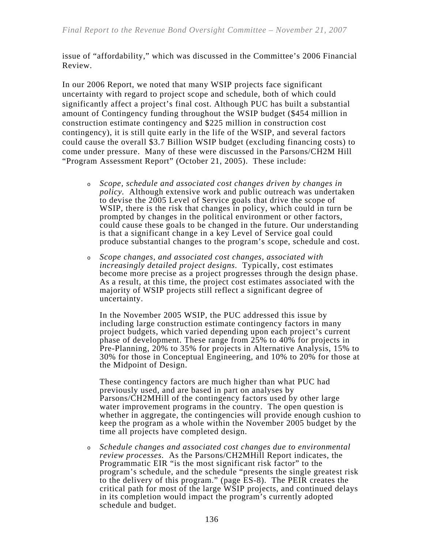issue of "affordability," which was discussed in the Committee's 2006 Financial Review.

In our 2006 Report, we noted that many WSIP projects face significant uncertainty with regard to project scope and schedule, both of which could significantly affect a project's final cost. Although PUC has built a substantial amount of Contingency funding throughout the WSIP budget (\$454 million in construction estimate contingency and \$225 million in construction cost contingency), it is still quite early in the life of the WSIP, and several factors could cause the overall \$3.7 Billion WSIP budget (excluding financing costs) to come under pressure. Many of these were discussed in the Parsons/CH2M Hill "Program Assessment Report" (October 21, 2005). These include:

- <sup>o</sup> *Scope, schedule and associated cost changes driven by changes in policy.* Although extensive work and public outreach was undertaken to devise the 2005 Level of Service goals that drive the scope of WSIP, there is the risk that changes in policy, which could in turn be prompted by changes in the political environment or other factors, could cause these goals to be changed in the future. Our understanding is that a significant change in a key Level of Service goal could produce substantial changes to the program's scope, schedule and cost.
- <sup>o</sup> *Scope changes, and associated cost changes, associated with increasingly detailed project designs.* Typically, cost estimates become more precise as a project progresses through the design phase. As a result, at this time, the project cost estimates associated with the majority of WSIP projects still reflect a significant degree of uncertainty.

In the November 2005 WSIP, the PUC addressed this issue by including large construction estimate contingency factors in many project budgets, which varied depending upon each project's current phase of development. These range from 25% to 40% for projects in Pre-Planning, 20% to 35% for projects in Alternative Analysis, 15% to 30% for those in Conceptual Engineering, and 10% to 20% for those at the Midpoint of Design.

These contingency factors are much higher than what PUC had previously used, and are based in part on analyses by Parsons/CH2MHill of the contingency factors used by other large water improvement programs in the country. The open question is whether in aggregate, the contingencies will provide enough cushion to keep the program as a whole within the November 2005 budget by the time all projects have completed design.

<sup>o</sup> *Schedule changes and associated cost changes due to environmental review processes.* As the Parsons/CH2MHill Report indicates, the Programmatic EIR "is the most significant risk factor" to the program's schedule, and the schedule "presents the single greatest risk to the delivery of this program." (page ES-8). The PEIR creates the critical path for most of the large WSIP projects, and continued delays in its completion would impact the program's currently adopted schedule and budget.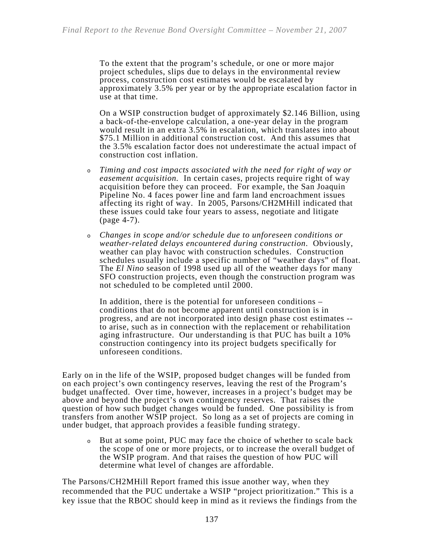To the extent that the program's schedule, or one or more major project schedules, slips due to delays in the environmental review process, construction cost estimates would be escalated by approximately 3.5% per year or by the appropriate escalation factor in use at that time.

On a WSIP construction budget of approximately \$2.146 Billion, using a back-of-the-envelope calculation, a one-year delay in the program would result in an extra 3.5% in escalation, which translates into about \$75.1 Million in additional construction cost. And this assumes that the 3.5% escalation factor does not underestimate the actual impact of construction cost inflation.

- <sup>o</sup> *Timing and cost impacts associated with the need for right of way or easement acquisition.* In certain cases, projects require right of way acquisition before they can proceed. For example, the San Joaquin Pipeline No. 4 faces power line and farm land encroachment issues affecting its right of way. In 2005, Parsons/CH2MHill indicated that these issues could take four years to assess, negotiate and litigate (page 4-7).
- <sup>o</sup> *Changes in scope and/or schedule due to unforeseen conditions or weather-related delays encountered during construction*. Obviously, weather can play havoc with construction schedules. Construction schedules usually include a specific number of "weather days" of float. The *El Nino* season of 1998 used up all of the weather days for many SFO construction projects, even though the construction program was not scheduled to be completed until 2000.

In addition, there is the potential for unforeseen conditions – conditions that do not become apparent until construction is in progress, and are not incorporated into design phase cost estimates - to arise, such as in connection with the replacement or rehabilitation aging infrastructure. Our understanding is that PUC has built a 10% construction contingency into its project budgets specifically for unforeseen conditions.

Early on in the life of the WSIP, proposed budget changes will be funded from on each project's own contingency reserves, leaving the rest of the Program's budget unaffected. Over time, however, increases in a project's budget may be above and beyond the project's own contingency reserves. That raises the question of how such budget changes would be funded. One possibility is from transfers from another WSIP project. So long as a set of projects are coming in under budget, that approach provides a feasible funding strategy.

<sup>o</sup> But at some point, PUC may face the choice of whether to scale back the scope of one or more projects, or to increase the overall budget of the WSIP program. And that raises the question of how PUC will determine what level of changes are affordable.

The Parsons/CH2MHill Report framed this issue another way, when they recommended that the PUC undertake a WSIP "project prioritization." This is a key issue that the RBOC should keep in mind as it reviews the findings from the